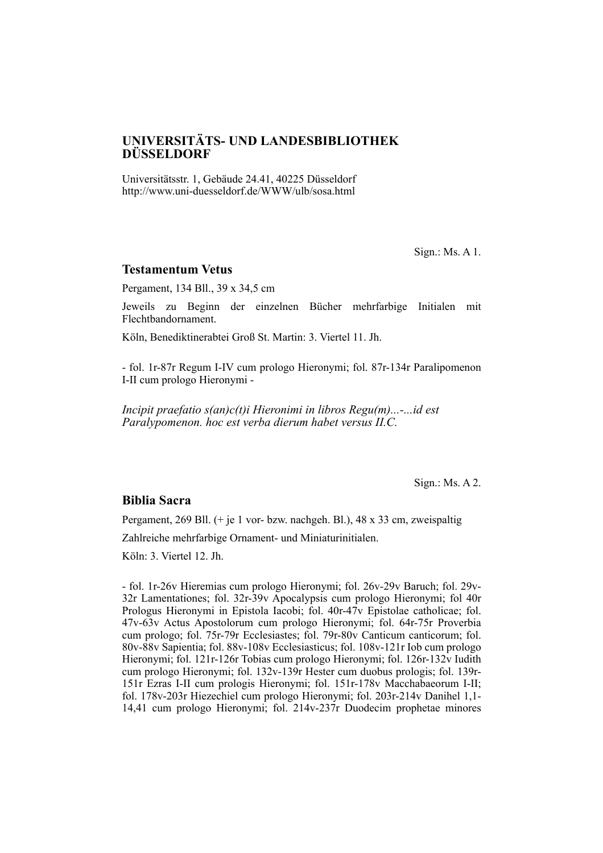# **UNIVERSITÄTS- UND LANDES BIBLIOTHEK DÜSSELDORF**

Universitätsstr. 1, Gebäude 24.41, 40225 Düsseldorf http://www.uni-duesseldorf.de/WWW/ulb/sosa.html

Sign.: Ms. A 1.

#### **Testamentum Vetus**

Pergament, 134 Bll., 39 x 34,5 cm

Jeweils zu Beginn der einzelnen Bücher mehrfarbige Initialen mit Flechtband ornament.

Köln, Benediktinerabtei Groß St. Martin: 3. Viertel 11. Jh.

- fol. 1r-87r Regum I-IV cum prologo Hieronymi; fol. 87r-134r Paralipomenon I-II cum prologo Hieronymi -

*Incipit praefatio s(an)c(t)i Hieronimi in libros Regu(m)...-...id est Paralypomenon. hoc est verba dierum habet versus II.C.*

Sign.: Ms. A 2.

#### **Biblia Sacra**

Pergament,  $269$  Bll. (+ je 1 vor- bzw. nachgeh. Bl.),  $48 \times 33$  cm, zweispaltig

Zahlreiche mehrfarbige Ornament- und Miniaturinitialen.

Köln: 3. Viertel 12. Jh.

- fol. 1r-26v Hieremias cum prologo Hieronymi; fol. 26v-29v Baruch; fol. 29v-32r Lamentationes; fol. 32r-39v Apocalypsis cum prologo Hieronymi; fol 40r Prologus Hieronymi in Epistola Iacobi; fol. 40r-47v Epistolae catholicae; fol. 47v-63v Actus Apostolorum cum prologo Hieronymi; fol. 64r-75r Proverbia cum prologo; fol. 75r-79r Ecclesiastes; fol. 79r-80v Canticum canticorum; fol. 80v-88v Sapientia; fol. 88v-108v Ecclesiasticus; fol. 108v-121r Iob cum prologo Hieronymi; fol. 121r-126r Tobias cum prologo Hieronymi; fol. 126r-132 $\tilde{v}$  Iudith cum prologo Hieronymi; fol. 132v-139r Hester cum duobus prologis; fol. 139r-151r Ezras I-II cum prologis Hieronymi; fol. 151r-178v Macchabaeorum I-II; fol. 178v-203r Hiezechiel cum prologo Hieronymi; fol. 203r-214v Danihel 1,1-14,41 cum prologo Hieronymi; fol. 214v-237r Duodecim prophetae minores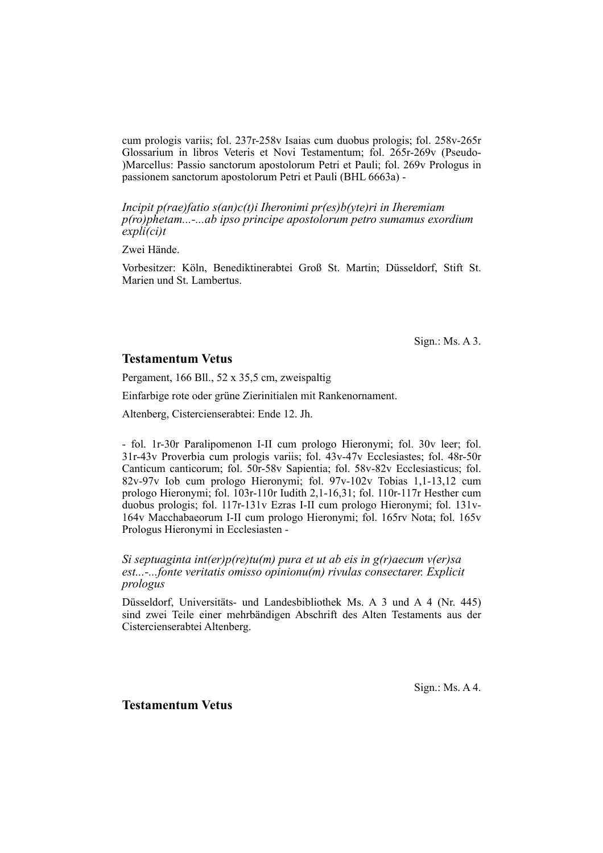cum prologis variis; fol. 237r-258v Isaias cum duobus prologis; fol. 258v-265r Glossarium in libros Veteris et Novi Testamentum; fol. 265r-269v (Pseudo- )Marcellus: Passio sanctorum apostolorum Petri et Pauli; fol. 269y Prologus in passionem sanctorum apostolorum Petri et Pauli (BHL 6663a) -

*Incipit p(rae)fatio s(an)c(t)i Iheronimi pr(es)b(yte)ri in Iheremiam p(ro)phetam...-...ab ipso principe apostolorum petro sumamus exordium expli(ci)t*

Zwei Hände.

Vorbesitzer: Köln, Benediktinerabtei Groß St. Martin; Düsseldorf, Stift St. Marien und St. Lambertus.

Sign.: Ms. A 3.

### **Testamentum Vetus**

Pergament, 166 Bll., 52 x 35,5 cm, zweispaltig

Einfarbige rote oder grüne Zierinitialen mit Rankenornament.

Altenberg, Cistercienserabtei: Ende 12. Jh.

- fol. 1r-30r Paralipomenon I-II cum prologo Hieronymi; fol. 30v leer; fol. 31r-43v Proverbia cum prologis variis; fol. 43v-47v Ecclesiastes; fol. 48r-50r Canticum canticorum; fol. 50r-58v Sapientia; fol. 58v-82v Ecclesiasticus; fol. 82v-97v Iob cum prologo Hieronymi; fol. 97v-102v Tobias 1,1-13,12 cum prologo Hieronymi; fol. 103r-110r Iudith 2,1-16,31; fol. 110r-117r Hesther cum duobus prologis; fol. 117r-131v Ezras I-II cum prologo Hieronymi; fol. 131v-164v Macchabaeorum I-II cum prologo Hieronymi; fol. 165rv Nota; fol. 165v Prologus Hieronymi in Ecclesiasten -

*Si septuaginta int(er)p(re)tu(m) pura et ut ab eis in g(r)aecum v(er)sa est...-...fonte veritatis omisso opinionu(m) rivulas consectarer. Explicit prologus*

Düsseldorf, Universitäts- und Landesbibliothek Ms. A 3 und A 4 (Nr. 445) sind zwei Teile einer mehrbändigen Abschrift des Alten Testaments aus der Cistercienserabtei Altenberg.

Sign.: Ms. A 4.

**Testamentum Vetus**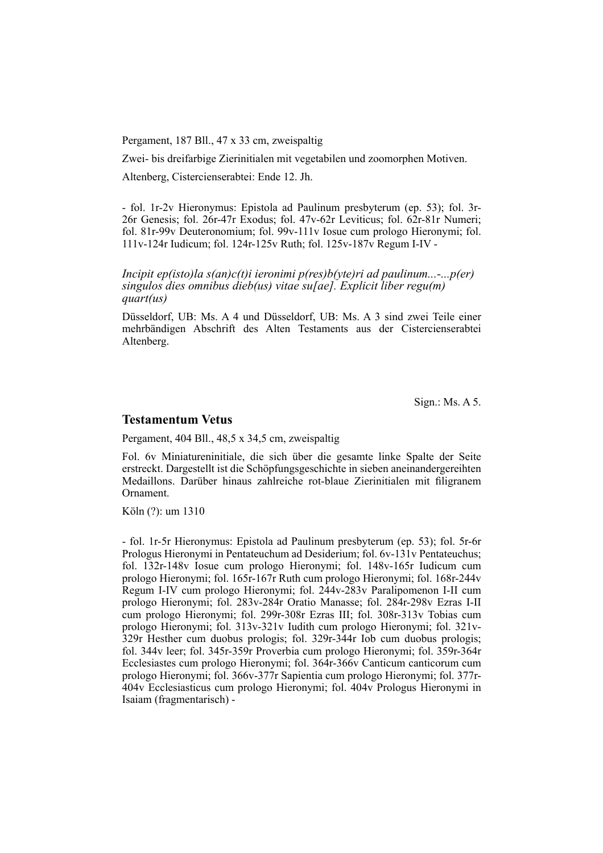Pergament, 187 Bll., 47 x 33 cm, zweispaltig

Zwei- bis dreifarbige Zierinitialen mit vegetabilen und zoomorphen Motiven.

Altenberg, Cistercienserabtei: Ende 12. Jh.

- fol. 1r-2v Hieronymus: Epistola ad Paulinum presbyterum (ep. 53); fol. 3r-26r Genesis; fol. 26r-47r Exodus; fol. 47v-62r Leviticus; fol. 62r-81r Numeri; fol. 81r-99v Deuteronomium; fol. 99v-111v Iosue cum prologo Hieronymi; fol. 111v-124r Iudicum; fol. 124r-125v Ruth; fol. 125v-187v Regum I-IV -

*Incipit ep(isto)la s(an)c(t)i ieronimi p(res)b(yte)ri ad paulinum...-...p(er) singulos dies omnibus dieb(us) vitae su[ae]. Explicit liber regu(m) quart(us)*

Düsseldorf, UB: Ms. A 4 und Düsseldorf, UB: Ms. A 3 sind zwei Teile einer mehrbändigen Abschrift des Alten Testaments aus der Cistercienserabtei Altenberg.

Sign.: Ms. A 5.

### **Testamentum Vetus**

Pergament, 404 Bll., 48,5 x 34,5 cm, zweispaltig

Fol. 6v Miniatureninitiale, die sich über die gesamte linke Spalte der Seite er streckt. Dargestellt ist die Schöpfungsgeschichte in sieben aneinandergereihten Medaillons. Darüber hinaus zahlreiche rot-blaue Zierinitialen mit filigranem Ornament.

Köln (?): um 1310

- fol. 1r-5r Hieronymus: Epistola ad Paulinum presbyterum (ep. 53); fol. 5r-6r Prologus Hieronymi in Pentateuchum ad Desiderium; fol. 6v-131v Pentateuchus; fol. 132r-148v Iosue cum prologo Hieronymi; fol. 148v-165r Iudicum cum prologo Hieronymi; fol. 165r-167r Ruth cum prologo Hieronymi; fol. 168r-244v Regum I-IV cum prologo Hieronymi; fol. 244v-283v Paralipomenon I-II cum prologo Hieronymi; fol. 283v-284r Oratio Manasse; fol. 284r-298v Ezras I-II cum prologo Hieronymi; fol. 299r-308r Ezras III; fol. 308r-313v Tobias cum prologo Hieronymi; fol. 313v-321v Iudith cum prologo Hieronymi; fol. 321v-329r Hesther cum duobus prologis; fol. 329r-344r Iob cum duobus prologis; fol. 344y leer; fol. 345r-359r Proverbia cum prologo Hieronymi; fol. 359r-364r Ecclesiastes cum prologo Hieronymi; fol. 364r-366v Canticum canticorum cum prologo Hieronymi; fol. 366v-377r Sapientia cum prologo Hieronymi; fol. 377r-404v Ecclesiasticus cum prologo Hieronymi; fol. 404v Prologus Hieronymi in Isaiam (fragmentarisch) -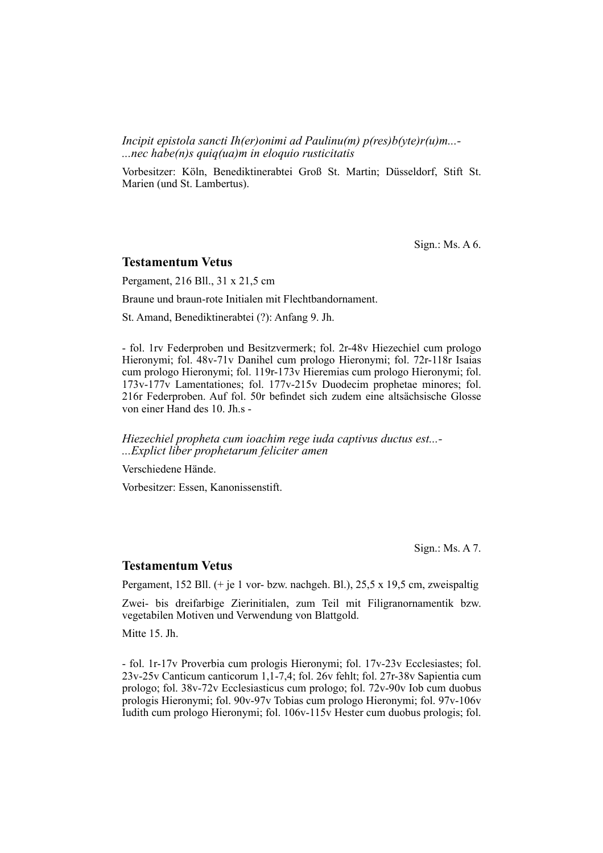*Incipit epistola sancti Ih(er)onimi ad Paulinu(m) p(res)b(yte)r(u)m...- ...nec habe(n)s quiq(ua)m in eloquio rusticitatis*

Vorbesitzer: Köln, Benediktinerabtei Groß St. Martin; Düsseldorf, Stift St. Marien (und St. Lambertus).

Sign.: Ms. A 6.

#### **Testamentum Vetus**

Pergament, 216 Bll., 31 x 21,5 cm

Braune und braun-rote Initialen mit Flechtbandornament.

St. Amand, Benediktinerabtei (?): Anfang 9. Jh.

- fol. 1rv Federproben und Besitzvermerk; fol. 2r-48v Hiezechiel cum prologo Hieronymi; fol. 48v-71v Danihel cum prologo Hieronymi; fol. 72r-118r Isaias cum prologo Hieronymi; fol. 119r-173v Hieremias cum prologo Hieronymi; fol. 173v-177v Lamentationes; fol. 177v-215v Duodecim prophetae minores; fol. 216r Federproben. Auf fol. 50r befindet sich zudem eine altsächsische Glosse von einer Hand des 10. Jh.s -

*Hiezechiel propheta cum ioachim rege iuda captivus ductus est...- ...Explict liber prophetarum feliciter amen*

Verschiedene Hände.

Vorbesitzer: Essen, Kanonissenstift.

Sign.: Ms. A 7.

#### **Testamentum Vetus**

Pergament, 152 Bll. (+ je 1 vor- bzw. nachgeh. Bl.), 25,5 x 19,5 cm, zweispaltig

Zwei- bis dreifarbige Zierinitialen, zum Teil mit Filigranornamentik bzw. ve getabilen Motiven und Verwendung von Blattgold.

Mitte 15. Jh.

- fol. 1r-17v Proverbia cum prologis Hieronymi; fol. 17v-23v Ecclesiastes; fol.  $23v-25v$  Canticum canticorum 1,1-7,4; fol. 26v fehlt; fol. 27r-38v Sapientia cum prologo; fol. 38v-72v Ecclesiasticus cum prologo; fol. 72v-90v Iob cum duobus prologis Hieronymi; fol. 90v-97v Tobias cum prologo Hieronymi; fol. 97v-106v Iudith cum prologo Hieronymi; fol. 106v-115v Hester cum duobus prologis; fol.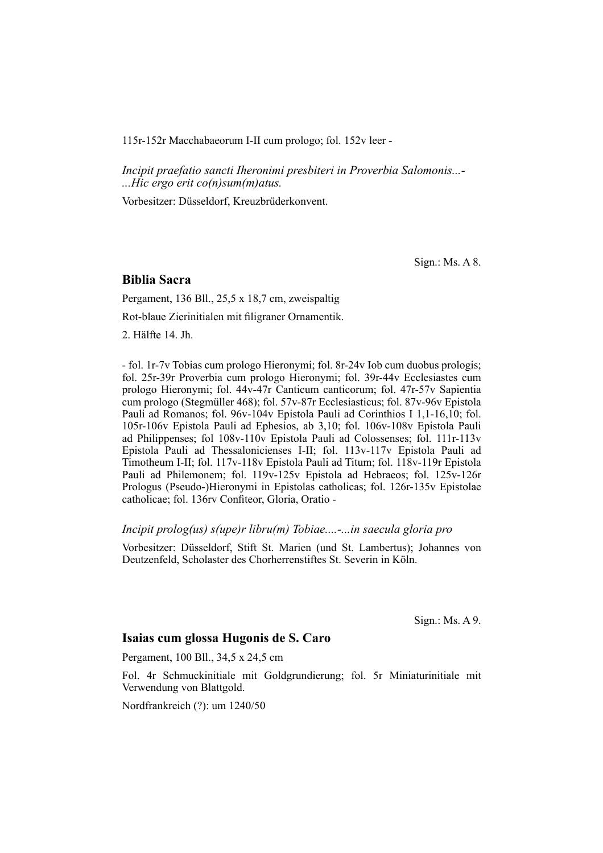115r-152r Macchabaeorum I-II cum prologo; fol. 152v leer -

*Incipit praefatio sancti Iheronimi presbiteri in Proverbia Salomonis...- ...Hic ergo erit co(n)sum(m)atus.*

Vorbesitzer: Düsseldorf, Kreuzbrüderkonvent.

Sign.: Ms. A 8.

### **Biblia Sacra**

Pergament, 136 Bll., 25,5 x 18,7 cm, zweispaltig

Rot-blaue Zierinitialen mit filigraner Ornamentik.

2. Hälfte 14. Jh.

- fol. 1r-7v Tobias cum prologo Hieronymi; fol. 8r-24v Iob cum duobus prologis; fol. 25r-39r Proverbia cum prologo Hieronymi; fol. 39r-44v Ecclesiastes cum prologo Hieronymi; fol. 44v-47r Canticum canticorum; fol. 47r-57v Sapientia cum prologo (Stegmüller 468); fol. 57v-87r Ecclesiasticus; fol. 87v-96v Epistola Pauli ad Romanos; fol. 96v-104v Epistola Pauli ad Corinthios I 1,1-16,10; fol. 105r-106v Epistola Pauli ad Ephesios, ab 3,10; fol. 106v-108v Epistola Pauli ad Philippenses; fol 108v-110v Epistola Pauli ad Colossenses; fol. 111r-113v Epistola Pauli ad Thessalonicienses I-II; fol. 113v-117v Epistola Pauli ad Timotheum I-II; fol. 117v-118v Epistola Pauli ad Titum; fol. 118v-119r Epistola Pauli ad Philemonem; fol. 119v-125v Epistola ad Hebraeos; fol. 125v-126r Prologus (Pseudo-)Hieronymi in Epistolas catholicas; fol. 126r-135v Epistolae catholicae; fol. 136rv Confiteor, Gloria, Oratio -

#### *Incipit prolog(us) s(upe)r libru(m) Tobiae....-...in saecula gloria pro*

Vorbesitzer: Düsseldorf, Stift St. Marien (und St. Lambertus); Johannes von Deutzenfeld, Scholaster des Chorherrenstiftes St. Severin in Köln.

Sign.: Ms. A 9.

## **Isaias cum glossa Hugonis de S. Caro**

Pergament, 100 Bll., 34,5 x 24,5 cm

Fol. 4r Schmuckinitiale mit Goldgrundierung; fol. 5r Miniaturinitiale mit Verwendung von Blattgold.

Nordfrankreich (?): um 1240/50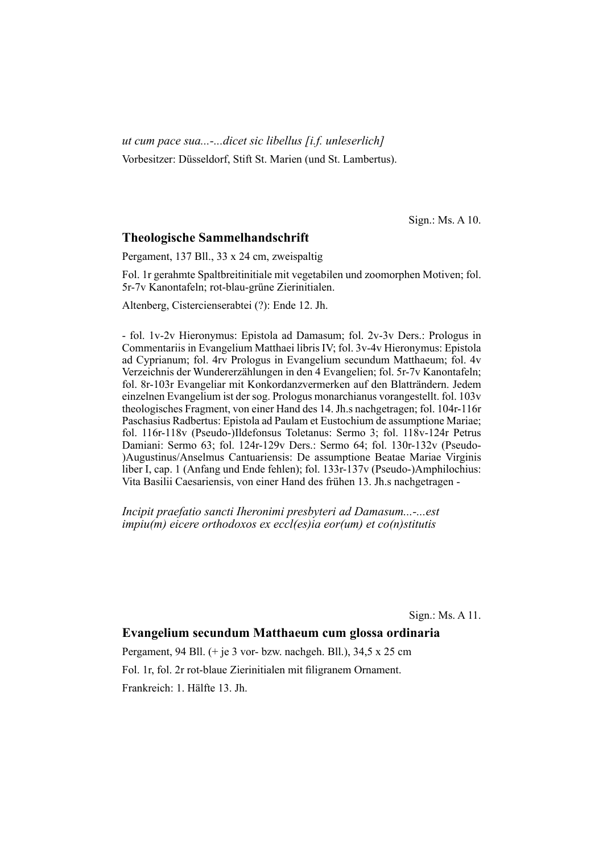*ut cum pace sua...-...dicet sic libellus [i.f. unleserlich]* Vorbesitzer: Düsseldorf, Stift St. Marien (und St. Lambertus).

Sign.: Ms. A 10.

## **Theologische Sammelhandschrift**

Pergament, 137 Bll., 33 x 24 cm, zweispaltig

Fol. 1r gerahmte Spaltbreitinitiale mit vegetabilen und zoomorphen Motiven; fol. 5r-7v Kanontafeln; rot-blau-grüne Zierinitialen.

Altenberg, Cistercienserabtei (?): Ende 12. Jh.

- fol. 1v-2v Hieronymus: Epistola ad Damasum; fol. 2v-3v Ders.: Prologus in Commentariis in Evangelium Matthaei libris IV; fol. 3v-4v Hieronymus: Epistola ad Cyprianum; fol. 4rv Prologus in Evangelium secundum Matthaeum; fol. 4v Verzeichnis der Wundererzählungen in den 4 Evangelien; fol. 5r-7v Kanontafeln; fol. 8r-103r Evangeliar mit Konkordanzvermerken auf den Blatträndern. Jedem einzelnen Evangelium ist der sog. Prologus monarchianus vorangestellt. fol. 103v theologisches Fragment, von einer Hand des 14. Jh.s nachgetragen; fol. 104r-116r Paschasius Radbertus: Epistola ad Paulam et Eustochium de assumptione Mariae; fol. 116r-118v (Pseudo-)Ildefonsus Toletanus: Sermo 3; fol. 118v-124r Petrus Damiani: Sermo 63; fol. 124r-129v Ders.: Sermo 64; fol. 130r-132v (Pseudo- )Augustinus/Anselmus Cantuariensis: De assumptione Beatae Mariae Virginis liber I, cap. 1 (Anfang und Ende fehlen); fol. 133r-137v (Pseudo-)Amphilochius: Vita Basilii Caesariensis, von einer Hand des frühen 13. Jh.s nachgetragen -

*Incipit praefatio sancti Iheronimi presbyteri ad Damasum...-...est impiu(m) eicere orthodoxos ex eccl(es)ia eor(um) et co(n)stitutis*

Sign.: Ms. A 11.

## **Evangelium secundum Matthaeum cum glossa ordinaria**

Pergament, 94 Bll. (+ je 3 vor- bzw. nachgeh. Bll.), 34,5 x 25 cm Fol. 1r, fol. 2r rot-blaue Zierinitialen mit filigranem Ornament. Frankreich: 1. Hälfte 13. Jh.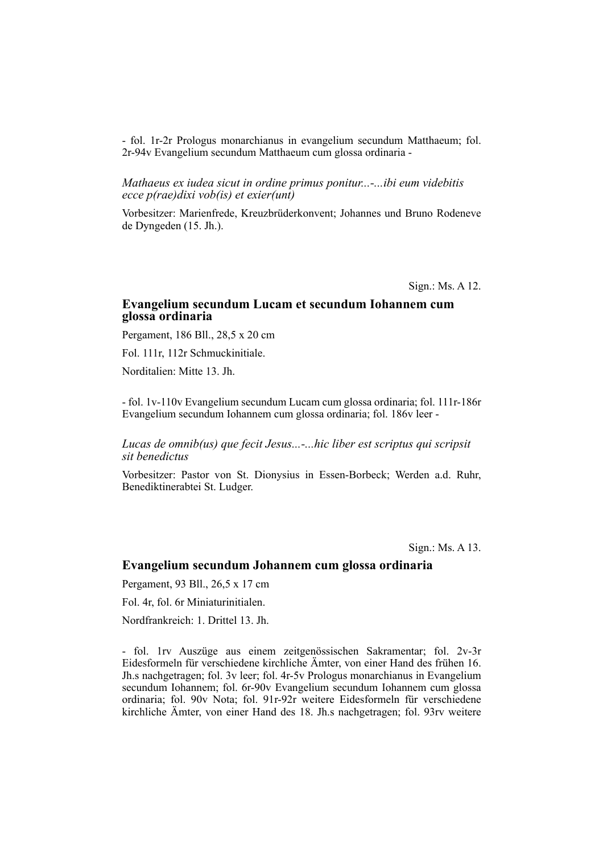- fol. 1r-2r Prologus monarchianus in evangelium secundum Matthaeum; fol. 2r-94v Evangelium secundum Matthaeum cum glossa ordinaria -

*Mathaeus ex iudea sicut in ordine primus ponitur...-...ibi eum videbitis ecce p(rae)dixi vob(is) et exier(unt)*

Vorbesitzer: Marienfrede, Kreuzbrüderkonvent; Johannes und Bruno Rodeneve de Dyngeden (15. Jh.).

Sign.: Ms. A 12.

### **Evangelium secundum Lucam et secundum Iohannem cum glossa ordinaria**

Pergament, 186 Bll., 28,5 x 20 cm

Fol. 111r, 112r Schmuckinitiale.

Norditalien: Mitte 13. Jh.

- fol. 1v-110v Evangelium secundum Lucam cum glossa ordinaria; fol. 111r-186r Evangelium secundum Iohannem cum glossa ordinaria; fol. 186v leer -

*Lucas de omnib(us) que fecit Jesus...-...hic liber est scriptus qui scripsit sit benedictus*

Vorbesitzer: Pastor von St. Dionysius in Essen-Borbeck; Werden a.d. Ruhr, Benediktinerabtei St. Ludger.

Sign.: Ms. A 13.

## **Evangelium secundum Johannem cum glossa ordinaria**

Pergament, 93 Bll., 26,5 x 17 cm

Fol. 4r, fol. 6r Miniaturinitialen.

Nordfrankreich: 1. Drittel 13. Jh.

- fol. 1rv Auszüge aus einem zeitgenössischen Sakramentar; fol. 2v-3r Eides formeln für verschiedene kirchliche Ämter, von einer Hand des frühen 16. Jh.s nachgetragen; fol. 3v leer; fol. 4r-5v Prologus monarchianus in Evangelium secundum Iohannem; fol. 6r-90v Evangelium secundum Iohannem cum glossa ordinaria; fol. 90v Nota; fol. 91r-92r weitere Eidesformeln für verschiedene kirchliche Ämter, von einer Hand des 18. Jh.s nachgetragen; fol. 93rv weitere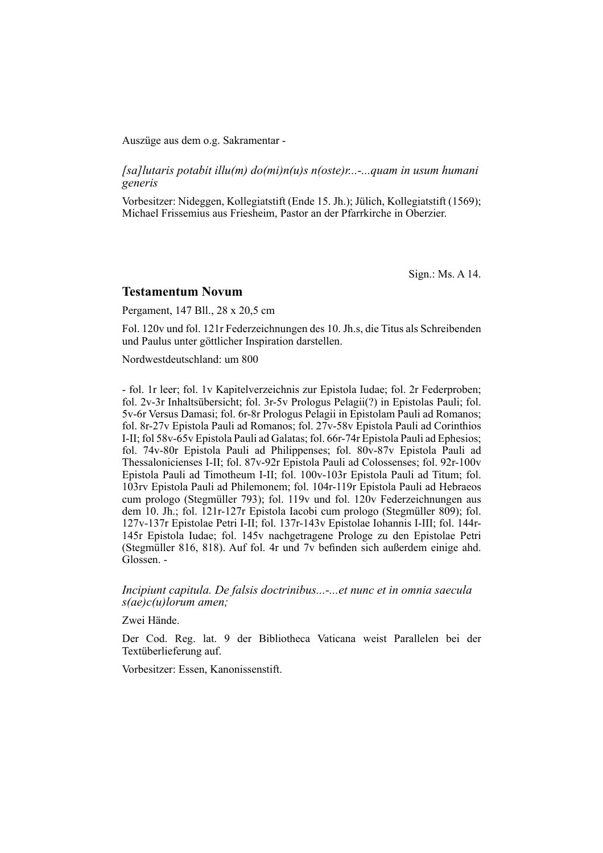Auszüge aus dem o.g. Sakramentar -

*[sa]lutaris potabit illu(m) do(mi)n(u)s n(oste)r...-...quam in usum humani generis*

Vorbesitzer: Nideggen, Kollegiatstift (Ende 15. Jh.); Jülich, Kollegiatstift (1569); Michael Frissemius aus Friesheim, Pastor an der Pfarrkirche in Oberzier.

Sign.: Ms. A 14.

#### **Testamentum Novum**

Pergament, 147 Bll., 28 x 20,5 cm

Fol. 120v und fol. 121r Federzeichnungen des 10. Jh.s, die Titus als Schrei benden und Paulus unter göttlicher Inspiration darstellen.

Nordwestdeutschland: um 800

- fol. 1r leer; fol. 1v Kapitelverzeichnis zur Epistola Iudae; fol. 2r Federproben; fol. 2v-3r Inhaltsübersicht; fol. 3r-5v Prologus Pelagii(?) in Epistolas Pauli; fol. 5v-6r Versus Damasi; fol. 6r-8r Prologus Pelagii in Epistolam Pauli ad Romanos; fol. 8r-27v Epistola Pauli ad Romanos; fol. 27v-58v Epistola Pauli ad Corinthios I-II; fol 58v-65v Epistola Pauli ad Galatas; fol. 66r-74r Epistola Pauli ad Ephesios; fol. 74v-80r Epistola Pauli ad Philippenses; fol. 80 $v$ -87v Epistola Pauli ad Thessalonicienses I-II; fol. 87v-92r Epistola Pauli ad Colossenses; fol. 92r-100v Epistola Pauli ad Timotheum I-II; fol. 100v-103r Epistola Pauli ad Titum; fol. 103rv Epistola Pauli ad Philemonem; fol. 104r-119r Epistola Pauli ad Hebraeos cum prologo (Stegmüller 793); fol. 119v und fol. 120v Federzeichnungen aus dem 10. Jh.; fol. 121r-127r Epistola Iacobi cum prologo (Stegmüller 809); fol. 127v-137r Epistolae Petri I-II; fol. 137r-143v Epistolae Iohannis I-III; fol. 144r-145r Epistola Iudae; fol. 145v nachgetragene Prologe zu den Epistolae Petri (Stegmüller 816, 818). Auf fol. 4r und 7v befinden sich außerdem einige ahd. Glossen. -

*Incipiunt capitula. De falsis doctrinibus...-...et nunc et in omnia saecula s(ae)c(u)lorum amen;*

Zwei Hände.

Der Cod. Reg. lat. 9 der Bibliotheca Vaticana weist Parallelen bei der Textüberlieferung auf.

Vorbesitzer: Essen, Kanonissenstift.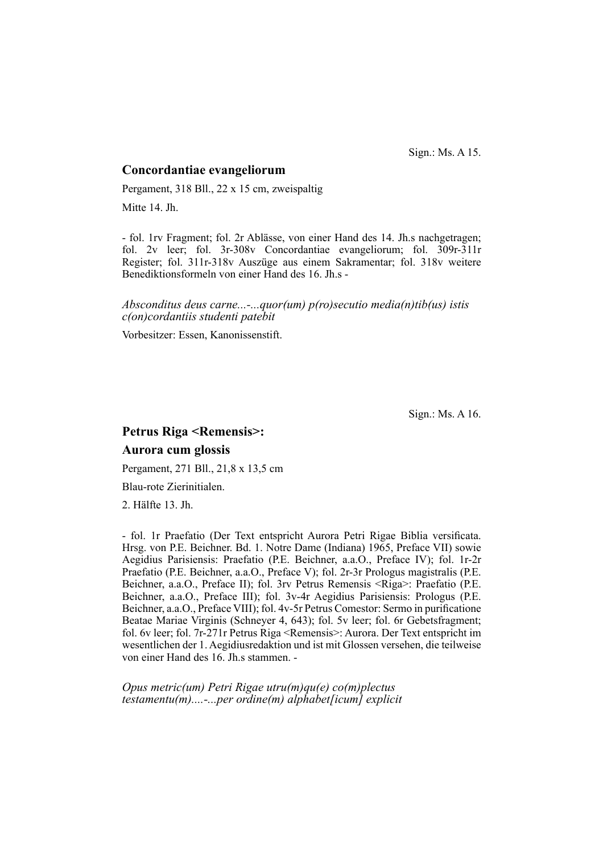Sign.: Ms. A 15.

#### **Concordantiae evangeliorum**

Pergament, 318 Bll., 22 x 15 cm, zweispaltig

Mitte 14. Jh.

- fol. 1rv Fragment; fol. 2r Ablässe, von einer Hand des 14. Jh.s nachgetragen; fol. 2v leer; fol. 3r-308v Concordantiae evangeliorum; fol. 309r-311r Register; fol. 311r-318v Auszüge aus einem Sakramentar; fol. 318v weitere Benediktionsformeln von einer Hand des 16. Jh.s -

*Absconditus deus carne...-...quor(um) p(ro)secutio media(n)tib(us) istis c(on)cordantiis studenti patebit*

Vorbesitzer: Essen, Kanonissenstift.

Sign.: Ms. A 16.

# **Petrus Riga <Remensis>: Aurora cum glossis**

Pergament, 271 Bll., 21,8 x 13,5 cm

Blau-rote Zierinitialen.

2. Hälfte 13. Jh.

- fol. 1r Praefatio (Der Text entspricht Aurora Petri Rigae Biblia versificata. Hrsg. von P.E. Beichner. Bd. 1. Notre Dame (Indiana) 1965, Preface VII) sowie Aegidius Parisiensis: Praefatio (P.E. Beichner, a.a.O., Preface IV); fol. 1r-2r Praefatio (P.E. Beichner, a.a.O., Preface V); fol. 2r-3r Prologus magistralis (P.E. Beichner, a.a.O., Preface II); fol. 3rv Petrus Remensis <Riga>: Praefatio (P.E. Beichner, a.a.O., Preface III); fol. 3v-4r Aegidius Parisiensis: Prologus (P.E. Beichner, a.a.O., Preface VIII); fol. 4v-5r Petrus Comestor: Sermo in purificatione Beatae Mariae Virginis (Schneyer 4, 643); fol. 5v leer; fol. 6r Gebetsfragment; fol. 6v leer; fol. 7r-271r Petrus Riga <Remensis>: Aurora. Der Text entspricht im wesentlichen der 1. Aegidius redaktion und ist mit Glossen versehen, die teilweise von einer Hand des 16. Jh.s stammen. -

*Opus metric(um) Petri Rigae utru(m)qu(e) co(m)plectus testamentu(m)....-...per ordine(m) alphabet[icum] explicit*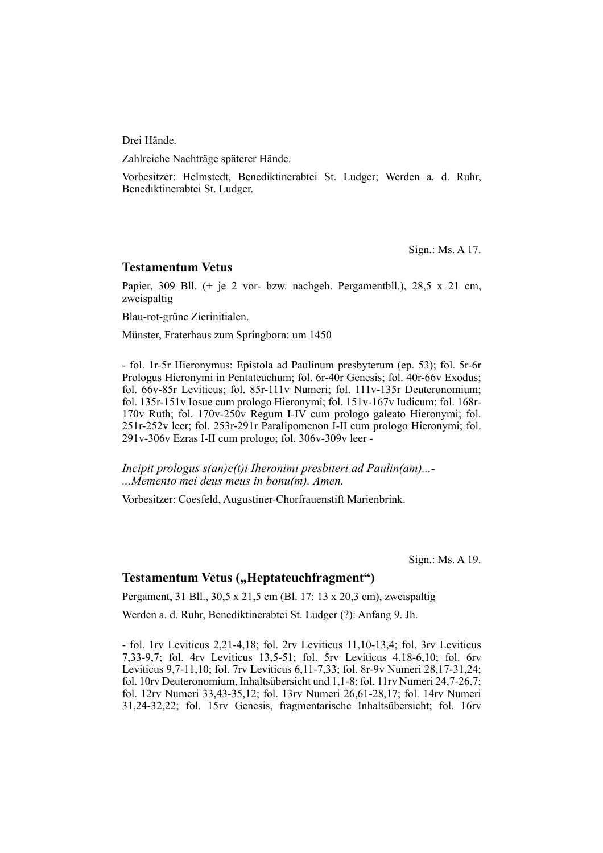Drei Hände.

Zahlreiche Nachträge späterer Hände.

Vorbesitzer: Helmstedt, Benediktinerabtei St. Ludger; Werden a. d. Ruhr, Benediktinerabtei St. Ludger.

Sign.: Ms. A 17.

#### **Testamentum Vetus**

Papier, 309 Bll. (+ je 2 vor- bzw. nachgeh. Pergamentbll.), 28,5 x 21 cm, zweispaltig

Blau-rot-grüne Zierinitialen.

Münster, Fraterhaus zum Springborn: um 1450

- fol. 1r-5r Hieronymus: Epistola ad Paulinum presbyterum (ep. 53); fol. 5r-6r Prologus Hieronymi in Pentateuchum; fol. 6r-40r Genesis; fol. 40r-66v Exodus; fol. 66v-85r Leviticus; fol. 85r-111v Numeri; fol. 111v-135r Deuteronomium; fol. 135r-151v Iosue cum prologo Hieronymi; fol. 151v-167v Iudicum; fol. 168r-170v Ruth; fol. 170v-250v Regum I-IV cum prologo galeato Hieronymi; fol. 251r-252v leer; fol. 253r-291r Paralipomenon I-II cum prologo Hieronymi; fol. 291v-306v Ezras I-II cum prologo; fol. 306v-309v leer -

*Incipit prologus s(an)c(t)i Iheronimi presbiteri ad Paulin(am)...- ...Memento mei deus meus in bonu(m). Amen.*

Vorbesitzer: Coesfeld, Augustiner-Chorfrauenstift Marienbrink.

Sign.: Ms. A 19.

## **Testamentum Vetus ("Heptateuchfragment")**

Pergament, 31 Bll., 30,5 x 21,5 cm (Bl. 17: 13 x 20,3 cm), zweispaltig

Werden a. d. Ruhr, Benediktinerabtei St. Ludger (?): Anfang 9. Jh.

 $-$  fol. 1rv Leviticus 2,21-4,18; fol. 2rv Leviticus 11,10-13,4; fol. 3rv Leviticus 7,33-9,7; fol. 4rv Leviticus 13,5-51; fol. 5rv Leviticus 4,18-6,10; fol. 6rv Leviticus 9,7-11,10; fol. 7rv Leviticus 6,11-7,33; fol. 8r-9v Numeri 28,17-31,24; fol. 10rv Deuteronomium, Inhaltsübersicht und 1,1-8; fol. 11rv Numeri 24,7-26,7; fol. 12rv Numeri 33,43-35,12; fol. 13rv Numeri 26,61-28,17; fol. 14rv Numeri 31,24-32,22; fol. 15rv Genesis, fragmentarische In halts übersicht; fol. 16rv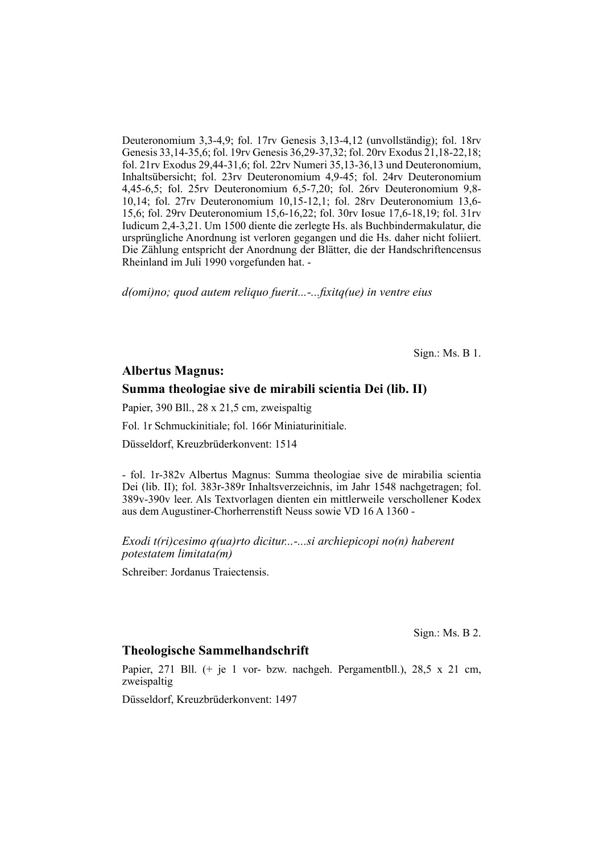Deuteronomium 3,3-4,9; fol. 17rv Genesis 3,13-4,12 (unvollständig); fol. 18rv Ge nesis 33,14-35,6; fol. 19rv Genesis 36,29-37,32; fol. 20rv Exodus 21,18-22,18; fol. 21rv Exodus 29,44-31,6; fol. 22rv Numeri 35,13-36,13 und Deuteronomium, Inhaltsübersicht; fol. 23rv Deuteronomium 4,9-45; fol. 24rv Deuteronomium 4,45-6,5; fol. 25rv Deuteronomium 6,5-7,20; fol. 26rv Deuteronomium 9,8-10,14; fol. 27rv Deuteronomium 10,15-12,1; fol. 28rv Deuteronomium 13,6-15,6; fol. 29rv Deuteronomium 15,6-16,22; fol. 30rv Iosue 17,6-18,19; fol. 31rv Iudicum 2,4-3,21. Um 1500 diente die zerlegte Hs. als Buchbindermakulatur, die ursprüngliche Anordnung ist verloren ge gangen und die Hs. daher nicht foliiert. Die Zählung entspricht der Anordnung der Blätter, die der Handschriftencensus Rheinland im Juli 1990 vorgefunden hat. -

*d(omi)no; quod autem reliquo fuerit...-...fi xitq(ue) in ventre eius*

Sign.: Ms. B 1.

## **Albertus Magnus:**

#### **Summa theologiae sive de mirabili scientia Dei (lib. II)**

Papier, 390 Bll., 28 x 21,5 cm, zweispaltig

Fol. 1r Schmuckinitiale; fol. 166r Miniaturinitiale.

Düsseldorf, Kreuzbrüderkonvent: 1514

- fol. 1r-382v Albertus Magnus: Summa theologiae sive de mirabilia scientia Dei (lib. II); fol. 383r-389r Inhaltsverzeichnis, im Jahr 1548 nachgetragen; fol. 389v-390v leer. Als Textvorlagen dienten ein mittlerweile verschollener Kodex aus dem Augustiner-Chorherrenstift Neuss sowie VD 16 A 1360 -

*Exodi t(ri)cesimo q(ua)rto dicitur...-...si archiepicopi no(n) haberent potestatem limitata(m)*

Schreiber: Jordanus Traiectensis.

Sign.: Ms. B 2.

## **Theologische Sammelhandschrift**

Papier, 271 Bll. (+ je 1 vor- bzw. nachgeh. Pergamentbll.), 28,5 x 21 cm, zweispaltig

Düsseldorf, Kreuzbrüderkonvent: 1497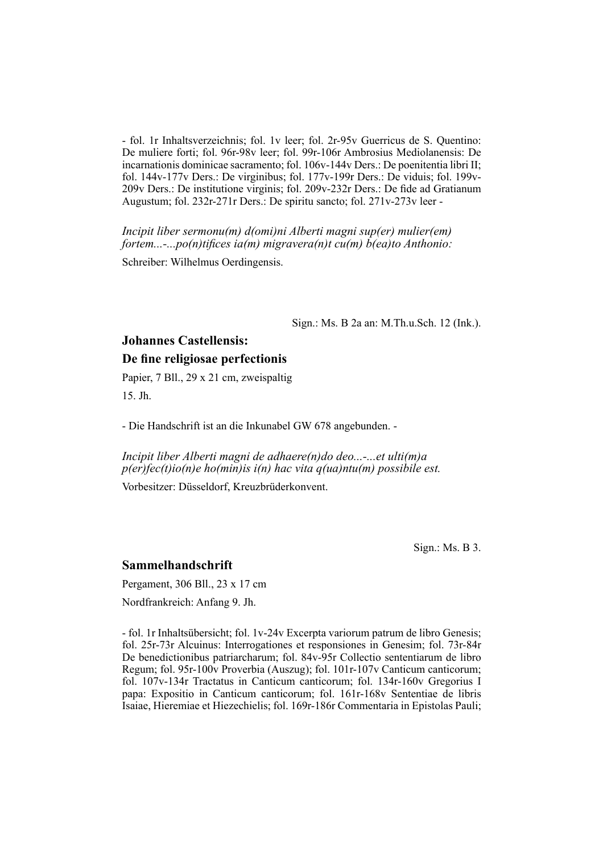- fol. 1r Inhaltsverzeichnis; fol. 1v leer; fol. 2r-95v Guerricus de S. Quentino: De muliere forti; fol. 96r-98v leer; fol. 99r-106r Ambrosius Mediolanensis: De incarnationis dominicae sacramento; fol.  $106v-144v$  Ders.: De poenitentia libri II; fol. 144v-177v Ders.: De virginibus; fol. 177v-199r Ders.: De viduis; fol. 199v-209v Ders.: De institutione virginis; fol. 209v-232r Ders.: De fide ad Gratianum Augustum; fol. 232r-271r Ders.: De spiritu sancto; fol. 271v-273v leer -

*Incipit liber sermonu(m) d(omi)ni Alberti magni sup(er) mulier(em) fortem...-...po(n)tifices ia(m) migravera(n)t cu(m) b(ea)to Anthonio:* 

Schreiber: Wilhelmus Oerdingensis.

Sign.: Ms. B 2a an: M.Th.u.Sch. 12 (Ink.).

# **Johannes Castellensis: De fine religiosae perfectionis**

Papier, 7 Bll., 29 x 21 cm, zweispaltig 15. Jh.

- Die Handschrift ist an die Inkunabel GW 678 angebunden. -

*Incipit liber Alberti magni de adhaere(n)do deo...-...et ulti(m)a p(er)fec(t)io(n)e ho(min)is i(n) hac vita q(ua)ntu(m) possibile est.*

Vorbesitzer: Düsseldorf, Kreuzbrüderkonvent.

Sign.: Ms. B 3.

#### **Sammelhandschrift**

Pergament, 306 Bll., 23 x 17 cm

Nordfrankreich: Anfang 9. Jh.

- fol. 1r Inhaltsübersicht; fol. 1v-24v Excerpta variorum patrum de libro Genesis; fol. 25r-73r Alcuinus: Interrogationes et responsiones in Genesim; fol. 73r-84r De benedictionibus patriarcharum; fol. 84v-95r Collectio sententiarum de libro Regum; fol. 95r-100v Proverbia (Auszug); fol. 101r-107v Canticum canticorum; fol. 107v-134r Tractatus in Canticum canticorum; fol. 134r-160v Gregorius I papa: Expositio in Canticum canticorum; fol. 161r-168v Sententiae de libris Isaiae, Hieremiae et Hiezechielis; fol. 169r-186r Commentaria in Epistolas Pauli;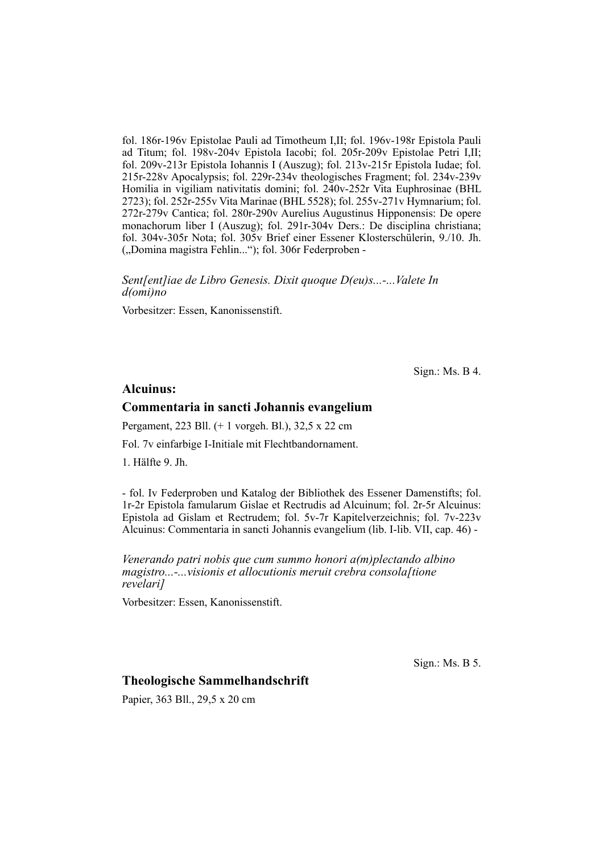fol. 186r-196v Epistolae Pauli ad Timotheum I,II; fol. 196v-198r Epistola Pauli ad Titum; fol. 198v-204v Epistola Iacobi; fol. 205r-209v Epistolae Petri I,II; fol. 209v-213r Epistola Iohannis I (Auszug); fol. 213v-215r Epistola Iudae; fol. 215r-228v Apocalypsis; fol. 229r-234v theologisches Fragment; fol. 234v-239v Homilia in vigiliam nativitatis domini; fol. 240v-252r Vita Euphrosinae (BHL 2723); fol. 252r-255v Vita Marinae (BHL 5528); fol. 255v-271v Hymnarium; fol. 272r-279v Cantica; fol. 280r-290v Aurelius Augustinus Hipponensis: De opere mona chorum liber I (Auszug); fol. 291r-304v Ders.: De disciplina christiana; fol. 304v-305r Nota; fol. 305v Brief einer Essener Klosterschülerin, 9./10. Jh. ("Domina magistra Fehlin..."); fol. 306r Federproben -

*Sent[ent]iae de Libro Genesis. Dixit quoque D(eu)s...-...Valete In d(omi)no*

Vorbesitzer: Essen, Kanonissenstift.

Sign.: Ms. B 4.

#### **Alcuinus:**

#### **Commentaria in sancti Johannis evangelium**

Pergament, 223 Bll. (+ 1 vorgeh. Bl.), 32,5 x 22 cm

Fol. 7v einfarbige I-Initiale mit Flechtbandornament.

1. Hälfte 9. Jh.

- fol. Iv Federproben und Katalog der Bibliothek des Essener Damenstifts; fol. 1r-2r Epistola famularum Gislae et Rectrudis ad Alcuinum; fol. 2r-5r Al cuinus: Epistola ad Gislam et Rectrudem; fol. 5v-7r Kapitelverzeichnis; fol. 7v-223v Alcuinus: Commentaria in sancti Johannis evangelium (lib. I-lib. VII, cap. 46) -

*Venerando patri nobis que cum summo honori a(m)plectando albino magistro...-...visionis et allocutionis meruit crebra consola[tione revelari]*

Vorbesitzer: Essen, Kanonissenstift.

Sign.: Ms. B 5.

### **Theologische Sammelhandschrift**

Papier, 363 Bll., 29,5 x 20 cm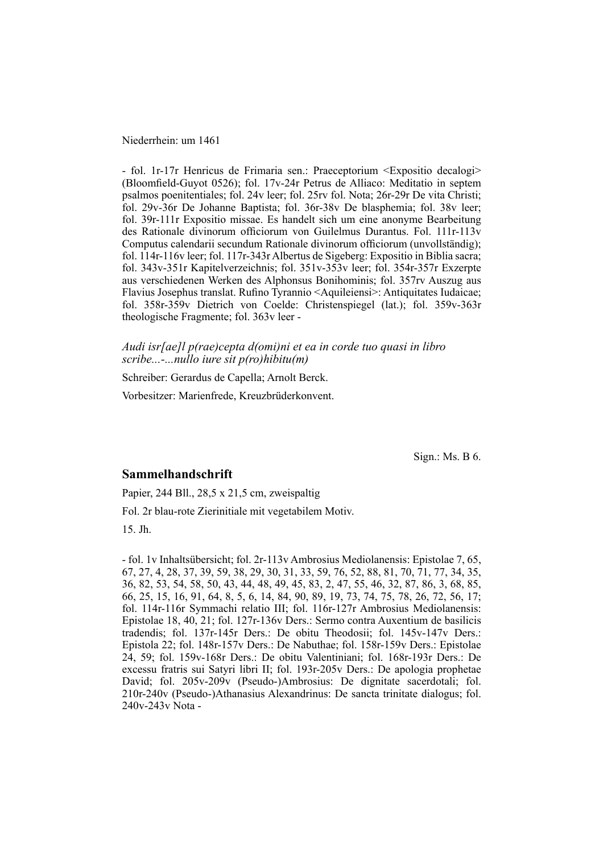Niederrhein: um 1461

- fol. 1r-17r Henricus de Frimaria sen.: Praeceptorium <Expositio decalogi> (Bloomfield-Guyot 0526); fol. 17y-24r Petrus de Alliaco: Meditatio in septem psalmos poenitentiales; fol. 24v leer; fol. 25rv fol. Nota; 26r-29r De vita Christi; fol. 29v-36r De Johanne Baptista; fol. 36r-38v De blasphemia; fol. 38v leer; fol. 39r-111r Expositio missae. Es handelt sich um eine anonyme Bearbeitung des Rationale divinorum officiorum von Guilelmus Durantus. Fol. 111r-113v Computus calendarii secundum Rationale divinorum officiorum (unvollständig); fol. 114r-116v leer; fol. 117r-343r Albertus de Sigeberg: Expositio in Biblia sacra; fol. 343v-351r Kapitelverzeichnis; fol. 351v-353v leer; fol. 354r-357r Exzerpte aus verschiedenen Werken des Alphonsus Bonihominis; fol. 357rv Auszug aus Flavius Josephus translat. Rufino Tyrannio <Aquileiensi>: Antiquitates Iudaicae; fol. 358r-359v Dietrich von Coelde: Christenspiegel (lat.); fol. 359v-363r theologische Fragmente; fol. 363v leer -

*Audi isr[ae]l p(rae)cepta d(omi)ni et ea in corde tuo quasi in libro scribe...-...nullo iure sit p(ro)hibitu(m)*

Schreiber: Gerardus de Capella; Arnolt Berck.

Vorbesitzer: Marienfrede, Kreuzbrüderkonvent.

Sign.: Ms. B 6.

#### **Sammelhandschrift**

Papier, 244 Bll., 28,5 x 21,5 cm, zweispaltig

Fol. 2r blau-rote Zierinitiale mit vegetabilem Motiv.

15. Jh.

- fol. 1v Inhaltsübersicht; fol. 2r-113v Ambrosius Mediolanensis: Epistolae 7, 65, 67, 27, 4, 28, 37, 39, 59, 38, 29, 30, 31, 33, 59, 76, 52, 88, 81, 70, 71, 77, 34, 35, 36, 82, 53, 54, 58, 50, 43, 44, 48, 49, 45, 83, 2, 47, 55, 46, 32, 87, 86, 3, 68, 85, 66, 25, 15, 16, 91, 64, 8, 5, 6, 14, 84, 90, 89, 19, 73, 74, 75, 78, 26, 72, 56, 17; fol. 114r-116r Symmachi relatio III; fol. 116r-127r Ambrosius Mediolanensis: Epistolae 18, 40, 21; fol. 127r-136v Ders.: Sermo contra Auxentium de basilicis tradendis; fol. 137r-145r Ders.: De obitu Theodosii; fol. 145v-147v Ders.: Epistola 22; fol. 148r-157v Ders.: De Na buthae; fol. 158r-159v Ders.: Epistolae 24, 59; fol. 159v-168r Ders.: De obitu Valentiniani; fol. 168r-193r Ders.: De excessu fratris sui Satyri libri II; fol. 193r-205v Ders.: De apologia prophetae David; fol. 205v-209v (Pseudo-)Ambrosius: De dignitate sacerdotali; fol. 210r-240v (Pseudo-)Athanasius Alexandrinus: De sancta trinitate dialogus; fol. 240v-243v Nota -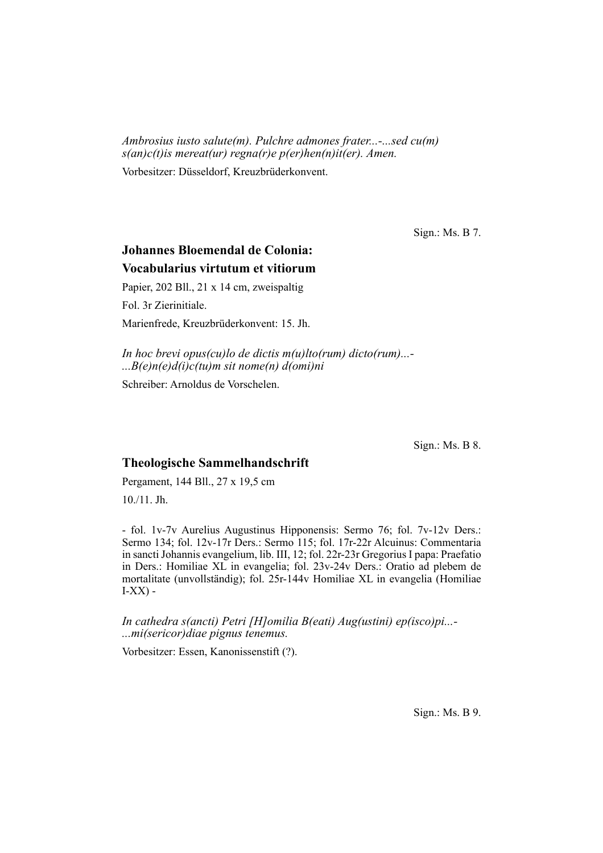*Ambrosius iusto salute(m). Pulchre admones frater...-...sed cu(m) s(an)c(t)is mereat(ur) regna(r)e p(er)hen(n)it(er). Amen.*

Vorbesitzer: Düsseldorf, Kreuzbrüderkonvent.

Sign.: Ms. B 7.

# **Johannes Bloemendal de Colonia: Vocabularius virtutum et vi tiorum**

Papier, 202 Bll., 21 x 14 cm, zweispaltig

Fol. 3r Zierinitiale.

Marienfrede, Kreuzbrüderkonvent: 15. Jh.

*In hoc brevi opus(cu)lo de dictis m(u)lto(rum) dicto(rum)...- ...B(e)n(e)d(i)c(tu)m sit nome(n) d(omi)ni*

Schreiber: Arnoldus de Vorschelen.

Sign.: Ms. B 8.

## **Theologische Sammelhandschrift**

Pergament, 144 Bll., 27 x 19,5 cm

10./11. Jh.

- fol. 1v-7v Aurelius Augustinus Hipponensis: Sermo 76; fol. 7v-12v Ders.: Sermo 134; fol. 12v-17r Ders.: Sermo 115; fol. 17r-22r Alcuinus: Commentaria in sancti Johannis evangelium, lib. III, 12; fol. 22r-23r Gregorius I papa: Praefatio in Ders.: Homiliae XL in evangelia; fol. 23v-24v Ders.: Oratio ad plebem de mortalitate (unvollständig); fol. 25r-144v Homiliae XL in evangelia (Homiliae  $I-XX$ ) -

*In cathedra s(ancti) Petri [H]omilia B(eati) Aug(ustini) ep(isco)pi...- ...mi(sericor)diae pignus tenemus.*

Vorbesitzer: Essen, Kanonissenstift (?).

Sign.: Ms. B 9.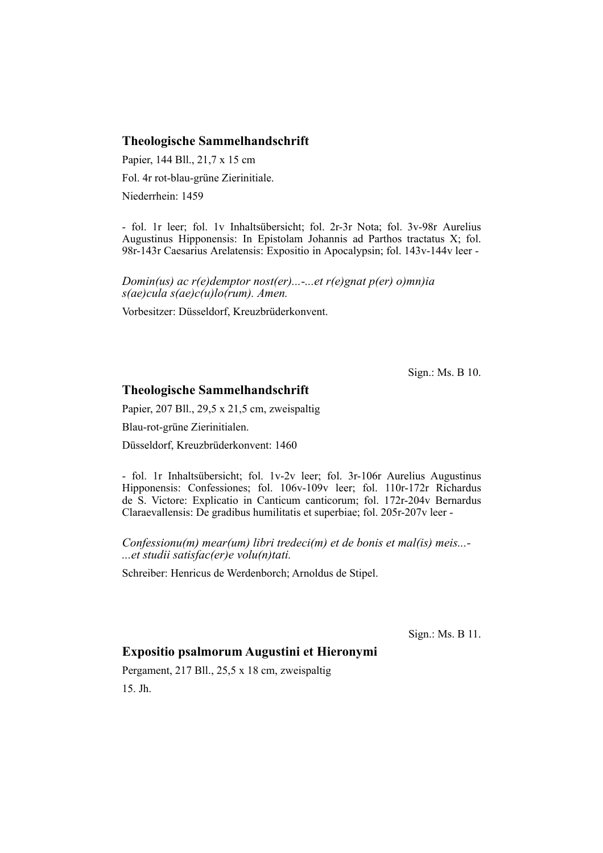## **Theologische Sammelhandschrift**

Papier, 144 Bll., 21,7 x 15 cm

Fol. 4r rot-blau-grüne Zierinitiale.

Niederrhein: 1459

- fol. 1r leer; fol. 1v Inhaltsübersicht; fol. 2r-3r Nota; fol. 3v-98r Aurelius Au gustinus Hipponensis: In Epistolam Johannis ad Parthos tractatus X; fol. 98r-143r Caesarius Arelatensis: Expositio in Apocalypsin; fol. 143v-144v leer -

*Domin(us) ac r(e)demptor nost(er)...-...et r(e)gnat p(er) o)mn)ia s(ae)cula s(ae)c(u)lo(rum). Amen.*

Vorbesitzer: Düsseldorf, Kreuzbrüderkonvent.

Sign.: Ms. B 10.

### **Theologische Sammelhandschrift**

Papier, 207 Bll., 29,5 x 21,5 cm, zweispaltig

Blau-rot-grüne Zierinitialen.

Düsseldorf, Kreuzbrüderkonvent: 1460

- fol. 1r Inhaltsübersicht; fol. 1v-2v leer; fol. 3r-106r Aurelius Augustinus Hipponensis: Confessiones; fol. 106v-109v leer; fol. 110r-172r Richardus de S. Victore: Explicatio in Canticum canticorum; fol. 172r-204v Bernardus Clarae vallensis: De gradibus humilitatis et superbiae; fol. 205r-207v leer -

*Confessionu(m) mear(um) libri tredeci(m) et de bonis et mal(is) meis...- ...et studii satisfac(er)e volu(n)tati.*

Schreiber: Henricus de Werdenborch; Arnoldus de Stipel.

Sign.: Ms. B 11.

# **Expositio psalmorum Augustini et Hieronymi**

Pergament, 217 Bll., 25,5 x 18 cm, zweispaltig 15. Jh.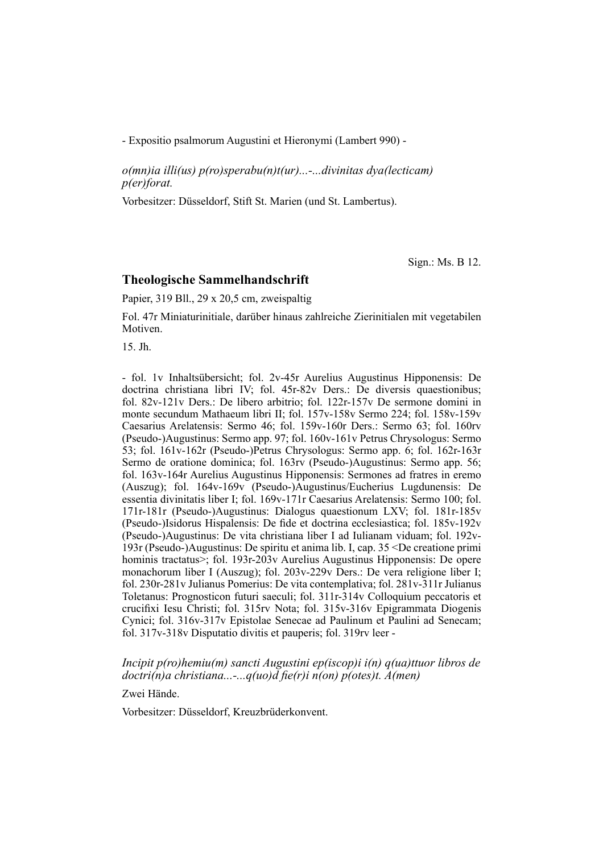- Expositio psalmorum Augustini et Hieronymi (Lambert 990) -

*o(mn)ia illi(us) p(ro)sperabu(n)t(ur)...-...divinitas dya(lecticam) p(er)forat.*

Vorbesitzer: Düsseldorf, Stift St. Marien (und St. Lambertus).

Sign.: Ms. B 12.

#### **Theologische Sammelhandschrift**

Papier, 319 Bll., 29 x 20,5 cm, zweispaltig

Fol. 47r Miniaturinitiale, darüber hinaus zahlreiche Zierinitialen mit vegetabilen Motiven.

15. Jh.

- fol. 1v Inhaltsübersicht; fol. 2v-45r Aurelius Augustinus Hipponensis: De doc trina christiana libri IV; fol. 45r-82v Ders.: De diversis quaestionibus; fol. 82v-121v Ders.: De libero arbitrio; fol. 122r-157v De sermone domini in monte secundum Mathaeum libri II; fol. 157v-158v Sermo 224; fol. 158v-159v Caesarius Arelatensis: Sermo 46; fol. 159v-160r Ders.: Sermo 63; fol. 160rv (Pseudo-)Augustinus: Sermo app. 97; fol. 160v-161v Petrus Chryso logus: Sermo 53; fol. 161v-162r (Pseudo-)Petrus Chrysologus: Sermo app. 6; fol. 162r-163r Sermo de oratione dominica; fol. 163rv (Pseudo-)Augustinus: Sermo app. 56; fol. 163y-164r Aurelius Augustinus Hipponensis: Sermones ad fratres in eremo (Auszug); fol.  $164v-169v$  (Pseudo-)Augustinus/Eucherius Lugdunensis: De essentia divinitatis liber I; fol. 169v-171r Caesarius Arelatensis: Sermo 100; fol. 171r-181r (Pseudo-)Augustinus: Dialogus quaestionum LXV; fol. 181r-185v (Pseudo-)Isidorus Hispalensis: De fide et doctrina ecclesiastica; fol. 185v-192v (Pseudo-)Augustinus: De vita christiana liber I ad Iulianam viduam; fol. 192v-193r (Pseudo-)Augustinus: De spiritu et anima lib. I, cap. 35 <De creatione primi hominis tractatus>; fol. 193r-203v Aurelius Augustinus Hipponensis: De opere monachorum liber I (Auszug); fol. 203v-229v Ders.: De vera religione liber I; fol. 230r-281v Julianus Pomerius: De vita contemplativa; fol. 281v-311r Julianus Toletanus: Prognosticon futuri saeculi; fol. 311r-314v Colloquium peccatoris et crucifixi Iesu Christi; fol. 315rv Nota; fol. 315v-316v Epigrammata Diogenis Cynici; fol. 316v-317v Epistolae Senecae ad Paulinum et Paulini ad Senecam; fol.  $317v-318v$  Disputatio divitis et pauperis; fol.  $319rv$  leer -

#### *Incipit p(ro)hemiu(m) sancti Augustini ep(iscop)i i(n) q(ua)ttuor libros de doctri(n)a christiana...-...q(uo)d fie(r)i n(on) p(otes)t. A(men)*

Zwei Hände.

Vorbesitzer: Düsseldorf, Kreuzbrüderkonvent.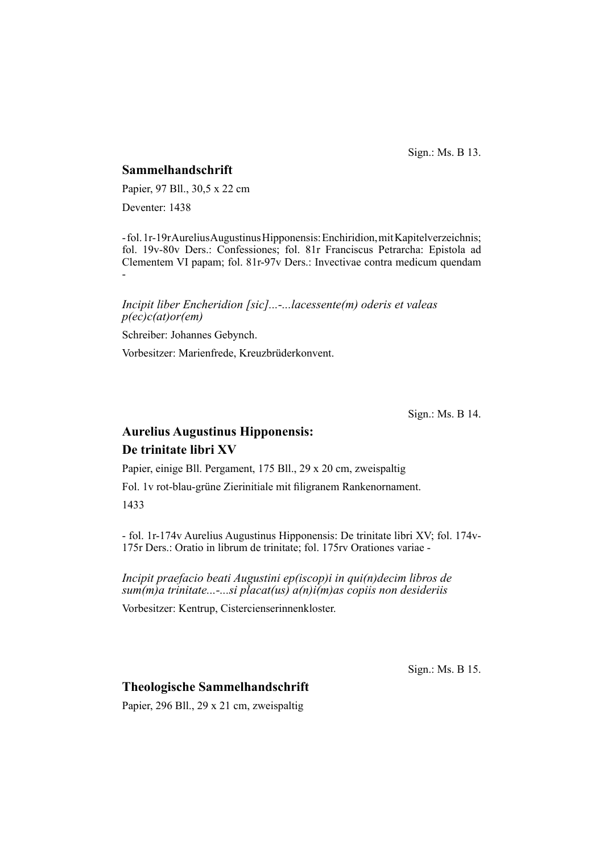Sign.: Ms. B 13.

### **Sammelhandschrift**

Papier, 97 Bll., 30,5 x 22 cm

Deventer: 1438

- fol. 1r-19r Aurelius Augustinus Hipponensis: Enchiridion, mit Kapitelver zeichnis; fol. 19v-80v Ders.: Confessiones; fol. 81r Franciscus Petrarcha: Epistola ad Clementem VI papam; fol. 81r-97v Ders.: Invectivae contra medicum quendam -

### *Incipit liber Encheridion [sic]...-...lacessente(m) oderis et valeas p(ec)c(at)or(em)*

Schreiber: Johannes Gebynch.

Vorbesitzer: Marienfrede, Kreuzbrüderkonvent.

Sign.: Ms. B 14.

# **Aurelius Augustinus Hipponensis: De trinitate libri XV**

Papier, einige Bll. Pergament, 175 Bll., 29 x 20 cm, zweispaltig

Fol. 1v rot-blau-grüne Zierinitiale mit filigranem Rankenornament. 1433

- fol. 1r-174v Aurelius Augustinus Hipponensis: De trinitate libri XV; fol. 174v-175r Ders.: Oratio in librum de trinitate; fol. 175rv Orationes variae -

*Incipit praefacio beati Augustini ep(iscop)i in qui(n)decim libros de sum(m)a trinitate...-...si placat(us) a(n)i(m)as copiis non desideriis*

Vorbesitzer: Kentrup, Cistercienserinnenkloster.

Sign.: Ms. B 15.

# **Theologische Sammelhandschrift**

Papier, 296 Bll., 29 x 21 cm, zweispaltig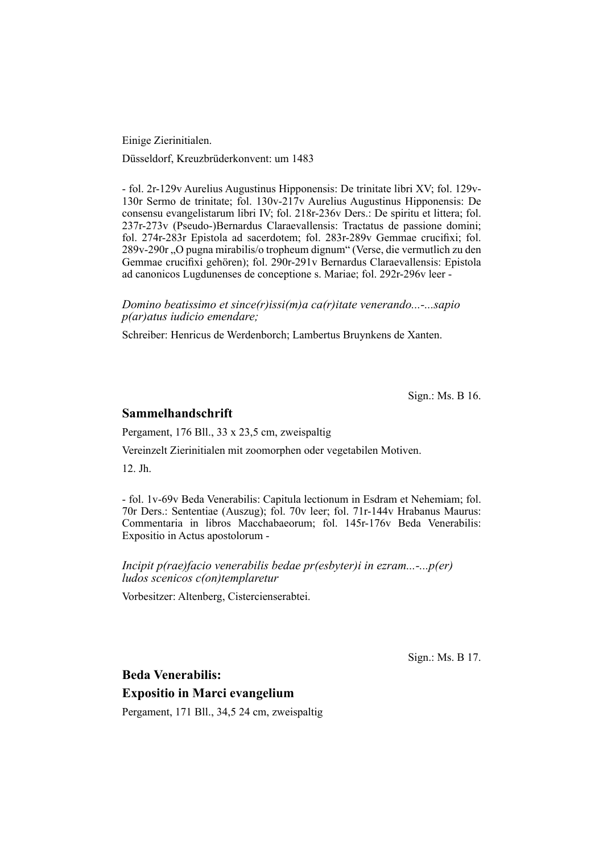Einige Zierinitialen.

Düsseldorf, Kreuzbrüderkonvent: um 1483

- fol. 2r-129v Aurelius Augustinus Hipponensis: De trinitate libri XV; fol. 129v-130r Sermo de trinitate; fol. 130v-217v Aurelius Augustinus Hipponensis: De consensu evangelistarum libri IV; fol. 218r-236v Ders.: De spiritu et littera; fol. 237r-273v (Pseudo-)Bernardus Claraevallensis: Tractatus de passione domini; fol. 274r-283r Epistola ad sacerdotem; fol. 283r-289v Gemmae crucifixi; fol. 289v-290r "O pugna mirabilis/o tropheum dignum" (Verse, die vermutlich zu den Gemmae crucifixi gehören); fol. 290r-291v Bernardus Claraevallensis: Epistola ad canonicos Lugdunenses de conceptione s. Mariae; fol. 292r-296v leer -

*Domino beatissimo et since(r)issi(m)a ca(r)itate venerando...-...sapio p(ar)atus iudicio emendare;*

Schreiber: Henricus de Werdenborch; Lambertus Bruynkens de Xanten.

Sign.: Ms. B 16.

#### **Sammelhandschrift**

Pergament, 176 Bll., 33 x 23,5 cm, zweispaltig

Vereinzelt Zierinitialen mit zoomorphen oder vegetabilen Motiven.

12. Jh.

- fol. 1v-69v Beda Venerabilis: Capitula lectionum in Esdram et Nehemiam; fol. 70r Ders.: Sententiae (Auszug); fol. 70v leer; fol. 71r-144v Hrabanus Maurus: Commentaria in libros Macchabaeorum; fol. 145r-176v Beda Venerabilis: Expositio in Actus apostolorum -

*Incipit p(rae)facio venerabilis bedae pr(esbyter)i in ezram...-...p(er) ludos scenicos c(on)templaretur*

Vorbesitzer: Altenberg, Cistercienserabtei.

Sign.: Ms. B 17.

**Beda Venerabilis:** 

**Expositio in Marci evangelium**

Pergament, 171 Bll., 34,5 24 cm, zweispaltig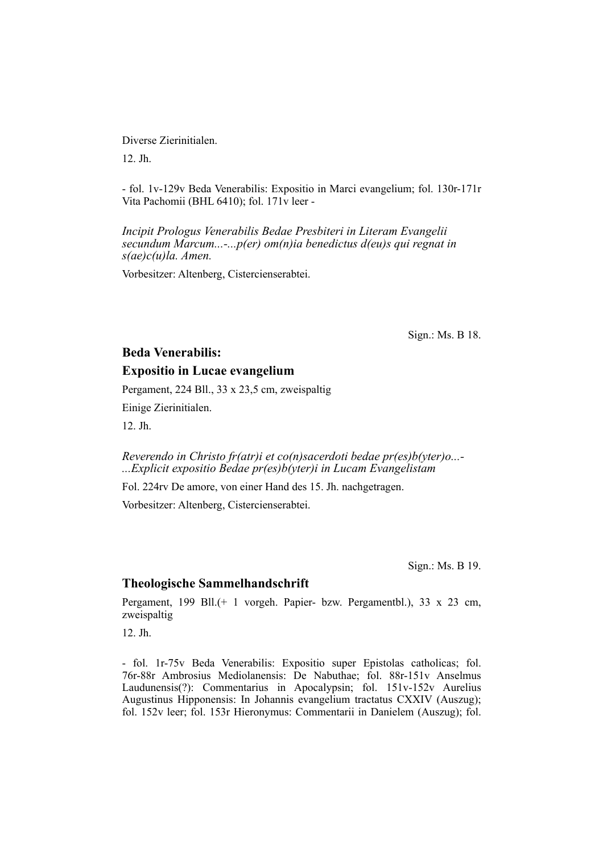Diverse Zierinitialen.

12. Jh.

- fol. 1v-129v Beda Venerabilis: Expositio in Marci evangelium; fol. 130r-171r Vita Pachomii (BHL 6410); fol. 171v leer -

*Incipit Prologus Venerabilis Bedae Presbiteri in Literam Evangelii secundum Marcum...-...p(er) om(n)ia benedictus d(eu)s qui regnat in s(ae)c(u)la. Amen.*

Vorbesitzer: Altenberg, Cistercienserabtei.

Sign.: Ms. B 18.

# **Beda Venerabilis: Expositio in Lucae evangelium**

Pergament, 224 Bll., 33 x 23,5 cm, zweispaltig

Einige Zierinitialen.

12. Jh.

*Reverendo in Christo fr(atr)i et co(n)sacerdoti bedae pr(es)b(yter)o...- ...Explicit expositio Bedae pr(es)b(yter)i in Lucam Evangelistam*

Fol. 224rv De amore, von einer Hand des 15. Jh. nachgetragen.

Vorbesitzer: Altenberg, Cistercienserabtei.

Sign.: Ms. B 19.

### **Theologische Sammelhandschrift**

Pergament, 199 Bll.(+ 1 vorgeh. Papier- bzw. Pergamentbl.), 33 x 23 cm, zweispaltig

12. Jh.

- fol. 1r-75v Beda Venerabilis: Expositio super Epistolas catholicas; fol. 76r-88r Ambrosius Mediolanensis: De Nabuthae; fol. 88r-151v Anselmus Laudunensis(?): Commentarius in Apocalypsin; fol. 151v-152v Aurelius Augustinus Hipponensis: In Johannis evangelium tractatus CXXIV (Auszug); fol. 152v leer; fol. 153r Hieronymus: Commentarii in Danielem (Auszug); fol.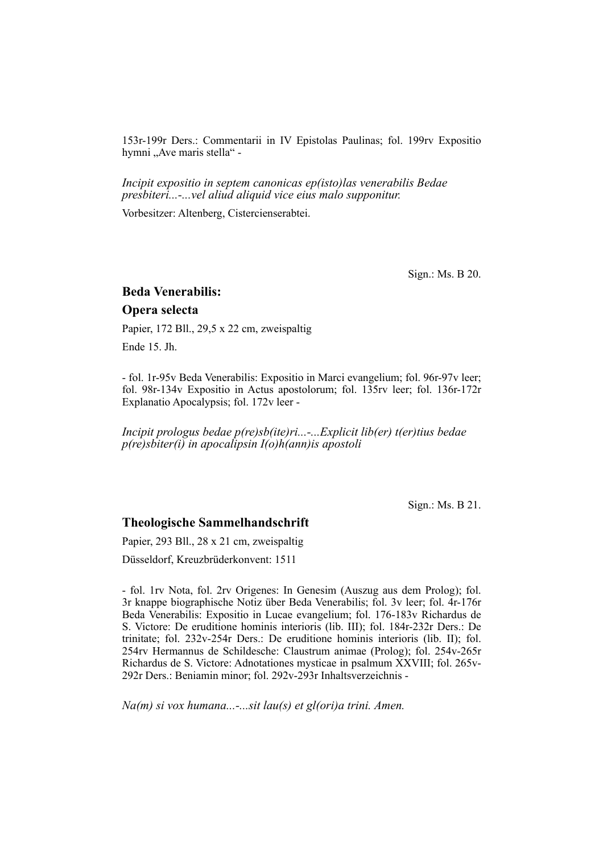153r-199r Ders.: Commentarii in IV Epistolas Paulinas; fol. 199rv Expositio hymni "Ave maris stella" -

*Incipit expositio in septem canonicas ep(isto)las venerabilis Bedae presbiteri...-...vel aliud aliquid vice eius malo supponitur.*

Vorbesitzer: Altenberg, Cistercienserabtei.

Sign.: Ms. B 20.

# **Beda Venerabilis:**

## **Opera selecta**

Papier, 172 Bll., 29,5 x 22 cm, zweispaltig

Ende 15. Jh.

- fol. 1r-95v Beda Venerabilis: Expositio in Marci evangelium; fol. 96r-97v leer; fol. 98r-134v Expositio in Actus apostolorum; fol. 135rv leer; fol. 136r-172r Explanatio Apocalypsis; fol. 172v leer -

*Incipit prologus bedae p(re)sb(ite)ri...-...Explicit lib(er) t(er)tius bedae p(re)sbiter(i) in apocalipsin I(o)h(ann)is apostoli*

Sign.: Ms. B 21.

#### **Theologische Sammelhandschrift**

Papier, 293 Bll., 28 x 21 cm, zweispaltig

Düsseldorf, Kreuzbrüderkonvent: 1511

- fol. 1rv Nota, fol. 2rv Origenes: In Genesim (Auszug aus dem Prolog); fol. 3r knappe biographische Notiz über Beda Venerabilis; fol. 3v leer; fol. 4r-176r Beda Venerabilis: Expositio in Lucae evangelium; fol. 176-183v Richardus de S. Victore: De eruditione hominis interioris (lib. III); fol. 184r-232r Ders.: De trinitate; fol. 232v-254r Ders.: De eruditione hominis interioris (lib. II); fol. 254rv Hermannus de Schildesche: Claustrum animae (Prolog); fol. 254v-265r Richardus de S. Victore: Adnotationes mysticae in psalmum XXVIII; fol. 265v-292r Ders.: Beniamin minor; fol. 292v-293r Inhaltsverzeichnis -

*Na(m) si vox humana...-...sit lau(s) et gl(ori)a trini. Amen.*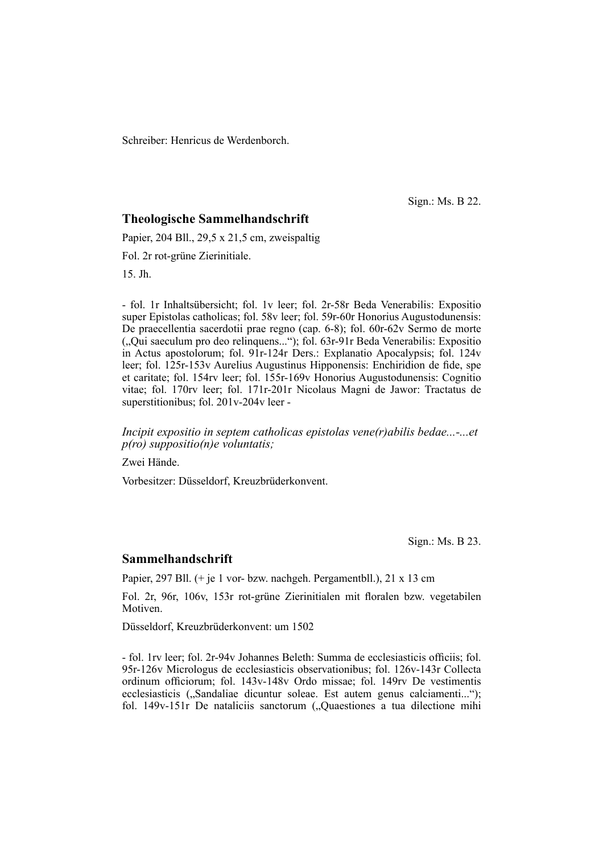Schreiber: Henricus de Werdenborch.

Sign.: Ms. B 22.

#### **Theologische Sammelhandschrift**

Papier, 204 Bll., 29,5 x 21,5 cm, zweispaltig

Fol. 2r rot-grüne Zierinitiale.

15. Jh.

- fol. 1r Inhaltsübersicht; fol. 1v leer; fol. 2r-58r Beda Venerabilis: Expositio super Epistolas catholicas; fol. 58y leer; fol. 59r-60r Honorius Augustodunensis: De praecellentia sacerdotii prae regno (cap. 6-8); fol. 60r-62v Sermo de morte ("Qui saeculum pro deo relinquens..."); fol. 63r-91r Beda Venerabilis: Expositio in Actus apostolorum; fol. 91r-124r Ders.: Explanatio Apocalypsis; fol. 124v leer; fol. 125r-153v Aurelius Augustinus Hipponensis: Enchiridion de fide, spe et caritate; fol. 154rv leer; fol. 155r-169v Honorius Augustodunensis: Cognitio vitae; fol. 170rv leer; fol. 171r-201r Nicolaus Magni de Jawor: Tractatus de superstitionibus; fol. 201v-204v leer -

*Incipit expositio in septem catholicas epistolas vene(r)abilis bedae...-...et p(ro) suppositio(n)e voluntatis;*

Zwei Hände.

Vorbesitzer: Düsseldorf, Kreuzbrüderkonvent.

Sign.: Ms. B 23.

#### **Sammelhandschrift**

Papier, 297 Bll. (+ je 1 vor- bzw. nachgeh. Pergamentbll.), 21 x 13 cm

Fol. 2r, 96r, 106v, 153r rot-grüne Zierinitialen mit floralen bzw. vegetabilen Motiven.

Düsseldorf, Kreuzbrüderkonvent: um 1502

- fol. 1rv leer; fol. 2r-94v Johannes Beleth: Summa de ecclesiasticis officiis; fol. 95r-126v Micrologus de ecclesiasticis observationibus; fol. 126v-143r Collecta ordinum officiorum; fol. 143v-148v Ordo missae; fol. 149rv De vestimentis ecclesiasticis ("Sandaliae dicuntur soleae. Est autem genus calciamenti..."); fol. 149v-151r De nataliciis sanctorum ("Quaestiones a tua dilectione mihi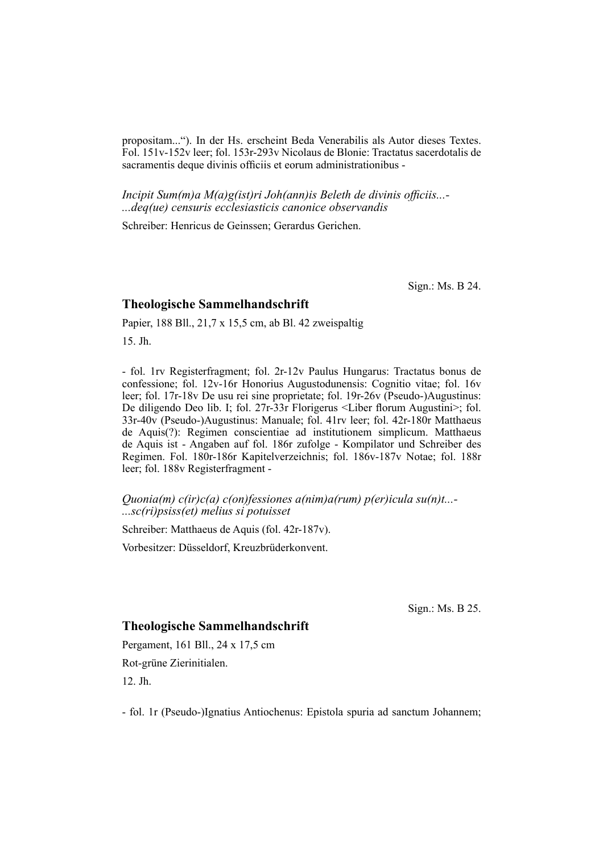propositam..."). In der Hs. erscheint Beda Venerabilis als Autor dieses Textes. Fol. 151v-152v leer; fol. 153r-293v Nicolaus de Blonie: Trac tatus sacerdotalis de sacramentis deque divinis officiis et eorum administrationibus -

*Incipit Sum(m)a M(a)g(ist)ri Joh(ann)is Beleth de divinis officiis...-...deq(ue) censuris ecclesiasticis canonice observandis*

Schreiber: Henricus de Geinssen; Gerardus Gerichen.

Sign.: Ms. B 24.

#### **Theologische Sammelhandschrift**

Papier, 188 Bll., 21,7 x 15,5 cm, ab Bl. 42 zweispaltig

15. Jh.

- fol. 1rv Registerfragment; fol. 2r-12v Paulus Hungarus: Tractatus bonus de confessione; fol. 12v-16r Honorius Augustodunensis: Cognitio vitae; fol. 16v leer; fol. 17r-18v De usu rei sine proprietate; fol. 19r-26v (Pseudo-)Augustinus: De diligendo Deo lib. I; fol. 27r-33r Florigerus <Liber florum Augustini>; fol. 33r-40v (Pseudo-)Augustinus: Manuale; fol. 41rv leer; fol. 42r-180r Matthaeus de Aquis(?): Regimen conscientiae ad institutionem simplicum. Matthaeus de Aquis ist - Angaben auf fol. 186r zu folge - Kompilator und Schreiber des Regimen. Fol. 180r-186r Kapitelverzeichnis; fol. 186v-187v Notae; fol. 188r leer; fol. 188v Registerfragment -

*Quonia(m) c(ir)c(a) c(on)fessiones a(nim)a(rum) p(er)icula su(n)t...- ...sc(ri)psiss(et) melius si potuisset*

Schreiber: Matthaeus de Aquis (fol. 42r-187v).

Vorbesitzer: Düsseldorf, Kreuzbrüderkonvent.

Sign.: Ms. B 25.

### **Theologische Sammelhandschrift**

Pergament, 161 Bll., 24 x 17,5 cm Rot-grüne Zierinitialen. 12. Jh.

- fol. 1r (Pseudo-)Ignatius Antiochenus: Epistola spuria ad sanctum Johannem;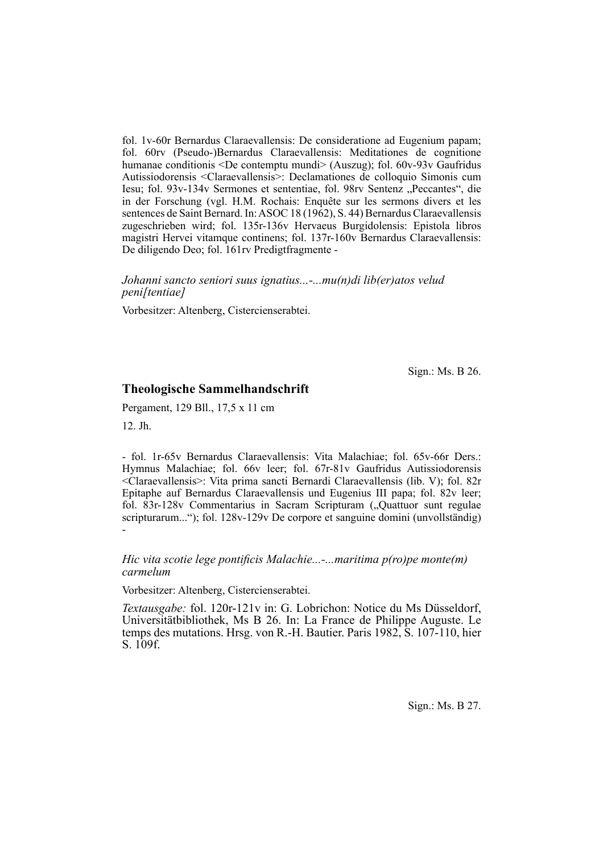fol. 1v-60r Bernardus Claraevallensis: De consideratione ad Eugenium papam; fol. 60rv (Pseudo-)Bernardus Claraevallensis: Meditationes de cognitione humanae conditionis <De contemptu mundi> (Auszug); fol. 60v-93v Gaufridus Autissiodorensis <Claraevallensis>: Declamationes de colloquio Simonis cum Iesu; fol. 93v-134v Sermones et sententiae, fol. 98rv Sentenz "Peccantes", die in der Forschung (vgl. H.M. Rochais: Enquête sur les sermons divers et les sentences de Saint Bernard. In: ASOC 18 (1962), S. 44) Bernardus Claraevallensis zugeschrieben wird; fol. 135r-136v Hervaeus Burgidolensis: Epistola libros magistri Hervei vitamque continens; fol. 137r-160v Bernardus Claraevallensis: De diligendo Deo; fol. 161rv Predigtfragmente -

#### *Johanni sancto seniori suus ignatius...-...mu(n)di lib(er)atos velud peni[tentiae]*

Vorbesitzer: Altenberg, Cistercienserabtei.

Sign.: Ms. B 26.

### **Theologische Sammelhandschrift**

Pergament, 129 Bll., 17,5 x 11 cm

12. Jh.

- fol. 1r-65v Bernardus Claraevallensis: Vita Malachiae; fol. 65v-66r Ders.: Hym nus Malachiae; fol. 66v leer; fol. 67r-81v Gaufridus Autissiodorensis <Cla rae vallensis>: Vita prima sancti Bernardi Claraevallensis (lib. V); fol. 82r Epitaphe auf Bernardus Claraevallensis und Eugenius III papa; fol. 82v leer; fol. 83r-128v Commentarius in Sacram Scripturam ("Quattuor sunt regulae" scripturarum..."); fol. 128v-129v De corpore et sanguine domini (unvollständig) -

#### *Hic vita scotie lege pontificis Malachie...-...maritima p(ro)pe monte(m) carmelum*

Vorbesitzer: Altenberg, Cistercienserabtei.

*Textausgabe:* fol. 120r-121v in: G. Lobrichon: Notice du Ms Düsseldorf, Universitätbibliothek, Ms B 26. In: La France de Philippe Auguste. Le temps des mutations. Hrsg. von R.-H. Bautier. Paris 1982, S. 107-110, hier S. 109f.

Sign.: Ms. B 27.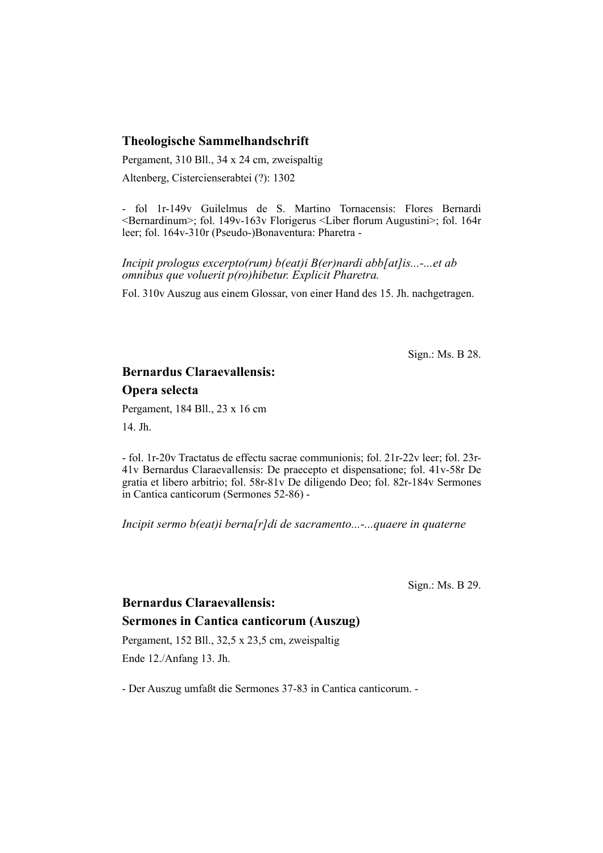## **Theologische Sammelhandschrift**

Pergament, 310 Bll., 34 x 24 cm, zweispaltig

Altenberg, Cistercienserabtei (?): 1302

- fol 1r-149v Guilelmus de S. Martino Tornacensis: Flores Bernardi  $\leq$ Bernardinum $\geq$ ; fol. 149v-163v Florigerus  $\leq$ Liber florum Augustini $\geq$ ; fol. 164r leer; fol. 164v-310r (Pseudo-)Bonaventura: Pharetra -

*Incipit prologus excerpto(rum) b(eat)i B(er)nardi abb[at]is...-...et ab omnibus que voluerit p(ro)hibetur. Explicit Pharetra.*

Fol. 310v Auszug aus einem Glossar, von einer Hand des 15. Jh. nachgetragen.

Sign.: Ms. B 28.

# **Bernardus Claraevallensis: Opera selecta**

Pergament, 184 Bll., 23 x 16 cm

14. Jh.

- fol. 1r-20v Tractatus de effectu sacrae communionis; fol. 21r-22v leer; fol. 23r-41v Bernardus Claraevallensis: De praecepto et dispensatione; fol. 41v-58r De gratia et libero arbitrio; fol. 58r-81v De diligendo Deo; fol. 82r-184v Sermones in Cantica canticorum (Sermones 52-86) -

*Incipit sermo b(eat)i berna[r]di de sacramento...-...quaere in quaterne*

Sign.: Ms. B 29.

# **Bernardus Claraevallensis: Sermones in Cantica canticorum (Auszug)**

Pergament, 152 Bll., 32,5 x 23,5 cm, zweispaltig Ende 12./Anfang 13. Jh.

- Der Auszug umfaßt die Sermones 37-83 in Cantica canticorum. -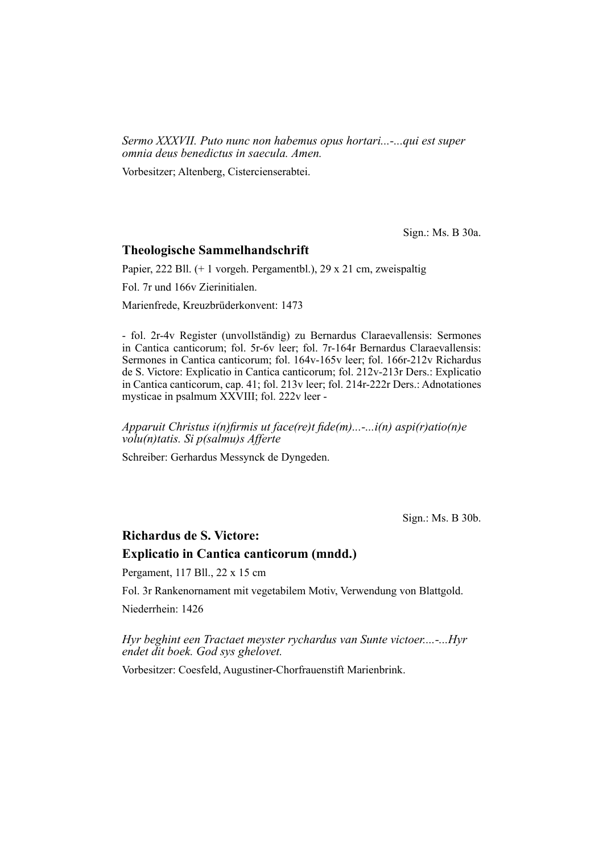*Sermo XXXVII. Puto nunc non habemus opus hortari...-...qui est super omnia deus benedictus in saecula. Amen.*

Vorbesitzer; Altenberg, Cistercienserabtei.

Sign.: Ms. B 30a.

#### **Theologische Sammelhandschrift**

Papier, 222 Bll. (+ 1 vorgeh. Pergamentbl.), 29 x 21 cm, zweispaltig

Fol. 7r und 166v Zierinitialen.

Marienfrede, Kreuzbrüderkonvent: 1473

- fol. 2r-4v Register (unvollständig) zu Bernardus Claraevallensis: Sermones in Cantica canticorum; fol. 5r-6v leer; fol. 7r-164r Bernardus Claraevallensis: Sermones in Cantica canticorum; fol. 164v-165v leer; fol. 166r-212v Richardus de S. Victore: Explicatio in Cantica canticorum; fol. 212v-213r Ders.: Explicatio in Cantica canticorum, cap. 41; fol. 213v leer; fol. 214r-222r Ders.: Adnotationes mysticae in psalmum XXVIII; fol. 222v leer -

*Apparuit Christus i(n)firmis ut face(re)t fide(m)...-...i(n) aspi(r)atio(n)e volu(n)tatis. Si p(salmu)s Afferte*

Schreiber: Gerhardus Messynck de Dyngeden.

Sign.: Ms. B 30b.

### **Richardus de S. Victore:**

#### **Explicatio in Cantica canticorum (mndd.)**

Pergament, 117 Bll., 22 x 15 cm

Fol. 3r Rankenornament mit vegetabilem Motiv, Verwendung von Blattgold. Niederrhein: 1426

*Hyr beghint een Tractaet meyster rychardus van Sunte victoer....-...Hyr* 

*endet dit boek. God sys ghelovet.*

Vorbesitzer: Coesfeld, Augustiner-Chorfrauenstift Marienbrink.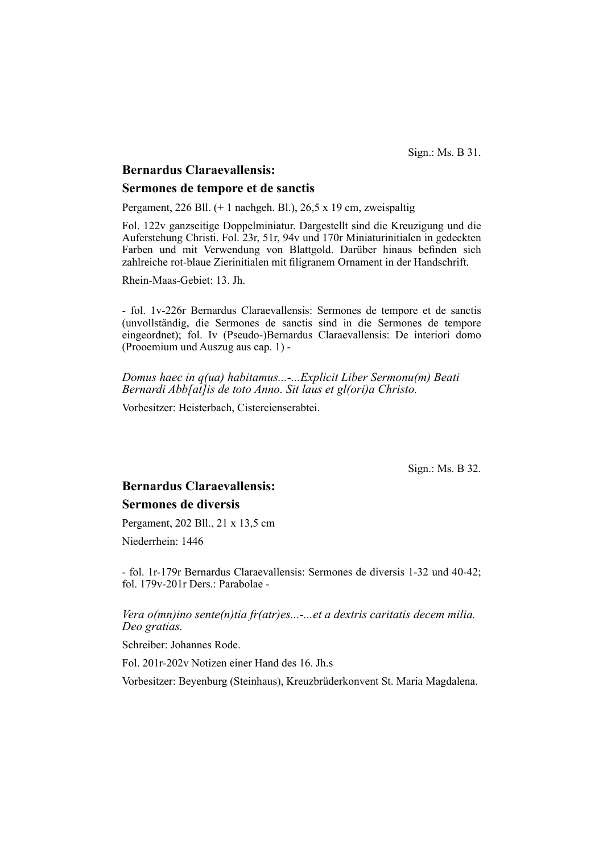Sign.: Ms. B 31.

## **Bernardus Claraevallensis:**

### **Sermones de tempore et de sanctis**

Pergament, 226 Bll. (+ 1 nachgeh. Bl.), 26,5 x 19 cm, zweispaltig

Fol. 122v ganzseitige Doppelminiatur. Dargestellt sind die Kreuzigung und die Auferstehung Christi. Fol. 23r, 51r, 94v und 170r Miniaturinitialen in gedeckten Farben und mit Verwendung von Blattgold. Darüber hinaus befinden sich zahlreiche rot-blaue Zierinitialen mit filigranem Ornament in der Handschrift.

Rhein-Maas-Gebiet: 13. Jh.

- fol. 1v-226r Bernardus Claraevallensis: Sermones de tempore et de sanctis (un vollständig, die Sermones de sanctis sind in die Sermones de tempore ein geordnet); fol. Iv (Pseudo-)Bernardus Claraevallensis: De interiori domo (Pro oemium und Auszug aus cap. 1) -

*Domus haec in q(ua) habitamus...-...Explicit Liber Sermonu(m) Beati Bernardi Abb[at]is de toto Anno. Sit laus et gl(ori)a Christo.*

Vorbesitzer: Heisterbach, Cistercienserabtei.

Sign.: Ms. B 32.

# **Bernardus Claraevallensis: Sermones de diversis**

Pergament, 202 Bll., 21 x 13,5 cm

Niederrhein: 1446

- fol. 1r-179r Bernardus Claraevallensis: Sermones de diversis 1-32 und 40-42; fol. 179v-201r Ders.: Parabolae -

## *Vera o(mn)ino sente(n)tia fr(atr)es...-...et a dextris caritatis decem milia. Deo gratias.*

Schreiber: Johannes Rode.

Fol. 201r-202v Notizen einer Hand des 16. Jh.s

Vorbesitzer: Beyenburg (Steinhaus), Kreuzbrüderkonvent St. Maria Magdalena.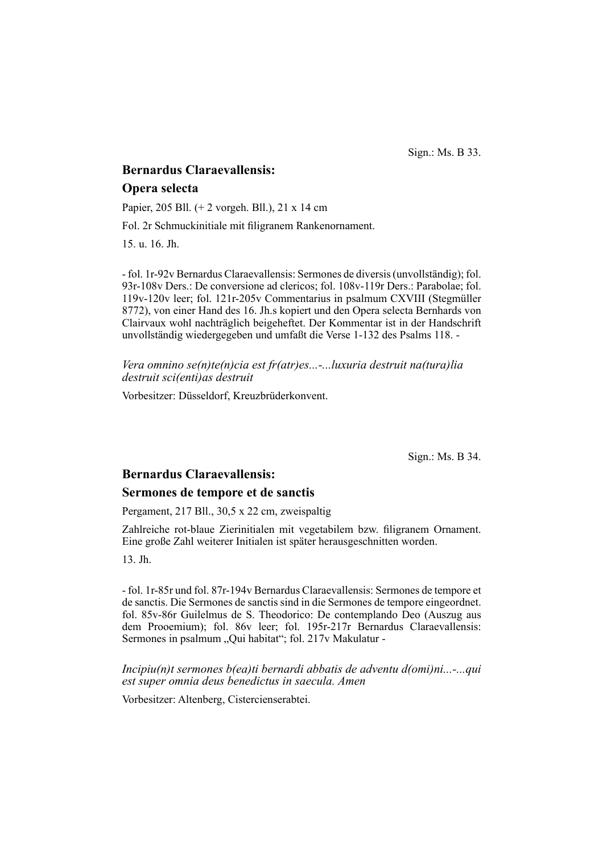Sign.: Ms. B 33.

# **Bernardus Claraevallensis: Opera selecta**

Papier, 205 Bll. (+ 2 vorgeh. Bll.), 21 x 14 cm

Fol. 2r Schmuckinitiale mit filigranem Rankenornament.

15. u. 16. Jh.

- fol. 1r-92v Bernardus Claraevallensis: Sermones de diversis (unvollständig); fol. 93r-108v Ders.: De conversione ad clericos; fol. 108v-119r Ders.: Parabolae; fol. 119v-120v leer; fol. 121r-205v Commentarius in psalmum CXVIII (Stegmüller 8772), von einer Hand des 16. Jh.s kopiert und den Opera selecta Bernhards von Clairvaux wohl nachträglich beigeheftet. Der Kommentar ist in der Handschrift unvollständig wiedergegeben und umfaßt die Verse 1-132 des Psalms 118. -

*Vera omnino se(n)te(n)cia est fr(atr)es...-...luxuria destruit na(tura)lia destruit sci(enti)as destruit*

Vorbesitzer: Düsseldorf, Kreuzbrüderkonvent.

Sign.: Ms. B 34.

#### **Bernardus Claraevallensis:**

#### **Sermones de tempore et de sanctis**

Pergament, 217 Bll., 30,5 x 22 cm, zweispaltig

Zahlreiche rot-blaue Zierinitialen mit vegetabilem bzw. filigranem Ornament. Eine große Zahl weiterer Initialen ist später herausgeschnitten worden.

13. Jh.

- fol. 1r-85r und fol. 87r-194v Bernardus Claraevallensis: Sermones de tempore et de sanctis. Die Sermones de sanctis sind in die Sermones de tempore eingeordnet. fol. 85v-86r Guilelmus de S. Theodorico: De contemplando Deo (Auszug aus dem Prooemium); fol. 86v leer; fol. 195r-217r Bernardus Claraevallensis: Sermones in psalmum "Qui habitat"; fol. 217v Makulatur -

*Incipiu(n)t sermones b(ea)ti bernardi abbatis de adventu d(omi)ni...-...qui est super omnia deus benedictus in saecula. Amen*

Vorbesitzer: Altenberg, Cistercienserabtei.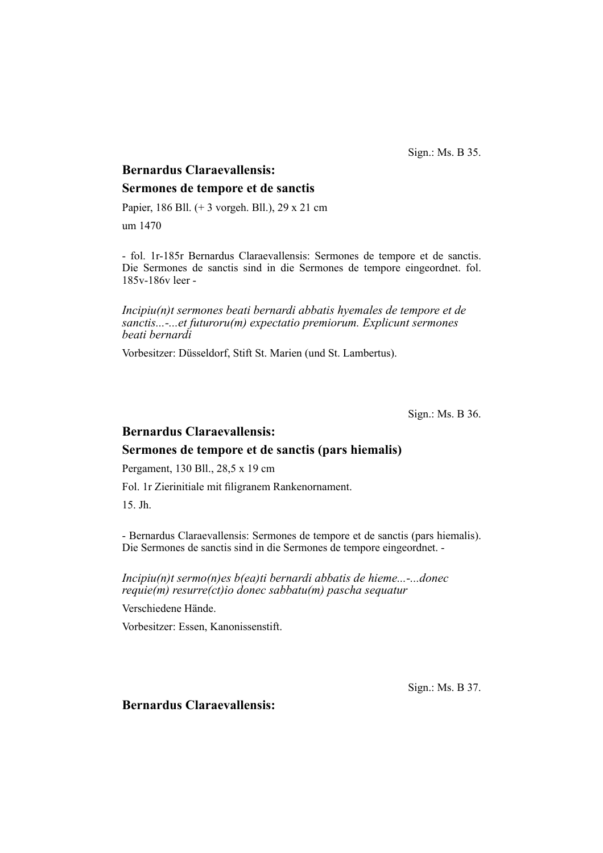Sign.: Ms. B 35.

# **Bernardus Claraevallensis: Sermones de tempore et de sanctis**

Papier, 186 Bll. (+ 3 vorgeh. Bll.), 29 x 21 cm

um 1470

- fol. 1r-185r Bernardus Claraevallensis: Sermones de tempore et de sanctis. Die Sermones de sanctis sind in die Sermones de tempore eingeordnet. fol. 185v-186v leer -

*Incipiu(n)t sermones beati bernardi abbatis hyemales de tempore et de sanctis...-...et futuroru(m) expectatio premiorum. Explicunt sermones beati bernardi*

Vorbesitzer: Düsseldorf, Stift St. Marien (und St. Lambertus).

Sign.: Ms. B 36.

## **Bernardus Claraevallensis:**

## **Sermones de tempore et de sanctis (pars hiemalis)**

Pergament, 130 Bll., 28,5 x 19 cm

Fol. 1r Zierinitiale mit filigranem Rankenornament.

15. Jh.

- Bernardus Claraevallensis: Sermones de tempore et de sanctis (pars hiemalis). Die Sermones de sanctis sind in die Sermones de tempore eingeordnet. -

*Incipiu(n)t sermo(n)es b(ea)ti bernardi abbatis de hieme...-...donec requie(m) resurre(ct)io donec sabbatu(m) pascha sequatur*

Verschiedene Hände.

Vorbesitzer: Essen, Kanonissenstift.

Sign.: Ms. B 37.

**Bernardus Claraevallensis:**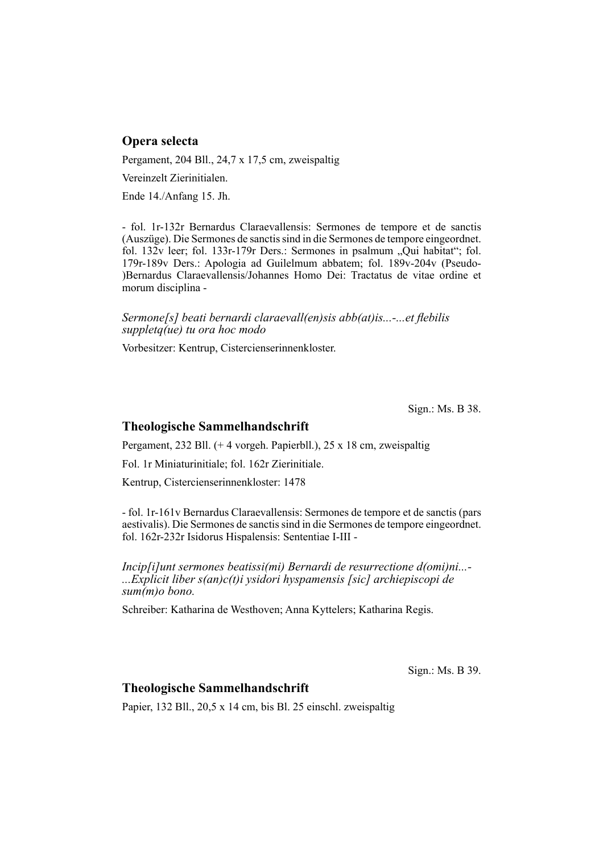## **Opera selecta**

Pergament, 204 Bll., 24,7 x 17,5 cm, zweispaltig

Vereinzelt Zierinitialen.

Ende 14./Anfang 15. Jh.

- fol. 1r-132r Bernardus Claraevallensis: Sermones de tempore et de sanctis (Auszüge). Die Sermones de sanctis sind in die Sermones de tempore einge ordnet. fol.  $132v$  leer; fol.  $133r-179r$  Ders.: Sermones in psalmum "Qui habitat"; fol. 179r-189v Ders.: Apologia ad Guilelmum abbatem; fol. 189v-204v (Pseudo- )Bernardus Claraevallensis/Johannes Homo Dei: Tractatus de vitae ordine et morum disciplina -

*Sermone[s] beati bernardi claraevall(en)sis abb(at)is...-...et flebilis suppletq(ue) tu ora hoc modo*

Vorbesitzer: Kentrup, Cistercienserinnenkloster.

Sign.: Ms. B 38.

## **Theologische Sammelhandschrift**

Pergament, 232 Bll. (+ 4 vorgeh. Papierbll.), 25 x 18 cm, zweispaltig

Fol. 1r Miniaturinitiale; fol. 162r Zierinitiale.

Kentrup, Cistercienserinnenkloster: 1478

- fol. 1r-161v Bernardus Claraevallensis: Sermones de tempore et de sanctis (pars aestivalis). Die Sermones de sanctis sind in die Sermones de tempore eingeordnet. fol. 162r-232r Isidorus Hispalensis: Sententiae I-III -

*Incip[i]unt sermones beatissi(mi) Bernardi de resurrectione d(omi)ni...- ...Explicit liber s(an)c(t)i ysidori hyspamensis [sic] archiepiscopi de sum(m)o bono.*

Schreiber: Katharina de Westhoven; Anna Kyttelers; Katharina Regis.

Sign.: Ms. B 39.

## **Theologische Sammelhandschrift**

Papier, 132 Bll., 20,5 x 14 cm, bis Bl. 25 einschl. zweispaltig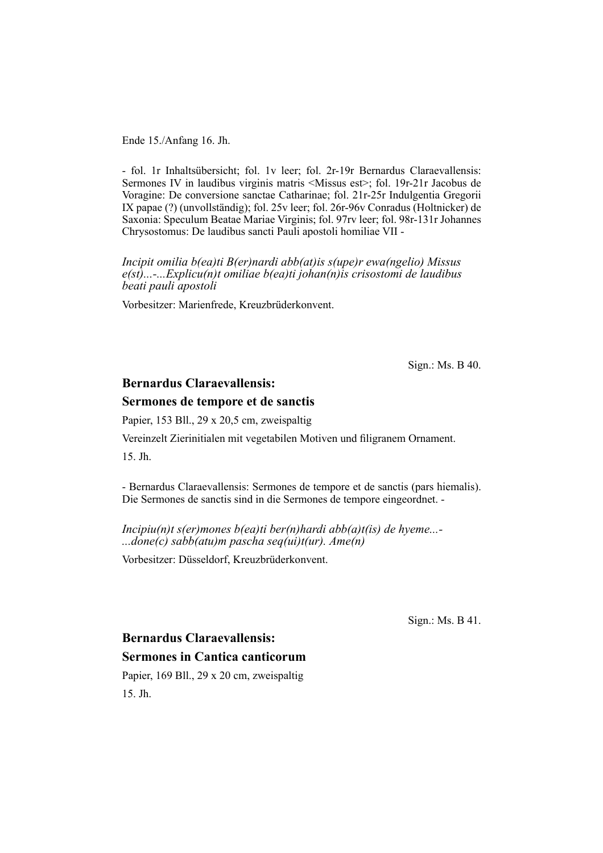Ende 15./Anfang 16. Jh.

- fol. 1r Inhaltsübersicht; fol. 1v leer; fol. 2r-19r Bernardus Claraevallensis: Sermones IV in laudibus virginis matris <Missus est>; fol. 19r-21r Jacobus de Voragine: De conversione sanctae Catharinae; fol. 21r-25r Indulgentia Gregorii IX papae (?) (unvollständig); fol. 25v leer; fol. 26r-96v Conradus (Holtnicker) de Saxonia: Speculum Beatae Mariae Virginis; fol. 97rv leer; fol. 98r-131r Johannes Chrysostomus: De laudibus sancti Pauli apostoli homiliae VII -

*Incipit omilia b(ea)ti B(er)nardi abb(at)is s(upe)r ewa(ngelio) Missus e(st)...-...Explicu(n)t omiliae b(ea)ti johan(n)is crisostomi de laudibus beati pauli apostoli*

Vorbesitzer: Marienfrede, Kreuzbrüderkonvent.

Sign.: Ms. B 40.

## **Bernardus Claraevallensis:**

#### **Sermones de tempore et de sanctis**

Papier, 153 Bll., 29 x 20,5 cm, zweispaltig

Vereinzelt Zierinitialen mit vegetabilen Motiven und filigranem Ornament.

15. Jh.

- Bernardus Claraevallensis: Sermones de tempore et de sanctis (pars hiemalis). Die Sermones de sanctis sind in die Sermones de tempore eingeordnet. -

*Incipiu(n)t s(er)mones b(ea)ti ber(n)hardi abb(a)t(is) de hyeme...- ...done(c) sabb(atu)m pascha seq(ui)t(ur). Ame(n)*

Vorbesitzer: Düsseldorf, Kreuzbrüderkonvent.

Sign.: Ms. B 41.

# **Bernardus Claraevallensis: Sermones in Cantica canticorum**

Papier, 169 Bll., 29 x 20 cm, zweispaltig 15. Jh.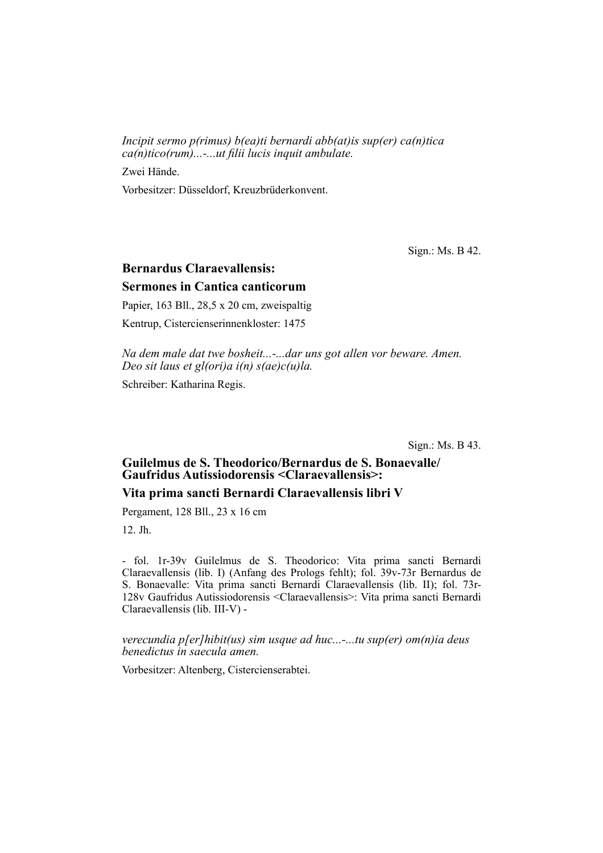*Incipit sermo p(rimus) b(ea)ti bernardi abb(at)is sup(er) ca(n)tica ca(n)tico(rum)...-...ut filii lucis inquit ambulate.* 

Zwei Hände.

Vorbesitzer: Düsseldorf, Kreuzbrüderkonvent.

Sign.: Ms. B 42.

# **Bernardus Claraevallensis: Sermones in Cantica canticorum**

Papier, 163 Bll., 28,5 x 20 cm, zweispaltig

Kentrup, Cistercienserinnenkloster: 1475

*Na dem male dat twe bosheit...-...dar uns got allen vor beware. Amen. Deo sit laus et gl(ori)a i(n) s(ae)c(u)la.*

Schreiber: Katharina Regis.

Sign.: Ms. B 43.

## Guilelmus de S. Theodorico/Bernardus de S. Bonaevalle/ **Gaufridus Autissiodorensis <Claraevallensis>:**

### **Vita prima sancti Bernardi Claraevallensis libri V**

Pergament, 128 Bll., 23 x 16 cm

12. Jh.

- fol. 1r-39v Guilelmus de S. Theodorico: Vita prima sancti Bernardi Clarae vallensis (lib. I) (Anfang des Prologs fehlt); fol. 39v-73r Bernardus de S. Bonaevalle: Vita prima sancti Bernardi Claraevallensis (lib. II); fol. 73r-128v Gaufridus Autissiodorensis <Claraevallensis>: Vita prima sancti Bernardi Claraevallensis (lib. III-V) -

*verecundia p[er]hibit(us) sim usque ad huc...-...tu sup(er) om(n)ia deus benedictus in saecula amen.*

Vorbesitzer: Altenberg, Cistercienserabtei.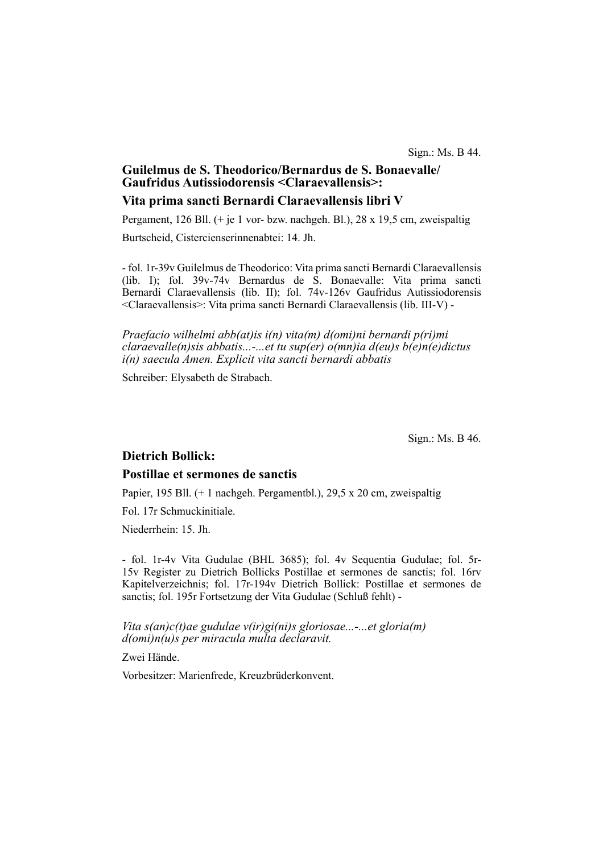### **Guilelmus de S. Theodorico/Bernardus de S. Bonae valle/ Gaufridus Autissiodorensis <Claraevallensis>:**

### **Vita prima sancti Bernardi Claraevallensis libri V**

Pergament, 126 Bll. (+ je 1 vor- bzw. nachgeh. Bl.), 28 x 19,5 cm, zweispaltig Burtscheid, Cistercienserinnenabtei: 14. Jh.

- fol. 1r-39v Guilelmus de Theodorico: Vita prima sancti Bernardi Claraevallensis (lib. I); fol. 39v-74v Bernardus de S. Bonaevalle: Vita prima sancti Bernardi Claraevallensis (lib. II); fol. 74v-126v Gaufridus Autissiodorensis <Clarae vallensis>: Vita prima sancti Bernardi Claraevallensis (lib. III-V) -

*Praefacio wilhelmi abb(at)is i(n) vita(m) d(omi)ni bernardi p(ri)mi claraevalle(n)sis abbatis...-...et tu sup(er) o(mn)ia d(eu)s b(e)n(e)dictus i(n) saecula Amen. Explicit vita sancti bernardi abbatis*

Schreiber: Elysabeth de Strabach.

Sign.: Ms. B 46.

## **Dietrich Bollick:**

#### **Postillae et sermones de sanctis**

Papier, 195 Bll. (+ 1 nachgeh. Pergamentbl.), 29,5 x 20 cm, zweispaltig

Fol. 17r Schmuckinitiale.

Niederrhein: 15. Jh.

- fol. 1r-4v Vita Gudulae (BHL 3685); fol. 4v Sequentia Gudulae; fol. 5r-15v Register zu Dietrich Bollicks Postillae et sermones de sanctis; fol. 16rv Ka pitelverzeichnis; fol. 17r-194v Dietrich Bollick: Postillae et sermones de sanctis; fol. 195r Fortsetzung der Vita Gudulae (Schluß fehlt) -

*Vita s(an)c(t)ae gudulae v(ir)gi(ni)s gloriosae...-...et gloria(m) d(omi)n(u)s per miracula multa declaravit.*

Zwei Hände.

Vorbesitzer: Marienfrede, Kreuzbrüderkonvent.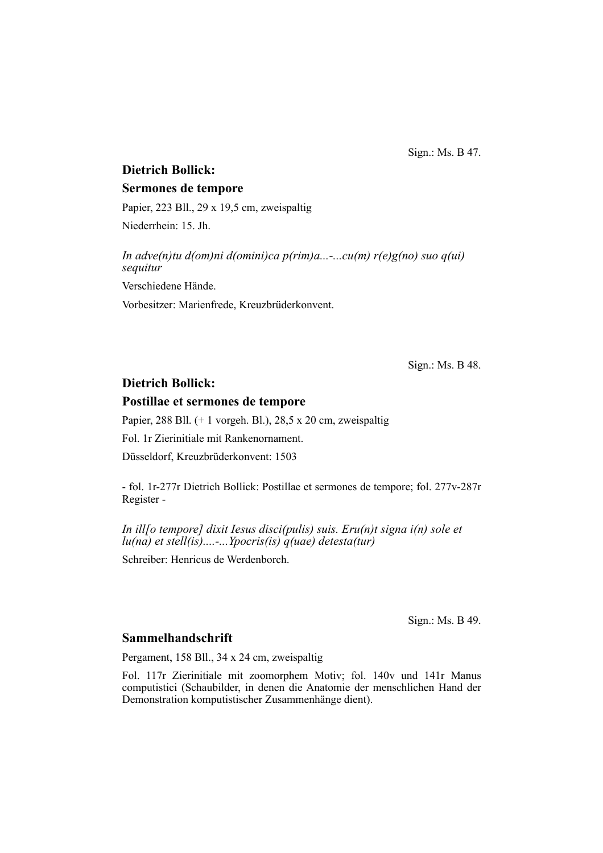Sign.: Ms. B 47.

## **Dietrich Bollick:**

### **Sermones de tempore**

Papier, 223 Bll., 29 x 19,5 cm, zweispaltig Niederrhein: 15. Jh.

*In adve(n)tu d(om)ni d(omini)ca p(rim)a...-...cu(m) r(e)g(no) suo q(ui) sequitur* Verschiedene Hände. Vorbesitzer: Marienfrede, Kreuzbrüderkonvent.

Sign.: Ms. B 48.

## **Dietrich Bollick:**

#### **Postillae et sermones de tempore**

Papier, 288 Bll. (+ 1 vorgeh. Bl.), 28,5 x 20 cm, zweispaltig

Fol. 1r Zierinitiale mit Rankenornament.

Düsseldorf, Kreuzbrüderkonvent: 1503

- fol. 1r-277r Dietrich Bollick: Postillae et sermones de tempore; fol. 277v-287r Register -

*In ill[o tempore] dixit Iesus disci(pulis) suis. Eru(n)t signa i(n) sole et lu(na) et stell(is)....-...Ypocris(is) q(uae) detesta(tur)*

Schreiber: Henricus de Werdenborch.

Sign.: Ms. B 49.

## **Sammelhandschrift**

Pergament, 158 Bll., 34 x 24 cm, zweispaltig

Fol. 117r Zierinitiale mit zoomorphem Motiv; fol. 140v und 141r Manus computistici (Schaubilder, in denen die Anatomie der menschlichen Hand der Demonstration komputistischer Zusammenhänge dient).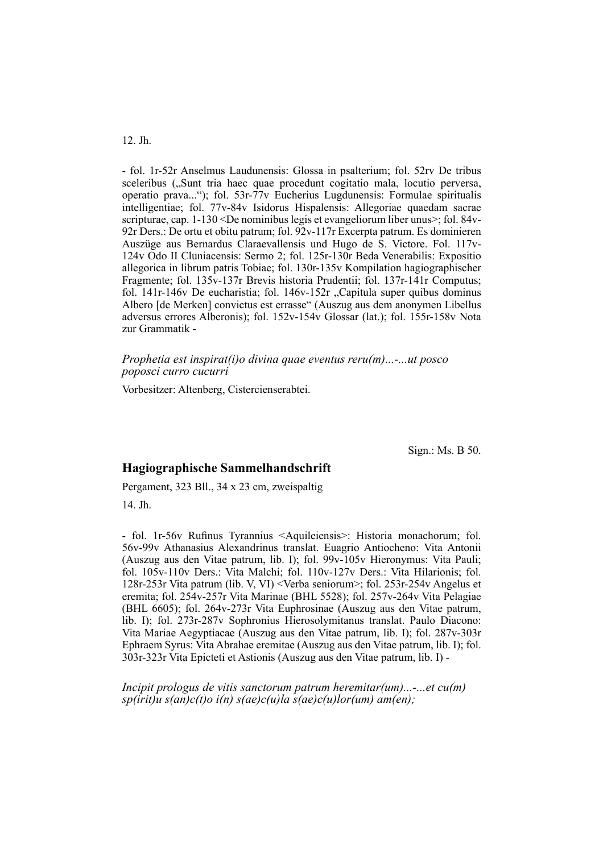#### 12. Jh.

- fol. 1r-52r Anselmus Laudunensis: Glossa in psalterium; fol. 52rv De tribus sceleribus ("Sunt tria haec quae procedunt cogitatio mala, locutio perversa, operatio prava..."); fol. 53r-77v Eucherius Lugdunensis: Formulae spiritualis intelligentiae; fol. 77v-84v Isidorus Hispalensis: Allegoriae quaedam sacrae scripturae, cap. 1-130 <De nominibus legis et evangeliorum liber unus>; fol. 84v-92r Ders.: De ortu et obitu patrum; fol. 92v-117r Excerpta patrum. Es dominieren Auszüge aus Bernardus Claraevallensis und Hugo de S. Victore. Fol. 117<sub>y</sub>-124v Odo II Cluniacensis: Sermo 2; fol. 125r-130r Beda Venerabilis: Expositio allegorica in librum patris Tobiae; fol. 130r-135v Kompilation hagiographischer Fragmente; fol. 135v-137r Brevis historia Prudentii; fol. 137r-141r Computus; fol. 141r-146v De eucharistia; fol. 146v-152r "Capitula super quibus dominus Albero [de Merken] convictus est errasse" (Auszug aus dem anonymen Libellus adversus errores Alberonis); fol. 152v-154v Glossar (lat.); fol. 155r-158v Nota zur Grammatik -

*Prophetia est inspirat(i)o divina quae eventus reru(m)...-...ut posco poposci curro cucurri*

Vorbesitzer: Altenberg, Cistercienserabtei.

Sign.: Ms. B 50.

#### **Hagiographische Sammelhandschrift**

Pergament, 323 Bll., 34 x 23 cm, zweispaltig

14. Jh.

- fol. 1r-56v Rufinus Tyrannius <Aquileiensis>: Historia monachorum; fol. 56v-99v Athanasius Alexandrinus translat. Euagrio Antiocheno: Vita Antonii (Auszug aus den Vitae patrum, lib. I); fol. 99v-105v Hieronymus: Vita Pauli; fol. 105v-110v Ders.: Vita Malchi; fol. 110v-127v Ders.: Vita Hilarionis; fol. 128r-253r Vita patrum (lib. V, VI) <Verba seniorum>; fol. 253r-254v Angelus et eremita; fol. 254v-257r Vita Marinae (BHL 5528); fol. 257v-264v Vita Pelagiae (BHL 6605); fol. 264v-273r Vita Euphrosinae (Auszug aus den Vitae patrum, lib. I); fol. 273r-287v Sophronius Hierosolymitanus translat. Paulo Diacono: Vita Mariae Aegyptiacae (Auszug aus den Vitae patrum, lib. I); fol. 287v-303r Ephraem Syrus: Vita Abrahae eremitae (Auszug aus den Vitae patrum, lib. I); fol. 303r-323r Vita Epicteti et Astionis (Auszug aus den Vitae patrum, lib. I) -

*Incipit prologus de vitis sanctorum patrum heremitar(um)...-...et cu(m) sp(irit)u s(an)c(t)o i(n) s(ae)c(u)la s(ae)c(u)lor(um) am(en);*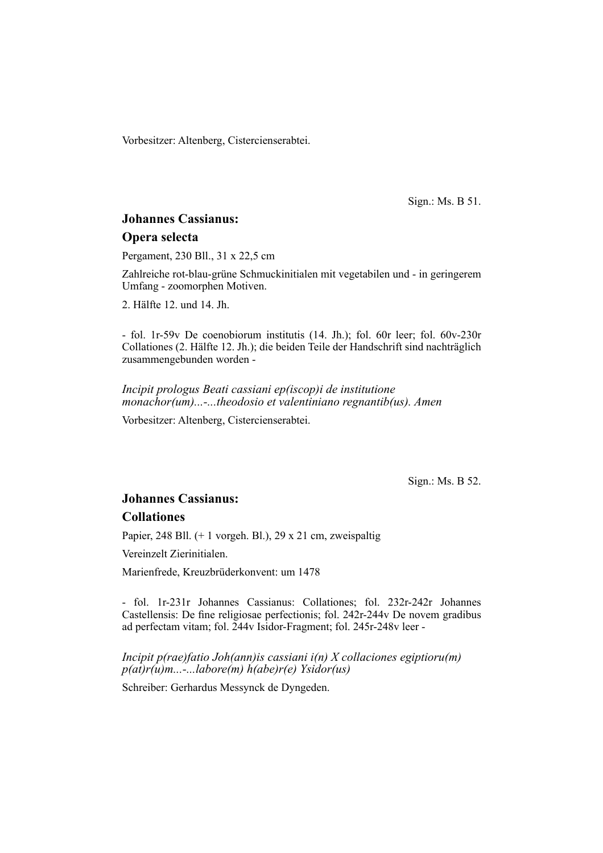Vorbesitzer: Altenberg, Cistercienserabtei.

Sign.: Ms. B 51.

## **Johannes Cassianus:**

#### **Opera selecta**

Pergament, 230 Bll., 31 x 22,5 cm

Zahlreiche rot-blau-grüne Schmuckinitialen mit vegetabilen und - in geringerem Umfang - zoomorphen Motiven.

2. Hälfte 12. und 14. Jh.

- fol. 1r-59v De coenobiorum institutis (14. Jh.); fol. 60r leer; fol. 60v-230r Collationes (2. Hälfte 12. Jh.); die beiden Teile der Handschrift sind nachträglich zusammengebunden worden -

*Incipit prologus Beati cassiani ep(iscop)i de institutione monachor(um)...-...theodosio et valentiniano regnantib(us). Amen*

Vorbesitzer: Altenberg, Cistercienserabtei.

Sign.: Ms. B 52.

## **Johannes Cassianus:**

## **Collationes**

Papier, 248 Bll. (+ 1 vorgeh. Bl.), 29 x 21 cm, zweispaltig

Vereinzelt Zierinitialen.

Marienfrede, Kreuzbrüderkonvent: um 1478

- fol. 1r-231r Johannes Cassianus: Collationes; fol. 232r-242r Johannes Castellensis: De fine religiosae perfectionis; fol. 242r-244v De novem gradibus ad perfectam vitam; fol. 244v Isidor-Fragment; fol. 245r-248v leer -

*Incipit p(rae)fatio Joh(ann)is cassiani i(n) X collaciones egiptioru(m) p(at)r(u)m...-...labore(m) h(abe)r(e) Ysidor(us)*

Schreiber: Gerhardus Messynck de Dyngeden.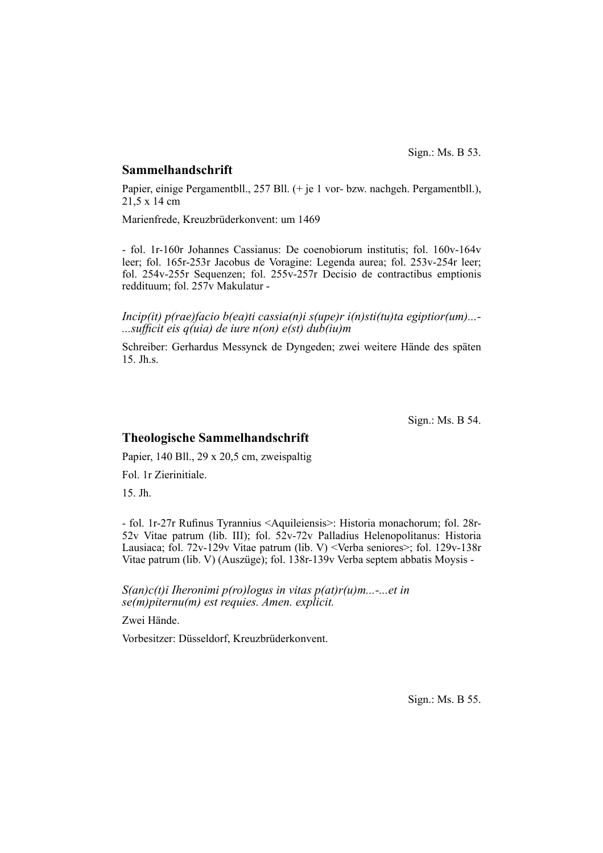#### **Sammelhandschrift**

Papier, einige Pergamentbll., 257 Bll. (+ je 1 vor- bzw. nachgeh. Pergamentbll.), 21,5 x 14 cm

Marienfrede, Kreuzbrüderkonvent: um 1469

- fol. 1r-160r Johannes Cassianus: De coenobiorum institutis; fol. 160v-164v leer; fol. 165r-253r Jacobus de Voragine: Legenda aurea; fol. 253v-254r leer; fol. 254v-255r Sequenzen; fol. 255v-257r Decisio de contractibus emptionis reddituum; fol. 257v Makulatur -

*Incip(it) p(rae)facio b(ea)ti cassia(n)i s(upe)r i(n)sti(tu)ta egiptior(um)...- ...suffi cit eis q(uia) de iure n(on) e(st) dub(iu)m*

Schreiber: Gerhardus Messynck de Dyngeden; zwei weitere Hände des späten 15. Jh.s.

Sign.: Ms. B 54.

### **Theologische Sammelhandschrift**

Papier, 140 Bll., 29 x 20,5 cm, zweispaltig

Fol. 1r Zierinitiale.

15. Jh.

- fol. 1r-27r Rufinus Tyrannius <Aquileiensis>: Historia monachorum; fol. 28r-52v Vitae patrum (lib. III); fol. 52v-72v Palladius Helenopolitanus: Historia Lausiaca; fol. 72v-129v Vitae patrum (lib. V) <Verba seniores>; fol. 129v-138r Vitae patrum (lib. V) (Auszüge); fol. 138r-139v Verba septem abbatis Moysis -

*S(an)c(t)i Iheronimi p(ro)logus in vitas p(at)r(u)m...-...et in se(m)piternu(m) est requies. Amen. explicit.*

Zwei Hände.

Vorbesitzer: Düsseldorf, Kreuzbrüderkonvent.

Sign.: Ms. B 55.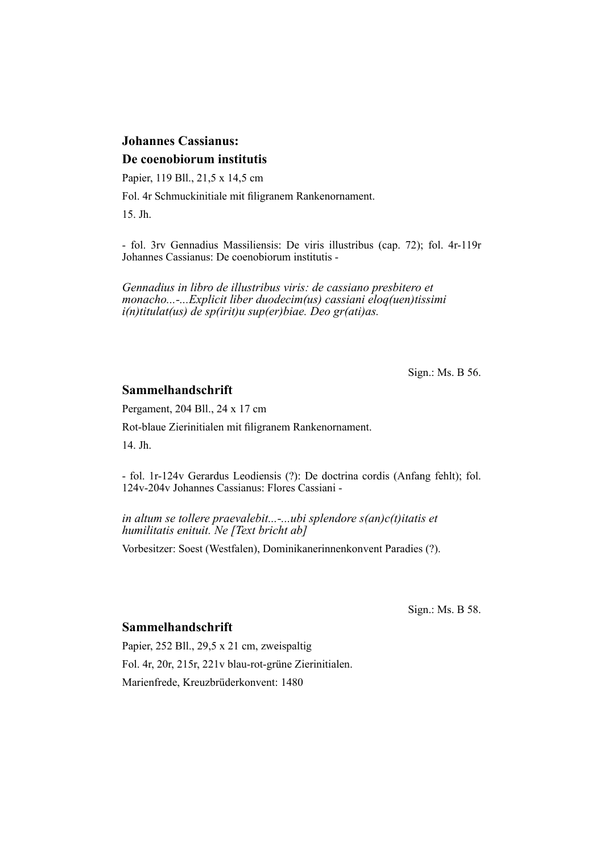# **Johannes Cassianus: De coenobiorum institutis**

Papier, 119 Bll., 21,5 x 14,5 cm

Fol. 4r Schmuckinitiale mit filigranem Rankenornament.

15. Jh.

- fol. 3rv Gennadius Massiliensis: De viris illustribus (cap. 72); fol. 4r-119r Johannes Cassianus: De coenobiorum institutis -

*Gennadius in libro de illustribus viris: de cassiano presbitero et monacho...-...Explicit liber duodecim(us) cassiani eloq(uen)tissimi i(n)titulat(us) de sp(irit)u sup(er)biae. Deo gr(ati)as.*

Sign.: Ms. B 56.

## **Sammelhandschrift**

Pergament, 204 Bll., 24 x 17 cm

Rot-blaue Zierinitialen mit filigranem Rankenornament.

14. Jh.

- fol. 1r-124v Gerardus Leodiensis (?): De doctrina cordis (Anfang fehlt); fol. 124v-204v Johannes Cassianus: Flores Cassiani -

*in altum se tollere praevalebit...-...ubi splendore s(an)c(t)itatis et humilitatis enituit. Ne [Text bricht ab]*

Vorbesitzer: Soest (Westfalen), Dominikanerinnenkonvent Paradies (?).

Sign.: Ms. B 58.

# **Sammelhandschrift**

Papier, 252 Bll., 29,5 x 21 cm, zweispaltig Fol. 4r, 20r, 215r, 221v blau-rot-grüne Zierinitialen. Marienfrede, Kreuzbrüderkonvent: 1480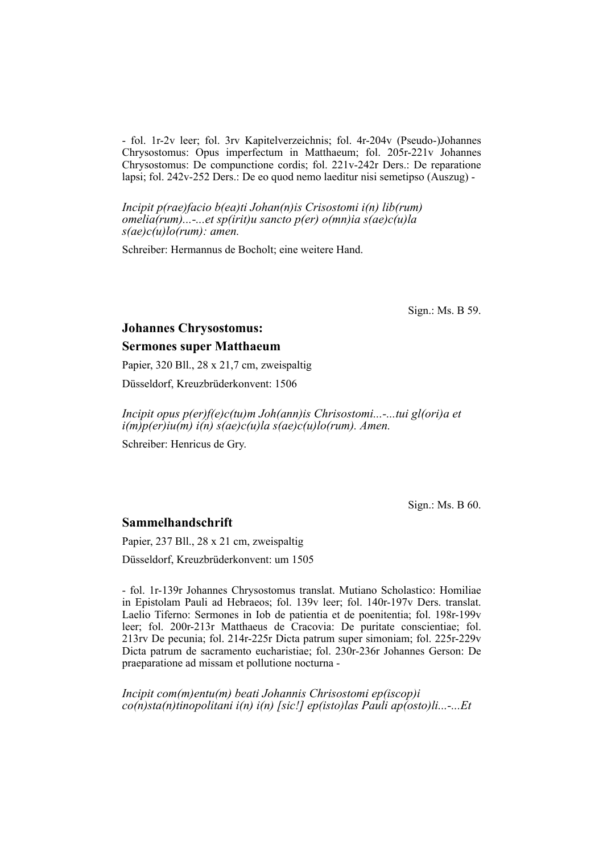- fol. 1r-2v leer; fol. 3rv Kapitelverzeichnis; fol. 4r-204v (Pseudo-)Johannes Chrysostomus: Opus imperfectum in Matthaeum; fol. 205r-221v Johannes Chrysostomus: De compunctione cordis; fol. 221v-242r Ders.: De reparatione lapsi; fol. 242v-252 Ders.: De eo quod nemo laeditur nisi semetipso (Auszug) -

*Incipit p(rae)facio b(ea)ti Johan(n)is Crisostomi i(n) lib(rum) omelia(rum)...-...et sp(irit)u sancto p(er) o(mn)ia s(ae)c(u)la s(ae)c(u)lo(rum): amen.*

Schreiber: Hermannus de Bocholt; eine weitere Hand.

Sign.: Ms. B 59.

#### **Johannes Chrysostomus:**

#### **Sermones super Matthaeum**

Papier, 320 Bll., 28 x 21,7 cm, zweispaltig

Düsseldorf, Kreuzbrüderkonvent: 1506

*Incipit opus p(er)f(e)c(tu)m Joh(ann)is Chrisostomi...-...tui gl(ori)a et i(m)p(er)iu(m) i(n) s(ae)c(u)la s(ae)c(u)lo(rum). Amen.*

Schreiber: Henricus de Gry.

Sign.: Ms. B 60.

#### **Sammelhandschrift**

Papier, 237 Bll., 28 x 21 cm, zweispaltig Düsseldorf, Kreuzbrüderkonvent: um 1505

- fol. 1r-139r Johannes Chrysostomus translat. Mutiano Scholastico: Homiliae in Epistolam Pauli ad Hebraeos; fol. 139v leer; fol. 140r-197v Ders. translat. Laelio Tiferno: Sermones in Iob de patientia et de poenitentia; fol. 198r-199v leer; fol. 200r-213r Matthaeus de Cracovia: De puritate conscientiae; fol. 213rv De pecunia; fol. 214r-225r Dicta patrum super simoniam; fol. 225r-229v Dicta patrum de sacramento eucharistiae; fol. 230r-236r Johannes Gerson: De praeparatione ad missam et pollutione nocturna -

*Incipit com(m)entu(m) beati Johannis Chrisostomi ep(iscop)i co(n)sta(n)tinopolitani i(n) i(n) [sic!] ep(isto)las Pauli ap(osto)li...-...Et*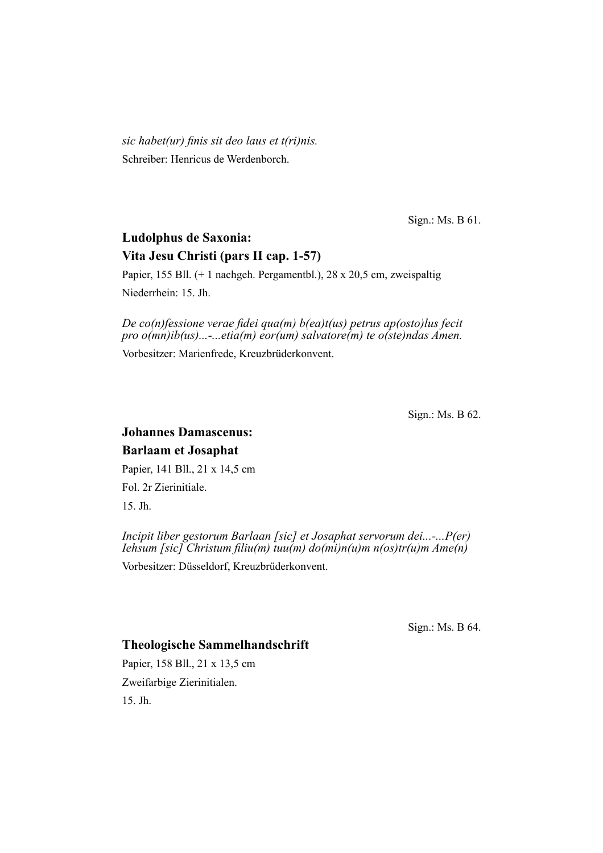*sic habet(ur) finis sit deo laus et t(ri)nis.* Schreiber: Henricus de Werdenborch.

Sign.: Ms. B 61.

# **Ludolphus de Saxonia: Vita Jesu Christi (pars II cap. 1-57)**

Papier, 155 Bll. (+ 1 nachgeh. Pergamentbl.), 28 x 20,5 cm, zweispaltig Niederrhein: 15. Jh.

*De co(n)fessione verae fidei qua(m) b(ea)t(us) petrus ap(osto)lus fecit pro o(mn)ib(us)...-...etia(m) eor(um) salvatore(m) te o(ste)ndas Amen.*

Vorbesitzer: Marienfrede, Kreuzbrüderkonvent.

Sign.: Ms. B 62.

# **Johannes Damascenus: Barlaam et Josaphat**

Papier, 141 Bll., 21 x 14,5 cm Fol. 2r Zierinitiale. 15. Jh.

*Incipit liber gestorum Barlaan [sic] et Josaphat servorum dei...-...P(er) Iehsum [sic] Christum fi liu(m) tuu(m) do(mi)n(u)m n(os)tr(u)m Ame(n)*

Vorbesitzer: Düsseldorf, Kreuzbrüderkonvent.

Sign.: Ms. B 64.

# **Theologische Sammelhandschrift**

Papier, 158 Bll., 21 x 13,5 cm Zweifarbige Zierinitialen. 15. Jh.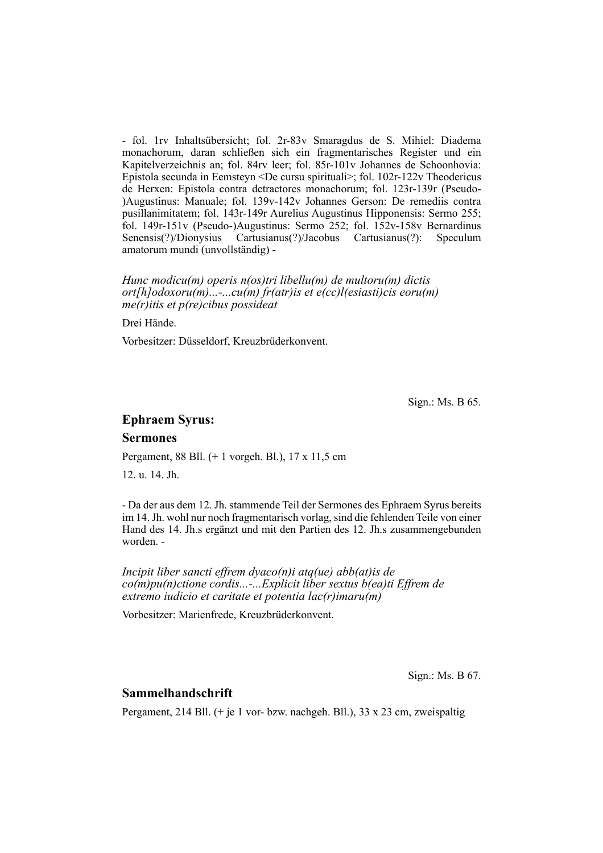- fol. 1rv Inhaltsübersicht; fol. 2r-83v Smaragdus de S. Mihiel: Diadema monachorum, daran schließen sich ein fragmentarisches Register und ein Kapitelverzeichnis an; fol. 84rv leer; fol. 85r-101v Johannes de Schoonhovia: Epistola secunda in Eemsteyn <De cursu spirituali>; fol. 102r-122v Theodericus de Herxen: Epistola contra detractores monachorum; fol. 123r-139r (Pseudo-)Augustinus: Manuale; fol. 139v-142v Johannes Gerson: De remediis contra pusillanimitatem; fol. 143r-149r Aurelius Augustinus Hipponensis: Sermo 255; fol.  $149r-151v$  (Pseudo-)Augustinus: Sermo 252; fol.  $152v-158v$  Bernardinus Senensis(?)/Dionysius Cartusianus(?)/Jacobus Cartusianus(?): Speculum amatorum mundi (unvollständig) -

#### *Hunc modicu(m) operis n(os)tri libellu(m) de multoru(m) dictis ort[h]odoxoru(m)...-...cu(m) fr(atr)is et e(cc)l(esiasti)cis eoru(m) me(r)itis et p(re)cibus possideat*

Drei Hände.

Vorbesitzer: Düsseldorf, Kreuzbrüderkonvent.

Sign.: Ms. B 65.

## **Ephraem Syrus:**

#### **Sermones**

Pergament, 88 Bll. (+ 1 vorgeh. Bl.), 17 x 11,5 cm

12. u. 14. Jh.

- Da der aus dem 12. Jh. stammende Teil der Sermones des Ephraem Syrus bereits im 14. Jh. wohl nur noch fragmentarisch vorlag, sind die fehlenden Teile von einer Hand des 14. Jh.s ergänzt und mit den Partien des 12. Jh.s zusammengebunden worden -

*Incipit liber sancti effrem dyaco(n)i atq(ue) abb(at)is de co(m)pu(n)ctione cordis...-...Explicit liber sextus b(ea)ti Effrem de extremo iudicio et caritate et potentia lac(r)imaru(m)*

Vorbesitzer: Marienfrede, Kreuzbrüderkonvent.

Sign.: Ms. B 67.

#### **Sammelhandschrift**

Pergament, 214 Bll.  $(+$  je 1 vor- bzw. nachgeh. Bll.), 33 x 23 cm, zweispaltig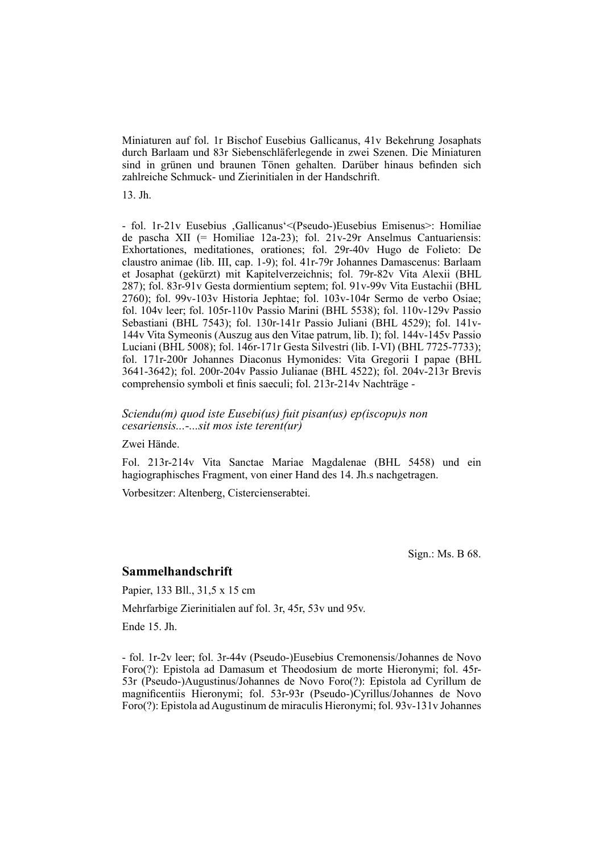Miniaturen auf fol. 1r Bischof Eusebius Gallicanus, 41v Bekehrung Josaphats durch Barlaam und 83r Siebenschläferlegende in zwei Szenen. Die Miniaturen sind in grünen und braunen Tönen gehalten. Darüber hinaus befinden sich zahlreiche Schmuck- und Zierinitialen in der Handschrift.

13. Jh.

- fol. 1r-21v Eusebius , Gallicanus' < (Pseudo-)Eusebius Emisenus >: Homiliae de pascha XII (= Homiliae 12a-23); fol.  $21v-29r$  Anselmus Cantuariensis: Exhortationes, meditationes, orationes; fol. 29r-40v Hugo de Folieto: De claustro animae (lib. III, cap. 1-9); fol. 41r-79r Johannes Damascenus: Barlaam et Josaphat (gekürzt) mit Kapitelverzeichnis; fol. 79r-82v Vita Alexii (BHL  $287$ ); fol.  $83r-91v$  Gesta dormientium septem; fol.  $91v-99v$  Vita Eustachii (BHL) 2760); fol. 99v-103v Historia Jephtae; fol. 103v-104r Sermo de verbo Osiae; fol. 104v leer; fol. 105r-110v Passio Marini (BHL 5538); fol. 110v-129v Passio Sebastiani (BHL 7543); fol. 130r-141r Passio Juliani (BHL 4529); fol. 141v-144v Vita Symeonis (Auszug aus den Vitae patrum, lib. I); fol. 144v-145v Passio Luciani (BHL 5008); fol. 146r-171r Gesta Silvestri (lib. I-VI) (BHL 7725-7733); fol. 171r-200r Johannes Diaconus Hymonides: Vita Gregorii I papae (BHL 3641-3642); fol. 200r-204v Passio Julianae (BHL 4522); fol. 204v-213r Brevis comprehensio symboli et finis saeculi; fol. 213r-214v Nachträge -

*Sciendu(m) quod iste Eusebi(us) fuit pisan(us) ep(iscopu)s non cesariensis...-...sit mos iste terent(ur)*

Zwei Hände.

Fol. 213r-214v Vita Sanctae Mariae Magdalenae (BHL 5458) und ein hagio graphisches Fragment, von einer Hand des 14. Jh.s nachgetragen.

Vorbesitzer: Altenberg, Cistercienserabtei.

Sign.: Ms. B 68.

#### **Sammelhandschrift**

Papier, 133 Bll., 31,5 x 15 cm

Mehrfarbige Zierinitialen auf fol. 3r, 45r, 53v und 95v.

Ende 15. Jh.

- fol. 1r-2v leer; fol. 3r-44v (Pseudo-)Eusebius Cremonensis/Johannes de Novo Foro(?): Epistola ad Damasum et Theodosium de morte Hieronymi; fol. 45r-53r (Pseudo-)Augustinus/Johannes de Novo Foro(?): Epistola ad Cyrillum de magnificentiis Hieronymi; fol. 53r-93r (Pseudo-)Cyrillus/Johannes de Novo Foro(?): Epistola ad Augustinum de miraculis Hieronymi; fol. 93v-131v Johannes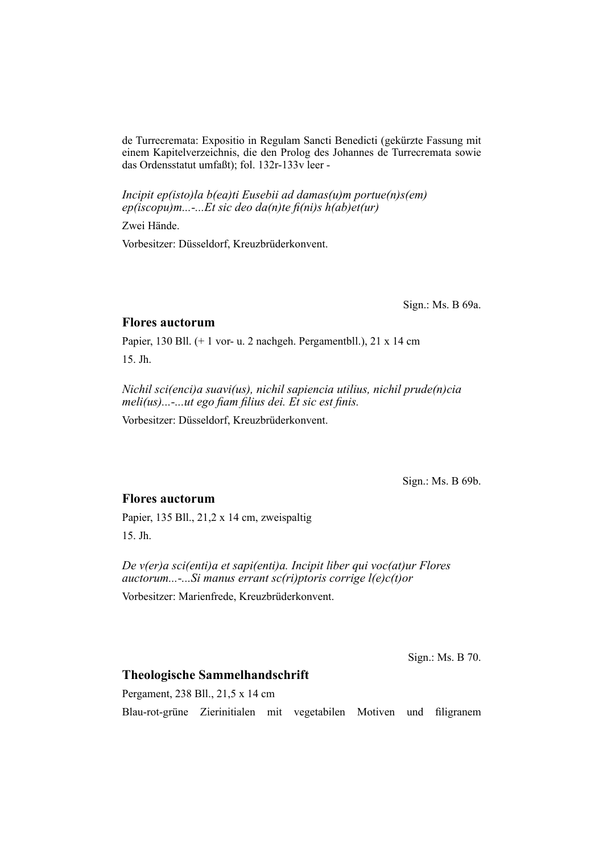de Turrecremata: Expositio in Regulam Sancti Benedicti (gekürzte Fassung mit einem Kapitelverzeichnis, die den Prolog des Johannes de Turrecremata sowie das Ordensstatut umfaßt); fol. 132r-133v leer -

*Incipit ep(isto)la b(ea)ti Eusebii ad damas(u)m portue(n)s(em) ep(iscopu)m...-...Et sic deo da(n)te fi (ni)s h(ab)et(ur)*

Zwei Hände.

Vorbesitzer: Düsseldorf, Kreuzbrüderkonvent.

Sign.: Ms. B 69a.

#### **Flores auctorum**

Papier, 130 Bll. (+ 1 vor- u. 2 nachgeh. Pergamentbll.), 21 x 14 cm 15. Jh.

*Nichil sci(enci)a suavi(us), nichil sapiencia utilius, nichil prude(n)cia meli(us)...-...ut ego fiam filius dei. Et sic est finis.* 

Vorbesitzer: Düsseldorf, Kreuzbrüderkonvent.

Sign.: Ms. B 69b.

## **Flores auctorum**

Papier, 135 Bll., 21,2 x 14 cm, zweispaltig 15. Jh.

*De v(er)a sci(enti)a et sapi(enti)a. Incipit liber qui voc(at)ur Flores auctorum...-...Si manus errant sc(ri)ptoris corrige l(e)c(t)or*

Vorbesitzer: Marienfrede, Kreuzbrüderkonvent.

Sign.: Ms. B 70.

# **Theologische Sammelhandschrift**

Pergament, 238 Bll., 21,5 x 14 cm Blau-rot-grüne Zierinitialen mit vegetabilen Motiven und filigranem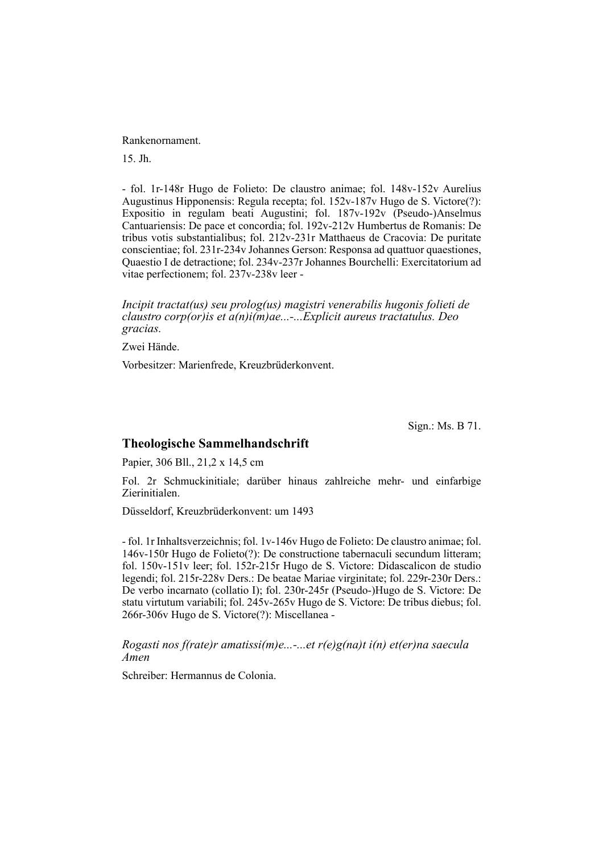#### Rankenornament.

15. Jh.

- fol. 1r-148r Hugo de Folieto: De claustro animae; fol. 148v-152v Aurelius Augustinus Hipponensis: Regula recepta; fol. 152v-187v Hugo de S. Victore(?): Expositio in regulam beati Augustini; fol. 187v-192v (Pseudo-)Anselmus Cantuariensis: De pace et concordia; fol. 192v-212v Humbertus de Romanis: De tribus votis substantialibus; fol. 212v-231r Matthaeus de Cracovia: De puritate conscientiae; fol. 231r-234v Johannes Gerson: Responsa ad quattuor quaestiones, Quaestio I de detractione; fol. 234v-237r Johannes Bourchelli: Exercitatorium ad vitae perfectionem; fol. 237v-238v leer -

*Incipit tractat(us) seu prolog(us) magistri venerabilis hugonis folieti de claustro corp(or)is et a(n)i(m)ae...-...Explicit aureus tractatulus. Deo gracias.*

Zwei Hände.

Vorbesitzer: Marienfrede, Kreuzbrüderkonvent.

Sign.: Ms. B 71.

## **Theologische Sammelhandschrift**

Papier, 306 Bll., 21,2 x 14,5 cm

Fol. 2r Schmuckinitiale; darüber hinaus zahlreiche mehr- und einfarbige Zierinitialen.

Düsseldorf, Kreuzbrüderkonvent: um 1493

- fol. 1r Inhaltsverzeichnis; fol. 1v-146v Hugo de Folieto: De claustro animae; fol. 146v-150r Hugo de Folieto(?): De constructione tabernaculi secundum litteram; fol.  $150v-151v$  leer; fol.  $152r-215r$  Hugo de S. Victore: Didascalicon de studio legendi; fol. 215r-228v Ders.: De beatae Mariae virginitate; fol. 229r-230r Ders.: De verbo incarnato (collatio I); fol. 230r-245r (Pseudo-)Hugo de S. Victore: De statu virtutum variabili; fol. 245v-265v Hugo de S. Victore: De tribus diebus; fol. 266r-306v Hugo de S. Victore(?): Miscellanea -

*Rogasti nos f(rate)r amatissi(m)e...-...et r(e)g(na)t i(n) et(er)na saecula Amen*

Schreiber: Hermannus de Colonia.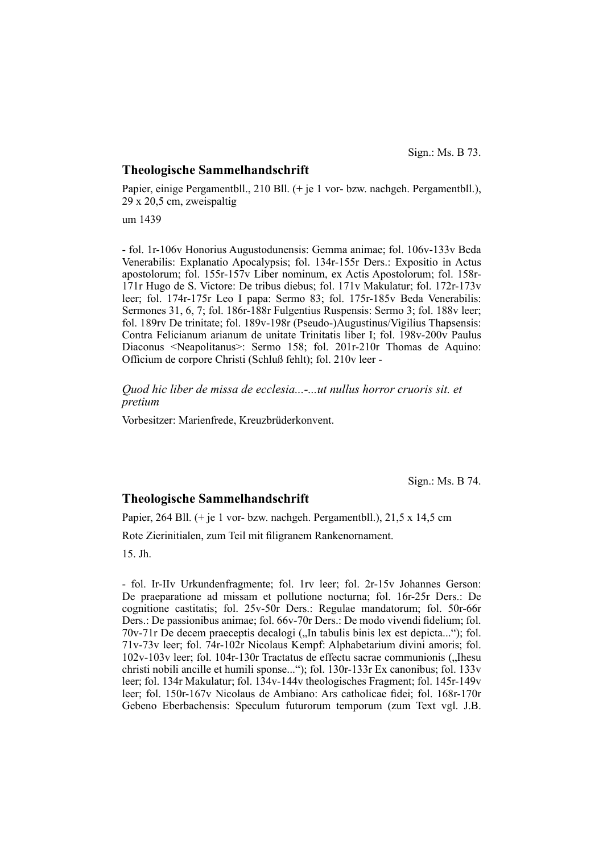#### **Theologische Sammelhandschrift**

Papier, einige Pergamentbll., 210 Bll. (+ je 1 vor- bzw. nachgeh. Pergamentbll.), 29 x 20,5 cm, zweispaltig

um 1439

- fol. 1r-106v Honorius Augustodunensis: Gemma animae; fol. 106v-133v Beda Venerabilis: Explanatio Apocalypsis; fol. 134r-155r Ders.: Expositio in Actus apostolorum; fol. 155r-157v Liber nominum, ex Actis Apostolorum; fol. 158r-171r Hugo de S. Victore: De tribus diebus; fol. 171 $v$  Makulatur; fol. 172 $r$ -173 $v$ leer; fol. 174r-175r Leo I papa: Sermo 83; fol. 175r-185v Beda Venerabilis: Sermones 31, 6, 7; fol. 186r-188r Fulgentius Ruspensis: Sermo 3; fol. 188v leer; fol. 189rv De trinitate; fol. 189v-198r (Pseudo-)Augustinus/Vigilius Thapsensis: Contra Felicianum arianum de unitate Trinitatis liber I; fol. 198v-200v Paulus Diaconus <Neapolitanus>: Sermo 158; fol. 201r-210r Thomas de Aquino: Officium de corpore Christi (Schluß fehlt); fol. 210v leer -

*Quod hic liber de missa de ecclesia...-...ut nullus horror cruoris sit. et pretium*

Vorbesitzer: Marienfrede, Kreuzbrüderkonvent.

Sign.: Ms. B 74.

#### **Theologische Sammelhandschrift**

Papier, 264 Bll. (+ je 1 vor- bzw. nachgeh. Pergamentbll.), 21,5 x 14,5 cm

Rote Zierinitialen, zum Teil mit filigranem Rankenornament.

15. Jh.

- fol. Ir-IIv Urkundenfragmente; fol. 1rv leer; fol. 2r-15v Johannes Gerson: De praeparatione ad missam et pollutione nocturna; fol. 16r-25r Ders.: De cognitione castitatis; fol. 25v-50r Ders.: Regulae mandatorum; fol. 50r-66r Ders.: De passionibus animae; fol. 66v-70r Ders.: De modo vivendi fidelium; fol. 70v-71r De decem praeceptis decalogi ("In tabulis binis lex est depicta..."); fol. 71v-73v leer; fol. 74r-102r Nicolaus Kempf: Alphabetarium divini amoris; fol.  $102v-103v$  leer; fol.  $104r-130r$  Tractatus de effectu sacrae communionis ("Ihesu christi nobili ancille et humili sponse..."); fol. 130r-133r Ex canonibus; fol. 133v leer; fol. 134r Makulatur; fol. 134v-144v theologisches Fragment; fol. 145r-149v leer; fol. 150r-167v Nicolaus de Ambiano: Ars catholicae fidei; fol. 168r-170r Gebeno Eberbachensis: Speculum futurorum temporum (zum Text vgl. J.B.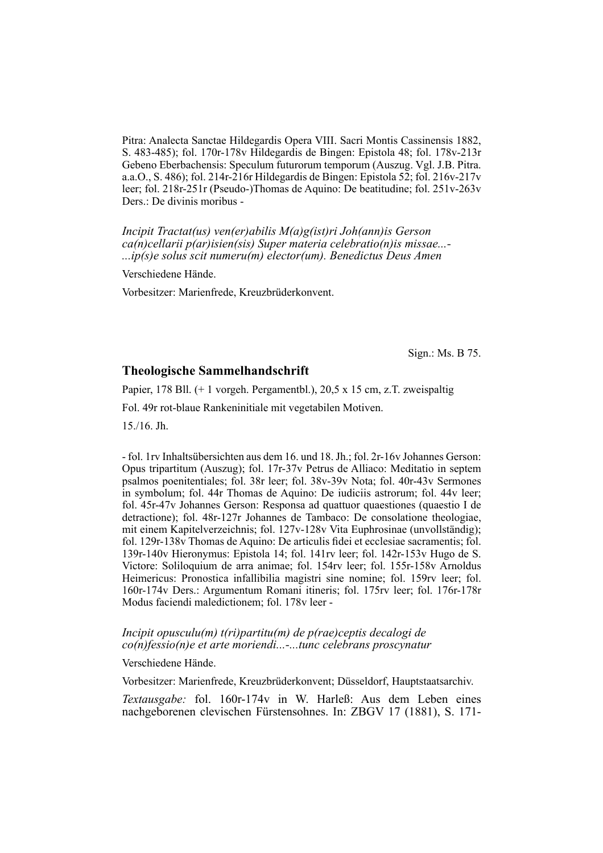Pitra: Analecta Sanctae Hildegardis Opera VIII. Sacri Montis Cassinensis 1882, S. 483-485); fol. 170r-178v Hildegardis de Bingen: Epistola 48; fol. 178v-213r Gebeno Eberbachensis: Speculum futurorum temporum (Auszug. Vgl. J.B. Pitra. a.a.O., S. 486); fol. 214r-216r Hildegardis de Bingen: Epistola 52; fol. 216v-217v leer; fol. 218r-251r (Pseudo-)Thomas de Aquino: De beatitudine; fol. 251v-263v Ders.: De divinis moribus -

*Incipit Tractat(us) ven(er)abilis M(a)g(ist)ri Joh(ann)is Gerson ca(n)cellarii p(ar)isien(sis) Super materia celebratio(n)is missae...- ...ip(s)e solus scit numeru(m) elector(um). Benedictus Deus Amen*

Verschiedene Hände.

Vorbesitzer: Marienfrede, Kreuzbrüderkonvent.

Sign.: Ms. B 75.

### **Theologische Sammelhandschrift**

Papier, 178 Bll. (+ 1 vorgeh. Pergamentbl.), 20,5 x 15 cm, z.T. zweispaltig

Fol. 49r rot-blaue Rankeninitiale mit vegetabilen Motiven.

15./16. Jh.

- fol. 1rv Inhaltsübersichten aus dem 16. und 18. Jh.; fol. 2r-16v Johannes Gerson: Opus tripartitum (Auszug); fol. 17r-37y Petrus de Alliaco: Meditatio in septem psalmos poenitentiales; fol. 38r leer; fol. 38v-39v Nota; fol. 40r-43v Sermones in symbolum; fol. 44r Thomas de Aquino: De iudiciis astrorum; fol. 44v leer; fol. 45r-47v Johan nes Gerson: Responsa ad quattuor quaestiones (quaestio I de detractione); fol. 48r-127r Johan nes de Tambaco: De consolatione theologiae, mit einem Kapitelverzeichnis; fol. 127v-128v Vita Euphrosinae (unvollständig); fol. 129r-138v Thomas de Aquino: De articulis fidei et ecclesiae sacramentis; fol. 139r-140v Hieronymus: Epistola 14; fol. 141rv leer; fol. 142r-153v Hugo de S. Victore: Soliloquium de arra animae; fol. 154rv leer; fol. 155r-158v Arnoldus Heimericus: Pronostica infallibilia magistri sine nomine; fol. 159rv leer; fol. 160r-174v Ders.: Argumentum Romani itineris; fol. 175rv leer; fol. 176r-178r Modus faciendi maledictionem; fol. 178v leer -

#### *Incipit opusculu(m) t(ri)partitu(m) de p(rae)ceptis decalogi de co(n)fessio(n)e et arte moriendi...-...tunc celebrans proscynatur*

Verschiedene Hände.

Vorbesitzer: Marienfrede, Kreuzbrüderkonvent; Düsseldorf, Hauptstaatsarchiv.

*Textausgabe:* fol. 160r-174v in W. Harleß: Aus dem Leben eines nachgeborenen clevischen Fürstensohnes. In: ZBGV 17 (1881), S. 171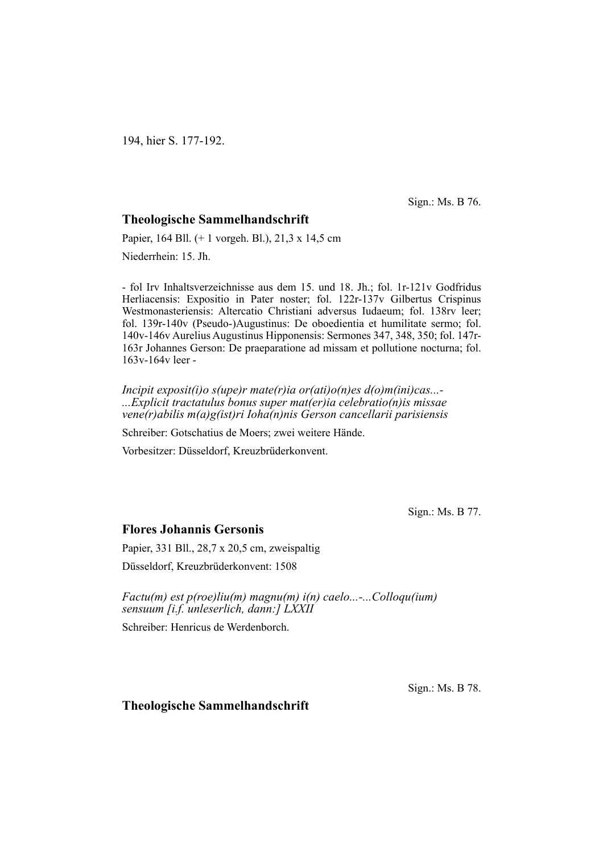194, hier S. 177-192.

Sign.: Ms. B 76.

# **Theologische Sammelhandschrift**

Papier, 164 Bll. (+ 1 vorgeh. Bl.), 21,3 x 14,5 cm Niederrhein: 15. Jh.

- fol Irv Inhaltsverzeichnisse aus dem 15. und 18. Jh.; fol. 1r-121v Godfridus Herliacensis: Expositio in Pater noster; fol. 122r-137v Gilbertus Crispinus Westmonasteriensis: Altercatio Christiani adversus Iudaeum; fol. 138rv leer; fol. 139r-140v (Pseudo-)Augustinus: De oboedientia et humilitate sermo; fol. 140v-146v Aurelius Augustinus Hipponensis: Sermones 347, 348, 350; fol. 147r-163r Johannes Gerson: De praeparatione ad missam et pollutione nocturna; fol. 163v-164v leer -

*Incipit exposit(i)o s(upe)r mate(r)ia or(ati)o(n)es d(o)m(ini)cas...- ...Explicit tractatulus bonus super mat(er)ia celebratio(n)is missae vene(r)abilis m(a)g(ist)ri Ioha(n)nis Gerson cancellarii parisiensis*

Schreiber: Gotschatius de Moers; zwei weitere Hände.

Vorbesitzer: Düsseldorf, Kreuzbrüderkonvent.

Sign.: Ms. B 77.

# **Flores Johannis Gersonis**

Papier, 331 Bll., 28,7 x 20,5 cm, zweispaltig Düsseldorf, Kreuzbrüderkonvent: 1508

*Factu(m) est p(roe)liu(m) magnu(m) i(n) caelo...-...Colloqu(ium) sensuum [i.f. unleserlich, dann:] LXXII*

Schreiber: Henricus de Werdenborch.

Sign.: Ms. B 78.

#### **Theologische Sammelhandschrift**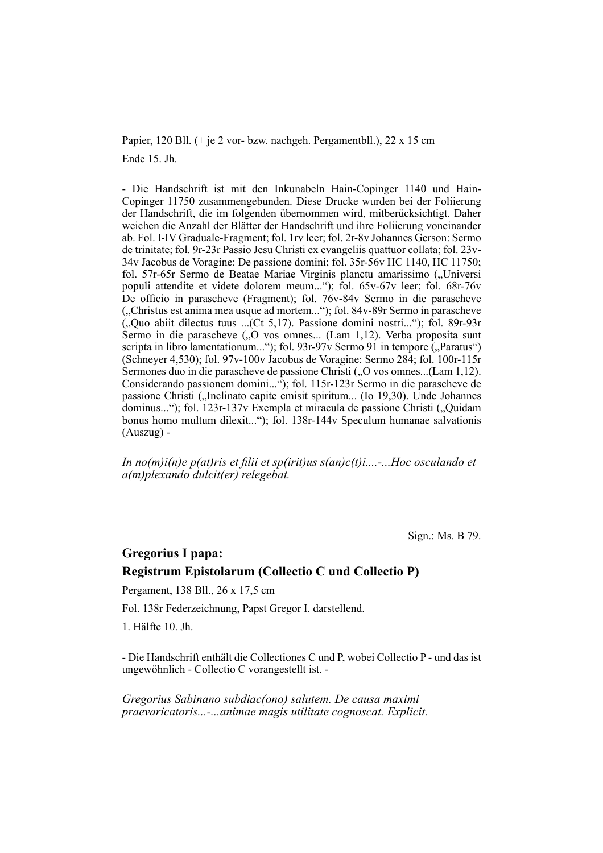Papier, 120 Bll. (+ je 2 vor- bzw. nachgeh. Pergamentbll.), 22 x 15 cm Ende 15. Jh.

- Die Handschrift ist mit den Inkunabeln Hain-Copinger 1140 und Hain-Copinger 11750 zusammengebunden. Diese Drucke wurden bei der Foliierung der Handschrift, die im folgenden übernommen wird, mitberücksichtigt. Daher weichen die Anzahl der Blätter der Handschrift und ihre Foliierung voneinander ab. Fol. I-IV Graduale-Fragment; fol. 1rv leer; fol. 2r-8v Johannes Gerson: Sermo de trinitate; fol. 9r-23r Passio Jesu Christi ex evangeliis quattuor collata; fol. 23v-34v Jacobus de Voragine: De passione domini; fol. 35r-56v HC 1140, HC 11750; fol. 57r-65r Sermo de Beatae Mariae Virginis planctu amarissimo ("Universi populi attendite et videte dolorem meum..."); fol. 65v-67v leer; fol. 68r-76v De officio in parascheve (Fragment); fol. 76y-84y Sermo in die parascheve ("Christus est anima mea usque ad mortem..."); fol. 84v-89r Sermo in parascheve  $($ <sub>u</sub>Quo abiit dilectus tuus ... $($ Ct 5,17 $)$ . Passione domini nostri..." $)$ ; fol. 89r-93r Sermo in die parascheve ("O vos omnes... (Lam 1,12). Verba proposita sunt scripta in libro lamentationum..."); fol. 93r-97v Sermo 91 in tempore ("Paratus") (Schneyer 4,530); fol. 97v-100v Jaco bus de Voragine: Sermo 284; fol. 100r-115r Sermones duo in die parascheve de passione Christi ("O vos omnes...(Lam 1,12). Considerando passionem domini..."); fol. 115r-123r Sermo in die parascheve de passione Christi ("Inclinato capite emisit spiritum... (Io 19,30). Unde Johannes dominus..."); fol. 123r-137v Exempla et miracula de passione Christi ("Quidam bonus homo multum dilexit..."); fol. 138r-144v Speculum humanae salvationis (Auszug) -

*In no(m)i(n)e p(at)ris et filii et sp(irit)us s(an)c(t)i....-...Hoc osculando et a(m)plexando dulcit(er) relegebat.*

Sign.: Ms. B 79.

# **Gregorius I papa: Registrum Epistolarum (Collectio C und Collectio P)**

Pergament, 138 Bll., 26 x 17,5 cm

Fol. 138r Federzeichnung, Papst Gregor I. darstellend.

1. Hälfte 10. Jh.

- Die Handschrift enthält die Collectiones C und P, wobei Collectio P - und das ist ungewöhnlich - Collectio C vorangestellt ist. -

*Gregorius Sabinano subdiac(ono) salutem. De causa maximi praevaricatoris...-...animae magis utilitate cognoscat. Explicit.*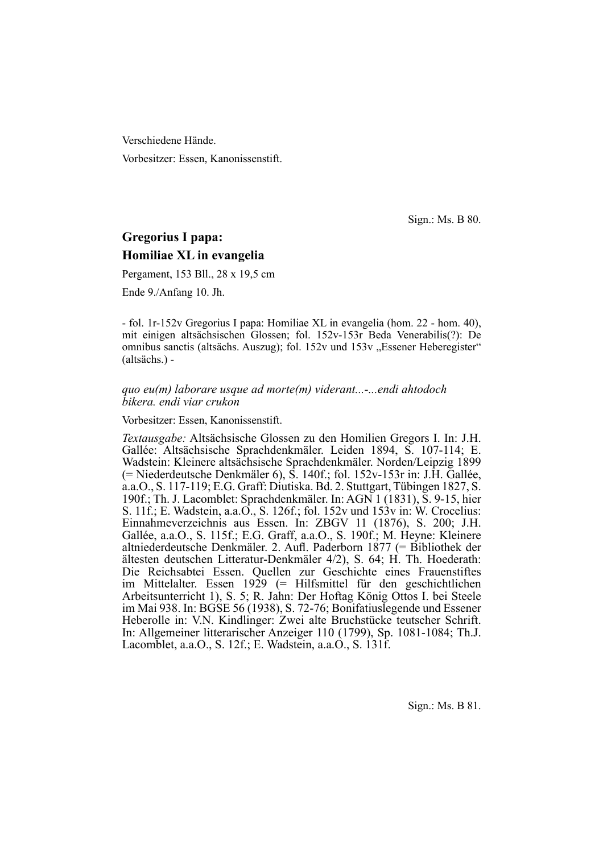Verschiedene Hände.

Vorbesitzer: Essen, Kanonissenstift.

Sign.: Ms. B 80.

# **Gregorius I papa: Homiliae XL in evangelia**

Pergament, 153 Bll., 28 x 19,5 cm

Ende 9./Anfang 10. Jh.

- fol. 1r-152v Gregorius I papa: Homiliae XL in evangelia (hom. 22 - hom. 40), mit einigen altsächsischen Glossen; fol. 152v-153r Beda Venerabilis(?): De omnibus sanctis (altsächs. Auszug); fol. 152v und 153v "Essener Heberegister" (altsächs.) -

#### *quo eu(m) laborare usque ad morte(m) viderant...-...endi ahtodoch bikera. endi viar crukon*

Vorbesitzer: Essen, Kanonissenstift.

*Textausgabe:* Altsächsische Glossen zu den Homilien Gregors I. In: J.H. Gallée: Altsächsische Sprachdenkmäler. Leiden 1894, S. 107-114; E. Wadstein: Kleinere altsächsische Sprachdenkmäler. Norden/Leipzig 1899 (= Niederdeutsche Denkmäler 6), S. 140f.; fol. 152v-153r in: J.H. Gallée, a.a.O., S. 117-119; E.G. Graff: Diutiska. Bd. 2. Stuttgart, Tübingen 1827, S. 190f.; Th. J. Lacomblet: Sprachdenkmäler. In: AGN 1 (1831), S. 9-15, hier S. 11f.; E. Wadstein, a.a.O., S. 126f.; fol. 152v und 153v in: W. Crocelius: Einnahmeverzeichnis aus Essen. In: ZBGV 11 (1876), S. 200; J.H. Gallée, a.a.O., S. 115f.; E.G. Graff, a.a.O., S. 190f.; M. Heyne: Kleinere altniederdeutsche Denkmäler. 2. Aufl . Paderborn 1877 (= Bibliothek der ältesten deutschen Litteratur-Denkmäler 4/2), S. 64; H. Th. Hoederath: Die Reichsabtei Essen. Quellen zur Geschichte eines Frauenstiftes im Mittelalter. Essen 1929 (= Hilfsmittel für den geschichtlichen Arbeitsunterricht 1), S. 5; R. Jahn: Der Hoftag König Ottos I. bei Steele im Mai 938. In: BGSE 56 (1938), S. 72-76; Bonifatiuslegende und Essener Heberolle in: V.N. Kindlinger: Zwei alte Bruchstücke teutscher Schrift. In: Allgemeiner litterarischer Anzeiger 110 (1799), Sp. 1081-1084; Th.J. Lacomblet, a.a.O., S. 12f.; E. Wadstein, a.a.O., S. 131f.

Sign.: Ms. B 81.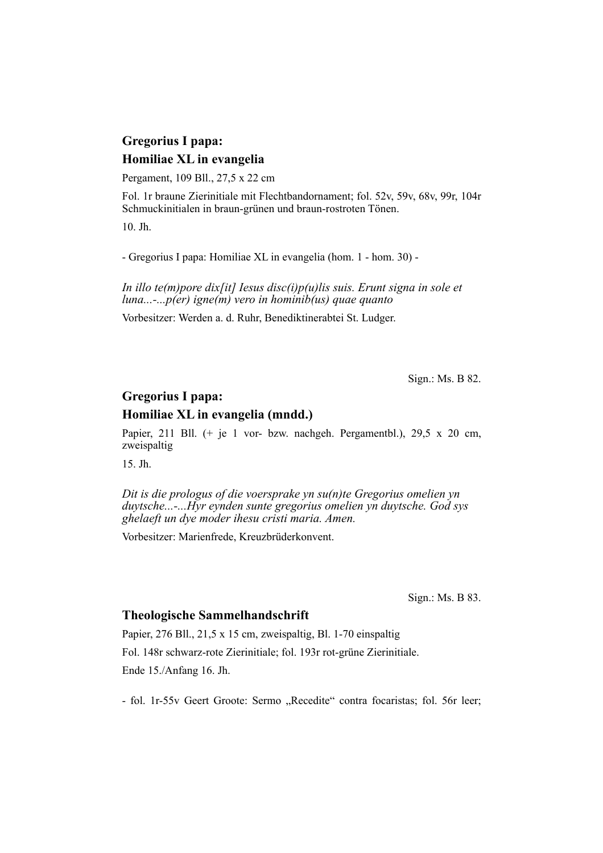# **Gregorius I papa: Homiliae XL in evangelia**

Pergament, 109 Bll., 27,5 x 22 cm

Fol. 1r braune Zierinitiale mit Flechtbandornament; fol. 52v, 59v, 68v, 99r, 104r Schmuckinitialen in braun-grünen und braun-rostroten Tönen.

10. Jh.

- Gregorius I papa: Homiliae XL in evangelia (hom. 1 - hom. 30) -

*In illo te(m)pore dix[it] Iesus disc(i)p(u)lis suis. Erunt signa in sole et luna...-...p(er) igne(m) vero in hominib(us) quae quanto*

Vorbesitzer: Werden a. d. Ruhr, Benediktinerabtei St. Ludger.

Sign.: Ms. B 82.

# **Gregorius I papa:**

### **Homiliae XL in evangelia (mndd.)**

Papier, 211 Bll. (+ je 1 vor- bzw. nachgeh. Pergamentbl.), 29,5 x 20 cm, zweispaltig

15. Jh.

*Dit is die prologus of die voersprake yn su(n)te Gregorius omelien yn duytsche...-...Hyr eynden sunte gregorius omelien yn duytsche. God sys ghelaeft un dye moder ihesu cristi maria. Amen.*

Vorbesitzer: Marienfrede, Kreuzbrüderkonvent.

Sign.: Ms. B 83.

#### **Theologische Sammelhandschrift**

Papier, 276 Bll., 21,5 x 15 cm, zweispaltig, Bl. 1-70 einspaltig Fol. 148r schwarz-rote Zierinitiale; fol. 193r rot-grüne Zierinitiale. Ende 15./Anfang 16. Jh.

- fol. 1r-55v Geert Groote: Sermo "Recedite" contra focaristas; fol. 56r leer;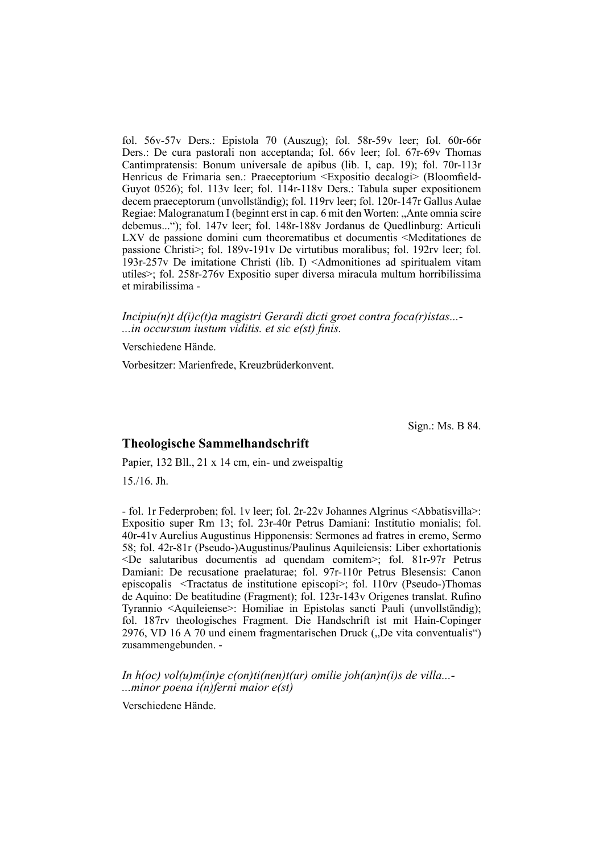fol. 56v-57v Ders.: Epistola 70 (Auszug); fol. 58r-59v leer; fol. 60r-66r Ders.: De cura pastorali non acceptanda; fol. 66v leer; fol. 67r-69v Thomas Cantimpratensis: Bonum universale de apibus (lib. I, cap. 19); fol. 70r-113r Henricus de Frimaria sen.: Praeceptorium <Expositio decalogi> (Bloomfield-Guyot 0526); fol. 113v leer; fol. 114r-118v Ders.: Tabula super expositionem decem praecep to rum (unvollständig); fol. 119rv leer; fol. 120r-147r Gallus Aulae Regiae: Malogranatum I (beginnt erst in cap. 6 mit den Worten: "Ante omnia scire debemus..."); fol. 147v leer; fol. 148r-188v Jordanus de Quedlinburg: Articuli LXV de passione domini cum theorematibus et documentis <Meditationes de passione Christi $>$ ; fol. 189v-191v De virtutibus moralibus; fol. 192rv leer; fol. 193r-257v De imitatione Christi (lib. I) <Admonitiones ad spiritualem vitam utiles>; fol. 258r-276v Expositio super diversa miracula multum horribilissima et mirabilissima -

*Incipiu(n)t d(i)c(t)a magistri Gerardi dicti groet contra foca(r)istas...-* ...*in occursum iustum viditis. et sic e(st) finis.* 

Verschiedene Hände.

Vorbesitzer: Marienfrede, Kreuzbrüderkonvent.

Sign.: Ms. B 84.

#### **Theologische Sammelhandschrift**

Papier, 132 Bll., 21 x 14 cm, ein- und zweispaltig 15./16. Jh.

- fol. 1r Federproben; fol. 1y leer; fol. 2r-22y Johannes Algrinus <Abbatis villa>: Expositio super Rm 13; fol. 23r-40r Petrus Damiani: Institutio monialis; fol. 40r-41v Aurelius Augustinus Hipponensis: Sermones ad fratres in eremo, Sermo 58; fol. 42r-81r (Pseudo-)Augustinus/Paulinus Aquileiensis: Liber exhortationis  $\leq$ De salutaribus documentis ad quendam comitem $\geq$ ; fol. 81r-97r Petrus Damiani: De recusatione praelaturae; fol. 97r-110r Petrus Blesensis: Canon episcopalis <Tractatus de institutione episcopi>; fol. 110rv (Pseudo-)Thomas de Aquino: De beatitudine (Fragment); fol. 123r-143v Origenes translat. Rufino Tyrannio <Aquileiense>: Homiliae in Epistolas sancti Pauli (unvollständig); fol. 187rv theologisches Fragment. Die Handschrift ist mit Hain-Copinger 2976, VD 16 A 70 und einem fragmentarischen Druck ("De vita conventualis") zusammengebunden. -

*In h(oc) vol(u)m(in)e c(on)ti(nen)t(ur) omilie joh(an)n(i)s de villa...- ...minor poena i(n)ferni maior e(st)*

Verschiedene Hände.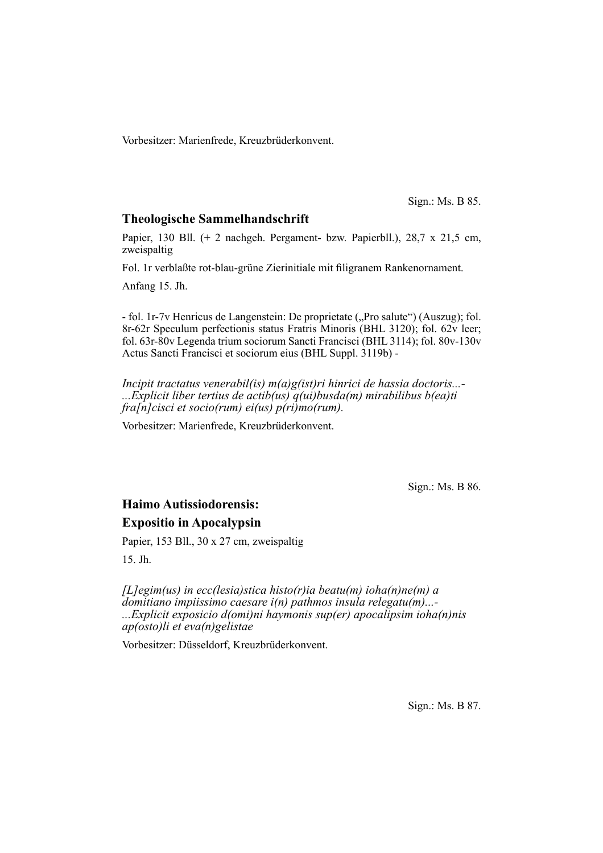Vorbesitzer: Marienfrede, Kreuzbrüderkonvent.

Sign.: Ms. B 85.

## **Theologische Sammelhandschrift**

Papier, 130 Bll. (+ 2 nachgeh. Pergament- bzw. Papierbll.), 28,7 x 21,5 cm, zweispaltig

Fol. 1r verblaßte rot-blau-grüne Zierinitiale mit filigranem Rankenornament.

Anfang 15. Jh.

- fol. 1r-7v Henricus de Langenstein: De proprietate ("Pro salute") (Auszug); fol. 8r-62r Speculum perfectionis status Fratris Minoris (BHL 3120); fol. 62v leer; fol. 63r-80v Legenda trium sociorum Sancti Francisci (BHL 3114); fol. 80v-130v Actus Sancti Francisci et sociorum eius (BHL Suppl. 3119b) -

*Incipit tractatus venerabil(is) m(a)g(ist)ri hinrici de hassia doctoris...- ...Explicit liber tertius de actib(us) q(ui)busda(m) mirabilibus b(ea)ti fra[n]cisci et socio(rum) ei(us) p(ri)mo(rum).*

Vorbesitzer: Marienfrede, Kreuzbrüderkonvent.

Sign.: Ms. B 86.

# **Haimo Autissiodorensis: Expositio in Apocalypsin**

Papier, 153 Bll., 30 x 27 cm, zweispaltig

15. Jh.

*[L]egim(us) in ecc(lesia)stica histo(r)ia beatu(m) ioha(n)ne(m) a domitiano impiissimo caesare i(n) pathmos insula relegatu(m)...- ...Explicit exposicio d(omi)ni haymonis sup(er) apocalipsim ioha(n)nis ap(osto)li et eva(n)gelistae*

Vorbesitzer: Düsseldorf, Kreuzbrüderkonvent.

Sign.: Ms. B 87.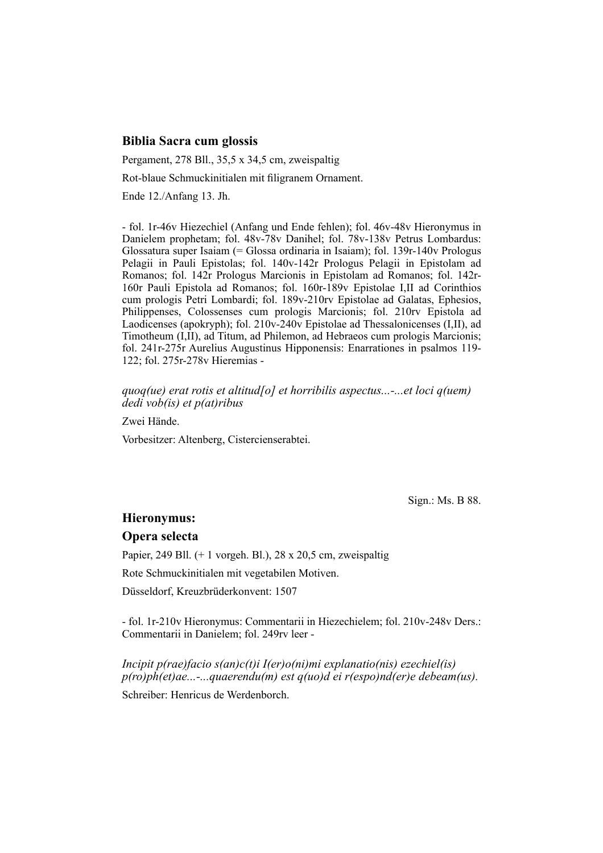### **Biblia Sacra cum glossis**

Pergament, 278 Bll., 35,5 x 34,5 cm, zweispaltig

Rot-blaue Schmuckinitialen mit filigranem Ornament.

Ende 12./Anfang 13. Jh.

- fol. 1r-46v Hiezechiel (Anfang und Ende fehlen); fol. 46v-48v Hieronymus in Danielem prophetam; fol. 48v-78v Danihel; fol. 78v-138v Petrus Lombardus: Glossatura super Isaiam (= Glossa ordinaria in Isaiam); fol. 139 $r$ -140 $v$  Prologus Pelagii in Pauli Epistolas; fol. 140v-142r Prologus Pelagii in Epistolam ad Romanos; fol. 142r Prologus Marcionis in Epistolam ad Romanos; fol. 142r-160r Pauli Epistola ad Romanos; fol. 160r-189v Epistolae I, II ad Corinthios cum prologis Petri Lombardi; fol. 189v-210rv Epistolae ad Galatas, Ephesios, Philippenses, Colossenses cum prologis Marcionis; fol. 210rv Epistola ad Laodicenses (apokryph); fol.  $210v-240v$  Epistolae ad Thessalonicenses (I,II), ad Timotheum (I,II), ad Titum, ad Philemon, ad Hebraeos cum prologis Marcionis; fol. 241r-275r Aurelius Augustinus Hipponensis: Enarrationes in psalmos 119-122; fol. 275r-278v Hieremias -

#### *quoq(ue) erat rotis et altitud[o] et horribilis aspectus...-...et loci q(uem) dedi vob(is) et p(at)ribus*

Zwei Hände.

Vorbesitzer: Altenberg, Cistercienserabtei.

Sign.: Ms. B 88.

#### **Hieronymus:**

#### **Opera selecta**

Papier, 249 Bll.  $(+ 1 \text{ vorgen. B1.})$ , 28 x 20,5 cm, zweispaltig

Rote Schmuckinitialen mit vegetabilen Motiven.

Düsseldorf, Kreuzbrüderkonvent: 1507

- fol. 1r-210v Hieronymus: Commentarii in Hiezechielem; fol. 210v-248v Ders.: Commentarii in Danielem; fol. 249rv leer -

*Incipit p(rae)facio s(an)c(t)i I(er)o(ni)mi explanatio(nis) ezechiel(is) p(ro)ph(et)ae...-...quaerendu(m) est q(uo)d ei r(espo)nd(er)e debeam(us).*

Schreiber: Henricus de Werdenborch.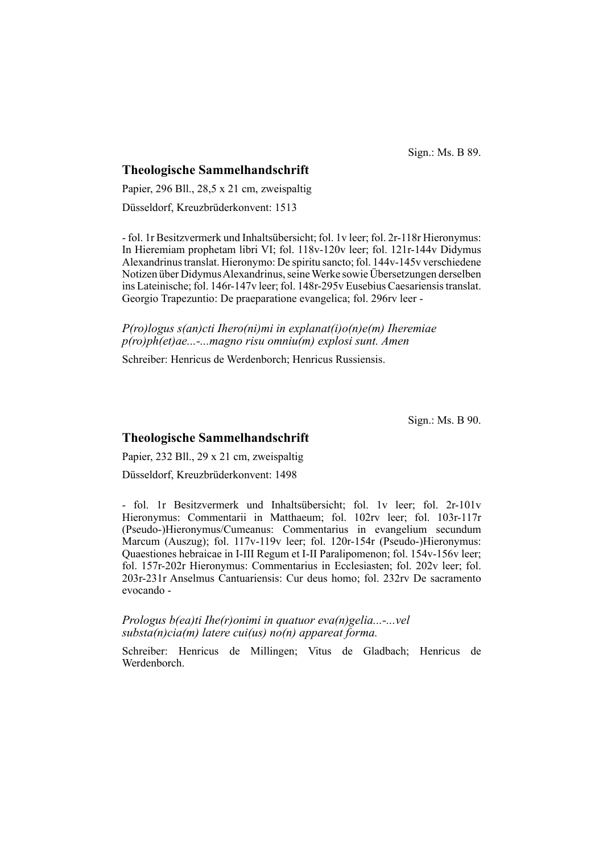Sign.: Ms. B 89.

#### **Theologische Sammelhandschrift**

Papier, 296 Bll., 28,5 x 21 cm, zweispaltig Düsseldorf, Kreuzbrüderkonvent: 1513

- fol. 1r Besitzvermerk und Inhaltsübersicht; fol. 1v leer; fol. 2r-118r Hieronymus: In Hieremiam prophetam libri VI; fol. 118v-120v leer; fol. 121r-144v Didymus Alexandrinus trans lat. Hieronymo: De spiritu sancto; fol. 144v-145v verschiedene Notizen über Didymus Alexandrinus, seine Werke sowie Übersetzungen derselben ins Lateinische; fol. 146r-147v leer; fol. 148r-295v Eusebius Caesariensis translat. Georgio Trapezuntio: De praeparatione evangelica; fol. 296rv leer -

*P(ro)logus s(an)cti Ihero(ni)mi in explanat(i)o(n)e(m) Iheremiae p(ro)ph(et)ae...-...magno risu omniu(m) explosi sunt. Amen*

Schreiber: Henricus de Werdenborch; Henricus Russiensis.

Sign.: Ms. B 90.

# **Theologische Sammelhandschrift**

Papier, 232 Bll., 29 x 21 cm, zweispaltig Düsseldorf, Kreuzbrüderkonvent: 1498

- fol. 1r Besitzvermerk und Inhaltsübersicht; fol. 1v leer; fol. 2r-101v Hieronymus: Commentarii in Matthaeum; fol. 102rv leer; fol. 103r-117r (Pseudo-)Hieronymus/Cumeanus: Commentarius in evangelium secundum Marcum (Auszug); fol. 117v-119v leer; fol. 120r-154r (Pseudo-)Hieronymus: Quaestiones hebraicae in I-III Regum et I-II Paralipomenon; fol. 154v-156v leer; fol. 157r-202r Hieronymus: Commentarius in Ecclesiasten; fol. 202v leer; fol. 203r-231r Anselmus Cantuariensis: Cur deus homo; fol. 232rv De sacramento evocando -

*Prologus b(ea)ti Ihe(r)onimi in quatuor eva(n)gelia...-...vel substa(n)cia(m) latere cui(us) no(n) appareat forma.*

Schreiber: Henricus de Millingen; Vitus de Gladbach; Henricus de Werden borch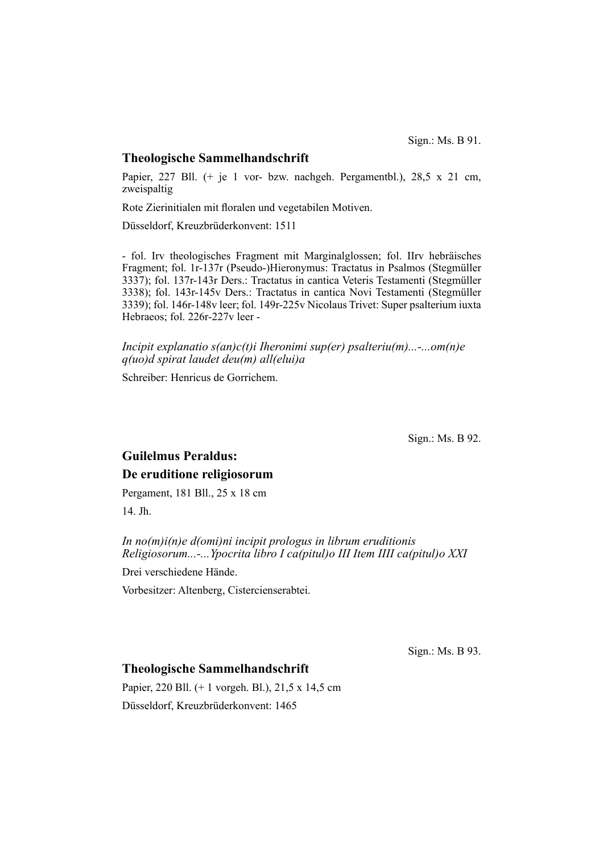#### **Theologische Sammelhandschrift**

Papier, 227 Bll. (+ je 1 vor- bzw. nachgeh. Pergamentbl.), 28,5 x 21 cm, zweispaltig

Rote Zierinitialen mit floralen und vegetabilen Motiven.

Düsseldorf, Kreuzbrüderkonvent: 1511

- fol. Irv theologisches Fragment mit Marginalglossen; fol. IIrv hebräisches Fragment; fol. 1r-137r (Pseudo-)Hieronymus: Tractatus in Psalmos (Stegmüller 3337); fol. 137r-143r Ders.: Tractatus in cantica Veteris Testamenti (Stegmüller 3338); fol. 143r-145v Ders.: Tractatus in cantica Novi Testamenti (Stegmüller 3339); fol. 146r-148v leer; fol. 149r-225v Nicolaus Trivet: Super psalterium iuxta Hebraeos; fol. 226r-227v leer -

*Incipit explanatio s(an)c(t)i Iheronimi sup(er) psalteriu(m)...-...om(n)e q(uo)d spirat laudet deu(m) all(elui)a*

Schreiber: Henricus de Gorrichem.

Sign.: Ms. B 92.

# **Guilelmus Peraldus: De eruditione religiosorum**

Pergament, 181 Bll., 25 x 18 cm

14. Jh.

*In no(m)i(n)e d(omi)ni incipit prologus in librum eruditionis Religiosorum...-...Ypocrita libro I ca(pitul)o III Item IIII ca(pitul)o XXI*

Drei verschiedene Hände.

Vorbesitzer: Altenberg, Cistercienserabtei.

Sign.: Ms. B 93.

### **Theologische Sammelhandschrift**

Papier, 220 Bll. (+ 1 vorgeh. Bl.), 21,5 x 14,5 cm Düsseldorf, Kreuzbrüderkonvent: 1465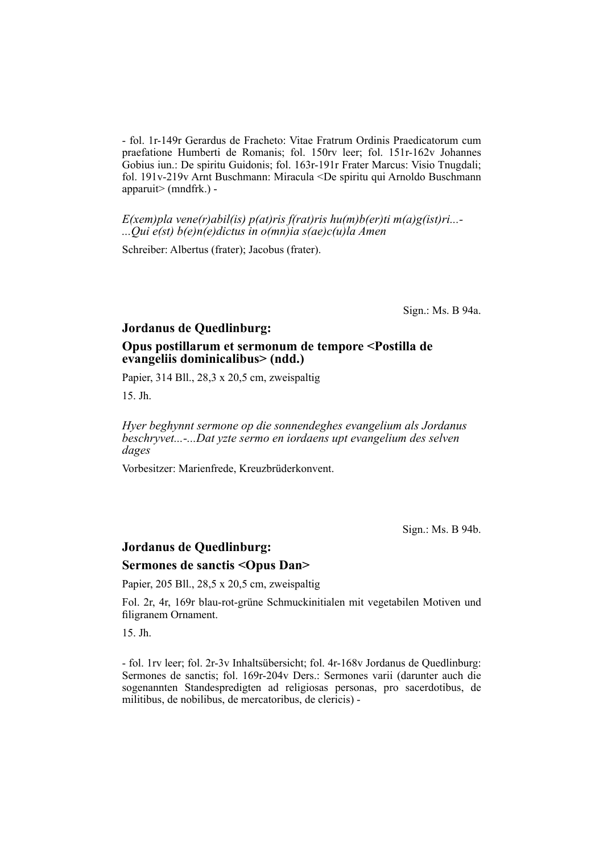- fol. 1r-149r Gerardus de Fracheto: Vitae Fratrum Ordinis Praedicatorum cum praefatione Humberti de Romanis; fol. 150rv leer; fol. 151r-162v Johannes Gobius iun.: De spiritu Guidonis; fol. 163r-191r Frater Marcus: Visio Tnugdali; fol. 191v-219v Arnt Buschmann: Miracula <De spiritu qui Arnoldo Buschmann apparuit> (mndfrk.) -

*E(xem)pla vene(r)abil(is) p(at)ris f(rat)ris hu(m)b(er)ti m(a)g(ist)ri...- ...Qui e(st) b(e)n(e)dictus in o(mn)ia s(ae)c(u)la Amen*

Schreiber: Albertus (frater); Jacobus (frater).

Sign.: Ms. B 94a.

#### **Jordanus de Quedlinburg:**

#### **Opus postillarum et sermonum de tempore <Postilla de evan geliis dominicalibus> (ndd.)**

Papier, 314 Bll., 28,3 x 20,5 cm, zweispaltig

15. Jh.

*Hyer beghynnt sermone op die sonnendeghes evangelium als Jordanus beschryvet...-...Dat yzte sermo en iordaens upt evangelium des selven dages*

Vorbesitzer: Marienfrede, Kreuzbrüderkonvent.

Sign.: Ms. B 94b.

## **Jordanus de Quedlinburg:**

#### **Sermones de sanctis <Opus Dan>**

Papier, 205 Bll., 28,5 x 20,5 cm, zweispaltig

Fol. 2r, 4r, 169r blau-rot-grüne Schmuckinitialen mit vegetabilen Motiven und filigranem Ornament.

15. Jh.

- fol. 1rv leer; fol. 2r-3v Inhaltsübersicht; fol. 4r-168v Jordanus de Quedlinburg: Sermones de sanctis; fol. 169r-204v Ders.: Sermones varii (darunter auch die sogenannten Standespredigten ad religiosas personas, pro sacerdotibus, de militibus, de nobilibus, de mercatoribus, de clericis) -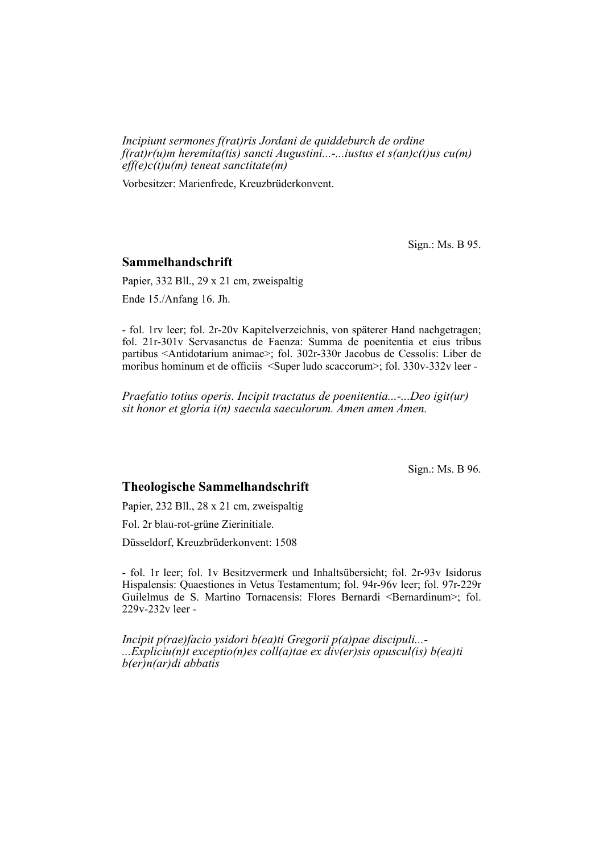*Incipiunt sermones f(rat)ris Jordani de quiddeburch de ordine f(rat)r(u)m heremita(tis) sancti Augustini...-...iustus et s(an)c(t)us cu(m) eff(e)c(t)u(m) teneat sanctitate(m)*

Vorbesitzer: Marienfrede, Kreuzbrüderkonvent.

Sign.: Ms. B 95.

### **Sammelhandschrift**

Papier, 332 Bll., 29 x 21 cm, zweispaltig

Ende 15./Anfang 16. Jh.

- fol. 1rv leer; fol. 2r-20v Kapitelverzeichnis, von späterer Hand nachgetragen; fol. 21r-301v Servasanctus de Faenza: Summa de poenitentia et eius tribus partibus <Antidotarium animae>; fol. 302r-330r Jacobus de Cessolis: Liber de moribus hominum et de officiis <Super ludo scaccorum>; fol. 330v-332v leer -

*Praefatio totius operis. Incipit tractatus de poenitentia...-...Deo igit(ur) sit honor et gloria i(n) saecula saeculorum. Amen amen Amen.*

Sign.: Ms. B 96.

### **Theologische Sammelhandschrift**

Papier, 232 Bll., 28 x 21 cm, zweispaltig

Fol. 2r blau-rot-grüne Zierinitiale.

Düsseldorf, Kreuzbrüderkonvent: 1508

- fol. 1r leer; fol. 1v Besitzvermerk und Inhaltsübersicht; fol. 2r-93v Isidorus Hispalensis: Quaestiones in Vetus Testamentum; fol. 94r-96v leer; fol. 97r-229r Guilelmus de S. Martino Tornacensis: Flores Bernardi <Bernardinum>; fol. 229v-232v leer -

*Incipit p(rae)facio ysidori b(ea)ti Gregorii p(a)pae discipuli...- ...Expliciu(n)t exceptio(n)es coll(a)tae ex div(er)sis opuscul(is) b(ea)ti b(er)n(ar)di abbatis*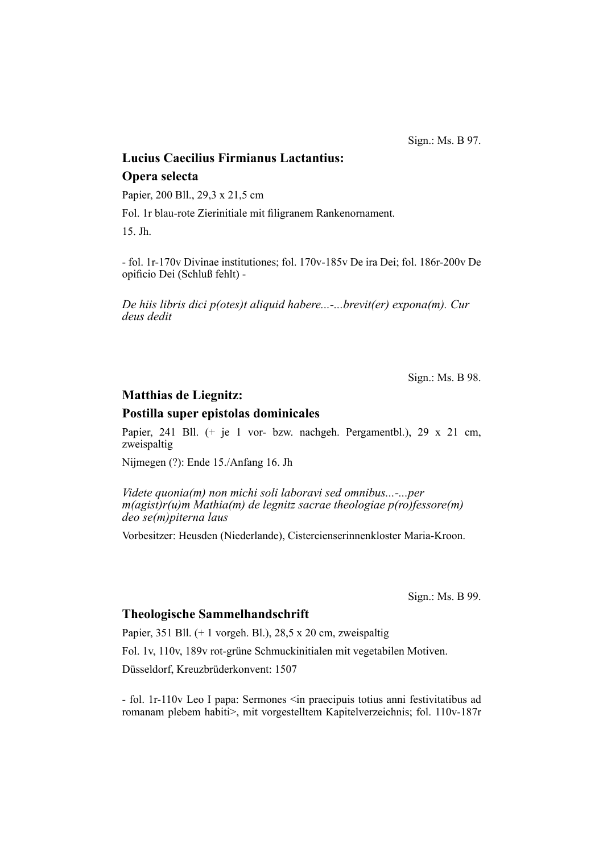Sign.: Ms. B 97.

# **Lucius Caecilius Firmianus Lactantius: Opera selecta**

Papier, 200 Bll., 29,3 x 21,5 cm

Fol. 1r blau-rote Zierinitiale mit filigranem Rankenornament.

15. Jh.

- fol. 1r-170v Divinae institutiones; fol. 170v-185v De ira Dei; fol. 186r-200v De opificio Dei (Schluß fehlt) -

*De hiis libris dici p(otes)t aliquid habere...-...brevit(er) expona(m). Cur deus dedit*

Sign.: Ms. B 98.

### **Matthias de Liegnitz:**

#### **Postilla super epistolas dominicales**

Papier, 241 Bll. (+ je 1 vor- bzw. nachgeh. Pergamentbl.), 29 x 21 cm, zweispaltig

Nijmegen (?): Ende 15./Anfang 16. Jh

*Videte quonia(m) non michi soli laboravi sed omnibus...-...per m(agist)r(u)m Mathia(m) de legnitz sacrae theologiae p(ro)fessore(m) deo se(m)piterna laus*

Vorbesitzer: Heusden (Niederlande), Cistercienserinnenkloster Maria-Kroon.

Sign.: Ms. B 99.

#### **Theologische Sammelhandschrift**

Papier, 351 Bll.  $(+ 1 \text{ vorgeh. B1.})$ , 28,5 x 20 cm, zweispaltig

Fol. 1v, 110v, 189v rot-grüne Schmuckinitialen mit vegetabilen Motiven.

Düsseldorf, Kreuzbrüderkonvent: 1507

- fol. 1r-110v Leo I papa: Sermones <in praecipuis totius anni festivitatibus ad romanam plebem habiti>, mit vorgestelltem Kapitelverzeichnis; fol. 110v-187r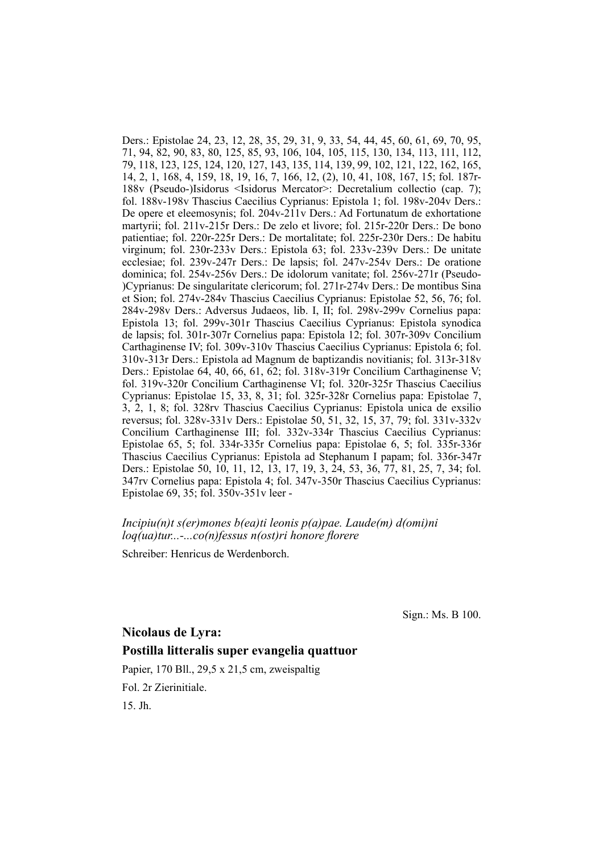Ders.: Epistolae 24, 23, 12, 28, 35, 29, 31, 9, 33, 54, 44, 45, 60, 61, 69, 70, 95, 71, 94, 82, 90, 83, 80, 125, 85, 93, 106, 104, 105, 115, 130, 134, 113, 111, 112, 79, 118, 123, 125, 124, 120, 127, 143, 135, 114, 139, 99, 102, 121, 122, 162, 165, 14, 2, 1, 168, 4, 159, 18, 19, 16, 7, 166, 12, (2), 10, 41, 108, 167, 15; fol. 187r-188v (Pseudo-)Isidorus <Isidorus Mercator>: Decretalium collectio (cap. 7); fol. 188v-198v Thascius Caecilius Cyprianus: Epistola 1; fol. 198v-204v Ders.: De opere et eleemosynis; fol. 204v-211v Ders.: Ad Fortunatum de exhortatione martyrii; fol. 211v-215r Ders.: De zelo et livore; fol. 215r-220r Ders.: De bono patien tiae; fol. 220r-225r Ders.: De mortalitate; fol. 225r-230r Ders.: De habitu virginum; fol. 230r-233v Ders.: Epistola 63; fol. 233v-239v Ders.: De unitate ecclesiae; fol. 239v-247r Ders.: De lapsis; fol. 247v-254v Ders.: De oratione dominica; fol. 254v-256v Ders.: De idolorum vanitate; fol. 256v-271r (Pseudo-)Cyprianus: De singularitate clericorum; fol. 271r-274v Ders.: De montibus Sina et Sion; fol. 274v-284v Thascius Caecilius Cyprianus: Epistolae 52, 56, 76; fol. 284v-298v Ders.: Adversus Judaeos, lib. I, II; fol. 298v-299v Cornelius papa: Epistola 13; fol. 299v-301r Thascius Caecilius Cyprianus: Epistola synodica de lapsis; fol. 301r-307r Cornelius papa: Epistola 12; fol. 307r-309v Concilium Carthaginense IV; fol. 309v-310v Thascius Caecilius Cyprianus: Epistola 6; fol. 310v-313r Ders.: Epistola ad Magnum de baptizandis novitianis; fol. 313r-318v Ders.: Epistolae  $64, 40, 66, 61, 62$ ; fol.  $318v-319r$  Concilium Carthaginense V; fol. 319v-320r Concilium Carthaginense VI; fol. 320r-325r Thascius Caecilius Cyprianus: Epistolae 15, 33, 8, 31; fol. 325r-328r Cornelius papa: Epistolae 7, 3, 2, 1, 8; fol. 328rv Thascius Caecilius Cyprianus: Epistola unica de exsilio reversus; fol. 328v-331v Ders.: Epistolae 50, 51, 32, 15, 37, 79; fol. 331v-332v Concilium Carthaginense III; fol. 332v-334r Thascius Caecilius Cyprianus: Epistolae 65, 5; fol. 334r-335r Cornelius papa: Epistolae 6, 5; fol. 335r-336r Thas cius Caecilius Cyprianus: Epistola ad Stephanum I papam; fol. 336r-347r Ders.: Epistolae 50, 10, 11, 12, 13, 17, 19, 3, 24, 53, 36, 77, 81, 25, 7, 34; fol. 347rv Cornelius papa: Epistola 4; fol. 347v-350r Thascius Caecilius Cyprianus: Epistolae 69, 35; fol. 350v-351v leer -

#### *Incipiu(n)t s(er)mones b(ea)ti leonis p(a)pae. Laude(m) d(omi)ni loq(ua)tur...-...co(n)fessus n(ost)ri honore florere*

Schreiber: Henricus de Werdenborch.

Sign.: Ms. B 100.

# **Nicolaus de Lyra: Postilla litteralis super evangelia quattuor**

Papier, 170 Bll., 29,5 x 21,5 cm, zweispaltig

Fol. 2r Zierinitiale.

15. Jh.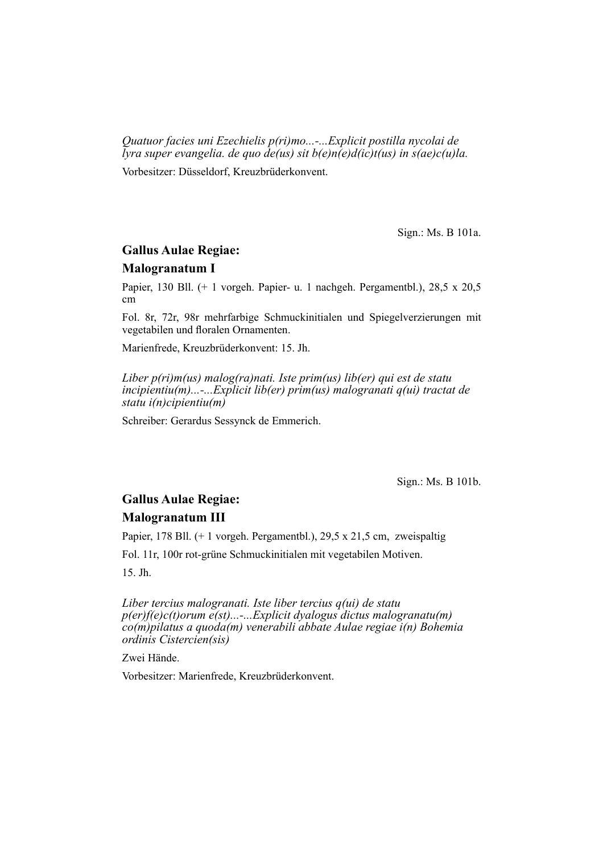*Quatuor facies uni Ezechielis p(ri)mo...-...Explicit postilla nycolai de lyra super evangelia. de quo de(us) sit b(e)n(e)d(ic)t(us) in s(ae)c(u)la.*

Vorbesitzer: Düsseldorf, Kreuzbrüderkonvent.

Sign.: Ms. B 101a.

# **Gallus Aulae Regiae:**

#### **Malogranatum I**

Papier, 130 Bll. (+ 1 vorgeh. Papier- u. 1 nachgeh. Pergamentbl.), 28,5 x 20,5 cm

Fol. 8r, 72r, 98r mehrfarbige Schmuckinitialen und Spiegelverzierungen mit vegetabilen und floralen Ornamenten.

Marienfrede, Kreuzbrüderkonvent: 15. Jh.

*Liber p(ri)m(us) malog(ra)nati. Iste prim(us) lib(er) qui est de statu incipientiu(m)...-...Explicit lib(er) prim(us) malogranati q(ui) tractat de statu i(n)cipientiu(m)*

Schreiber: Gerardus Sessynck de Emmerich.

Sign.: Ms. B 101b.

# **Gallus Aulae Regiae: Malogranatum III**

Papier, 178 Bll. (+ 1 vorgeh. Pergamentbl.), 29,5 x 21,5 cm, zweispaltig

Fol. 11r, 100r rot-grüne Schmuckinitialen mit vegetabilen Motiven.

15. Jh.

*Liber tercius malogranati. Iste liber tercius q(ui) de statu p(er)f(e)c(t)orum e(st)...-...Explicit dyalogus dictus malogranatu(m) co(m)pilatus a quoda(m) venerabili abbate Aulae regiae i(n) Bohemia ordinis Cistercien(sis)*

Zwei Hände.

Vorbesitzer: Marienfrede, Kreuzbrüderkonvent.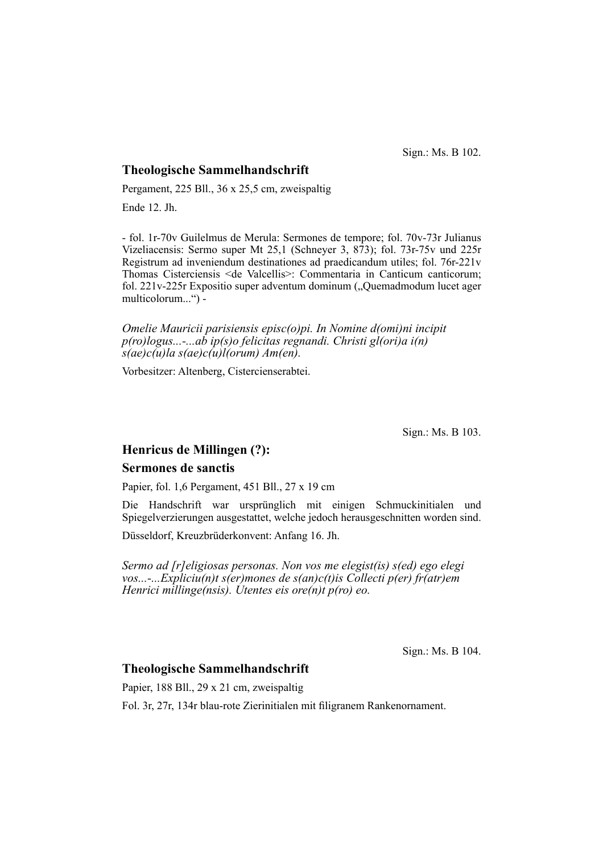Sign.: Ms. B 102.

### **Theologische Sammelhandschrift**

Pergament, 225 Bll., 36 x 25,5 cm, zweispaltig

Ende 12. Jh.

- fol. 1r-70v Guilelmus de Merula: Sermones de tempore; fol. 70v-73r Julianus Vizeliacensis: Sermo super Mt 25,1 (Schneyer 3,  $\frac{873}{7}$ ); fol. 73r-75v und 225r Registrum ad inveniendum destinationes ad praedicandum utiles; fol. 76r-221v Thomas Cisterciensis <de Valcellis>: Commentaria in Canticum canticorum; fol.  $221v-225r$  Expositio super adventum dominum ("Quem ad modum lucet ager multicolorum...") -

*Omelie Mauricii parisiensis episc(o)pi. In Nomine d(omi)ni incipit p(ro)logus...-...ab ip(s)o felicitas regnandi. Christi gl(ori)a i(n) s(ae)c(u)la s(ae)c(u)l(orum) Am(en).*

Vorbesitzer: Altenberg, Cistercienserabtei.

Sign.: Ms. B 103.

## **Henricus de Millingen (?):**

#### **Sermones de sanctis**

Papier, fol. 1,6 Pergament, 451 Bll., 27 x 19 cm

Die Handschrift war ursprünglich mit einigen Schmuckinitialen und Spiegelverzierungen ausgestattet, welche jedoch herausgeschnitten worden sind.

Düsseldorf, Kreuzbrüderkonvent: Anfang 16. Jh.

*Sermo ad [r]eligiosas personas. Non vos me elegist(is) s(ed) ego elegi vos...-...Expliciu(n)t s(er)mones de s(an)c(t)is Collecti p(er) fr(atr)em Henrici millinge(nsis). Utentes eis ore(n)t p(ro) eo.*

Sign.: Ms. B 104.

### **Theologische Sammelhandschrift**

Papier, 188 Bll., 29 x 21 cm, zweispaltig

Fol. 3r, 27r, 134r blau-rote Zierinitialen mit filigranem Rankenornament.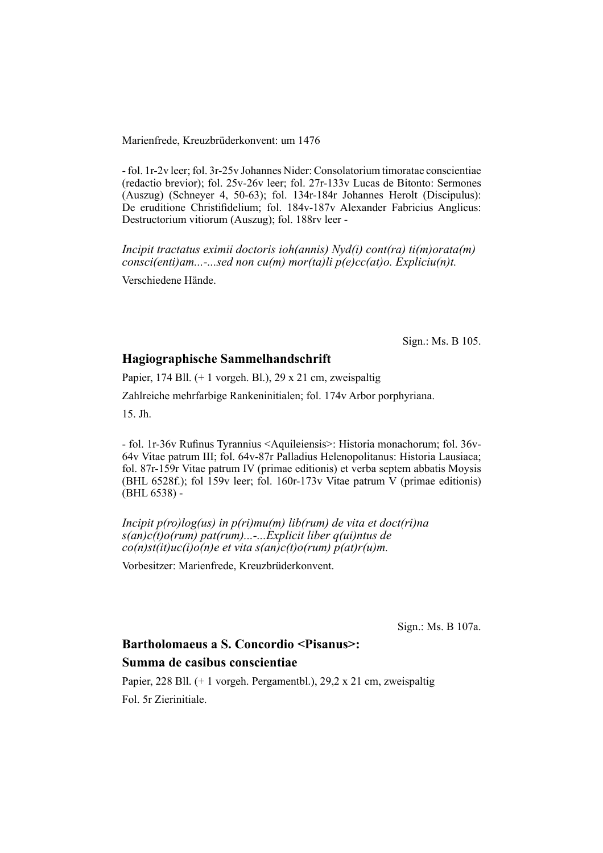Marienfrede, Kreuzbrüderkonvent: um 1476

- fol. 1r-2v leer; fol. 3r-25v Johannes Nider: Consolatorium timoratae conscientiae (redactio brevior); fol. 25v-26v leer; fol. 27r-133v Lucas de Bitonto: Sermones  $(Auszug)$  (Schneyer 4, 50-63); fol. 134r-184r Johannes Herolt (Discipulus): De eruditione Christifidelium; fol. 184v-187v Alexander Fabricius Anglicus: Destructorium vitiorum (Auszug); fol. 188rv leer -

*Incipit tractatus eximii doctoris ioh(annis) Nyd(i) cont(ra) ti(m)orata(m) consci(enti)am...-...sed non cu(m) mor(ta)li p(e)cc(at)o. Expliciu(n)t.*

Verschiedene Hände.

Sign.: Ms. B 105.

#### **Hagiographische Sammelhandschrift**

Papier, 174 Bll. (+ 1 vorgeh. Bl.), 29 x 21 cm, zweispaltig

Zahlreiche mehrfarbige Rankeninitialen; fol. 174v Arbor porphyriana.

15. Jh.

- fol. 1r-36v Rufinus Tyrannius <Aquileiensis>: Historia monachorum; fol. 36v-64v Vitae patrum III; fol. 64v-87r Palladius Helenopolitanus: Historia Lausiaca; fol. 87r-159r Vitae patrum IV (primae editionis) et verba septem abbatis Moysis (BHL 6528f.); fol 159v leer; fol. 160r-173v Vitae patrum V (primae editionis) (BHL 6538) -

*Incipit p(ro)log(us) in p(ri)mu(m) lib(rum) de vita et doct(ri)na s(an)c(t)o(rum) pat(rum)...-...Explicit liber q(ui)ntus de co(n)st(it)uc(i)o(n)e et vita s(an)c(t)o(rum) p(at)r(u)m.*

Vorbesitzer: Marienfrede, Kreuzbrüderkonvent.

Sign.: Ms. B 107a.

# **Bartholomaeus a S. Concordio <Pisanus>:**

# **Summa de casibus conscientiae**

Papier, 228 Bll. (+ 1 vorgeh. Pergamentbl.), 29,2 x 21 cm, zweispaltig Fol. 5r Zierinitiale.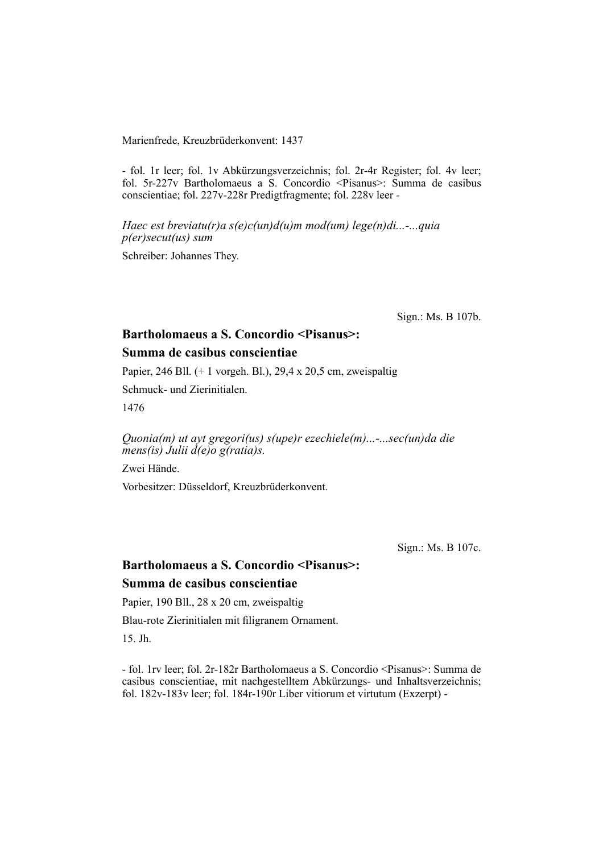#### Marienfrede, Kreuzbrüderkonvent: 1437

- fol. 1r leer; fol. 1v Abkürzungsverzeichnis; fol. 2r-4r Register; fol. 4v leer; fol. 5r-227v Bartholomaeus a S. Concordio <Pisanus>: Summa de casibus conscientiae; fol. 227v-228r Predigtfragmente; fol. 228v leer -

*Haec est breviatu(r)a s(e)c(un)d(u)m mod(um) lege(n)di...-...quia p(er)secut(us) sum*

Schreiber: Johannes They.

Sign.: Ms. B 107b.

# **Bartholomaeus a S. Concordio <Pisanus>:**

# **Summa de casibus conscientiae**

Papier, 246 Bll. (+ 1 vorgeh. Bl.), 29,4 x 20,5 cm, zweispaltig

Schmuck- und Zierinitialen.

1476

*Quonia(m) ut ayt gregori(us) s(upe)r ezechiele(m)...-...sec(un)da die mens(is) Julii d(e)o g(ratia)s.*

Zwei Hände.

Vorbesitzer: Düsseldorf, Kreuzbrüderkonvent.

Sign.: Ms. B 107c.

# **Bartholomaeus a S. Concordio <Pisanus>: Summa de casibus conscientiae**

Papier, 190 Bll., 28 x 20 cm, zweispaltig

Blau-rote Zierinitialen mit filigranem Ornament.

15. Jh.

- fol. 1rv leer; fol. 2r-182r Bartholomaeus a S. Concordio <Pisanus>: Summa de casibus conscientiae, mit nachgestelltem Abkürzungs- und Inhaltsverzeichnis; fol. 182v-183v leer; fol. 184r-190r Liber vitiorum et virtutum (Exzerpt) -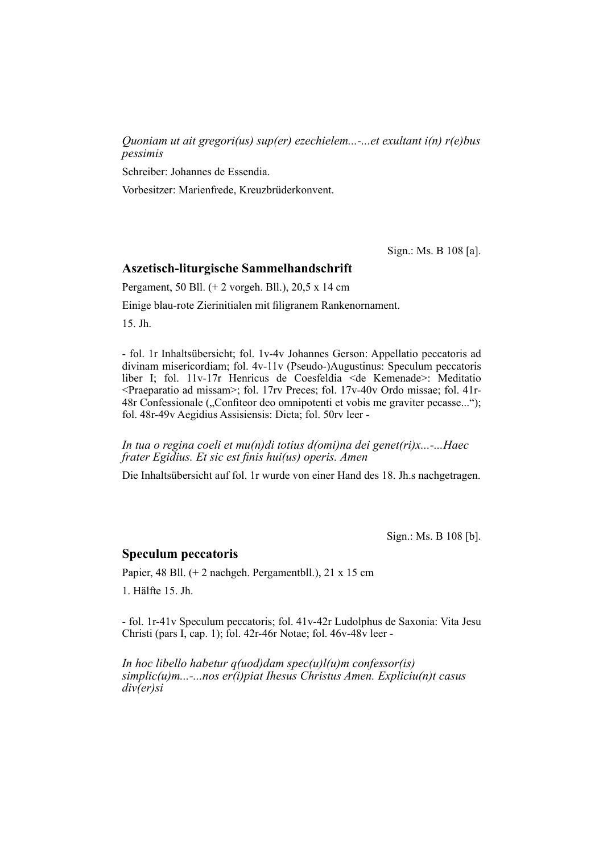*Quoniam ut ait gregori(us) sup(er) ezechielem...-...et exultant i(n) r(e)bus pessimis*

Schreiber: Johannes de Essendia.

Vorbesitzer: Marienfrede, Kreuzbrüderkonvent.

Sign.: Ms. B 108 [a].

#### **Aszetisch-liturgische Sammelhandschrift**

Pergament, 50 Bll. (+ 2 vorgeh. Bll.), 20,5 x 14 cm

Einige blau-rote Zierinitialen mit filigranem Rankenornament.

15. Jh.

- fol. 1r Inhaltsübersicht; fol. 1v-4v Johannes Gerson: Appellatio peccatoris ad divinam misericordiam; fol. 4v-11v (Pseudo-)Augustinus: Speculum peccatoris liber I; fol. 11v-17r Henricus de Coesfeldia <de Kemenade>: Meditatio <Praeparatio ad missam>; fol. 17rv Preces; fol. 17v-40v Ordo missae; fol. 41r-48r Confessionale ("Confiteor deo omnipotenti et vobis me graviter pecasse..."); fol. 48r-49v Aegidius Assisiensis: Dicta; fol. 50rv leer -

*In tua o regina coeli et mu(n)di totius d(omi)na dei genet(ri)x...-...Haec frater Egidius. Et sic est finis hui(us) operis. Amen* 

Die Inhaltsübersicht auf fol. 1r wurde von einer Hand des 18. Jh.s nachgetragen.

Sign.: Ms. B 108 [b].

#### **Speculum peccatoris**

Papier, 48 Bll. (+ 2 nachgeh. Pergamentbll.), 21 x 15 cm

1. Hälfte 15. Jh.

- fol. 1r-41v Speculum peccatoris; fol. 41v-42r Ludolphus de Saxonia: Vita Jesu Christi (pars I, cap. 1); fol. 42r-46r Notae; fol. 46v-48v leer -

*In hoc libello habetur q(uod)dam spec(u)l(u)m confessor(is) simplic(u)m...-...nos er(i)piat Ihesus Christus Amen. Expliciu(n)t casus div(er)si*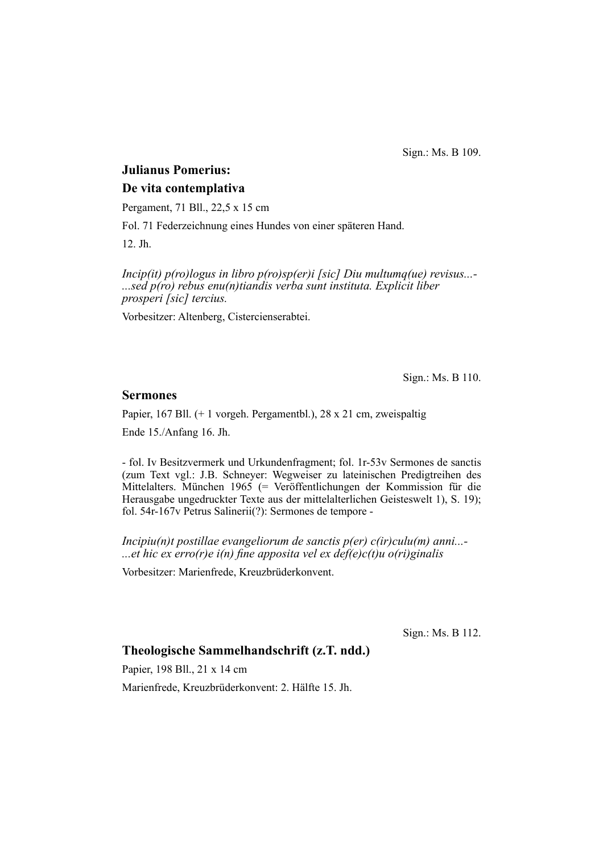Sign.: Ms. B 109.

# **Julianus Pomerius:**

### **De vita contemplativa**

Pergament, 71 Bll., 22,5 x 15 cm

Fol. 71 Federzeichnung eines Hundes von einer späteren Hand.

12. Jh.

*Incip(it) p(ro)logus in libro p(ro)sp(er)i [sic] Diu multumq(ue) revisus...- ...sed p(ro) rebus enu(n)tiandis verba sunt instituta. Explicit liber prosperi [sic] tercius.*

Vorbesitzer: Altenberg, Cistercienserabtei.

Sign.: Ms. B 110.

### **Sermones**

Papier, 167 Bll. (+ 1 vorgeh. Pergamentbl.), 28 x 21 cm, zweispaltig

Ende 15./Anfang 16. Jh.

- fol. Iv Besitzvermerk und Urkundenfragment; fol. 1r-53v Sermones de sanctis (zum Text vgl.: J.B. Schneyer: Wegweiser zu lateinischen Predigtreihen des Mittelalters. München 1965 (= Veröffentlichungen der Kommission für die Herausgabe ungedruckter Texte aus der mittelalterlichen Geisteswelt 1), S. 19); fol. 54r-167v Petrus Salinerii(?): Sermones de tempore -

*Incipiu(n)t postillae evangeliorum de sanctis p(er) c(ir)culu(m) anni...- ...et hic ex erro(r)e i(n) fine apposita vel ex def(e)c(t)u o(ri)ginalis* 

Vorbesitzer: Marienfrede, Kreuzbrüderkonvent.

Sign.: Ms. B 112.

# **Theologische Sammelhandschrift (z.T. ndd.)**

Papier, 198 Bll., 21 x 14 cm

Marienfrede, Kreuzbrüderkonvent: 2. Hälfte 15. Jh.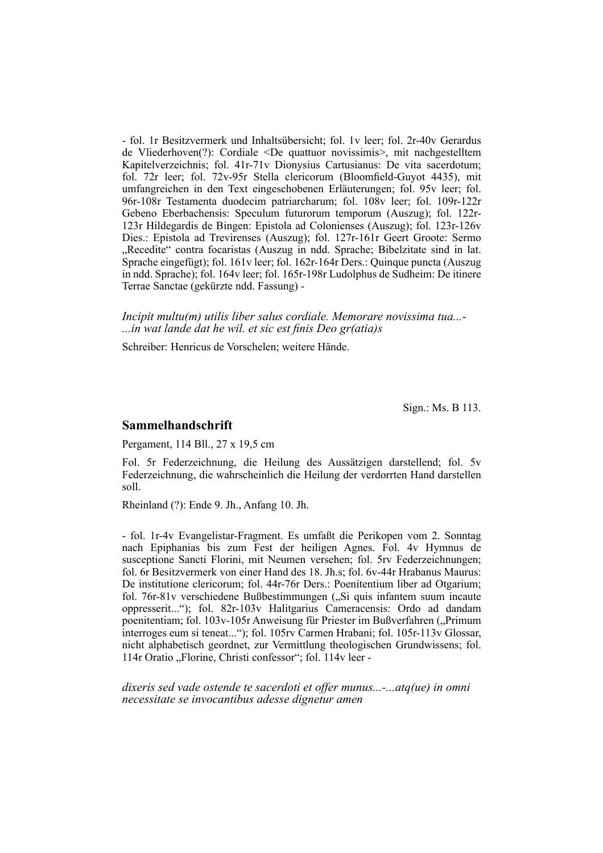- fol. 1r Besitzvermerk und Inhaltsübersicht; fol. 1v leer; fol. 2r-40v Gerardus de Vliederhoven(?): Cordiale <De quattuor novissimis>, mit nachgestelltem Kapitelverzeichnis; fol. 41r-71v Dionysius Cartusianus: De vita sacerdotum; fol. 72r leer; fol. 72v-95r Stella clericorum (Bloomfield-Guyot 4435), mit umfangreichen in den Text eingeschobenen Erläuterungen; fol. 95v leer; fol. 96r-108r Testamenta duodecim patriarcharum; fol. 108v leer; fol. 109r-122r Gebeno Eberbachensis: Speculum futurorum temporum (Auszug); fol. 122r-123r Hildegardis de Bingen: Epistola ad Colonienses (Auszug); fol. 123r-126v Dies.: Epistola ad Trevirenses (Auszug); fol. 127r-161r Geert Groote: Sermo "Recedite" contra focaristas (Auszug in ndd. Sprache; Bibelzitate sind in lat. Sprache eingefügt); fol. 161v leer; fol. 162r-164r Ders.: Quinque puncta (Auszug in ndd. Sprache); fol. 164v leer; fol. 165r-198r Ludolphus de Sudheim: De itinere Terrae Sanctae (gekürzte ndd. Fassung) -

*Incipit multu(m) utilis liber salus cordiale. Memorare novissima tua...- ...in wat lande dat he wil. et sic est finis Deo gr(atia)s* 

Schreiber: Henricus de Vorschelen; weitere Hände.

Sign.: Ms. B 113.

#### **Sammelhandschrift**

Pergament, 114 Bll., 27 x 19,5 cm

Fol. 5r Federzeichnung, die Heilung des Aussätzigen darstellend; fol. 5v Fe derzeichnung, die wahrscheinlich die Heilung der verdorrten Hand darstellen soll.

Rheinland (?): Ende 9. Jh., Anfang 10. Jh.

- fol. 1r-4v Evangelistar-Fragment. Es umfaßt die Perikopen vom 2. Sonntag nach Epiphanias bis zum Fest der heiligen Agnes. Fol. 4v Hymnus de susceptione Sancti Florini, mit Neumen versehen; fol. 5rv Federzeichnungen; fol. 6r Besitzvermerk von einer Hand des 18. Jh.s; fol. 6v-44r Hrabanus Maurus: De institutione clericorum; fol. 44r-76r Ders.: Poenitentium liber ad Otgarium; fol. 76r-81v verschiedene Bußbestimmungen ("Si quis infantem suum incaute oppresserit..."); fol. 82r-103v Halitgarius Cameracensis: Ordo ad dandam poenitentiam; fol. 103v-105r Anweisung für Priester im Bußverfahren ("Primum interroges eum si teneat..."); fol. 105rv Carmen Hrabani; fol. 105r-113v Glossar, nicht alphabetisch geordnet, zur Vermittlung theologischen Grundwissens; fol. 114r Oratio "Florine, Christi confessor"; fol. 114v leer -

*dixeris sed vade ostende te sacerdoti et offer munus...-...atq(ue) in omni necessitate se invocantibus adesse dignetur amen*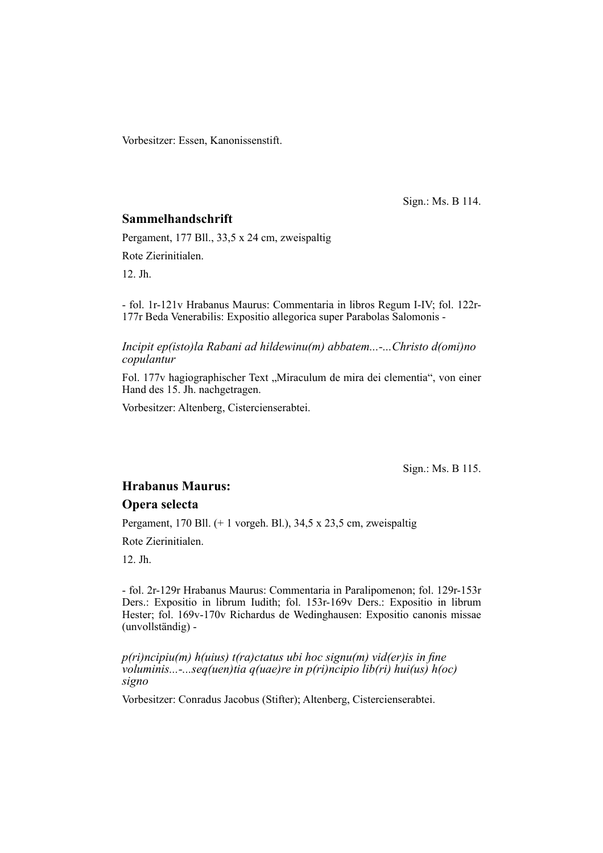Vorbesitzer: Essen, Kanonissenstift.

Sign.: Ms. B 114.

### **Sammelhandschrift**

Pergament, 177 Bll., 33,5 x 24 cm, zweispaltig

Rote Zierinitialen.

12. Jh.

- fol. 1r-121v Hrabanus Maurus: Commentaria in libros Regum I-IV; fol. 122r-177r Beda Venerabilis: Expositio allegorica super Parabolas Salomonis -

*Incipit ep(isto)la Rabani ad hildewinu(m) abbatem...-...Christo d(omi)no copulantur*

Fol. 177v hagiographischer Text "Miraculum de mira dei clementia", von einer Hand des 15. Jh. nachgetragen.

Vorbesitzer: Altenberg, Cistercienserabtei.

Sign.: Ms. B 115.

# **Hrabanus Maurus:**

#### **Opera selecta**

Pergament, 170 Bll. (+ 1 vorgeh. Bl.), 34,5 x 23,5 cm, zweispaltig

Rote Zierinitialen.

12. Jh.

- fol. 2r-129r Hrabanus Maurus: Commentaria in Paralipomenon; fol. 129r-153r Ders.: Expositio in librum Iudith; fol. 153r-169v Ders.: Expositio in librum Hester; fol. 169v-170v Richardus de Wedinghausen: Expositio canonis missae (unvollständig) -

*p(ri)ncipiu(m) h(uius) t(ra)ctatus ubi hoc signu(m) vid(er)is in fine voluminis...-...seq(uen)tia q(uae)re in p(ri)ncipio lib(ri) hui(us) h(oc) signo*

Vorbesitzer: Conradus Jacobus (Stifter); Altenberg, Cistercienserabtei.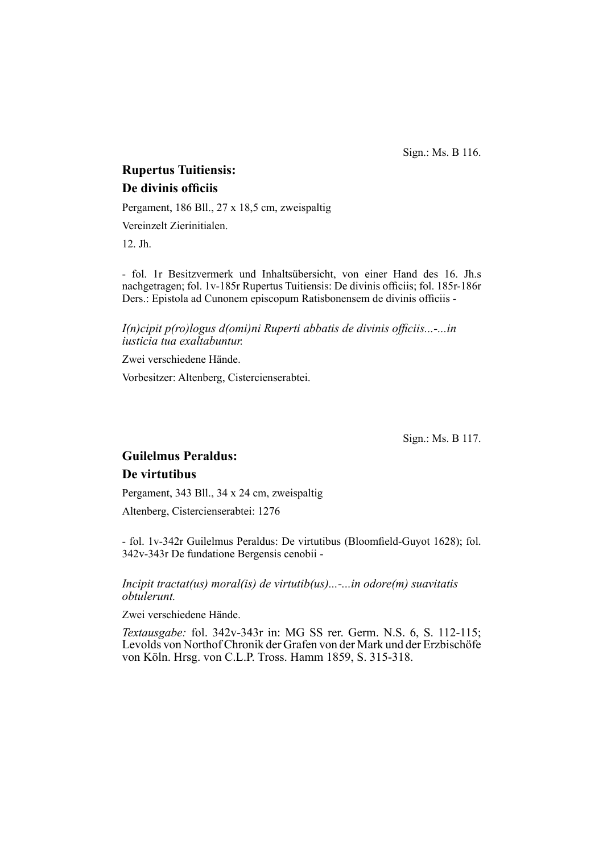Sign.: Ms. B 116.

# **Rupertus Tuitiensis: De divinis officiis**

Pergament, 186 Bll., 27 x 18,5 cm, zweispaltig

Vereinzelt Zierinitialen.

12. Jh.

- fol. 1r Besitzvermerk und Inhaltsübersicht, von einer Hand des 16. Jh.s nach getragen; fol. 1v-185r Rupertus Tuitiensis: De divinis officiis; fol. 185r-186r Ders.: Epistola ad Cunonem episcopum Ratisbonensem de divinis officiis -

*I(n)cipit p(ro)logus d(omi)ni Ruperti abbatis de divinis officiis...-...in iusticia tua exaltabuntur.*

Zwei verschiedene Hände.

Vorbesitzer: Altenberg, Cistercienserabtei.

Sign.: Ms. B 117.

# **Guilelmus Peraldus:**

#### **De virtutibus**

Pergament, 343 Bll., 34 x 24 cm, zweispaltig

Altenberg, Cistercienserabtei: 1276

- fol. 1v-342r Guilelmus Peraldus: De virtutibus (Bloomfield-Guyot 1628); fol. 342v-343r De fundatione Bergensis cenobii -

*Incipit tractat(us) moral(is) de virtutib(us)...-...in odore(m) suavitatis obtulerunt.*

Zwei verschiedene Hände.

*Textausgabe:* fol. 342v-343r in: MG SS rer. Germ. N.S. 6, S. 112-115; Levolds von Northof Chronik der Grafen von der Mark und der Erzbischöfe von Köln. Hrsg. von C.L.P. Tross. Hamm 1859, S. 315-318.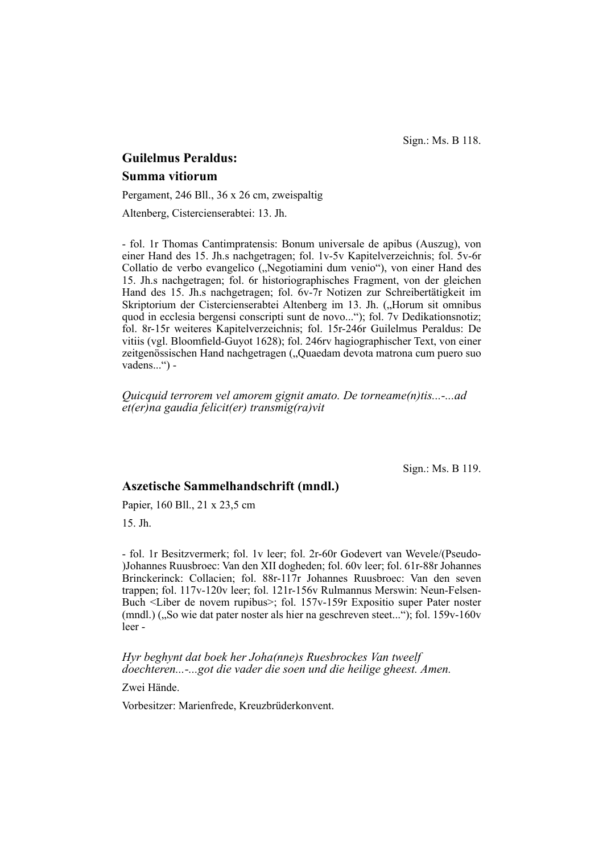Sign.: Ms. B 118.

# **Guilelmus Peraldus: Summa vitiorum**

Pergament, 246 Bll., 36 x 26 cm, zweispaltig

Altenberg, Cistercienserabtei: 13. Jh.

- fol. 1r Thomas Cantimpratensis: Bonum universale de apibus (Auszug), von einer Hand des 15. Jh.s nachgetragen; fol. 1v-5v Kapitelverzeichnis; fol. 5v-6r Collatio de verbo evangelico ("Negotiamini dum venio"), von einer Hand des 15. Jh.s nachgetragen; fol. 6r historiographisches Fragment, von der gleichen Hand des 15. Jh.s nachgetragen; fol. 6v-7r Notizen zur Schreibertätigkeit im Skriptorium der Cistercienserabtei Altenberg im 13. Jh. ("Horum sit omnibus quod in ecclesia bergensi conscripti sunt de novo..."); fol. 7v Dedikations notiz; fol. 8r-15r weiteres Kapitelverzeichnis; fol. 15r-246r Guilelmus Peraldus: De vitiis (vgl. Bloomfield- $\dot{G}$ uyot 1628); fol. 246rv hagiographischer Text, von einer zeitgenössischen Hand nachgetragen ("Quaedam devota matrona cum puero suo vadens...") -

*Quicquid terrorem vel amorem gignit amato. De torneame(n)tis...-...ad et(er)na gaudia felicit(er) transmig(ra)vit*

Sign.: Ms. B 119.

## **Aszetische Sammelhandschrift (mndl.)**

Papier, 160 Bll., 21 x 23,5 cm

15. Jh.

- fol. 1r Besitzvermerk; fol. 1v leer; fol. 2r-60r Godevert van We vele/(Pseudo- )Johannes Ruusbroec: Van den XII dogheden; fol. 60v leer; fol. 61r-88r Johannes Brinckerinck: Collacien; fol. 88r-117r Johannes Ruusbroec: Van den seven trappen; fol. 117v-120v leer; fol. 121r-156v Rulmannus Merswin: Neun-Felsen-Buch <Liber de novem rupibus>; fol. 157v-159r Expositio super Pater noster (mndl.)  $\left($ , So wie dat pater noster als hier na geschreven steet..."); fol. 159v-160v leer -

*Hyr beghynt dat boek her Joha(nne)s Ruesbrockes Van tweelf doechteren...-...got die vader die soen und die heilige gheest. Amen.*

Zwei Hände.

Vorbesitzer: Marienfrede, Kreuzbrüderkonvent.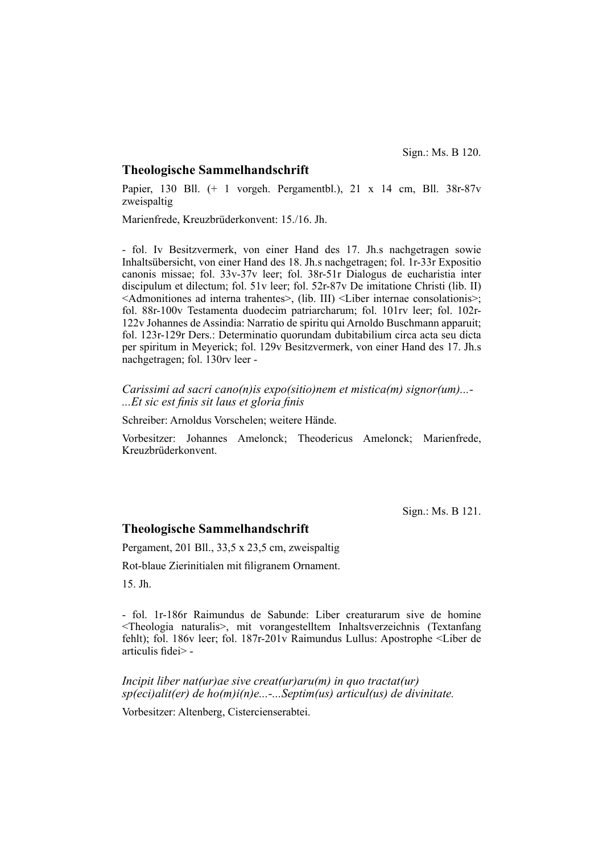#### **Theologische Sammelhandschrift**

Papier, 130 Bll. (+ 1 vorgeh. Pergamentbl.), 21 x 14 cm, Bll. 38r-87v zweispaltig

Marienfrede, Kreuzbrüderkonvent: 15./16. Jh.

- fol. Iv Besitzvermerk, von einer Hand des 17. Jh.s nachgetragen sowie Inhalts übersicht, von einer Hand des 18. Jh.s nachgetragen; fol. 1r-33r Expositio canonis missae; fol. 33v-37v leer; fol. 38r-51r Dialogus de eucharistia inter discipulum et dilectum; fol. 51v leer; fol. 52r-87v De imitatione Christi (lib. II)  $\leq$ Admonitiones ad interna trahentes $\geq$ , (lib. III)  $\leq$ Liber internae consolationis $\geq$ ; fol. 88r-100v Testamenta duodecim patriarcharum; fol. 101rv leer; fol. 102r-122v Johannes de Assindia: Narratio de spiritu qui Arnoldo Buschmann apparuit; fol. 123r-129r Ders.: Determinatio quorundam dubitabilium circa acta seu dicta per spiritum in Meyerick; fol. 129v Besitz vermerk, von einer Hand des 17. Jh.s nachgetragen; fol. 130rv leer -

*Carissimi ad sacri cano(n)is expo(sitio)nem et mistica(m) signor(um)...-* ...*Et sic est finis sit laus et gloria finis* 

Schreiber: Arnoldus Vorschelen; weitere Hände.

Vorbesitzer: Johannes Amelonck; Theodericus Amelonck; Marienfrede, Kreuzbrüderkonvent.

Sign.: Ms. B 121.

#### **Theologische Sammelhandschrift**

Pergament, 201 Bll., 33,5 x 23,5 cm, zweispaltig

Rot-blaue Zierinitialen mit filigranem Ornament.

15. Jh.

- fol. 1r-186r Raimundus de Sabunde: Liber creaturarum sive de homine <Theologia naturalis>, mit vorangestelltem Inhaltsverzeichnis (Textanfang fehlt); fol. 186v leer; fol. 187r-201v Raimundus Lullus: Apostrophe <Liber de articulis fidei $>$  -

*Incipit liber nat(ur)ae sive creat(ur)aru(m) in quo tractat(ur) sp(eci)alit(er) de ho(m)i(n)e...-...Septim(us) articul(us) de divinitate.*

Vorbesitzer: Altenberg, Cistercienserabtei.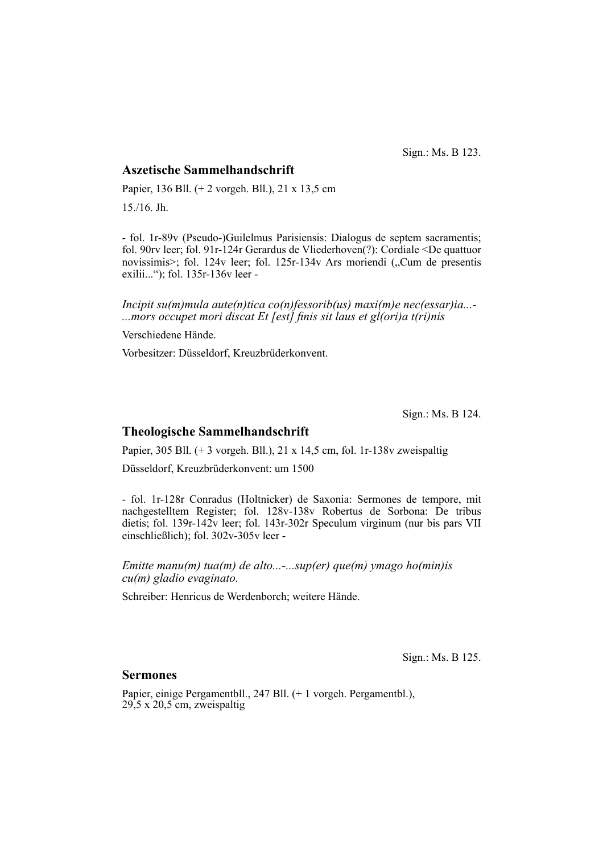Sign.: Ms. B 123.

### **Aszetische Sammelhandschrift**

Papier, 136 Bll. (+ 2 vorgeh. Bll.), 21 x 13,5 cm 15./16. Jh.

- fol. 1r-89v (Pseudo-)Guilelmus Parisiensis: Dialogus de septem sacramentis; fol. 90rv leer; fol. 91r-124r Gerardus de Vliederhoven(?): Cordiale <De quattuor novissimis>; fol. 124v leer; fol. 125r-134v Ars moriendi ("Cum de presentis exilii..."); fol. 135r-136v leer -

*Incipit su(m)mula aute(n)tica co(n)fessorib(us) maxi(m)e nec(essar)ia...-* ...*mors occupet mori discat Et [est] finis sit laus et gl(ori)a t(ri)nis* 

Verschiedene Hände.

Vorbesitzer: Düsseldorf, Kreuzbrüderkonvent.

Sign.: Ms. B 124.

### **Theologische Sammelhandschrift**

Papier, 305 Bll. (+ 3 vorgeh. Bll.), 21 x 14,5 cm, fol. 1r-138v zweispaltig

Düsseldorf, Kreuzbrüderkonvent: um 1500

- fol. 1r-128r Conradus (Holtnicker) de Saxonia: Sermones de tempore, mit nachgestelltem Register; fol. 128v-138v Robertus de Sorbona: De tribus dietis; fol. 139r-142v leer; fol. 143r-302r Speculum virginum (nur bis pars VII einschließlich); fol. 302v-305v leer -

*Emitte manu(m) tua(m) de alto...-...sup(er) que(m) ymago ho(min)is cu(m) gladio evaginato.*

Schreiber: Henricus de Werdenborch; weitere Hände.

Sign.: Ms. B 125.

#### **Sermones**

Papier, einige Pergamentbll., 247 Bll. (+ 1 vorgeh. Pergamentbl.),  $29,5 \times 20,5 \text{ cm}$ , zweispaltig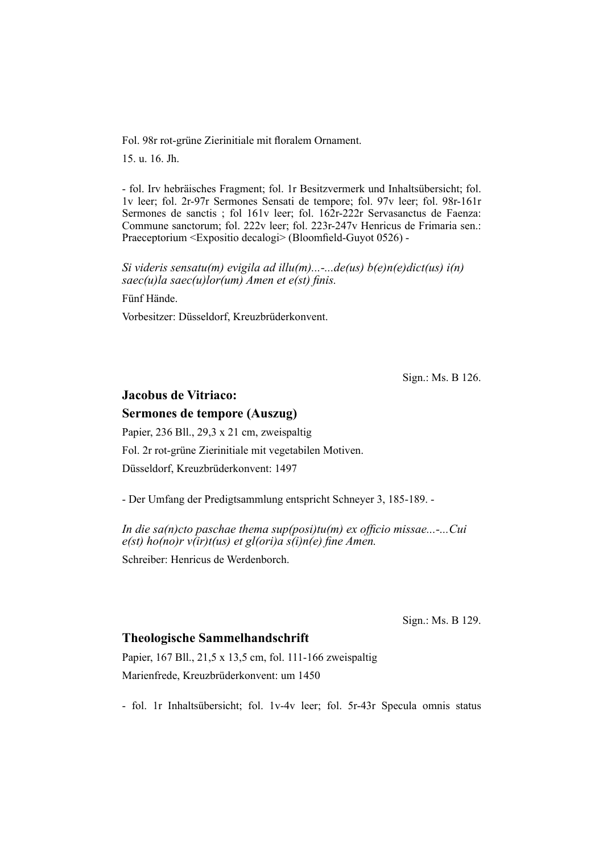Fol. 98r rot-grüne Zierinitiale mit floralem Ornament.

15. u. 16. Jh.

- fol. Irv hebräisches Fragment; fol. 1r Besitzvermerk und Inhaltsübersicht; fol. 1v leer; fol. 2r-97r Sermones Sensati de tempore; fol. 97v leer; fol. 98r-161r Sermones de sanctis ; fol 161v leer; fol. 162r-222r Servasanctus de Faenza: Commune sanctorum; fol. 222v leer; fol. 223r-247v Henricus de Frimaria sen.: Praeceptorium <Expositio decalogi> (Bloomfield-Guyot 0526) -

*Si videris sensatu(m) evigila ad illu(m)...-...de(us) b(e)n(e)dict(us) i(n) saec(u)la saec(u)lor(um) Amen et e(st) finis.* 

Fünf Hände.

Vorbesitzer: Düsseldorf, Kreuzbrüderkonvent.

Sign.: Ms. B 126.

## **Jacobus de Vitriaco:**

### **Sermones de tempore (Auszug)**

Papier, 236 Bll., 29,3 x 21 cm, zweispaltig Fol. 2r rot-grüne Zierinitiale mit vegetabilen Motiven. Düsseldorf, Kreuzbrüderkonvent: 1497

- Der Umfang der Predigtsammlung entspricht Schneyer 3, 185-189. -

*In die sa(n)cto paschae thema sup(posi)tu(m) ex officio missae...-...Cui*  $e(st)$  ho(no)r  $v(ir)t(us)$  et gl(ori)a  $s(i)$ n(e) fine Amen.

Schreiber: Henricus de Werdenborch.

Sign.: Ms. B 129.

#### **Theologische Sammelhandschrift**

Papier, 167 Bll., 21,5 x 13,5 cm, fol. 111-166 zweispaltig Marienfrede, Kreuzbrüderkonvent: um 1450

- fol. 1r Inhaltsübersicht; fol. 1v-4v leer; fol. 5r-43r Specula omnis status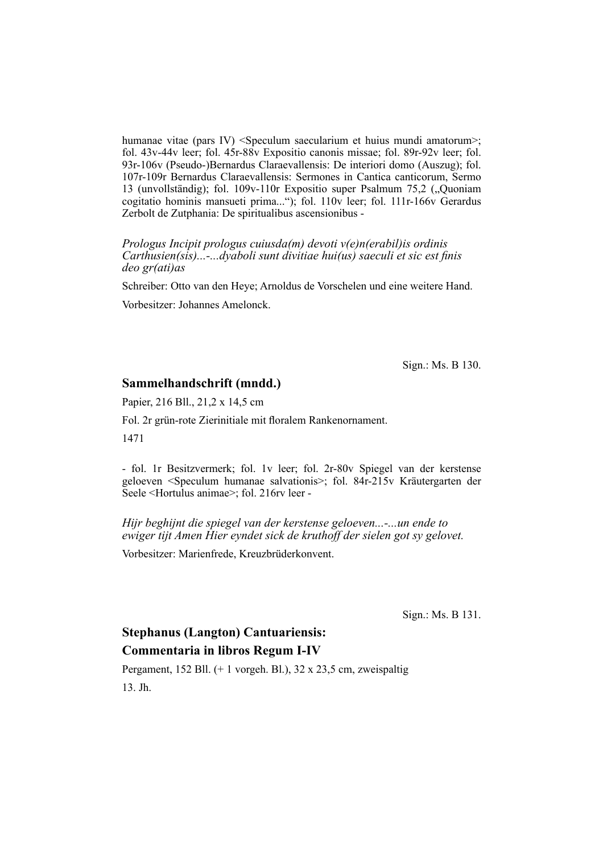humanae vitae (pars IV) <Speculum saecularium et huius mundi amatorum>; fol. 43v-44v leer; fol. 45r-88v Expositio canonis missae; fol. 89r-92v leer; fol. 93r-106v (Pseudo-)Bernardus Claraevallensis: De interiori domo (Auszug); fol. 107r-109r Bernardus Claraevallensis: Sermones in Cantica canticorum, Sermo 13 (unvollständig); fol. 109v-110r Expositio super Psalmum 75,2 ("Quoniam cogitatio hominis mansueti prima..."); fol. 110v leer; fol. 111r-166v Gerardus Zerbolt de Zutphania: De spiritualibus ascensionibus -

*Prologus Incipit prologus cuiusda(m) devoti v(e)n(erabil)is ordinis Carthusien(sis)...-...dyaboli sunt divitiae hui(us) saeculi et sic est finis deo gr(ati)as*

Schreiber: Otto van den Heye; Arnoldus de Vorschelen und eine weitere Hand.

Vorbesitzer: Johannes Amelonck.

Sign.: Ms. B 130.

#### **Sammelhandschrift (mndd.)**

Papier, 216 Bll., 21,2 x 14,5 cm

Fol. 2r grün-rote Zierinitiale mit floralem Rankenornament.

1471

- fol. 1r Besitzvermerk; fol. 1v leer; fol. 2r-80v Spiegel van der kerstense geloeven <Speculum humanae salvationis>; fol. 84r-215v Kräutergarten der Seele <Hortulus animae>; fol. 216rv leer -

*Hijr beghijnt die spiegel van der kerstense geloeven...-...un ende to ewiger tijt Amen Hier eyndet sick de kruthoff der sielen got sy gelovet.*

Vorbesitzer: Marienfrede, Kreuzbrüderkonvent.

Sign.: Ms. B 131.

# **Stephanus (Langton) Cantuariensis: Commentaria in libros Regum I-IV**

Pergament, 152 Bll. (+ 1 vorgeh. Bl.), 32 x 23,5 cm, zweispaltig 13. Jh.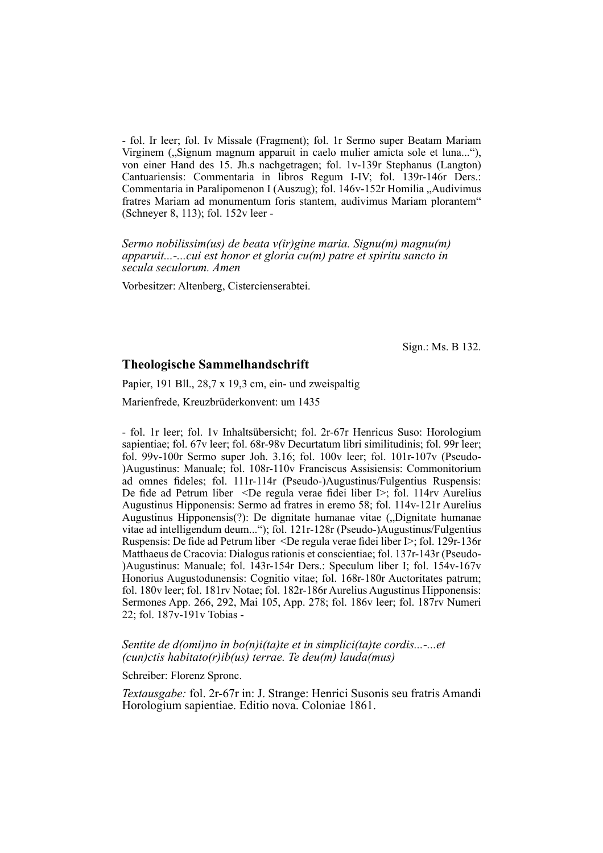- fol. Ir leer; fol. Iv Missale (Fragment); fol. 1r Sermo super Beatam Mariam Virginem ("Signum magnum apparuit in caelo mulier amicta sole et luna..."), von einer Hand des 15. Jh.s nachgetragen; fol. 1v-139r Stephanus (Langton) Cantuariensis: Commentaria in libros Regum I-IV; fol. 139r-146r Ders.: Commentaria in Paralipomenon I (Auszug); fol. 146v-152r Homilia "Audivimus fratres Mariam ad monumentum foris stantem, audivimus Mariam plorantem" (Schneyer 8, 113); fol. 152v leer -

*Sermo nobilissim(us) de beata v(ir)gine maria. Signu(m) magnu(m) apparuit...-...cui est honor et gloria cu(m) patre et spiritu sancto in secula seculorum. Amen*

Vorbesitzer: Altenberg, Cistercienserabtei.

Sign.: Ms. B 132.

#### **Theologische Sammelhandschrift**

Papier, 191 Bll., 28,7 x 19,3 cm, ein- und zweispaltig

Marienfrede, Kreuzbrüderkonvent: um 1435

- fol. 1r leer; fol. 1v Inhaltsübersicht; fol. 2r-67r Henricus Suso: Horologium sapientiae; fol. 67v leer; fol. 68r-98v Decurtatum libri similitudinis; fol. 99r leer; fol. 99v-100r Sermo super Joh. 3.16; fol. 100v leer; fol. 101r-107v (Pseudo- )Augustinus: Manuale; fol. 108r-110v Franciscus Assisiensis: Commonitorium ad omnes fideles; fol. 111r-114r (Pseudo-)Augustinus/Fulgentius Ruspensis: De fide ad Petrum liber <De regula verae fidei liber  $\triangleright$ ; fol. 114rv Aurelius Augustinus Hipponensis: Sermo ad fratres in eremo 58; fol. 114v-121r Aurelius Augustinus Hipponensis(?): De dignitate humanae vitae ("Dignitate humanae" vitae ad intelligendum deum..."); fol. 121r-128r (Pseudo-)Augustinus/Fulgentius Ruspensis: De fide ad Petrum liber <De regula verae fidei liber I>; fol. 129r-136r Matthaeus de Cracovia: Dialogus rationis et conscientiae; fol. 137r-143r (Pseudo-)Augustinus: Manuale; fol. 143r-154r Ders.: Speculum liber I; fol. 154v-167v Honorius Augustodunensis: Cognitio vitae; fol. 168r-180r Auctoritates patrum; fol. 180v leer; fol. 181rv Notae; fol. 182r-186r Aurelius Augustinus Hipponensis: Sermones App. 266, 292, Mai 105, App. 278; fol. 186v leer; fol. 187rv Numeri 22; fol. 187v-191v Tobias -

#### *Sentite de d(omi)no in bo(n)i(ta)te et in simplici(ta)te cordis...-...et (cun)ctis habitato(r)ib(us) terrae. Te deu(m) lauda(mus)*

#### Schreiber: Florenz Spronc.

*Textausgabe:* fol. 2r-67r in: J. Strange: Henrici Susonis seu fratris Amandi Horologium sapientiae. Editio nova. Coloniae 1861.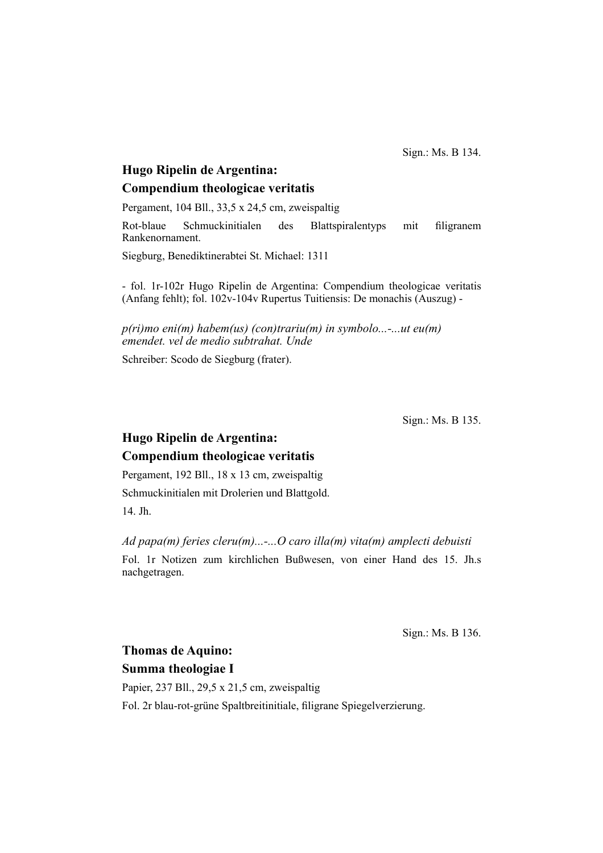Sign.: Ms. B 134.

# **Hugo Ripelin de Argentina: Compendium theologicae veritatis**

Pergament, 104 Bll., 33,5 x 24,5 cm, zweispaltig

Rot-blaue Schmuckinitialen des Blattspiralentyps mit filigranem Rankenornament.

Siegburg, Benediktinerabtei St. Michael: 1311

- fol. 1r-102r Hugo Ripelin de Argentina: Compendium theologicae veritatis (Anfang fehlt); fol. 102v-104v Rupertus Tuitiensis: De monachis (Auszug) -

*p(ri)mo eni(m) habem(us) (con)trariu(m) in symbolo...-...ut eu(m) emendet. vel de medio subtrahat. Unde*

Schreiber: Scodo de Siegburg (frater).

Sign.: Ms. B 135.

# **Hugo Ripelin de Argentina: Compendium theologicae veritatis**

Pergament, 192 Bll., 18 x 13 cm, zweispaltig Schmuckinitialen mit Drolerien und Blattgold. 14. Jh.

*Ad papa(m) feries cleru(m)...-...O caro illa(m) vita(m) amplecti debuisti*

Fol. 1r Notizen zum kirchlichen Bußwesen, von einer Hand des 15. Jh.s nachgetragen.

Sign.: Ms. B 136.

# **Thomas de Aquino: Summa theologiae I**

Papier, 237 Bll., 29,5 x 21,5 cm, zweispaltig Fol. 2r blau-rot-grüne Spaltbreitinitiale, filigrane Spiegelverzierung.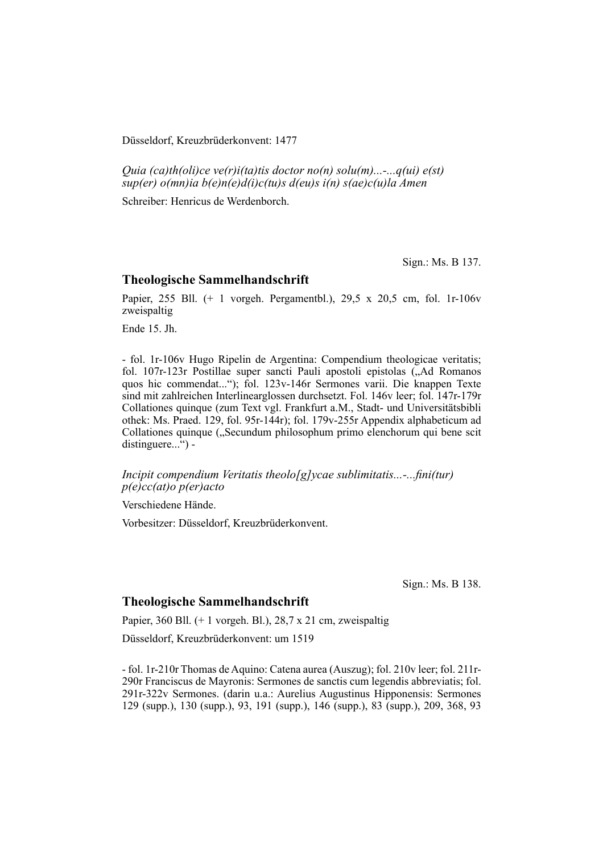Düsseldorf, Kreuzbrüderkonvent: 1477

*Quia (ca)th(oli)ce ve(r)i(ta)tis doctor no(n) solu(m)...-...q(ui) e(st) sup(er) o(mn)ia b(e)n(e)d(i)c(tu)s d(eu)s i(n) s(ae)c(u)la Amen*

Schreiber: Henricus de Werdenborch.

Sign.: Ms. B 137.

#### **Theologische Sammelhandschrift**

Papier, 255 Bll. (+ 1 vorgeh. Pergamentbl.), 29,5 x 20,5 cm, fol. 1r-106v zweispaltig

Ende 15. Jh.

- fol. 1r-106v Hugo Ripelin de Argentina: Compendium theologicae veritatis; fol. 107r-123r Postillae super sancti Pauli apostoli epistolas ("Ad Romanos quos hic commendat..."); fol. 123v-146r Sermones varii. Die knappen Texte sind mit zahlreichen Interlinearglossen durchsetzt. Fol. 146v leer; fol. 147r-179r Collationes quinque (zum Text vgl. Frankfurt a.M., Stadt- und Universitäts bibli othek: Ms. Praed. 129, fol. 95r-144r); fol. 179v-255r Appendix alphabeticum ad Collationes quinque ("Secundum philosophum primo elen chorum qui bene scit distinguere...") -

*Incipit compendium Veritatis theolo[g]ycae sublimitatis...-...fini(tur) p(e)cc(at)o p(er)acto*

Verschiedene Hände.

Vorbesitzer: Düsseldorf, Kreuzbrüderkonvent.

Sign.: Ms. B 138.

#### **Theologische Sammelhandschrift**

Papier, 360 Bll. (+ 1 vorgeh. Bl.), 28,7 x 21 cm, zweispaltig

Düsseldorf, Kreuzbrüderkonvent: um 1519

- fol. 1r-210r Thomas de Aquino: Catena aurea (Auszug); fol. 210v leer; fol. 211r-290r Franciscus de Mayronis: Sermones de sanctis cum legendis abbreviatis; fol. 291r-322v Sermones. (darin u.a.: Aurelius Augustinus Hipponensis: Sermones 129 (supp.), 130 (supp.), 93, 191 (supp.), 146 (supp.), 83 (supp.), 209, 368, 93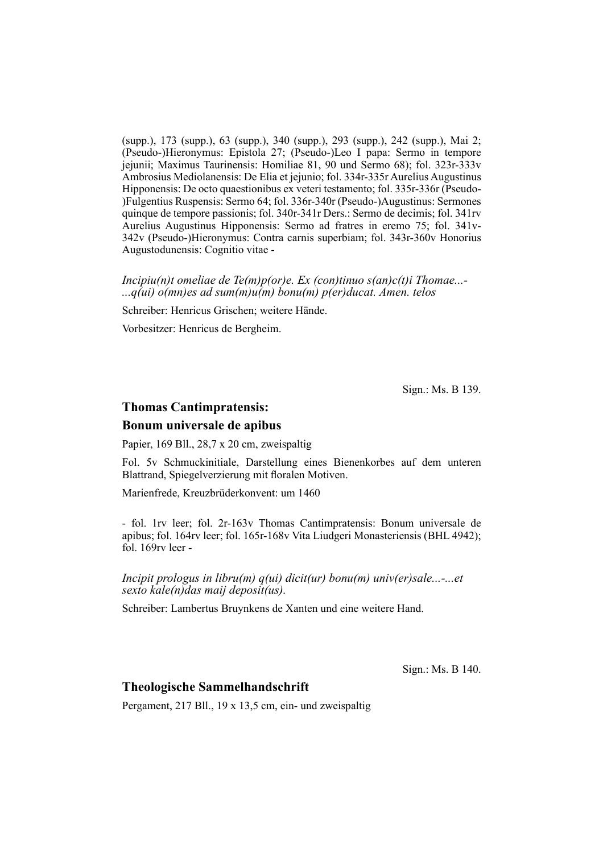(supp.), 173 (supp.), 63 (supp.), 340 (supp.), 293 (supp.), 242 (supp.), Mai 2; (Pseudo-)Hieronymus: Epistola 27; (Pseudo-)Leo I papa: Sermo in tempore jejunii; Maximus Taurinensis: Homiliae 81, 90 und Sermo 68); fol. 323r-333v Ambrosius Mediolanensis: De Elia et jejunio; fol. 334r-335r Aurelius Augustinus Hipponensis: De octo quaestionibus ex veteri testamento; fol. 335r-336r (Pseudo-)Fulgentius Ruspensis: Sermo 64; fol. 336r-340r (Pseudo-)Augustinus: Sermones quinque de tempore passionis; fol. 340r-341r Ders.: Sermo de decimis; fol. 341rv Aurelius Augustinus Hipponensis: Sermo ad fratres in eremo 75; fol. 341 v-342v (Pseudo-)Hiero nymus: Contra carnis superbiam; fol. 343r-360v Honorius Augustodu nensis: Cognitio vitae -

*Incipiu(n)t omeliae de Te(m)p(or)e. Ex (con)tinuo s(an)c(t)i Thomae...- ...q(ui) o(mn)es ad sum(m)u(m) bonu(m) p(er)ducat. Amen. telos*

Schreiber: Henricus Grischen; weitere Hände.

Vorbesitzer: Henricus de Bergheim.

Sign.: Ms. B 139.

### **Thomas Cantimpratensis:**

#### **Bonum universale de apibus**

Papier, 169 Bll., 28,7 x 20 cm, zweispaltig

Fol. 5v Schmuckinitiale, Darstellung eines Bienenkorbes auf dem unteren Blattrand, Spiegelverzierung mit floralen Motiven.

Marienfrede, Kreuzbrüderkonvent: um 1460

- fol. 1rv leer; fol. 2r-163v Thomas Cantimpratensis: Bonum universale de apibus; fol. 164rv leer; fol. 165r-168v Vita Liudgeri Monasteriensis (BHL 4942); fol. 169rv leer -

*Incipit prologus in libru(m) q(ui) dicit(ur) bonu(m) univ(er)sale...-...et sexto kale(n)das maij deposit(us).*

Schreiber: Lambertus Bruynkens de Xanten und eine weitere Hand.

Sign.: Ms. B 140.

#### **Theologische Sammelhandschrift**

Pergament, 217 Bll., 19 x 13,5 cm, ein- und zweispaltig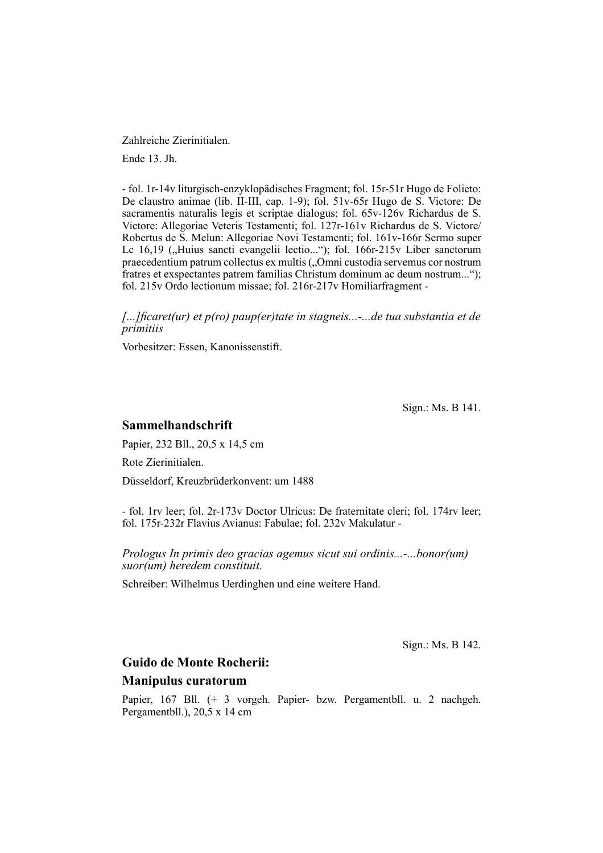Zahlreiche Zierinitialen.

Ende 13. Jh.

- fol. 1r-14v liturgisch-enzyklopädisches Fragment; fol. 15r-51r Hugo de Folieto: De claustro animae (lib. II-III, cap. 1-9); fol. 51v-65r Hugo de S. Victore: De sacramentis naturalis legis et scriptae dialogus; fol. 65v-126v Richardus de S. Victore: Allegoriae Veteris Testamenti; fol. 127r-161v Richardus de S. Victore/ Robertus de S. Melun: Allegoriae Novi Testamenti; fol. 161v-166r Sermo super Lc 16,19 ("Huius sancti evangelii lectio..."); fol. 166r-215v Liber sanctorum praecedentium patrum collectus ex multis ("Omni custodia servemus cor nostrum fratres et exspectantes patrem familias Christum dominum ac deum nostrum..."); fol. 215v Ordo lectionum missae; fol. 216r-217v Homiliarfragment -

*[...]fi caret(ur) et p(ro) paup(er)tate in stagneis...-...de tua substantia et de primitiis*

Vorbesitzer: Essen, Kanonissenstift.

Sign.: Ms. B 141.

### **Sammelhandschrift**

Papier, 232 Bll., 20,5 x 14,5 cm

Rote Zierinitialen.

Düsseldorf, Kreuzbrüderkonvent: um 1488

- fol. 1rv leer; fol. 2r-173v Doctor Ulricus: De fraternitate cleri; fol. 174rv leer; fol. 175r-232r Flavius Avianus: Fabulae; fol. 232v Makulatur -

*Prologus In primis deo gracias agemus sicut sui ordinis...-...bonor(um) suor(um) heredem constituit.*

Schreiber: Wilhelmus Uerdinghen und eine weitere Hand.

Sign.: Ms. B 142.

# **Guido de Monte Rocherii: Manipulus curatorum**

Papier, 167 Bll. (+ 3 vorgeh. Papier- bzw. Pergamentbll. u. 2 nachgeh. Pergamentbll.),  $20.5 \times 14$  cm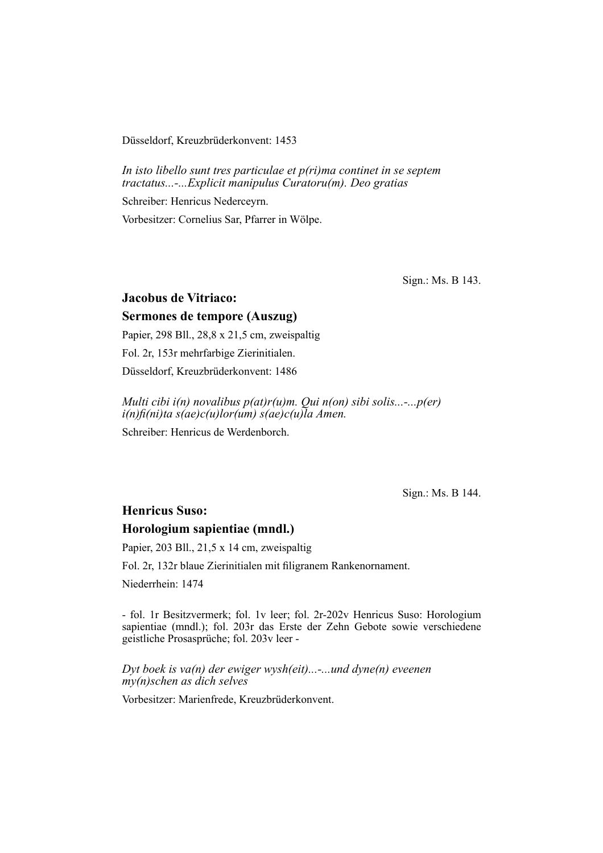Düsseldorf, Kreuzbrüderkonvent: 1453

*In isto libello sunt tres particulae et p(ri)ma continet in se septem tractatus...-...Explicit manipulus Curatoru(m). Deo gratias*

Schreiber: Henricus Nederceyrn.

Vorbesitzer: Cornelius Sar, Pfarrer in Wölpe.

Sign.: Ms. B 143.

## **Jacobus de Vitriaco:**

## **Sermones de tempore (Auszug)**

Papier, 298 Bll., 28,8 x 21,5 cm, zweispaltig Fol. 2r, 153r mehrfarbige Zierinitialen. Düsseldorf, Kreuzbrüderkonvent: 1486

*Multi cibi i(n) novalibus p(at)r(u)m. Qui n(on) sibi solis...-...p(er) i(n)fi (ni)ta s(ae)c(u)lor(um) s(ae)c(u)la Amen.*

Schreiber: Henricus de Werdenborch.

Sign.: Ms. B 144.

## **Henricus Suso:**

#### **Horologium sapientiae (mndl.)**

Papier, 203 Bll., 21,5 x 14 cm, zweispaltig

Fol. 2r, 132r blaue Zierinitialen mit filigranem Rankenornament.

Niederrhein: 1474

- fol. 1r Besitzvermerk; fol. 1v leer; fol. 2r-202v Henricus Suso: Horologium sapientiae (mndl.); fol. 203r das Erste der Zehn Gebote sowie verschiedene geistliche Prosasprüche; fol. 203v leer -

*Dyt boek is va(n) der ewiger wysh(eit)...-...und dyne(n) eveenen my(n)schen as dich selves*

Vorbesitzer: Marienfrede, Kreuzbrüderkonvent.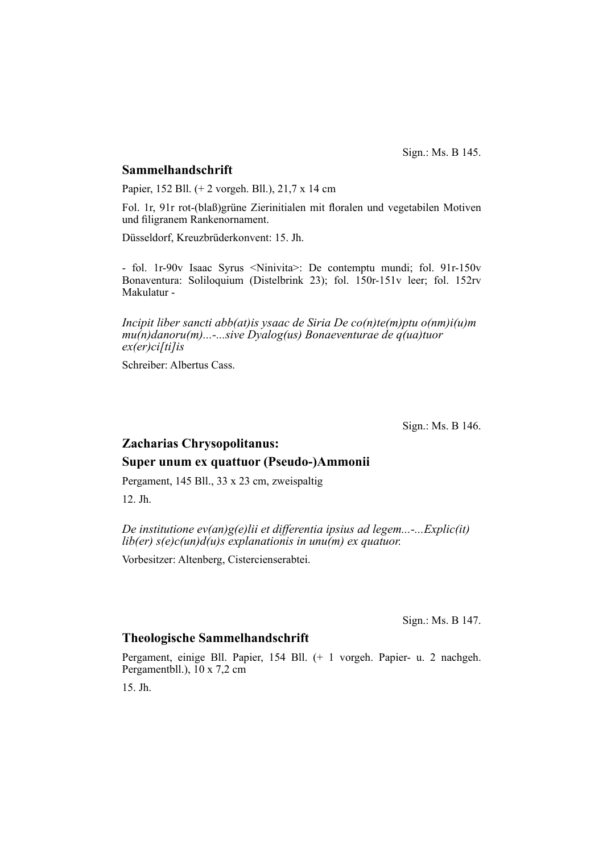Sign.: Ms. B 145.

#### **Sammelhandschrift**

Papier, 152 Bll. (+ 2 vorgeh. Bll.), 21,7 x 14 cm

Fol. 1r, 91r rot-(blaß)grüne Zierinitialen mit floralen und vegetabilen Motiven und filigranem Rankenornament.

Düsseldorf, Kreuzbrüderkonvent: 15. Jh.

- fol. 1r-90v Isaac Syrus <Ninivita>: De contemptu mundi; fol. 91r-150v Bonaventura: Soliloquium (Distelbrink 23); fol. 150r-151v leer; fol. 152rv Makulatur -

*Incipit liber sancti abb(at)is ysaac de Siria De co(n)te(m)ptu o(nm)i(u)m mu(n)danoru(m)...-...sive Dyalog(us) Bonaeventurae de q(ua)tuor ex(er)ci[ti]is*

Schreiber: Albertus Cass.

Sign.: Ms. B 146.

# **Zacharias Chrysopolitanus: Super unum ex quattuor (Pseudo-)Ammonii**

Pergament, 145 Bll., 33 x 23 cm, zweispaltig

12. Jh.

*De institutione ev(an)g(e)lii et differentia ipsius ad legem...-...Explic(it) lib(er) s(e)c(un)d(u)s explanationis in unu(m) ex quatuor.*

Vorbesitzer: Altenberg, Cistercienserabtei.

Sign.: Ms. B 147.

#### **Theologische Sammelhandschrift**

Pergament, einige Bll. Papier, 154 Bll. (+ 1 vorgeh. Papier- u. 2 nachgeh. Pergamentbll.), 10 x 7,2 cm

15. Jh.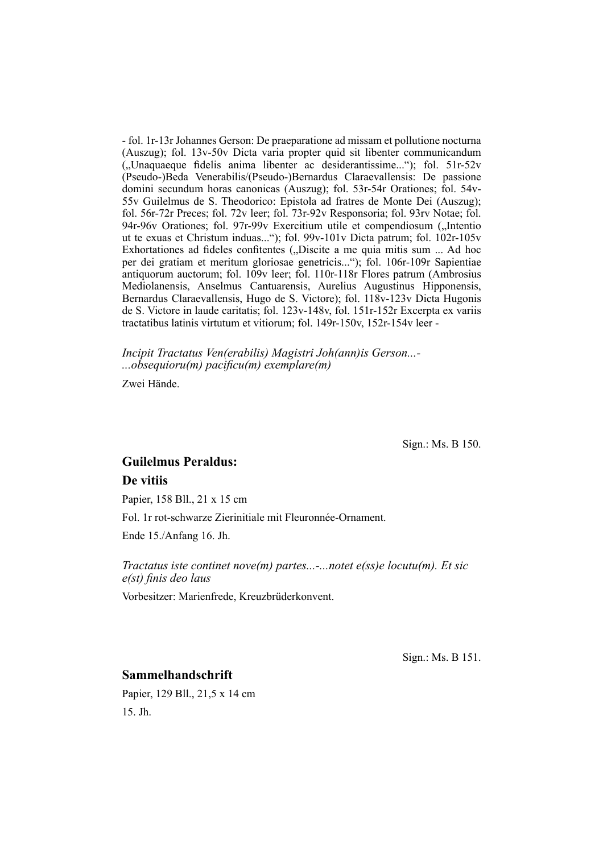- fol. 1r-13r Johannes Gerson: De praeparatione ad missam et pollutione nocturna (Auszug); fol.  $13v-50v$  Dicta varia propter quid sit libenter communicandum ("Unaquaeque fidelis anima libenter ac desiderantissime..."); fol. 51r-52v (Pseudo-)Beda Venerabilis/(Pseudo-)Bernardus Claraevallensis: De passione domini secundum horas canonicas (Auszug); fol. 53r-54r Orationes; fol. 54v-55v Guilelmus de S. Theodorico: Epistola ad fratres de Monte Dei (Auszug); fol. 56r-72r Preces; fol. 72v leer; fol. 73r-92v Responsoria; fol. 93rv Notae; fol. 94r-96v Orationes; fol. 97r-99v Exercitium utile et compendiosum ("Intentio ut te exuas et Christum induas..."); fol. 99v-101v Dicta patrum; fol. 102r-105v Exhortationes ad fideles confitentes ("Discite a me quia mitis sum ... Ad hoc per dei gratiam et meritum gloriosae genetricis..."); fol. 106r-109r Sapientiae antiquorum auctorum; fol. 109v leer; fol. 110r-118r Flores patrum (Ambrosius Mediolanensis, Anselmus Cantuarensis, Aurelius Augustinus Hipponensis, Bernardus Claraevallensis, Hugo de S. Victore); fol. 118v-123v Dicta Hugonis de S. Victore in laude caritatis; fol. 123v-148v, fol. 151r-152r Excerpta ex variis tractatibus latinis virtutum et vitiorum; fol. 149r-150v, 152r-154v leer -

*Incipit Tractatus Ven(erabilis) Magistri Joh(ann)is Gerson...- ...obsequioru(m) pacifi cu(m) exemplare(m)*

Zwei Hände.

Sign.: Ms. B 150.

# **Guilelmus Peraldus: De vitiis**

Papier, 158 Bll., 21 x 15 cm

Fol. 1r rot-schwarze Zierinitiale mit Fleuronnée-Ornament.

Ende 15./Anfang 16. Jh.

*Tractatus iste continet nove(m) partes...-...notet e(ss)e locutu(m). Et sic*   $e(st)$  finis deo laus

Vorbesitzer: Marienfrede, Kreuzbrüderkonvent.

Sign.: Ms. B 151.

#### **Sammelhandschrift**

Papier, 129 Bll., 21,5 x 14 cm 15. Jh.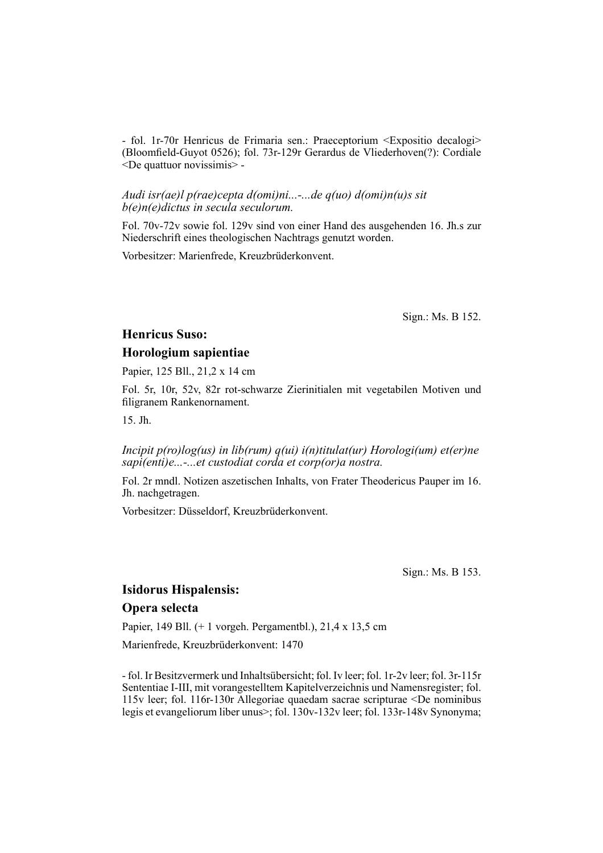- fol. 1r-70r Henricus de Frimaria sen.: Praeceptorium <Expositio decalogi> (Bloomfield-Guyot 0526); fol. 73r-129r Gerardus de Vliederhoven(?): Cordiale <De quattuor novissimis> -

#### *Audi isr(ae)l p(rae)cepta d(omi)ni...-...de q(uo) d(omi)n(u)s sit b(e)n(e)dictus in secula seculorum.*

Fol. 70v-72v sowie fol. 129v sind von einer Hand des ausgehenden 16. Jh.s zur Niederschrift eines theologischen Nachtrags genutzt worden.

Vorbesitzer: Marienfrede, Kreuzbrüderkonvent.

Sign.: Ms. B 152.

#### **Henricus Suso:**

#### **Horologium sapientiae**

Papier, 125 Bll., 21,2 x 14 cm

Fol. 5r, 10r, 52v, 82r rot-schwarze Zierinitialen mit vegetabilen Motiven und filigranem Rankenornament.

15. Jh.

*Incipit p(ro)log(us) in lib(rum) q(ui) i(n)titulat(ur) Horologi(um) et(er)ne sapi(enti)e...-...et custodiat corda et corp(or)a nostra.*

Fol. 2r mndl. Notizen aszetischen Inhalts, von Frater Theodericus Pauper im 16. Jh. nachgetragen.

Vorbesitzer: Düsseldorf, Kreuzbrüderkonvent.

Sign.: Ms. B 153.

## **Isidorus Hispalensis: Opera selecta**

Papier, 149 Bll. (+ 1 vorgeh. Pergamentbl.), 21,4 x 13,5 cm

Marienfrede, Kreuzbrüderkonvent: 1470

- fol. Ir Besitzvermerk und Inhaltsübersicht; fol. Iv leer; fol. 1r-2v leer; fol. 3r-115r Sententiae I-III, mit vorangestelltem Kapitelverzeichnis und Namens register; fol. 115v leer; fol. 116r-130r Allegoriae quaedam sacrae scripturae <De nominibus legis et evangeliorum liber unus>; fol. 130v-132v leer; fol. 133r-148v Synonyma;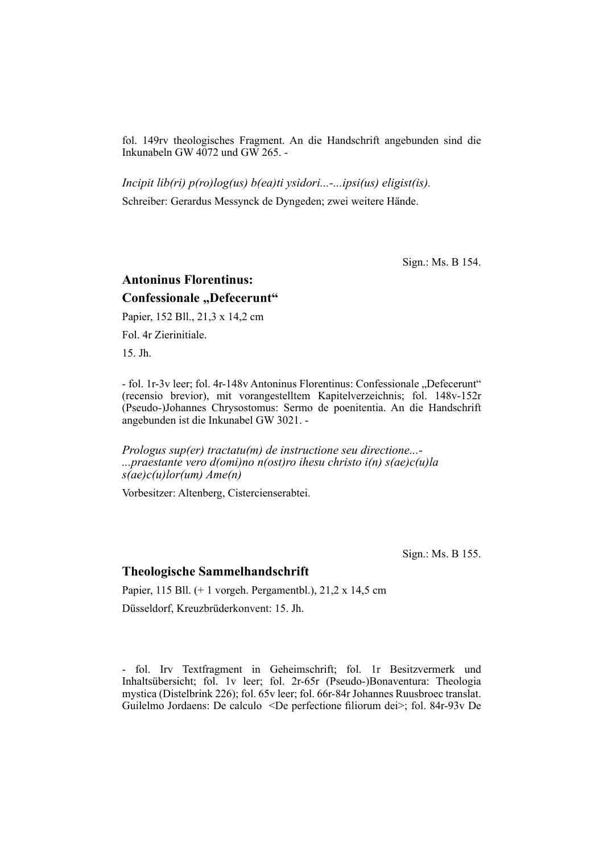fol. 149rv theologisches Fragment. An die Handschrift angebunden sind die Inkunabeln GW  $4072$  und GW 265. -

*Incipit lib(ri) p(ro)log(us) b(ea)ti ysidori...-...ipsi(us) eligist(is).* Schreiber: Gerardus Messynck de Dyngeden; zwei weitere Hände.

Sign.: Ms. B 154.

# **Antoninus Florentinus: Confessionale "Defecerunt"**

Papier, 152 Bll., 21,3 x 14,2 cm

Fol. 4r Zierinitiale.

15. Jh.

- fol. 1r-3v leer; fol. 4r-148v Antoninus Florentinus: Confessionale ..Defecerunt" (recensio brevior), mit vorangestelltem Kapitelverzeichnis; fol. 148v-152r (Pseudo-)Johannes Chrysostomus: Sermo de poenitentia. An die Handschrift angebunden ist die Inkunabel GW 3021. -

*Prologus sup(er) tractatu(m) de instructione seu directione...- ...praestante vero d(omi)no n(ost)ro ihesu christo i(n) s(ae)c(u)la s(ae)c(u)lor(um) Ame(n)*

Vorbesitzer: Altenberg, Cistercienserabtei.

Sign.: Ms. B 155.

#### **Theologische Sammelhandschrift**

Papier, 115 Bll. (+ 1 vorgeh. Pergamentbl.), 21,2 x 14,5 cm Düsseldorf, Kreuzbrüderkonvent: 15. Jh.

- fol. Irv Textfragment in Geheimschrift; fol. 1r Besitzvermerk und Inhalts übersicht; fol. 1v leer; fol. 2r-65r (Pseudo-)Bonaventura: Theologia mystica (Distelbrink 226); fol. 65v leer; fol. 66r-84r Johannes Ruusbroec translat. Guilelmo Jordaens: De calculo <De perfectione filiorum dei>; fol. 84r-93v De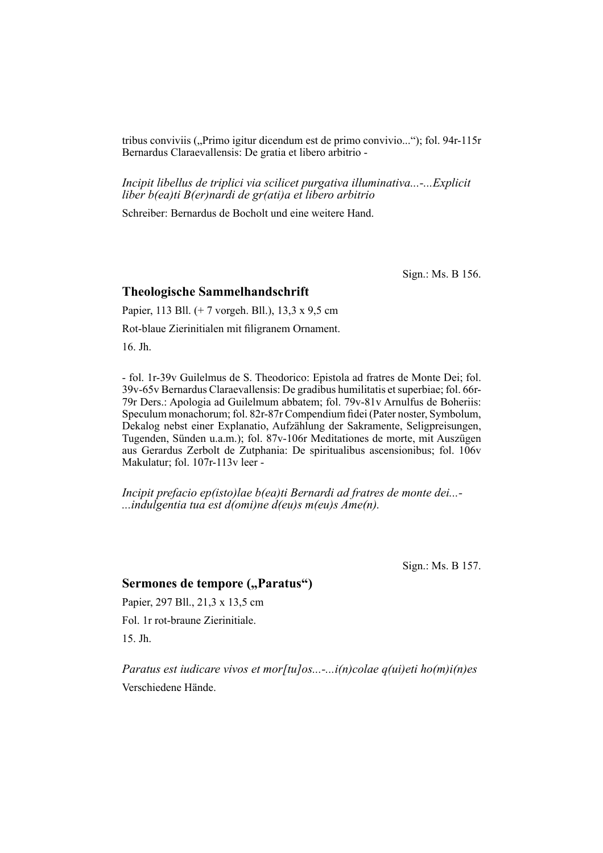tribus conviviis ("Primo igitur dicendum est de primo convivio..."); fol. 94r-115r Bernardus Claraevallensis: De gratia et libero arbitrio -

*Incipit libellus de triplici via scilicet purgativa illuminativa...-...Explicit liber b(ea)ti B(er)nardi de gr(ati)a et libero arbitrio*

Schreiber: Bernardus de Bocholt und eine weitere Hand.

Sign.: Ms. B 156.

#### **Theologische Sammelhandschrift**

Papier, 113 Bll. (+ 7 vorgeh. Bll.), 13,3 x 9,5 cm Rot-blaue Zierinitialen mit filigranem Ornament.

16. Jh.

- fol. 1r-39v Guilelmus de S. Theodorico: Epistola ad fratres de Monte Dei; fol. 39v-65v Bernardus Claraevallensis: De gradibus humilitatis et superbiae; fol. 66r-79r Ders.: Apologia ad Guilelmum abbatem; fol. 79v-81v Arnulfus de Boheriis: Speculum monachorum; fol. 82r-87r Compendium fidei (Pater noster, Symbolum, Dekalog nebst einer Explanatio, Aufzählung der Sakramente, Seligpreisungen, Tugenden, Sünden u.a.m.); fol. 87v-106r Meditationes de morte, mit Auszügen aus Gerardus Zerbolt de Zutphania: De spiritualibus ascensionibus; fol. 106v Makulatur; fol. 107r-113v leer -

*Incipit prefacio ep(isto)lae b(ea)ti Bernardi ad fratres de monte dei...- ...indulgentia tua est d(omi)ne d(eu)s m(eu)s Ame(n).*

Sign.: Ms. B 157.

## Sermones de tempore ("Paratus")

Papier, 297 Bll., 21,3 x 13,5 cm

Fol. 1r rot-braune Zierinitiale.

15. Jh.

*Paratus est iudicare vivos et mor[tu]os...-...i(n)colae q(ui)eti ho(m)i(n)es* Verschiedene Hände.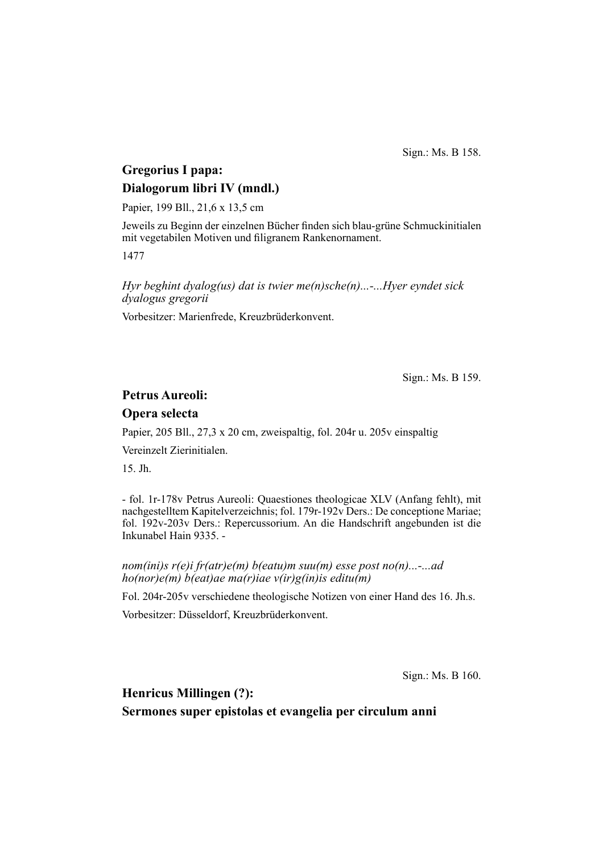Sign.: Ms. B 158.

# **Gregorius I papa: Dialogorum libri IV (mndl.)**

Papier, 199 Bll., 21,6 x 13,5 cm

Jeweils zu Beginn der einzelnen Bücher finden sich blau-grüne Schmuckinitialen mit vegetabilen Motiven und filigranem Rankenornament.

1477

*Hyr beghint dyalog(us) dat is twier me(n)sche(n)...-...Hyer eyndet sick dyalogus gregorii*

Vorbesitzer: Marienfrede, Kreuzbrüderkonvent.

Sign.: Ms. B 159.

## **Petrus Aureoli:**

#### **Opera selecta**

Papier, 205 Bll., 27,3 x 20 cm, zweispaltig, fol. 204r u. 205v einspaltig

Vereinzelt Zierinitialen.

15. Jh.

- fol. 1r-178v Petrus Aureoli: Quaestiones theologicae XLV (Anfang fehlt), mit nachgestelltem Kapitelverzeichnis; fol. 179r-192v Ders.: De conceptione Mariae; fol. 192v-203v Ders.: Repercussorium. An die Handschrift angebunden ist die Inkunabel Hain 9335. -

*nom(ini)s r(e)i fr(atr)e(m) b(eatu)m suu(m) esse post no(n)...-...ad ho(nor)e(m) b(eat)ae ma(r)iae v(ir)g(in)is editu(m)*

Fol. 204r-205v verschiedene theologische Notizen von einer Hand des 16. Jh.s.

Vorbesitzer: Düsseldorf, Kreuzbrüderkonvent.

Sign.: Ms. B 160.

**Henricus Millingen (?):**

**Sermones super epistolas et evangelia per circulum anni**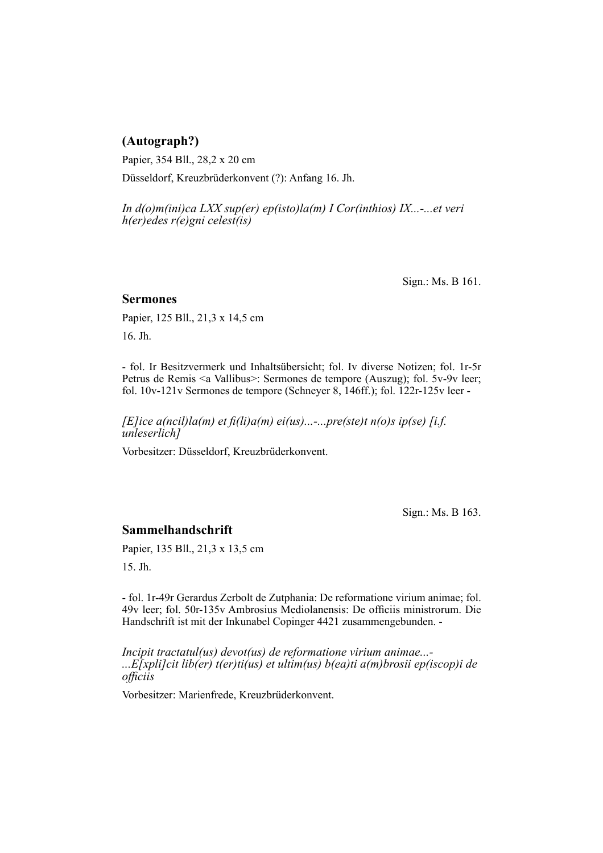# **(Autograph?)**

Papier, 354 Bll., 28,2 x 20 cm

Düsseldorf, Kreuzbrüderkonvent (?): Anfang 16. Jh.

*In d(o)m(ini)ca LXX sup(er) ep(isto)la(m) I Cor(inthios) IX...-...et veri h(er)edes r(e)gni celest(is)*

Sign.: Ms. B 161.

### **Sermones**

Papier, 125 Bll., 21,3 x 14,5 cm

16. Jh.

- fol. Ir Besitzvermerk und Inhaltsübersicht; fol. Iv diverse Notizen; fol. 1r-5r Petrus de Remis <a Vallibus>: Sermones de tempore (Auszug); fol. 5v-9v leer; fol. 10v-121v Sermones de tempore (Schneyer 8, 146ff.); fol. 122r-125v leer -

*[E]ice a(ncil)la(m) et fi(li)a(m) ei(us)...-...pre(ste)t n(o)s ip(se) [i.f. unleserlich]*

Vorbesitzer: Düsseldorf, Kreuzbrüderkonvent.

Sign.: Ms. B 163.

## **Sammelhandschrift**

Papier, 135 Bll., 21,3 x 13,5 cm

15. Jh.

- fol. 1r-49r Gerardus Zerbolt de Zutphania: De reformatione virium animae; fol. 49v leer; fol. 50r-135v Ambrosius Mediolanensis: De officiis ministrorum. Die Handschrift ist mit der Inkunabel Copinger 4421 zusammengebunden. -

*Incipit tractatul(us) devot(us) de reformatione virium animae...- ...E[xpli]cit lib(er) t(er)ti(us) et ultim(us) b(ea)ti a(m)brosii ep(iscop)i de offi ciis*

Vorbesitzer: Marienfrede, Kreuzbrüderkonvent.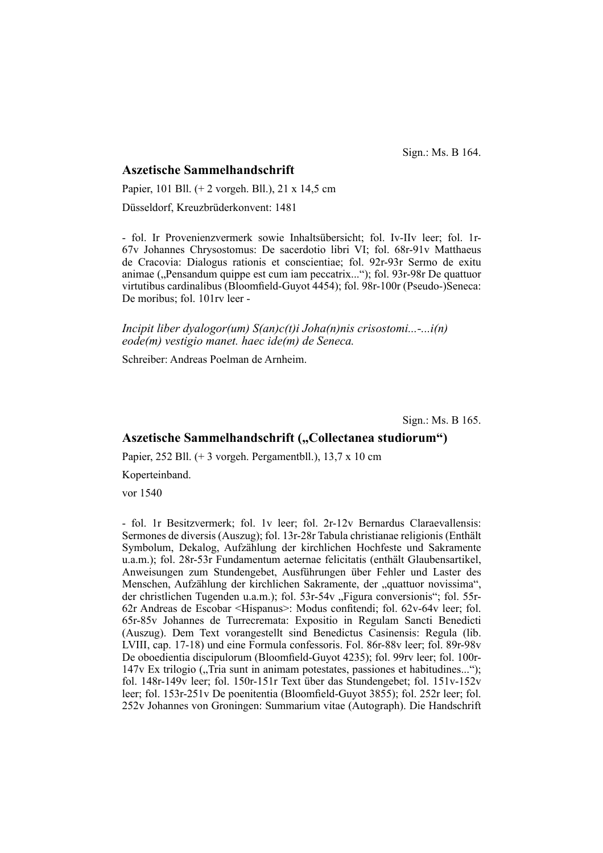Sign.: Ms. B 164.

#### **Aszetische Sammelhandschrift**

Papier, 101 Bll. (+ 2 vorgeh. Bll.), 21 x 14,5 cm Düsseldorf, Kreuzbrüderkonvent: 1481

- fol. Ir Provenienzvermerk sowie Inhaltsübersicht; fol. Iv-IIv leer; fol. 1r-67v Johannes Chrysostomus: De sacerdotio libri VI; fol. 68r-91v Matthaeus de Cracovia: Dialogus rationis et conscientiae; fol. 92r-93r Sermo de exitu animae ("Pensandum quippe est cum iam peccatrix..."); fol. 93r-98r De quattuor virtutibus cardinalibus (Bloomfield-Guyot 4454); fol. 98r-100r (Pseudo-)Seneca: De moribus; fol. 101rv leer -

*Incipit liber dyalogor(um) S(an)c(t)i Joha(n)nis crisostomi...-...i(n) eode(m) vestigio manet. haec ide(m) de Seneca.*

Schreiber: Andreas Poelman de Arnheim.

Sign.: Ms. B 165.

## Aszetische Sammelhandschrift ("Collectanea studiorum")

Papier, 252 Bll. (+ 3 vorgeh. Pergamentbll.), 13,7 x 10 cm

Koperteinband.

vor 1540

- fol. 1r Besitzvermerk; fol. 1v leer; fol. 2r-12v Bernardus Claraevallensis: Sermones de diversis (Auszug); fol. 13r-28r Tabula christianae religionis (Enthält Symbolum, Dekalog, Aufzählung der kirchlichen Hochfeste und Sakramente u.a.m.); fol. 28r-53r Fundamentum aeternae felicitatis (enthält Glaubensartikel, Anweisungen zum Stundengebet, Ausführungen über Fehler und Laster des Menschen, Aufzählung der kirchlichen Sakramente, der "quattuor novissima", der christlichen Tugenden u.a.m.); fol. 53r-54v "Figura conversionis"; fol. 55r-62r Andreas de Escobar <Hispanus>: Modus confitendi; fol. 62v-64v leer; fol. 65r-85v Johannes de Turrecremata: Expositio in Regulam Sancti Benedicti (Auszug). Dem Text vorangestellt sind Benedictus Casinensis: Regula (lib. LVIII, cap. 17-18) und eine Formula confessoris. Fol. 86r-88v leer; fol. 89r-98v De oboedientia discipulorum (Bloomfield-Guyot 4235); fol. 99rv leer; fol. 100r- $147v$  Ex trilogio ("Tria sunt in animam potestates, passiones et habitudines..."); fol. 148r-149v leer; fol. 150r-151r Text über das Stundengebet; fol. 151v-152v leer; fol.  $153r-251v$  De poenitentia (Bloomfield-Guyot 3855); fol. 252r leer; fol. 252v Johannes von Groningen: Summarium vitae (Autograph). Die Handschrift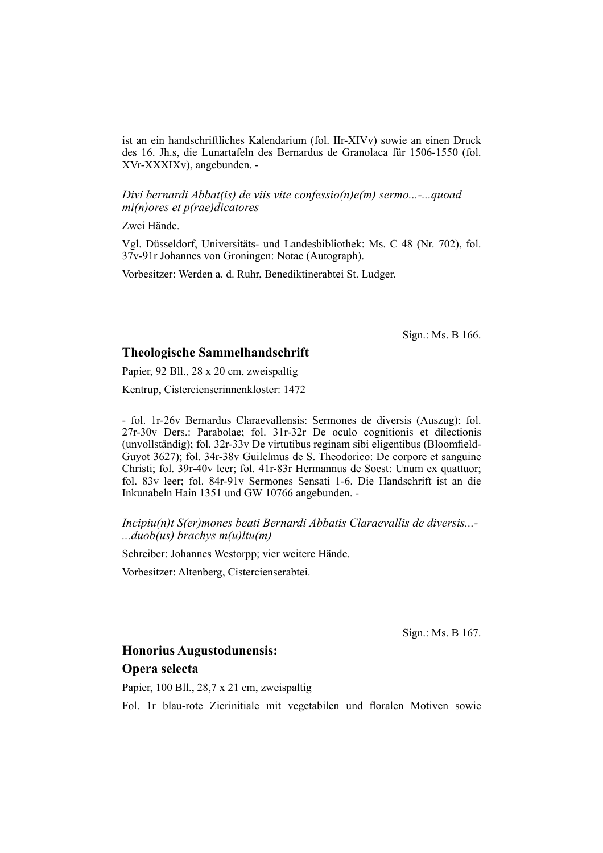ist an ein handschriftliches Kalendarium (fol. IIr-XIVv) sowie an einen Druck des 16. Jh.s, die Lunartafeln des Bernardus de Granolaca für 1506-1550 (fol. XVr-XXXIXv), angebunden. -

*Divi bernardi Abbat(is) de viis vite confessio(n)e(m) sermo...-...quoad mi(n)ores et p(rae)dicatores*

Zwei Hände.

Vgl. Düsseldorf, Universitäts- und Landesbibliothek: Ms. C 48 (Nr. 702), fol. 37v-91r Johannes von Groningen: Notae (Autograph).

Vorbesitzer: Werden a. d. Ruhr, Benediktinerabtei St. Ludger.

Sign.: Ms. B 166.

#### **Theologische Sammelhandschrift**

Papier, 92 Bll., 28 x 20 cm, zweispaltig

Kentrup, Cistercienserinnenkloster: 1472

- fol. 1r-26v Bernardus Claraevallensis: Sermones de diversis (Auszug); fol. 27r-30v Ders.: Parabolae; fol. 31r-32r De oculo cognitionis et dilectionis (unvollständig); fol. 32r-33v De virtutibus reginam sibi eligentibus (Bloomfield-Guyot 3627); fol. 34r-38v Guilelmus de S. Theodorico: De corpore et sanguine Christi; fol. 39r-40v leer; fol. 41r-83r Hermannus de Soest: Unum ex quattuor; fol. 83v leer; fol. 84r-91v Sermones Sensati 1-6. Die Handschrift ist an die Inkunabeln Hain 1351 und GW 10766 angebunden. -

#### *Incipiu(n)t S(er)mones beati Bernardi Abbatis Claraevallis de diversis...- ...duob(us) brachys m(u)ltu(m)*

Schreiber: Johannes Westorpp; vier weitere Hände.

Vorbesitzer: Altenberg, Cistercienserabtei.

Sign.: Ms. B 167.

# **Honorius Augustodunensis: Opera selecta**

Papier, 100 Bll., 28,7 x 21 cm, zweispaltig

Fol. 1r blau-rote Zierinitiale mit vegetabilen und floralen Motiven sowie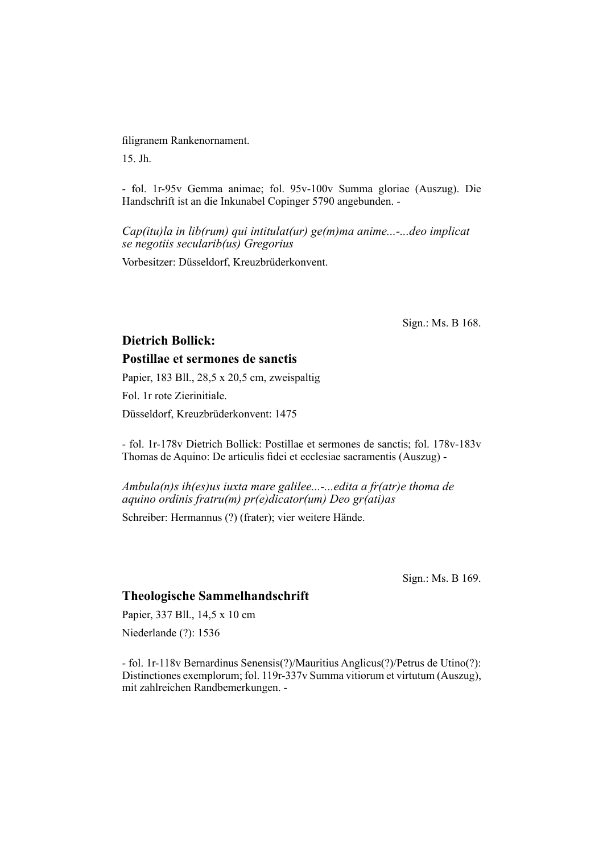#### filigranem Rankenornament.

15. Jh.

- fol. 1r-95v Gemma animae; fol. 95v-100v Summa gloriae (Auszug). Die Handschrift ist an die Inkunabel Copinger 5790 angebunden. -

*Cap(itu)la in lib(rum) qui intitulat(ur) ge(m)ma anime...-...deo implicat se negotiis secularib(us) Gregorius*

Vorbesitzer: Düsseldorf, Kreuzbrüderkonvent.

Sign.: Ms. B 168.

# **Dietrich Bollick:**

### **Postillae et sermones de sanctis**

Papier, 183 Bll., 28,5 x 20,5 cm, zweispaltig

Fol. 1r rote Zierinitiale.

Düsseldorf, Kreuzbrüderkonvent: 1475

- fol. 1r-178v Dietrich Bollick: Postillae et sermones de sanctis; fol. 178v-183v Thomas de Aquino: De articulis fidei et ecclesiae sacramentis (Auszug) -

*Ambula(n)s ih(es)us iuxta mare galilee...-...edita a fr(atr)e thoma de aquino ordinis fratru(m) pr(e)dicator(um) Deo gr(ati)as*

Schreiber: Hermannus (?) (frater); vier weitere Hände.

Sign.: Ms. B 169.

#### **Theologische Sammelhandschrift**

Papier, 337 Bll., 14,5 x 10 cm

Niederlande (?): 1536

- fol. 1r-118v Bernardinus Senensis(?)/Mauritius Anglicus(?)/Petrus de Utino(?): Distinctiones exemplorum; fol. 119r-337v Summa vitiorum et virtutum (Auszug), mit zahlreichen Randbemerkungen. -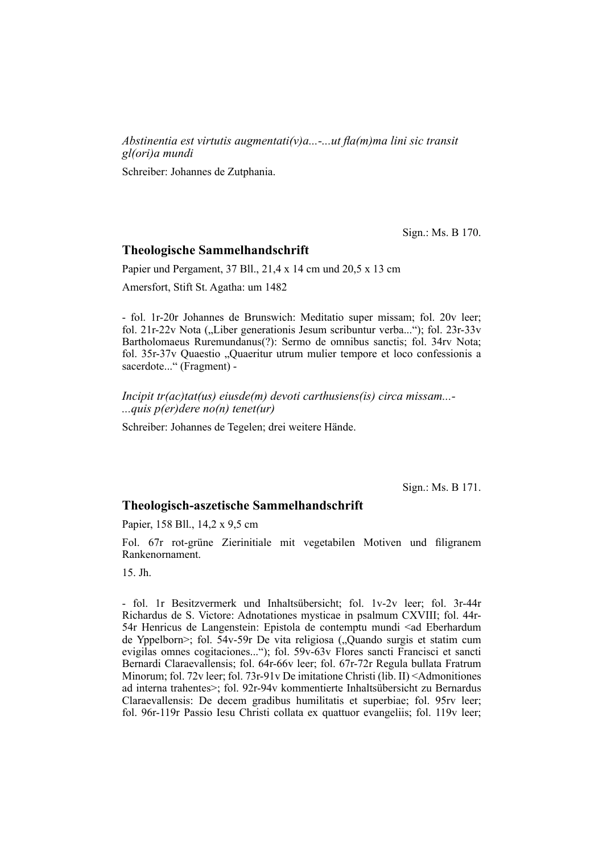*Abstinentia est virtutis augmentati(v)a...-...ut fla(m)ma lini sic transit gl(ori)a mundi*

Schreiber: Johannes de Zutphania.

Sign.: Ms. B 170.

#### **Theologische Sammelhandschrift**

Papier und Pergament, 37 Bll., 21,4 x 14 cm und 20,5 x 13 cm

Amersfort, Stift St. Agatha: um 1482

- fol. 1r-20r Johannes de Brunswich: Meditatio super missam; fol. 20v leer; fol. 21r-22v Nota ("Liber generationis Jesum scribuntur verba..."); fol. 23r-33v Bartholomaeus Ruremundanus(?): Sermo de omnibus sanctis; fol. 34rv Nota; fol. 35r-37v Quaestio "Quaeritur utrum mulier tempore et loco confessionis a sacerdote..." (Fragment) -

*Incipit tr(ac)tat(us) eiusde(m) devoti carthusiens(is) circa missam...- ...quis p(er)dere no(n) tenet(ur)*

Schreiber: Johannes de Tegelen; drei weitere Hände.

Sign.: Ms. B 171.

#### **Theologisch-aszetische Sammelhandschrift**

Papier, 158 Bll., 14,2 x 9,5 cm

Fol. 67r rot-grüne Zierinitiale mit vegetabilen Motiven und filigranem Rankenornament.

15. Jh.

- fol. 1r Besitzvermerk und Inhaltsübersicht; fol. 1v-2v leer; fol. 3r-44r Richardus de S. Victore: Adnotationes mysticae in psalmum CXVIII; fol. 44r-54r Henricus de Langenstein: Epistola de contemptu mundi <ad Eberhardum de Yppelborn>; fol. 54v-59r De vita religiosa ("Quando surgis et statim cum evigilas omnes cogitaciones..."); fol. 59v-63v Flores sancti Francisci et sancti Bernardi Claraevallensis; fol. 64r-66v leer; fol. 67r-72r Regula bullata Fratrum Minorum; fol. 72v leer; fol. 73r-91v De imitatione Christi (lib. II) <Admonitiones ad interna trahentes>; fol. 92r-94v kommentierte Inhaltsübersicht zu Bernardus Claraevallensis: De decem gradibus humilitatis et superbiae; fol. 95rv leer; fol. 96r-119r Passio Iesu Christi collata ex quattuor evangeliis; fol. 119v leer;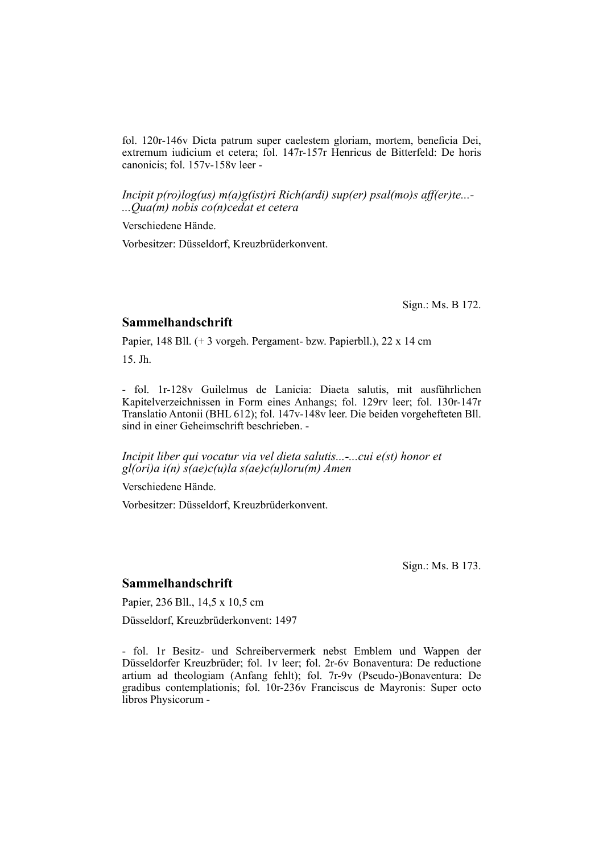fol. 120r-146v Dicta patrum super caelestem gloriam, mortem, beneficia Dei, extremum iudicium et cetera; fol. 147r-157r Henricus de Bitterfeld: De horis canonicis; fol. 157v-158v leer -

*Incipit p(ro)log(us) m(a)g(ist)ri Rich(ardi) sup(er) psal(mo)s aff(er)te...- ...Qua(m) nobis co(n)cedat et cetera*

Verschiedene Hände.

Vorbesitzer: Düsseldorf, Kreuzbrüderkonvent.

Sign.: Ms. B 172.

#### **Sammelhandschrift**

Papier, 148 Bll. (+ 3 vorgeh. Pergament- bzw. Papierbll.), 22 x 14 cm

15. Jh.

- fol. 1r-128v Guilelmus de Lanicia: Diaeta salutis, mit ausführlichen Kapitelverzeichnissen in Form eines Anhangs; fol. 129rv leer; fol. 130r-147r Trans la tio Antonii (BHL 612); fol. 147v-148v leer. Die beiden vorgehefteten Bll. sind in einer Geheimschrift beschrieben. -

*Incipit liber qui vocatur via vel dieta salutis...-...cui e(st) honor et gl(ori)a i(n) s(ae)c(u)la s(ae)c(u)loru(m) Amen*

Verschiedene Hände.

Vorbesitzer: Düsseldorf, Kreuzbrüderkonvent.

Sign.: Ms. B 173.

## **Sammelhandschrift**

Papier, 236 Bll., 14,5 x 10,5 cm

Düsseldorf, Kreuzbrüderkonvent: 1497

- fol. 1r Besitz- und Schreibervermerk nebst Emblem und Wappen der Düs seldorfer Kreuzbrüder; fol. 1v leer; fol. 2r-6v Bonaventura: De reductione artium ad theologiam (Anfang fehlt); fol. 7r-9v (Pseudo-)Bonaventura: De gradibus contemplationis; fol. 10r-236v Franciscus de Mayronis: Super octo libros Physicorum -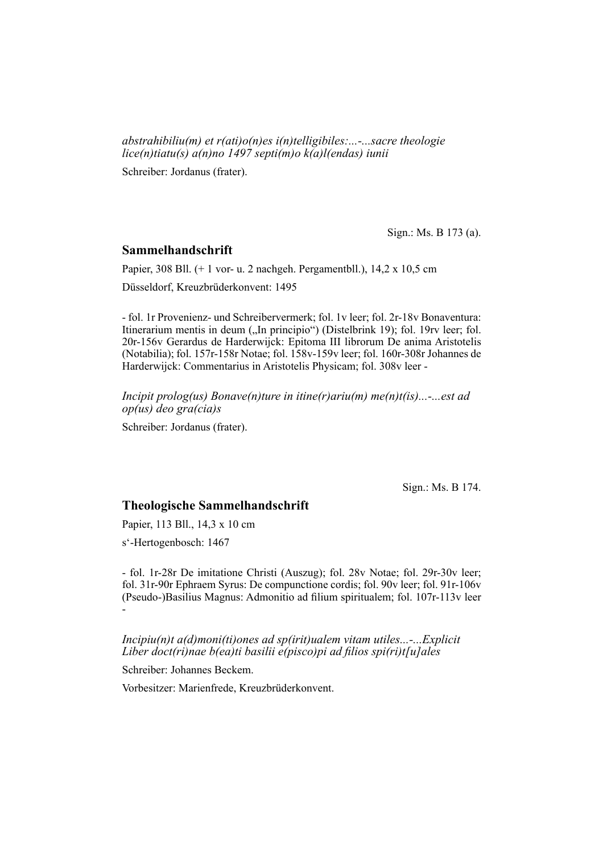*abstrahibiliu(m) et r(ati)o(n)es i(n)telligibiles:...-...sacre theologie lice(n)tiatu(s) a(n)no 1497 septi(m)o k(a)l(endas) iunii*

Schreiber: Jordanus (frater).

Sign.: Ms. B 173 (a).

#### **Sammelhandschrift**

Papier, 308 Bll. (+ 1 vor- u. 2 nachgeh. Pergamentbll.), 14,2 x 10,5 cm

Düsseldorf, Kreuzbrüderkonvent: 1495

- fol. 1r Provenienz- und Schreibervermerk; fol. 1v leer; fol. 2r-18v Bona ventura: Itinerarium mentis in deum ("In principio") (Distelbrink 19); fol. 19rv leer; fol. 20r-156v Gerardus de Harderwijck: Epitoma III librorum De anima Aristotelis (Notabilia); fol. 157r-158r Notae; fol. 158v-159v leer; fol. 160r-308r Johannes de Harderwijck: Commentarius in Aristotelis Physicam; fol. 308v leer -

*Incipit prolog(us) Bonave(n)ture in itine(r)ariu(m) me(n)t(is)...-...est ad op(us) deo gra(cia)s*

Schreiber: Jordanus (frater).

Sign.: Ms. B 174.

#### **Theologische Sammelhandschrift**

Papier, 113 Bll., 14,3 x 10 cm

s'-Hertogenbosch: 1467

- fol. 1r-28r De imitatione Christi (Auszug); fol. 28v Notae; fol. 29r-30v leer; fol. 31r-90r Ephraem Syrus: De compunctione cordis; fol. 90v leer; fol. 91r-106v (Pseudo-)Basilius Magnus: Admonitio ad filium spiritualem; fol. 107r-113v leer -

*Incipiu(n)t a(d)moni(ti)ones ad sp(irit)ualem vitam utiles...-...Explicit Liber doct(ri)nae b(ea)ti basilii e(pisco)pi ad filios spi(ri)t[u]ales* 

Schreiber: Johannes Beckem.

Vorbesitzer: Marienfrede, Kreuzbrüderkonvent.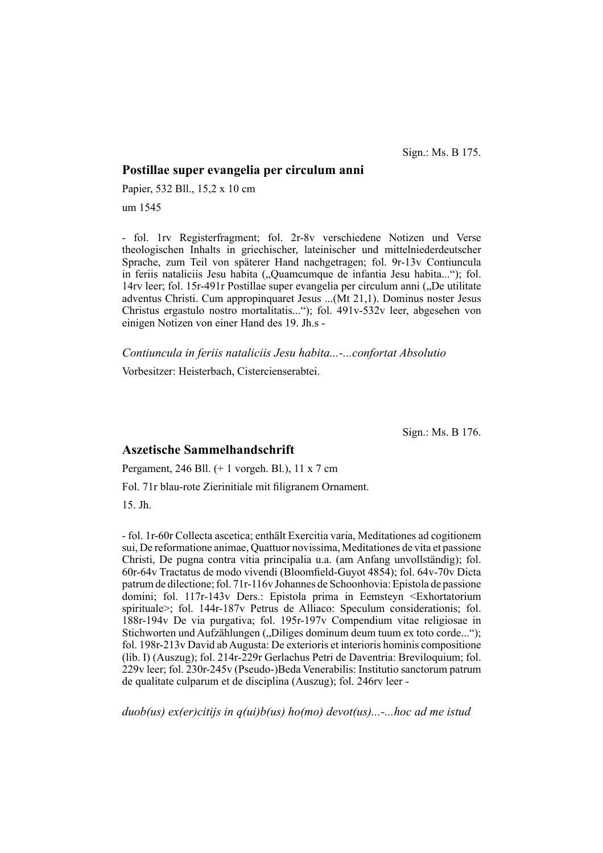Sign.: Ms. B 175.

#### **Postillae super evangelia per circulum anni**

Papier, 532 Bll., 15,2 x 10 cm

um 1545

- fol. 1rv Registerfragment; fol. 2r-8v verschiedene Notizen und Verse theologischen Inhalts in griechischer, lateinischer und mittelniederdeutscher Sprache, zum Teil von späterer Hand nachgetragen; fol. 9r-13v Contiuncula in feriis nataliciis Jesu habita ("Quamcumque de infantia Jesu habita..."); fol. 14rv leer; fol. 15r-491r Postillae super evangelia per circulum anni ("De utilitate adventus Christi. Cum appropinquaret Jesus ...(Mt 21,1). Dominus noster Jesus Christus ergastulo nostro mortalitatis..."); fol. 491v-532v leer, abgesehen von einigen Notizen von einer Hand des 19. Jh.s -

*Contiuncula in feriis nataliciis Jesu habita...-...confortat Absolutio*

Vorbesitzer: Heisterbach, Cistercienserabtei.

Sign.: Ms. B 176.

## **Aszetische Sammelhandschrift**

Pergament, 246 Bll. (+ 1 vorgeh. Bl.), 11 x 7 cm

Fol. 71r blau-rote Zierinitiale mit filigranem Ornament.

15. Jh.

- fol. 1r-60r Collecta ascetica; enthält Exercitia varia, Meditationes ad cogitionem sui, De reformatione animae, Quattuor novissima, Meditationes de vita et passione Christi, De pugna contra vitia principalia u.a. (am Anfang unvollständig); fol. 60r-64v Tractatus de modo vivendi (Bloomfield-Guyot 4854); fol. 64v-70v Dicta patrum de dilectione; fol. 71r-116v Johannes de Schoonhovia: Epistola de passione domini; fol. 117r-143v Ders.: Epistola prima in Eemsteyn <Exhortatorium spirituale>; fol. 144r-187v Petrus de Alliaco: Speculum considerationis; fol. 188r-194v De via purgativa; fol. 195r-197v Compendium vitae religiosae in Stichworten und Aufzählungen ("Diliges dominum deum tuum ex toto corde..."); fol. 198r-213v David ab Augusta: De exterioris et interioris hominis compositione (lib. I) (Auszug); fol. 214r-229r Gerlachus Petri de Daventria: Breviloquium; fol. 229v leer; fol. 230r-245v (Pseudo-)Beda Venerabilis: Institutio sanctorum patrum de qualitate culparum et de disciplina (Auszug); fol. 246rv leer -

*duob(us) ex(er)citijs in q(ui)b(us) ho(mo) devot(us)...-...hoc ad me istud*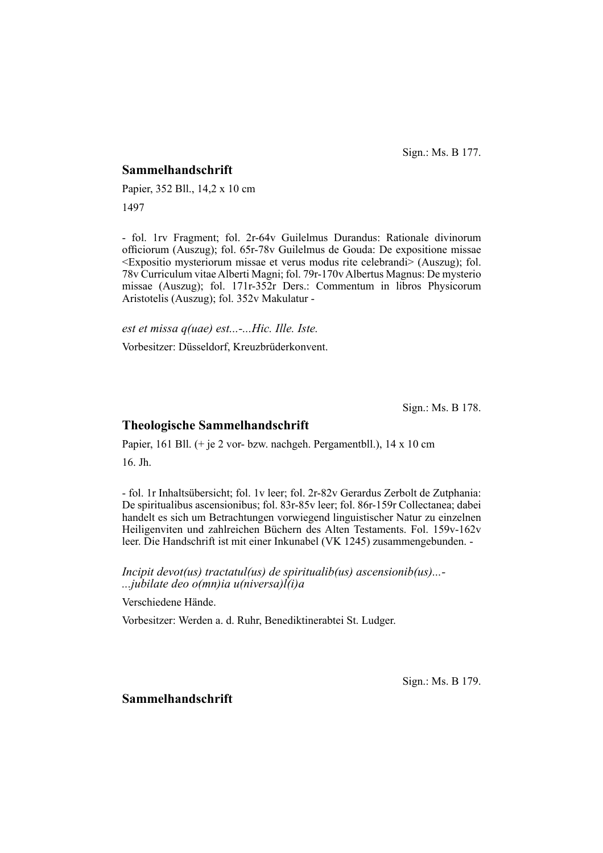Sign.: Ms. B 177.

### **Sammelhandschrift**

Papier, 352 Bll., 14,2 x 10 cm 1497

- fol. 1rv Fragment; fol. 2r-64v Guilelmus Durandus: Rationale divinorum officiorum (Auszug); fol. 65r-78v Guilelmus de Gouda: De expositione missae <Expositio mysteriorum missae et verus modus rite celebrandi> (Auszug); fol. 78v Curriculum vitae Alberti Magni; fol. 79r-170v Albertus Magnus: De mysterio missae (Auszug); fol. 171r-352r Ders.: Commentum in libros Physicorum Aristotelis (Auszug); fol. 352v Makulatur -

*est et missa q(uae) est...-...Hic. Ille. Iste.*

Vorbesitzer: Düsseldorf, Kreuzbrüderkonvent.

Sign.: Ms. B 178.

### **Theologische Sammelhandschrift**

Papier, 161 Bll. (+ je 2 vor- bzw. nachgeh. Pergamentbll.), 14 x 10 cm 16. Jh.

- fol. 1r Inhaltsübersicht; fol. 1v leer; fol. 2r-82v Gerardus Zerbolt de Zutphania: De spiritualibus ascensionibus; fol. 83r-85v leer; fol. 86r-159r Collectanea; dabei handelt es sich um Betrachtungen vorwiegend linguistischer Natur zu einzelnen Heiligenviten und zahlreichen Büchern des Alten Testaments. Fol. 159v-162v leer. Die Handschrift ist mit einer Inkunabel (VK 1245) zusammengebunden. -

*Incipit devot(us) tractatul(us) de spiritualib(us) ascensionib(us)...- ...jubilate deo o(mn)ia u(niversa)l(i)a*

Verschiedene Hände.

Vorbesitzer: Werden a. d. Ruhr, Benediktinerabtei St. Ludger.

Sign.: Ms. B 179.

## **Sammelhandschrift**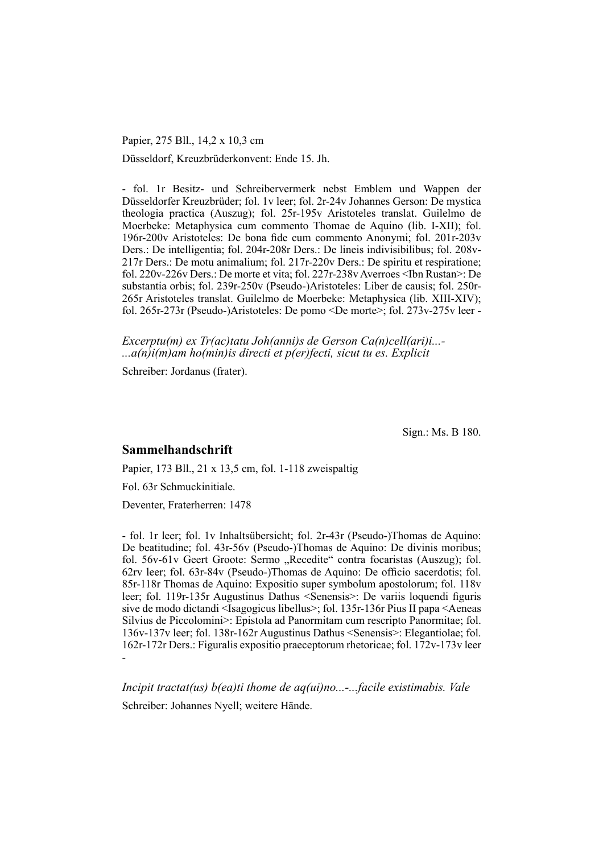Papier, 275 Bll., 14,2 x 10,3 cm

Düsseldorf, Kreuzbrüderkonvent: Ende 15. Jh.

- fol. 1r Besitz- und Schreibervermerk nebst Emblem und Wappen der Düs sel dorfer Kreuzbrüder; fol. 1v leer; fol. 2r-24v Johannes Gerson: De mystica theologia practica (Auszug); fol. 25r-195v Aristoteles translat. Guilelmo de Moerbeke: Metaphysica cum commento Thomae de Aquino (lib. I-XII); fol. 196r-200v Aristoteles: De bona fide cum commento Anonymi; fol. 201r-203v Ders.: De intelligentia; fol. 204r-208r Ders.: De lineis indivisibilibus; fol. 208v-217r Ders.: De motu animalium; fol. 217r-220v Ders.: De spiritu et respiratione; fol. 220v-226v Ders.: De morte et vita; fol. 227r-238v Averroes <Ibn Rustan>: De substantia orbis; fol. 239r-250v (Pseudo-)Aristoteles: Liber de causis; fol. 250r-265r Aristoteles translat. Guilelmo de Moerbeke: Metaphysica (lib. XIII-XIV); fol. 265r-273r (Pseudo-)Aristoteles: De pomo <De morte>; fol. 273v-275v leer -

*Excerptu(m) ex Tr(ac)tatu Joh(anni)s de Gerson Ca(n)cell(ari)i...- ...a(n)i(m)am ho(min)is directi et p(er)fecti, sicut tu es. Explicit*

Schreiber: Jordanus (frater).

Sign.: Ms. B 180.

## **Sammelhandschrift**

Papier, 173 Bll., 21 x 13,5 cm, fol. 1-118 zweispaltig

Fol. 63r Schmuckinitiale.

Deventer, Fraterherren: 1478

- fol. 1r leer; fol. 1v Inhaltsübersicht; fol. 2r-43r (Pseudo-)Thomas de Aquino: De beatitudine; fol. 43r-56v (Pseudo-)Thomas de Aquino: De divinis moribus; fol. 56v-61v Geert Groote: Sermo "Recedite" contra focaristas (Auszug); fol. 62rv leer; fol. 63r-84v (Pseudo-)Thomas de Aquino: De officio sacerdotis; fol. 85r-118r Thomas de Aquino: Expositio super symbolum apostolorum; fol. 118v leer; fol. 119r-135r Augustinus Dathus  $\leq$ Senensis $\geq$ : De variis loquendi figuris sive de modo dictandi <Isagogicus libellus>; fol. 135r-136r Pius II papa <Aeneas Silvius de Piccolomini>: Epistola ad Panormitam cum rescripto Panormitae; fol. 136v-137v leer; fol. 138r-162r Augustinus Dathus <Senensis>: Elegantiolae; fol. 162r-172r Ders.: Figuralis ex positio praeceptorum rhetoricae; fol. 172v-173v leer -

*Incipit tractat(us) b(ea)ti thome de aq(ui)no...-...facile existimabis. Vale* Schreiber: Johannes Nyell; weitere Hände.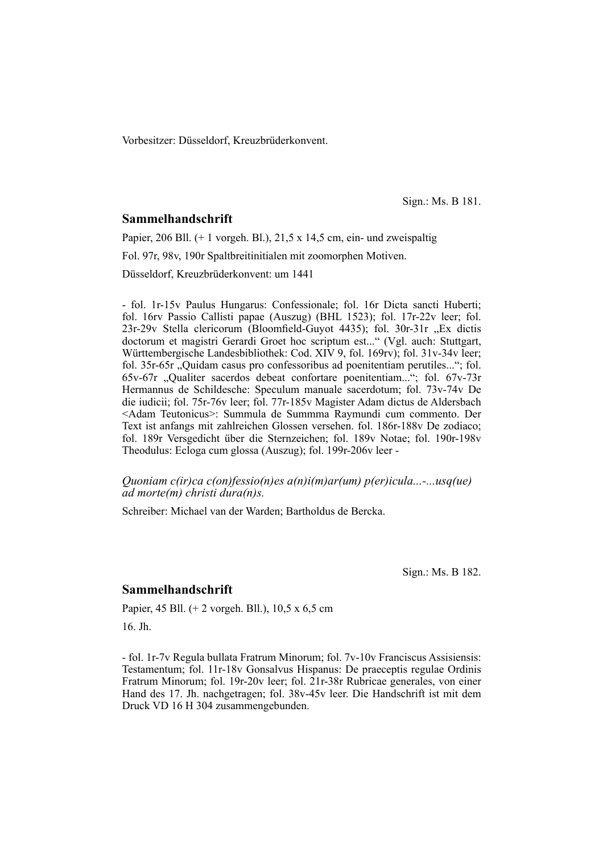Vorbesitzer: Düsseldorf, Kreuzbrüderkonvent.

Sign.: Ms. B 181.

#### **Sammelhandschrift**

Papier, 206 Bll. (+ 1 vorgeh. Bl.), 21,5 x 14,5 cm, ein- und zweispaltig Fol. 97r, 98v, 190r Spaltbreitinitialen mit zoomorphen Motiven. Düsseldorf, Kreuzbrüderkonvent: um 1441

- fol. 1r-15v Paulus Hungarus: Confessionale; fol. 16r Dicta sancti Huberti; fol. 16rv Passio Callisti papae (Auszug) (BHL 1523); fol. 17r-22v leer; fol. 23r-29v Stella clericorum (Bloomfield-Guyot 4435); fol. 30r-31r "Ex dictis doctorum et magistri Gerardi Groet hoc scriptum est..." (Vgl. auch: Stuttgart, Württembergische Landesbibliothek: Cod. XIV 9, fol. 169rv); fol. 31v-34v leer; fol. 35r-65r "Quidam casus pro confessoribus ad poenitentiam perutiles..."; fol. 65v-67r "Qualiter sacerdos debeat confortare poenitentiam..."; fol. 67v-73r Hermannus de Schildesche: Speculum manuale sacerdotum; fol. 73v-74v De die iudicii; fol. 75r-76v leer; fol. 77r-185v Magister Adam dictus de Aldersbach <Adam Teutonicus>: Summula de Summma Raymundi cum commento. Der Text ist anfangs mit zahlreichen Glossen versehen. fol. 186r-188v De zodiaco; fol. 189r Versgedicht über die Sternzeichen; fol. 189v Notae; fol. 190r-198v Theodulus: Ecloga cum glossa (Auszug); fol. 199r-206v leer -

*Quoniam c(ir)ca c(on)fessio(n)es a(n)i(m)ar(um) p(er)icula...-...usq(ue) ad morte(m) christi dura(n)s.*

Schreiber: Michael van der Warden; Bartholdus de Bercka.

Sign.: Ms. B 182.

#### **Sammelhandschrift**

Papier, 45 Bll. (+ 2 vorgeh. Bll.), 10,5 x 6,5 cm

16. Jh.

- fol. 1r-7v Regula bullata Fratrum Minorum; fol. 7v-10v Franciscus Assisiensis: Testamentum; fol. 11r-18v Gonsalvus Hispanus: De praeceptis regulae Ordinis Fratrum Minorum; fol. 19r-20v leer; fol. 21r-38r Rubricae generales, von einer Hand des 17. Jh. nachgetragen; fol. 38v-45v leer. Die Handschrift ist mit dem Druck VD 16 H 304 zusammengebunden.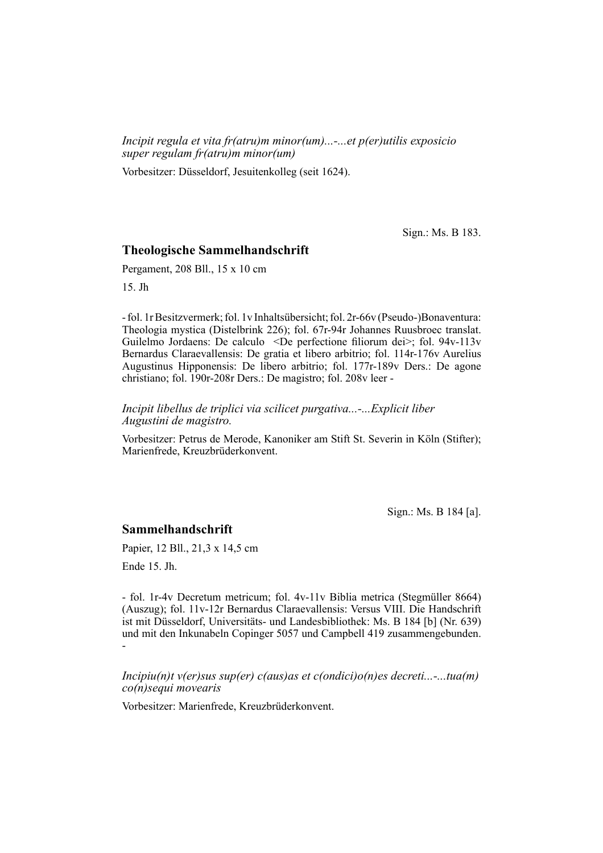*Incipit regula et vita fr(atru)m minor(um)...-...et p(er)utilis exposicio super regulam fr(atru)m minor(um)*

Vorbesitzer: Düsseldorf, Jesuitenkolleg (seit 1624).

Sign.: Ms. B 183.

#### **Theologische Sammelhandschrift**

Pergament, 208 Bll., 15 x 10 cm

15. Jh

- fol. 1r Besitzvermerk; fol. 1v Inhaltsübersicht; fol. 2r-66v (Pseudo-)Bona ven tura: Theologia mystica (Distelbrink 226); fol. 67r-94r Johannes Ruusbroec translat. Guilelmo Jordaens: De calculo <De perfectione filiorum dei>; fol.  $94v-113v$ Bernardus Claraevallensis: De gratia et libero arbitrio; fol. 114r-176v Aurelius Augustinus Hipponensis: De libero arbitrio; fol. 177r-189v Ders.: De agone christiano; fol. 190r-208r Ders.: De magistro; fol. 208v leer -

*Incipit libellus de triplici via scilicet purgativa...-...Explicit liber Augustini de magistro.*

Vorbesitzer: Petrus de Merode, Kanoniker am Stift St. Severin in Köln (Stifter); Marienfrede, Kreuzbrüderkonvent.

Sign.: Ms. B 184 [a].

### **Sammelhandschrift**

Papier, 12 Bll., 21,3 x 14,5 cm

Ende 15. Jh.

- fol. 1r-4v Decretum metricum; fol. 4v-11v Biblia metrica (Stegmüller 8664) (Auszug); fol. 11v-12r Bernardus Claraevallensis: Versus VIII. Die Handschrift ist mit Düsseldorf, Universitäts- und Landesbibliothek: Ms. B 184 [b] (Nr. 639) und mit den Inkunabeln Copinger 5057 und Campbell 419 zusammengebunden. -

*Incipiu(n)t v(er)sus sup(er) c(aus)as et c(ondici)o(n)es decreti...-...tua(m) co(n)sequi movearis*

Vorbesitzer: Marienfrede, Kreuzbrüderkonvent.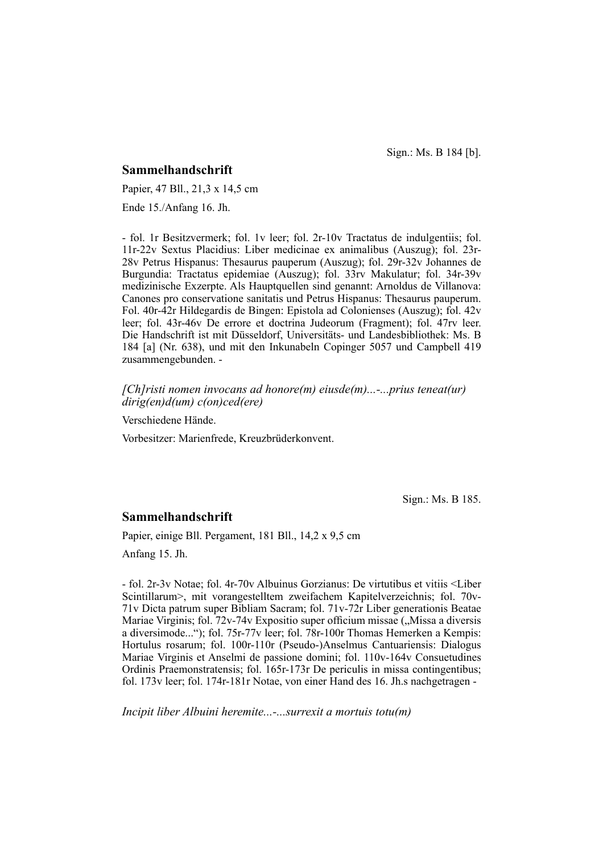Sign.: Ms. B 184 [b].

#### **Sammelhandschrift**

Papier, 47 Bll., 21,3 x 14,5 cm

Ende 15./Anfang 16. Jh.

- fol. 1r Besitzvermerk; fol. 1v leer; fol. 2r-10v Tractatus de indulgentiis; fol. 11r-22v Sextus Placidius: Liber medicinae ex animalibus (Auszug); fol. 23r-28v Petrus Hispanus: Thesaurus pauperum (Auszug); fol. 29r-32v Johannes de Burgundia: Tractatus epidemiae (Auszug); fol. 33rv Makulatur; fol. 34r-39v medizinische Exzerpte. Als Hauptquellen sind genannt: Arnoldus de Villanova: Canones pro conservatione sanitatis und Petrus Hispanus: Thesaurus pauperum. Fol. 40r-42r Hildegardis de Bingen: Epistola ad Colonienses (Auszug); fol. 42v leer; fol. 43r-46v De errore et doctrina Judeorum (Fragment); fol. 47rv leer. Die Handschrift ist mit Düsseldorf, Universitäts- und Landesbibliothek: Ms. B 184 [a] (Nr. 638), und mit den Inkunabeln Copinger 5057 und Campbell 419 zusammengebunden. -

*[Ch]risti nomen invocans ad honore(m) eiusde(m)...-...prius teneat(ur) dirig(en)d(um) c(on)ced(ere)*

Verschiedene Hände.

Vorbesitzer: Marienfrede, Kreuzbrüderkonvent.

Sign.: Ms. B 185.

#### **Sammelhandschrift**

Papier, einige Bll. Pergament, 181 Bll., 14,2 x 9,5 cm

Anfang 15. Jh.

- fol. 2r-3v Notae; fol. 4r-70v Albuinus Gorzianus: De virtutibus et vitiis <Liber Scintillarum>, mit vorangestelltem zweifachem Kapitelverzeichnis; fol. 70v- $71v$  Dicta patrum super Bibliam Sacram; fol.  $71v-72r$  Liber generationis Beatae Mariae Virginis; fol.  $72v-74v$  Expositio super officium missae ("Missa a diversis a diversimode..."); fol. 75r-77v leer; fol. 78r-100r Thomas Hemerken a Kempis: Hortulus rosarum; fol. 100r-110r (Pseudo-)Anselmus Cantuariensis: Dialogus Mariae Virginis et Anselmi de passione domini; fol. 110v-164v Consuetudines Ordinis Praemonstratensis; fol. 165r-173r De periculis in missa contingentibus; fol. 173v leer; fol. 174r-181r Notae, von einer Hand des 16. Jh.s nachgetragen -

*Incipit liber Albuini heremite...-...surrexit a mortuis totu(m)*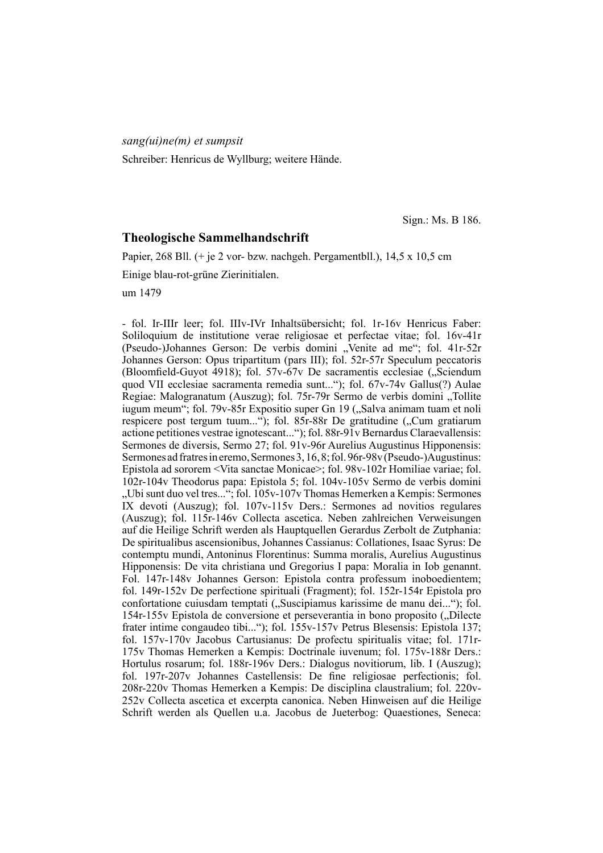*sang(ui)ne(m) et sumpsit*

Schreiber: Henricus de Wyllburg; weitere Hände.

Sign.: Ms. B 186.

## **Theologische Sammelhandschrift**

Papier, 268 Bll. (+ je 2 vor- bzw. nachgeh. Pergamentbll.), 14,5 x 10,5 cm

Einige blau-rot-grüne Zierinitialen.

um 1479

- fol. Ir-IIIr leer; fol. IIIv-IVr Inhaltsübersicht; fol. 1r-16v Henricus Faber: Soliloquium de institutione verae religiosae et perfectae vitae; fol. 16v-41r (Pseudo-)Johannes Gerson: De verbis domini "Venite ad me"; fol. 41r-52r Johannes Gerson: Opus tripartitum (pars III); fol. 52r-57r Speculum peccatoris (Bloomfield-Guyot 4918); fol.  $57v-67v$  De sacramentis ecclesiae (. Sciendum quod VII ecclesiae sacramenta remedia sunt..."); fol. 67v-74v Gallus(?) Aulae Regiae: Malogranatum (Auszug); fol. 75r-79r Sermo de verbis domini "Tollite iugum meum"; fol. 79v-85r Expositio super Gn 19 ("Salva animam tuam et noli respicere post tergum tuum..."); fol. 85r-88r De gratitudine ("Cum gratiarum actione petitiones vestrae ignotescant..."); fol. 88r-91v Bernardus Claraevallensis: Sermones de diversis, Sermo 27; fol. 91v-96r Aurelius Augustinus Hipponensis: Sermones ad fratres in eremo, Sermones 3, 16, 8; fol. 96r-98v (Pseudo-)Augustinus: Epistola ad sororem <Vita sanctae Monicae>; fol. 98v-102r Homiliae variae; fol. 102r-104v Theodorus papa: Epistola 5; fol. 104v-105v Sermo de verbis domini "Ubi sunt duo vel tres..."; fol.  $105v-107v$  Thomas Hemerken a Kempis: Sermones IX devoti (Auszug); fol. 107v-115v Ders.: Sermones ad novitios regulares (Auszug); fol. 115r-146v Collecta ascetica. Neben zahlreichen Verweisungen auf die Heilige Schrift werden als Hauptquellen Gerardus Zerbolt de Zutphania: De spi ritualibus ascensionibus, Johannes Cassianus: Collationes, Isaac Syrus: De contemptu mundi, Antoninus Florentinus: Summa moralis, Aurelius Augustinus Hipponensis: De vita christiana und Gregorius I papa: Moralia in Iob genannt. Fol. 147r-148v Johannes Gerson: Epistola contra professum inoboedientem; fol. 149r-152v De perfectione spirituali (Fragment); fol. 152r-154r Epistola pro confortatione cuiusdam temptati ("Suscipiamus karissime de manu dei..."); fol. 154r-155v Epistola de conversione et perseverantia in bono proposito ("Dilecte frater intime congaudeo tibi..."); fol. 155v-157v Petrus Blesensis: Epistola 137; fol. 157v-170v Jacobus Cartusianus: De profectu spiritualis vitae; fol. 171r-175v Thomas Hemerken a Kempis: Doctrinale iuvenum; fol. 175v-188r Ders.: Hortulus rosarum; fol. 188r-196v Ders.: Dialogus novitiorum, lib. I (Auszug); fol. 197r-207v Johannes Castellensis: De fine religiosae perfectionis; fol. 208r-220v Thomas Hemerken a Kempis: De disciplina claustralium; fol. 220v-252v Collecta ascetica et excerpta canonica. Neben Hinweisen auf die Heilige Schrift werden als Quellen u.a. Jacobus de Jueterbog: Quaestiones, Seneca: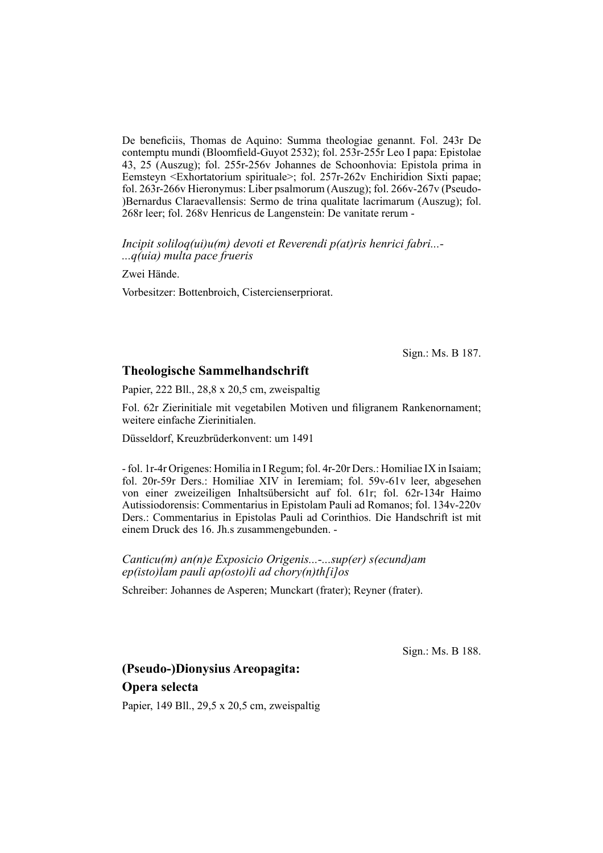De beneficiis, Thomas de Aquino: Summa theologiae genannt. Fol. 243r De contemptu mundi (Bloomfield-Guyot 2532); fol. 253r-255r Leo I papa: Epistolae 43, 25 (Auszug); fol. 255r-256v Johannes de Schoonhovia: Epistola prima in Eemsteyn  $\leq$ Exhortatorium spirituale>; fol. 257r-262v Enchiridion Sixti papae; fol. 263r-266v Hieronymus: Liber psalmorum (Auszug); fol. 266v-267v (Pseudo- )Bernardus Claraevallensis: Sermo de trina qualitate lacrimarum (Auszug); fol. 268r leer; fol. 268v Henricus de Langenstein: De vanitate rerum -

*Incipit soliloq(ui)u(m) devoti et Reverendi p(at)ris henrici fabri...- ...q(uia) multa pace frueris*

Zwei Hände.

Vorbesitzer: Bottenbroich, Cistercienserpriorat.

Sign.: Ms. B 187.

## **Theologische Sammelhandschrift**

Papier, 222 Bll., 28,8 x 20,5 cm, zweispaltig

Fol. 62r Zierinitiale mit vegetabilen Motiven und filigranem Rankenornament; weitere einfache Zierinitialen.

Düsseldorf, Kreuzbrüderkonvent: um 1491

- fol. 1r-4r Origenes: Homilia in I Regum; fol. 4r-20r Ders.: Homiliae IX in Isaiam; fol. 20r-59r Ders.: Homiliae XIV in Ieremiam; fol. 59v-61v leer, abgesehen von einer zweizeiligen Inhaltsübersicht auf fol. 61r; fol. 62r-134r Haimo Autissiodorensis: Commentarius in Epistolam Pauli ad Romanos; fol. 134v-220v Ders.: Commentarius in Epistolas Pauli ad Corinthios. Die Handschrift ist mit einem Druck des 16. Jh.s zusammengebunden. -

*Canticu(m) an(n)e Exposicio Origenis...-...sup(er) s(ecund)am ep(isto)lam pauli ap(osto)li ad chory(n)th[i]os*

Schreiber: Johannes de Asperen; Munckart (frater); Reyner (frater).

Sign.: Ms. B 188.

# **(Pseudo-)Dionysius Areopagita: Opera selecta**

Papier, 149 Bll., 29,5 x 20,5 cm, zweispaltig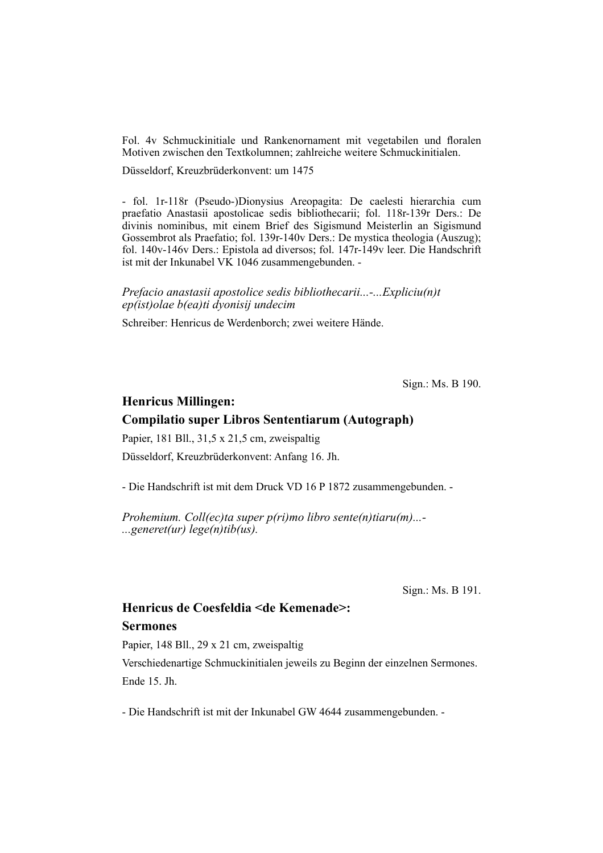Fol. 4v Schmuckinitiale und Rankenornament mit vegetabilen und floralen Motiven zwischen den Textkolumnen; zahlreiche weitere Schmuckinitialen.

Düsseldorf, Kreuzbrüderkonvent: um 1475

- fol. 1r-118r (Pseudo-)Dionysius Areopagita: De caelesti hierarchia cum prae fatio Anastasii apostolicae sedis bibliothecarii; fol. 118r-139r Ders.: De divinis nominibus, mit einem Brief des Sigismund Meisterlin an Sigismund Gossembrot als Praefatio; fol. 139r-140v Ders.: De mystica theologia (Auszug); fol. 140v-146v Ders.: Epistola ad diversos; fol. 147r-149v leer. Die Handschrift ist mit der Inkunabel VK 1046 zusammengebunden. -

*Prefacio anastasii apostolice sedis bibliothecarii...-...Expliciu(n)t ep(ist)olae b(ea)ti dyonisij undecim*

Schreiber: Henricus de Werdenborch; zwei weitere Hände.

Sign.: Ms. B 190.

#### **Henricus Millingen:**

### **Compilatio super Libros Sententiarum (Autograph)**

Papier, 181 Bll., 31,5 x 21,5 cm, zweispaltig

Düsseldorf, Kreuzbrüderkonvent: Anfang 16. Jh.

- Die Handschrift ist mit dem Druck VD 16 P 1872 zusammengebunden. -

*Prohemium. Coll(ec)ta super p(ri)mo libro sente(n)tiaru(m)...- ...generet(ur) lege(n)tib(us).*

Sign.: Ms. B 191.

# **Henricus de Coesfeldia <de Kemenade>: Sermones**

Papier, 148 Bll., 29 x 21 cm, zweispaltig

Verschiedenartige Schmuckinitialen jeweils zu Beginn der einzelnen Sermones. Ende 15. Jh.

- Die Handschrift ist mit der Inkunabel GW 4644 zusammengebunden. -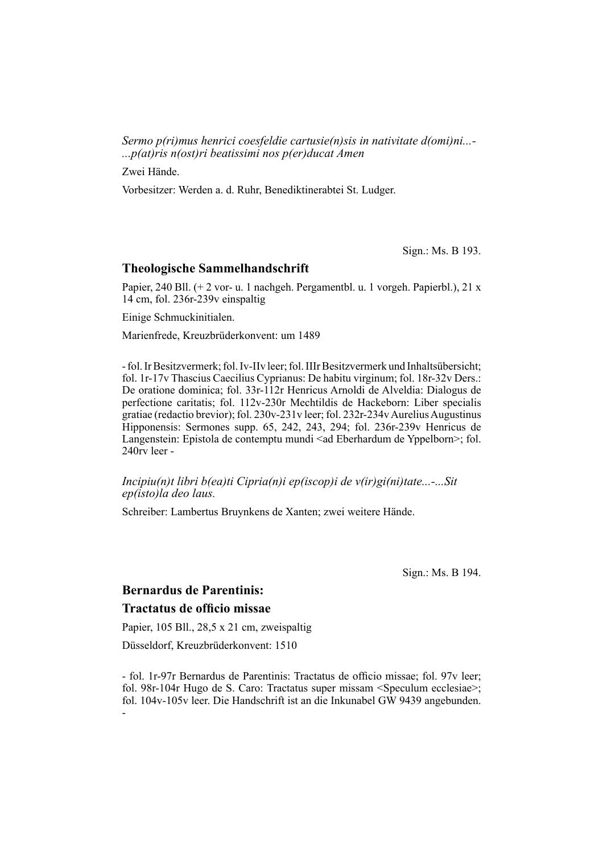*Sermo p(ri)mus henrici coesfeldie cartusie(n)sis in nativitate d(omi)ni...- ...p(at)ris n(ost)ri beatissimi nos p(er)ducat Amen*

Zwei Hände.

Vorbesitzer: Werden a. d. Ruhr, Benediktinerabtei St. Ludger.

Sign.: Ms. B 193.

#### **Theologische Sammelhandschrift**

Papier, 240 Bll.  $(+ 2 \text{ vor} - u. 1 \text{ nachgeh. Pergamenthl.} u. 1 \text{ vorgen. Papierbl.}$ ), 21 x 14 cm, fol. 236r-239v einspaltig

Einige Schmuckinitialen.

Marienfrede, Kreuzbrüderkonvent: um 1489

- fol. Ir Besitzvermerk; fol. Iv-IIv leer; fol. IIIr Besitzvermerk und Inhaltsübersicht; fol. 1r-17v Thascius Caecilius Cyprianus: De habitu virginum; fol. 18r-32v Ders.: De oratione dominica; fol. 33r-112r Henricus Arnoldi de Alveldia: Dialogus de perfectione caritatis; fol. 112v-230r Mechtildis de Hackeborn: Liber specialis gratiae (redactio brevior); fol. 230v-231v leer; fol. 232r-234v Aurelius Augustinus Hipponensis: Sermones supp. 65, 242, 243, 294; fol. 236r-239v Henricus de Langenstein: Epistola de contemptu mundi <ad Eberhardum de Yppelborn>; fol. 240rv leer -

#### *Incipiu(n)t libri b(ea)ti Cipria(n)i ep(iscop)i de v(ir)gi(ni)tate...-...Sit ep(isto)la deo laus.*

Schreiber: Lambertus Bruynkens de Xanten; zwei weitere Hände.

Sign.: Ms. B 194.

## **Bernardus de Parentinis:**

## **Tractatus de officio missae**

Papier, 105 Bll., 28,5 x 21 cm, zweispaltig

Düsseldorf, Kreuzbrüderkonvent: 1510

- fol. 1r-97r Bernardus de Parentinis: Tractatus de officio missae; fol. 97v leer; fol. 98r-104r Hugo de S. Caro: Tractatus super missam <Speculum ecclesiae>; fol. 104v-105v leer. Die Handschrift ist an die Inkunabel GW 9439 angebunden. -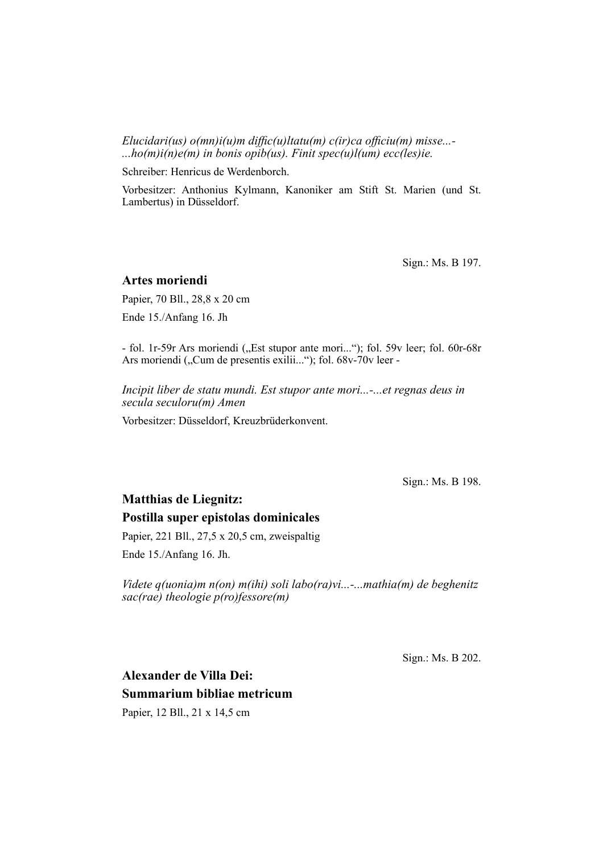*Elucidari(us) o(mn)i(u)m diffic(u)ltatu(m) c(ir)ca officiu(m) misse...-...ho(m)i(n)e(m) in bonis opib(us). Finit spec(u)l(um) ecc(les)ie.*

Schreiber: Henricus de Werdenborch.

Vorbesitzer: Anthonius Kylmann, Kanoniker am Stift St. Marien (und St. Lambertus) in Düsseldorf.

Sign.: Ms. B 197.

#### **Artes moriendi**

Papier, 70 Bll., 28,8 x 20 cm Ende 15./Anfang 16. Jh

- fol. 1r-59r Ars moriendi ("Est stupor ante mori..."); fol. 59v leer; fol. 60r-68r Ars moriendi ("Cum de presentis exilii..."); fol. 68v-70v leer -

*Incipit liber de statu mundi. Est stupor ante mori...-...et regnas deus in secula seculoru(m) Amen*

Vorbesitzer: Düsseldorf, Kreuzbrüderkonvent.

Sign.: Ms. B 198.

# **Matthias de Liegnitz: Postilla super epistolas dominicales**

Papier, 221 Bll., 27,5 x 20,5 cm, zweispaltig

Ende 15./Anfang 16. Jh.

*Videte q(uonia)m n(on) m(ihi) soli labo(ra)vi...-...mathia(m) de beghenitz sac(rae) theologie p(ro)fessore(m)*

Sign.: Ms. B 202.

# **Alexander de Villa Dei: Summarium bibliae metricum** Papier, 12 Bll., 21 x 14,5 cm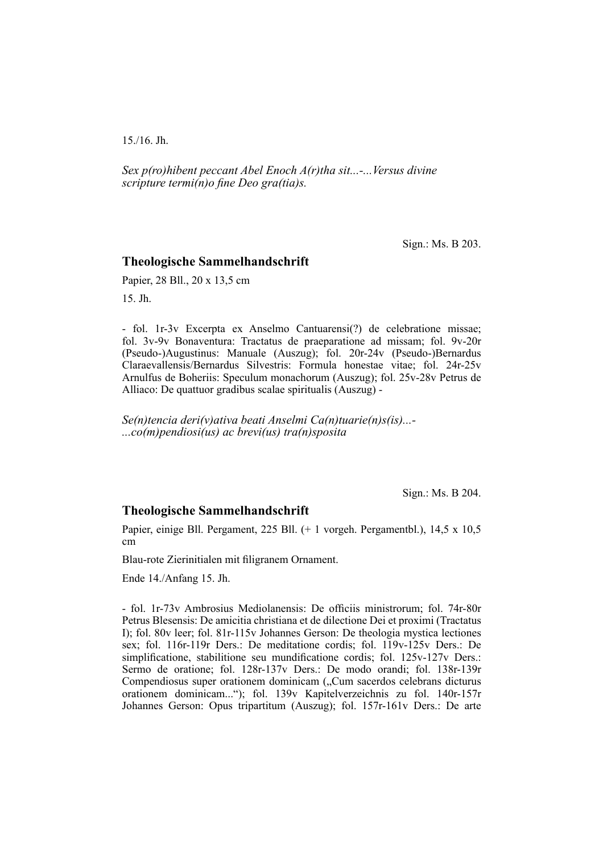15./16. Jh.

*Sex p(ro)hibent peccant Abel Enoch A(r)tha sit...-...Versus divine scripture termi(n)o fine Deo gra(tia)s.* 

Sign.: Ms. B 203.

#### **Theologische Sammelhandschrift**

Papier, 28 Bll., 20 x 13,5 cm

15. Jh.

- fol. 1r-3v Excerpta ex Anselmo Cantuarensi(?) de celebratione missae; fol. 3v-9v Bonaventura: Tractatus de praeparatione ad missam; fol. 9v-20r (Pseudo-)Augustinus: Manuale (Auszug); fol. 20r-24v (Pseudo-)Bernardus Clarae vallensis/Bernardus Silvestris: Formula honestae vitae; fol. 24r-25v Arnulfus de Boheriis: Speculum monachorum (Auszug); fol. 25v-28v Petrus de Alliaco: De quattuor gradibus scalae spiritualis (Auszug) -

*Se(n)tencia deri(v)ativa beati Anselmi Ca(n)tuarie(n)s(is)...- ...co(m)pendiosi(us) ac brevi(us) tra(n)sposita*

Sign.: Ms. B 204.

#### **Theologische Sammelhandschrift**

Papier, einige Bll. Pergament, 225 Bll. (+ 1 vorgeh. Pergamentbl.), 14,5 x 10,5 cm

Blau-rote Zierinitialen mit filigranem Ornament.

Ende 14./Anfang 15. Jh.

- fol. 1r-73y Ambrosius Mediolanensis: De officiis ministrorum; fol. 74r-80r Petrus Blesensis: De amicitia christiana et de dilectione Dei et proximi (Tractatus I); fol. 80v leer; fol. 81r-115v Johannes Gerson: De theologia mystica lectiones sex; fol. 116r-119r Ders.: De meditatione cordis; fol. 119v-125v Ders.: De simplificatione, stabilitione seu mundificatione cordis; fol. 125v-127v Ders.: Sermo de oratione; fol. 128r-137v Ders.: De modo orandi; fol. 138r-139r Compendiosus super orationem dominicam ("Cum sacerdos celebrans dicturus orationem dominicam..."); fol. 139v Kapitelverzeichnis zu fol. 140r-157r Johannes Gerson: Opus tripartitum (Auszug); fol. 157r-161v Ders.: De arte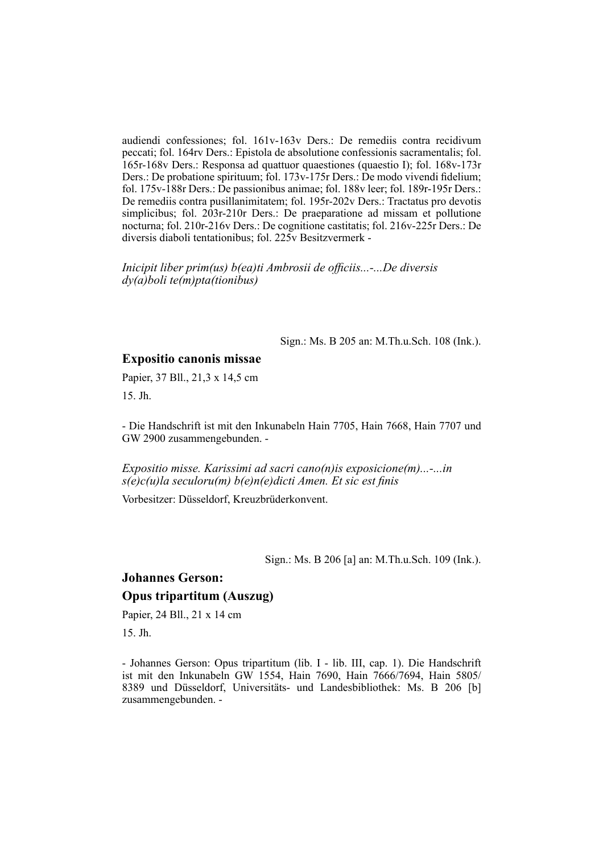audiendi confessiones; fol. 161v-163v Ders.: De remediis contra recidivum peccati; fol. 164rv Ders.: Epistola de absolutione confessionis sacramentalis; fol. 165r-168v Ders.: Responsa ad quattuor quaestiones (quaestio I); fol. 168v-173r Ders.: De probatione spirituum; fol. 173v-175r Ders.: De modo vivendi fidelium; fol. 175v-188r Ders.: De passionibus animae; fol. 188v leer; fol. 189r-195r Ders.: De remediis contra pusillanimitatem; fol. 195r-202v Ders.: Tractatus pro devotis simplicibus; fol. 203r-210r Ders.: De praeparatione ad missam et pollutione nocturna; fol. 210r-216v Ders.: De cognitione castitatis; fol. 216v-225r Ders.: De diversis diaboli tentationibus; fol. 225v Besitzvermerk -

*Inicipit liber prim(us) b(ea)ti Ambrosii de officiis...-...De diversis dy(a)boli te(m)pta(tionibus)*

Sign.: Ms. B 205 an: M.Th.u.Sch. 108 (Ink.).

### **Expositio canonis missae**

Papier, 37 Bll., 21,3 x 14,5 cm

15. Jh.

- Die Handschrift ist mit den Inkunabeln Hain 7705, Hain 7668, Hain 7707 und GW 2900 zusammengebunden. -

*Expositio misse. Karissimi ad sacri cano(n)is exposicione(m)...-...in s(e)c(u)la seculoru(m) b(e)n(e)dicti Amen. Et sic est finis* 

Vorbesitzer: Düsseldorf, Kreuzbrüderkonvent.

Sign.: Ms. B 206 [a] an: M.Th.u.Sch. 109 (Ink.).

# **Johannes Gerson: Opus tripartitum (Auszug)**

Papier, 24 Bll., 21 x 14 cm

15. Jh.

- Johannes Gerson: Opus tripartitum (lib. I - lib. III, cap. 1). Die Handschrift ist mit den Inkunabeln GW 1554, Hain 7690, Hain 7666/7694, Hain 5805/ 8389 und Düsseldorf, Universitäts- und Landesbibliothek: Ms. B 206 [b] zusammengebunden. -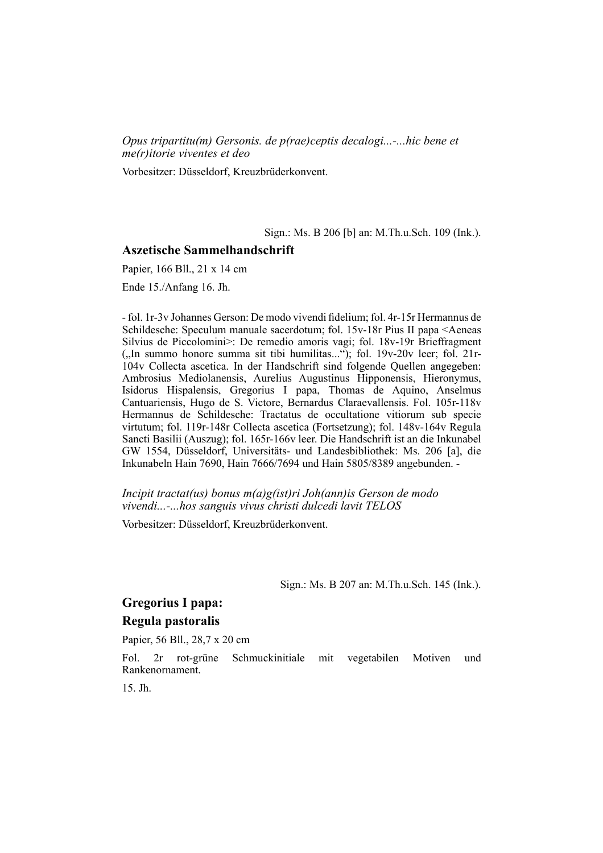*Opus tripartitu(m) Gersonis. de p(rae)ceptis decalogi...-...hic bene et me(r)itorie viventes et deo*

Vorbesitzer: Düsseldorf, Kreuzbrüderkonvent.

Sign.: Ms. B 206 [b] an: M.Th.u.Sch. 109 (Ink.).

#### **Aszetische Sammelhandschrift**

Papier, 166 Bll., 21 x 14 cm

Ende 15./Anfang 16. Jh.

- fol. 1r-3v Johannes Gerson: De modo vivendi fi delium; fol. 4r-15r Her mannus de Schildesche: Speculum manuale sacerdotum; fol. 15v-18r Pius II papa <Aeneas Silvius de Piccolomini>: De remedio amoris vagi; fol. 18v-19r Brieffragment  $($ "In summo honore summa sit tibi humilitas..."); fol. 19v-20v leer; fol. 21r-104v Collecta ascetica. In der Handschrift sind folgende Quellen angegeben: Ambrosius Mediolanensis, Aurelius Augustinus Hipponensis, Hieronymus, Isidorus Hispalensis, Gregorius I papa, Thomas de Aquino, Anselmus Cantuariensis, Hugo de S. Victore, Bernardus Claraevallensis. Fol. 105r-118v Hermannus de Schildesche: Tractatus de occultatione vitiorum sub specie virtutum; fol. 119r-148r Collecta ascetica (Fortsetzung); fol. 148v-164v Regula Sancti Basilii (Auszug); fol. 165r-166v leer. Die Handschrift ist an die Inkunabel GW 1554, Düsseldorf, Universitäts- und Landes bibliothek: Ms. 206 [a], die Inkunabeln Hain 7690, Hain 7666/7694 und Hain 5805/8389 angebunden. -

*Incipit tractat(us) bonus m(a)g(ist)ri Joh(ann)is Gerson de modo vivendi...-...hos sanguis vivus christi dulcedi lavit TELOS*

Vorbesitzer: Düsseldorf, Kreuzbrüderkonvent.

Sign.: Ms. B 207 an: M.Th.u.Sch. 145 (Ink.).

# **Gregorius I papa: Regula pastoralis**

Papier, 56 Bll., 28,7 x 20 cm

Fol. 2r rot-grüne Schmuckinitiale mit vegetabilen Motiven und Rankenornament.

15. Jh.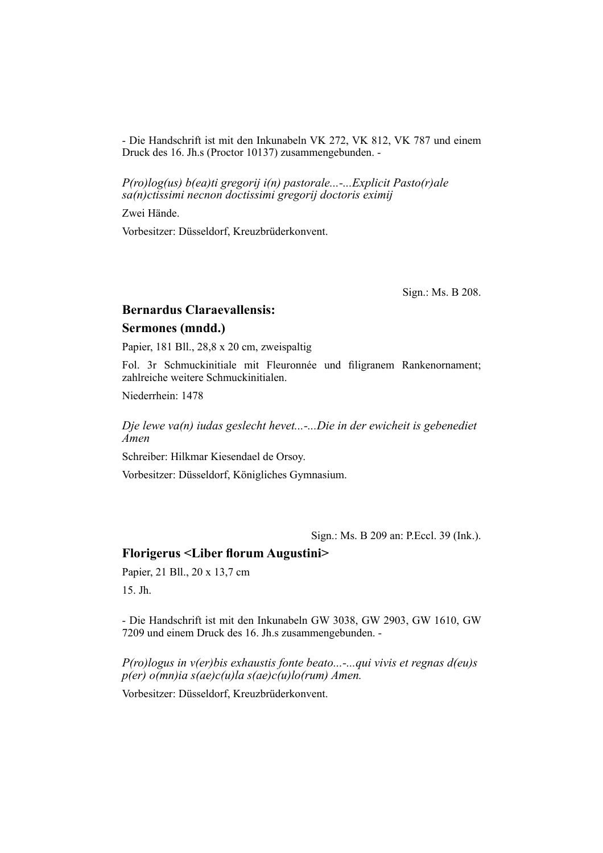- Die Handschrift ist mit den Inkunabeln VK 272, VK 812, VK 787 und einem Druck des 16. Jh.s (Proctor 10137) zusammengebunden. -

*P(ro)log(us) b(ea)ti gregorij i(n) pastorale...-...Explicit Pasto(r)ale sa(n)ctissimi necnon doctissimi gregorij doctoris eximij*

Zwei Hände.

Vorbesitzer: Düsseldorf, Kreuzbrüderkonvent.

Sign.: Ms. B 208.

# **Bernardus Claraevallensis: Sermones (mndd.)**

Papier, 181 Bll., 28,8 x 20 cm, zweispaltig

Fol. 3r Schmuckinitiale mit Fleuronnée und filigranem Rankenornament; zahlreiche weitere Schmuckinitialen.

Niederrhein: 1478

*Dje lewe va(n) iudas geslecht hevet...-...Die in der ewicheit is gebenediet Amen*

Schreiber: Hilkmar Kiesendael de Orsoy.

Vorbesitzer: Düsseldorf, Königliches Gymnasium.

Sign.: Ms. B 209 an: P.Eccl. 39 (Ink.).

#### **Florigerus <Liber florum Augustini>**

Papier, 21 Bll., 20 x 13,7 cm

15. Jh.

- Die Handschrift ist mit den Inkunabeln GW 3038, GW 2903, GW 1610, GW 7209 und einem Druck des 16. Jh.s zusammengebunden. -

*P(ro)logus in v(er)bis exhaustis fonte beato...-...qui vivis et regnas d(eu)s p(er) o(mn)ia s(ae)c(u)la s(ae)c(u)lo(rum) Amen.*

Vorbesitzer: Düsseldorf, Kreuzbrüderkonvent.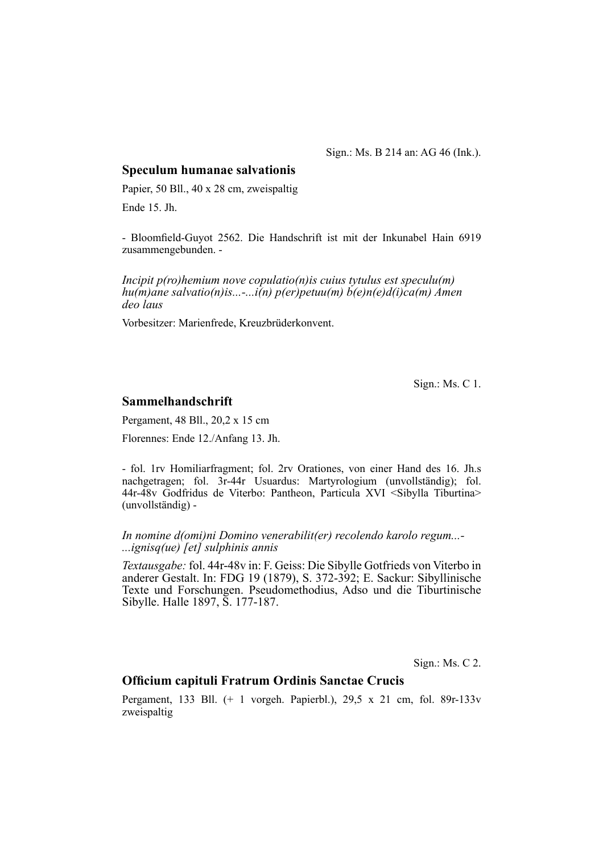Sign.: Ms. B 214 an: AG 46 (Ink.).

#### **Speculum humanae salvationis**

Papier, 50 Bll., 40 x 28 cm, zweispaltig Ende 15. Jh.

- Bloomfield-Guyot 2562. Die Handschrift ist mit der Inkunabel Hain 6919 zusammengebunden. -

*Incipit p(ro)hemium nove copulatio(n)is cuius tytulus est speculu(m) hu(m)ane salvatio(n)is...-...i(n) p(er)petuu(m) b(e)n(e)d(i)ca(m) Amen deo laus*

Vorbesitzer: Marienfrede, Kreuzbrüderkonvent.

Sign.: Ms. C 1.

### **Sammelhandschrift**

Pergament, 48 Bll., 20,2 x 15 cm

Florennes: Ende 12./Anfang 13. Jh.

- fol. 1rv Homiliarfragment; fol. 2rv Orationes, von einer Hand des 16. Jh.s nachgetragen; fol. 3r-44r Usuardus: Martyrologium (unvollständig); fol. 44r-48v Godfridus de Viterbo: Pantheon, Particula XVI <Sibylla Tiburtina> (unvollständig) -

*In nomine d(omi)ni Domino venerabilit(er) recolendo karolo regum...- ...ignisq(ue) [et] sulphinis annis*

*Textausgabe:* fol. 44r-48v in: F. Geiss: Die Sibylle Gotfrieds von Viterbo in anderer Gestalt. In: FDG 19 (1879), S. 372-392; E. Sackur: Sibyllinische Texte und Forschungen. Pseudomethodius, Adso und die Tiburtinische Sibylle. Halle 1897, S. 177-187.

Sign.: Ms. C 2.

## **Offi cium capituli Fratrum Ordinis Sanctae Crucis**

Pergament, 133 Bll. (+ 1 vorgeh. Papierbl.), 29,5 x 21 cm, fol. 89r-133v zweispaltig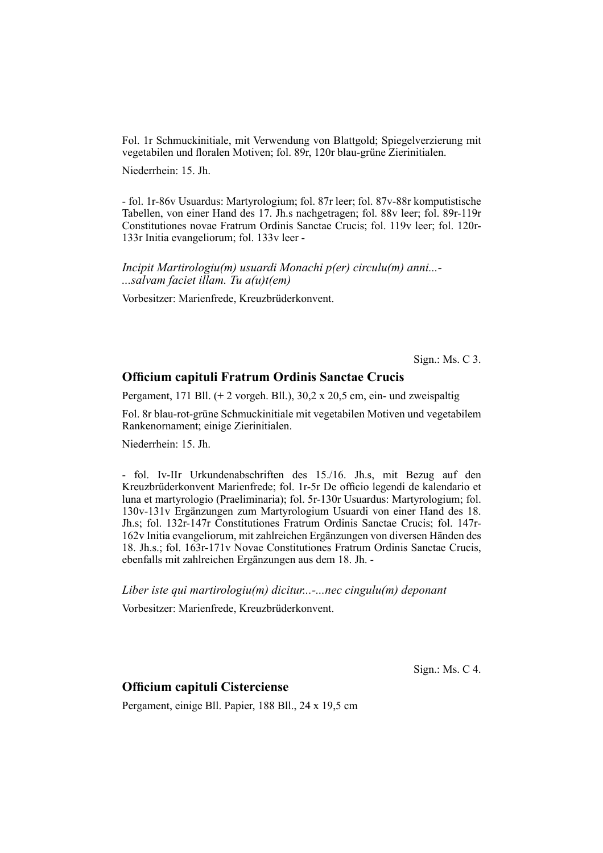Fol. 1r Schmuckinitiale, mit Verwendung von Blattgold; Spiegelverzierung mit vegetabilen und floralen Motiven; fol. 89r, 120r blau-grüne Zierinitialen.

Niederrhein: 15. Jh.

- fol. 1r-86v Usuardus: Martyrologium; fol. 87r leer; fol. 87v-88r komputistische Tabellen, von einer Hand des 17. Jh.s nachgetragen; fol. 88v leer; fol. 89r-119r Constitutiones novae Fratrum Ordinis Sanctae Crucis; fol. 119v leer; fol. 120r-133r Initia evangeliorum; fol. 133v leer -

*Incipit Martirologiu(m) usuardi Monachi p(er) circulu(m) anni...- ...salvam faciet illam. Tu a(u)t(em)*

Vorbesitzer: Marienfrede, Kreuzbrüderkonvent.

Sign.: Ms. C 3.

# **Offi cium capituli Fratrum Ordinis Sanctae Crucis**

Pergament, 171 Bll. (+ 2 vorgeh. Bll.), 30,2 x 20,5 cm, ein- und zweispaltig

Fol. 8r blau-rot-grüne Schmuckinitiale mit vegetabilen Motiven und vegetabilem Rankenornament; einige Zierinitialen.

Niederrhein: 15. Jh.

- fol. Iv-IIr Urkundenabschriften des 15./16. Jh.s, mit Bezug auf den Kreuzbrüderkonvent Marienfrede; fol. 1r-5r De officio legendi de kalendario et luna et martyrologio (Praeliminaria); fol. 5r-130r Usuardus: Martyrologium; fol. 130v-131v Ergänzungen zum Martyrologium Usuardi von einer Hand des 18. Jh.s; fol. 132r-147r Constitutiones Fratrum Ordinis Sanctae Crucis; fol. 147r-162v Initia evangeliorum, mit zahlreichen Ergänzungen von diversen Händen des 18. Jh.s.; fol. 163r-171v Novae Constitutiones Fratrum Ordinis Sanctae Crucis, ebenfalls mit zahlreichen Ergänzungen aus dem 18. Jh. -

*Liber iste qui martirologiu(m) dicitur...-...nec cingulu(m) deponant*

Vorbesitzer: Marienfrede, Kreuzbrüderkonvent.

Sign.: Ms. C 4.

### **Officium capituli Cisterciense**

Pergament, einige Bll. Papier, 188 Bll., 24 x 19,5 cm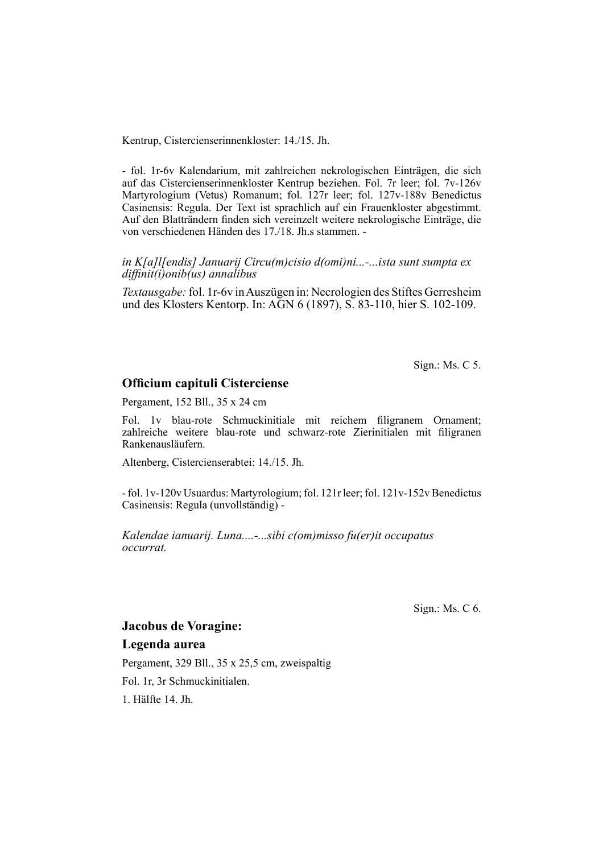Kentrup, Cistercienserinnenkloster: 14./15. Jh.

- fol. 1r-6v Kalendarium, mit zahlreichen nekrologischen Einträgen, die sich auf das Cistercienserinnenkloster Kentrup beziehen. Fol. 7r leer; fol. 7v-126v Martyrologium (Vetus) Romanum; fol. 127r leer; fol. 127v-188v Benedictus Casinensis: Regula. Der Text ist sprachlich auf ein Frauenkloster abgestimmt. Auf den Blatträndern finden sich vereinzelt weitere nekrologische Einträge, die von verschiedenen Händen des 17./18. Jh.s stammen. -

*in K[a]l[endis] Januarij Circu(m)cisio d(omi)ni...-...ista sunt sumpta ex diffi nit(i)onib(us) annalibus*

*Textausgabe:* fol. 1r-6v in Auszügen in: Necrologien des Stiftes Gerresheim und des Klosters Kentorp. In: AGN 6 (1897), S. 83-110, hier S. 102-109.

Sign.: Ms. C 5.

# **Officium capituli Cisterciense**

Pergament, 152 Bll., 35 x 24 cm

Fol. 1v blau-rote Schmuckinitiale mit reichem filigranem Ornament; zahlreiche weitere blau-rote und schwarz-rote Zierinitialen mit filigranen Rankenausläufern.

Altenberg, Cistercienserabtei: 14./15. Jh.

- fol. 1v-120v Usuardus: Martyrologium; fol. 121r leer; fol. 121v-152v Benedictus Casinensis: Regula (unvollständig) -

*Kalendae ianuarij. Luna....-...sibi c(om)misso fu(er)it occupatus occurrat.*

Sign.: Ms. C 6.

# **Jacobus de Voragine:**

# **Legenda aurea**

Pergament, 329 Bll., 35 x 25,5 cm, zweispaltig Fol. 1r, 3r Schmuckinitialen. 1. Hälfte 14. Jh.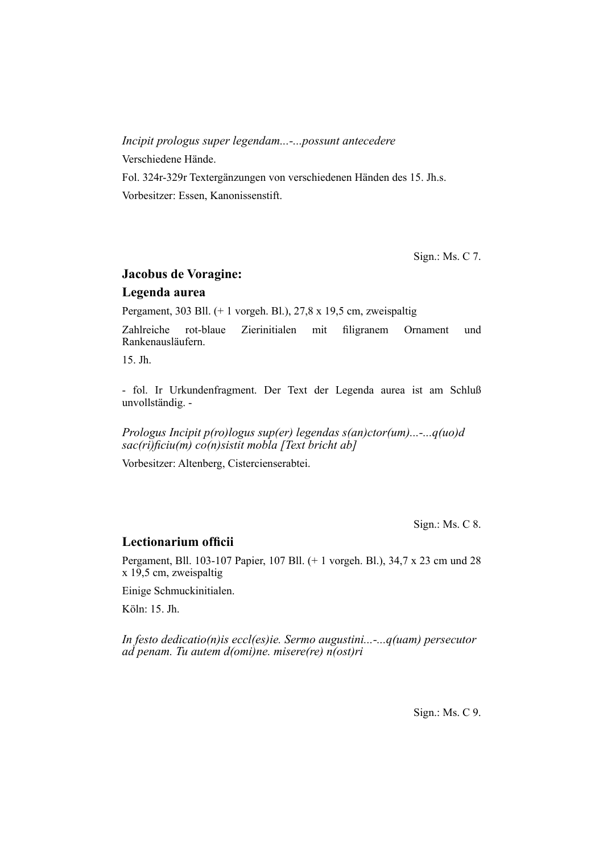# *Incipit prologus super legendam...-...possunt antecedere*

Verschiedene Hände.

Fol. 324r-329r Textergänzungen von verschiedenen Händen des 15. Jh.s. Vorbesitzer: Essen, Kanonissenstift.

Sign.: Ms. C 7.

# **Jacobus de Voragine: Legenda aurea**

Pergament, 303 Bll. (+ 1 vorgeh. Bl.), 27,8 x 19,5 cm, zweispaltig

Zahlreiche rot-blaue Zierinitialen mit filigranem Ornament und Rankenausläu fern.

15. Jh.

- fol. Ir Urkundenfragment. Der Text der Legenda aurea ist am Schluß unvollständig. -

*Prologus Incipit p(ro)logus sup(er) legendas s(an)ctor(um)...-...q(uo)d*  sac(ri)ficiu(m) co(n)sistit mobla [Text bricht ab]

Vorbesitzer: Altenberg, Cistercienserabtei.

Sign.: Ms. C 8.

# Lectionarium officii

Pergament, Bll. 103-107 Papier, 107 Bll. (+ 1 vorgeh. Bl.), 34,7 x 23 cm und 28 x 19,5 cm, zweispaltig

Einige Schmuckinitialen.

Köln: 15. Jh.

*In festo dedicatio(n)is eccl(es)ie. Sermo augustini...-...q(uam) persecutor ad penam. Tu autem d(omi)ne. misere(re) n(ost)ri*

Sign.: Ms. C 9.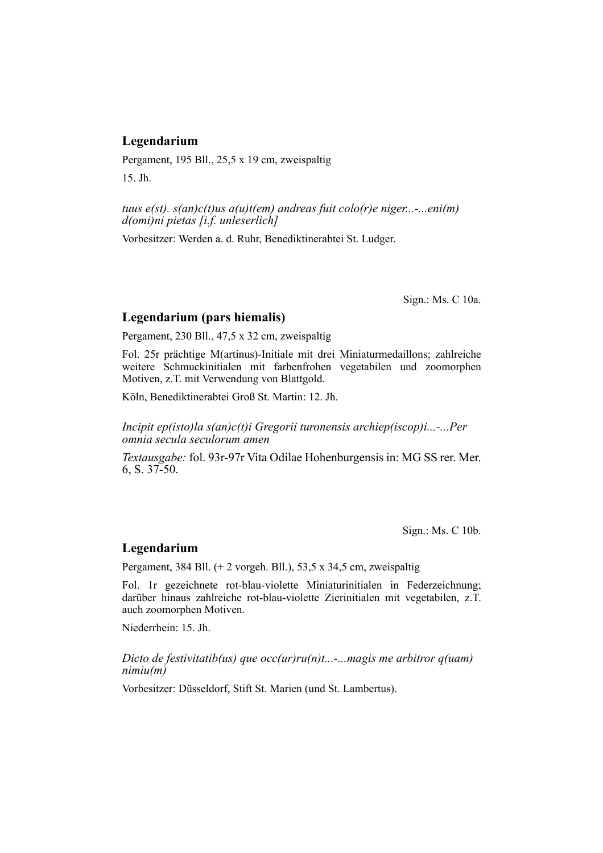# **Legendarium**

Pergament, 195 Bll., 25,5 x 19 cm, zweispaltig 15. Jh.

*tuus e(st). s(an)c(t)us a(u)t(em) andreas fuit colo(r)e niger...-...eni(m) d(omi)ni pietas [i.f. unleserlich]*

Vorbesitzer: Werden a. d. Ruhr, Benediktinerabtei St. Ludger.

Sign.: Ms. C 10a.

# **Legendarium (pars hiemalis)**

Pergament, 230 Bll., 47,5 x 32 cm, zweispaltig

Fol. 25r prächtige M(artinus)-Initiale mit drei Miniaturmedaillons; zahlreiche weitere Schmuckinitialen mit farbenfrohen vegetabilen und zoomorphen Motiven, z.T. mit Verwendung von Blattgold.

Köln, Benediktinerabtei Groß St. Martin: 12. Jh.

*Incipit ep(isto)la s(an)c(t)i Gregorii turonensis archiep(iscop)i...-...Per omnia secula seculorum amen*

*Textausgabe:* fol. 93r-97r Vita Odilae Hohenburgensis in: MG SS rer. Mer. 6, S. 37-50.

Sign.: Ms. C 10b.

#### **Legendarium**

Pergament, 384 Bll. (+ 2 vorgeh. Bll.), 53,5 x 34,5 cm, zweispaltig

Fol. 1r gezeichnete rot-blau-violette Miniaturinitialen in Federzeichnung; dar über hinaus zahlreiche rot-blau-violette Zierinitialen mit vegetabilen, z.T. auch zoomorphen Motiven.

Niederrhein: 15. Jh.

*Dicto de festivitatib(us) que occ(ur)ru(n)t...-...magis me arbitror q(uam) nimiu(m)*

Vorbesitzer: Düsseldorf, Stift St. Marien (und St. Lambertus).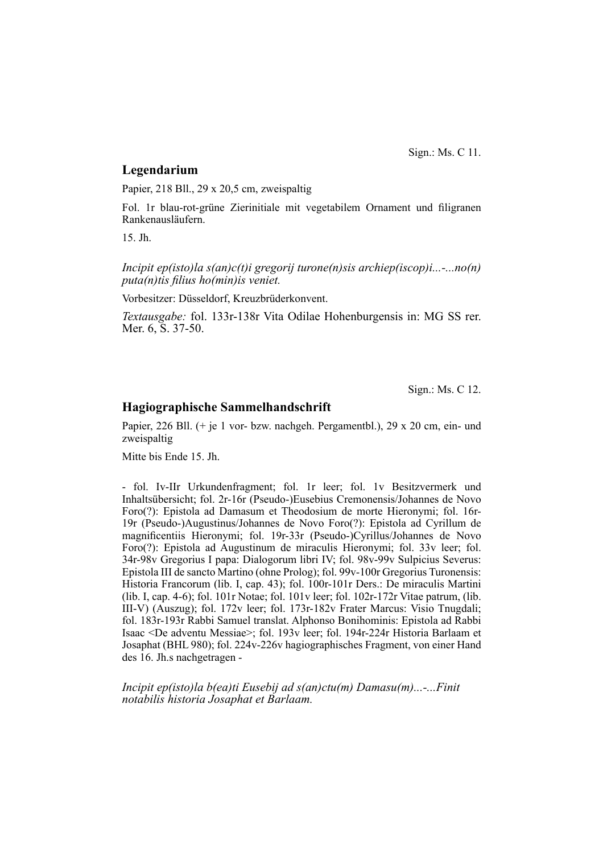Sign.: Ms. C 11.

#### **Legendarium**

Papier, 218 Bll., 29 x 20,5 cm, zweispaltig

Fol. 1r blau-rot-grüne Zierinitiale mit vegetabilem Ornament und filigranen Rankenausläufern.

15. Jh.

*Incipit ep(isto)la s(an)c(t)i gregorij turone(n)sis archiep(iscop)i...-...no(n) puta(n)tis filius ho(min)is veniet.* 

Vorbesitzer: Düsseldorf, Kreuzbrüderkonvent.

*Textausgabe:* fol. 133r-138r Vita Odilae Hohenburgensis in: MG SS rer. Mer. 6, S. 37-50.

Sign.: Ms. C 12.

### **Hagiographische Sammelhandschrift**

Papier, 226 Bll. (+ je 1 vor- bzw. nachgeh. Pergamentbl.), 29 x 20 cm, ein- und zweispaltig

Mitte bis Ende 15. Jh.

- fol. Iv-IIr Urkundenfragment; fol. 1r leer; fol. 1v Besitzvermerk und In halts übersicht; fol. 2r-16r (Pseudo-)Eusebius Cremonensis/Johannes de Novo Foro(?): Epistola ad Damasum et Theodosium de morte Hieronymi; fol. 16r-19r (Pseudo-)Augustinus/Johannes de Novo Foro(?): Epistola ad Cyrillum de magnificentiis Hieronymi; fol. 19r-33r (Pseudo-)Cyrillus/Johannes de Novo Foro(?): Epistola ad Augustinum de miraculis Hieronymi; fol. 33v leer; fol. 34r-98v Gregorius I papa: Dialogorum libri IV; fol. 98v-99v Sulpicius Severus: Epistola III de sancto Martino (ohne Prolog); fol. 99v-100r Gregorius Turonensis: Historia Francorum (lib. I, cap. 43); fol. 100r-101r Ders.: De miraculis Martini (lib. I, cap. 4-6); fol. 101r Notae; fol. 101v leer; fol. 102r-172r Vitae patrum, (lib. III-V) (Auszug); fol. 172v leer; fol. 173r-182v Frater Marcus: Visio Tnugdali; fol. 183r-193r Rabbi Samuel translat. Alphonso Bonihominis: Epistola ad Rabbi Isaac <De adventu Messiae>; fol. 193v leer; fol. 194r-224r Historia Barlaam et Josaphat (BHL 980); fol. 224v-226v hagiographisches Fragment, von einer Hand des 16. Jh.s nachgetragen -

*Incipit ep(isto)la b(ea)ti Eusebij ad s(an)ctu(m) Damasu(m)...-...Finit notabilis historia Josaphat et Barlaam.*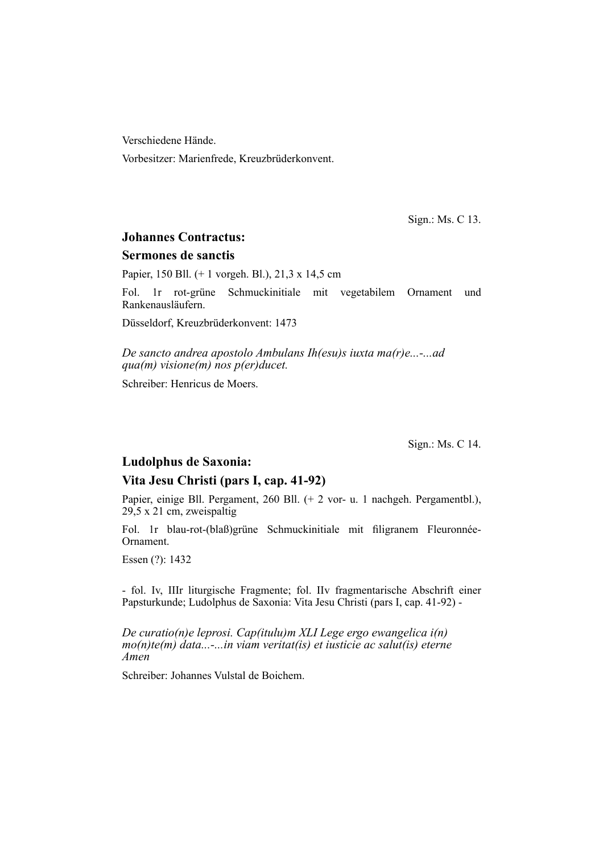Verschiedene Hände.

Vorbesitzer: Marienfrede, Kreuzbrüderkonvent.

Sign.: Ms. C 13.

# **Johannes Contractus:**

#### **Sermones de sanctis**

Papier, 150 Bll. (+ 1 vorgeh. Bl.), 21,3 x 14,5 cm

Fol. 1r rot-grüne Schmuckinitiale mit vegetabilem Ornament und Rankenaus läufern.

Düsseldorf, Kreuzbrüderkonvent: 1473

*De sancto andrea apostolo Ambulans Ih(esu)s iuxta ma(r)e...-...ad qua(m) visione(m) nos p(er)ducet.*

Schreiber: Henricus de Moers.

Sign.: Ms. C 14.

### **Ludolphus de Saxonia:**

#### **Vita Jesu Christi (pars I, cap. 41-92)**

Papier, einige Bll. Pergament, 260 Bll. (+ 2 vor- u. 1 nachgeh. Pergamentbl.), 29,5 x 21 cm, zweispaltig

Fol. 1r blau-rot-(blaß)grüne Schmuckinitiale mit filigranem Fleuronnée-Ornament.

Essen (?): 1432

- fol. Iv, IIIr liturgische Fragmente; fol. IIv fragmentarische Abschrift einer Papsturkunde; Ludolphus de Saxonia: Vita Jesu Christi (pars I, cap. 41-92) -

*De curatio(n)e leprosi. Cap(itulu)m XLI Lege ergo ewangelica i(n) mo(n)te(m) data...-...in viam veritat(is) et iusticie ac salut(is) eterne Amen*

Schreiber: Johannes Vulstal de Boichem.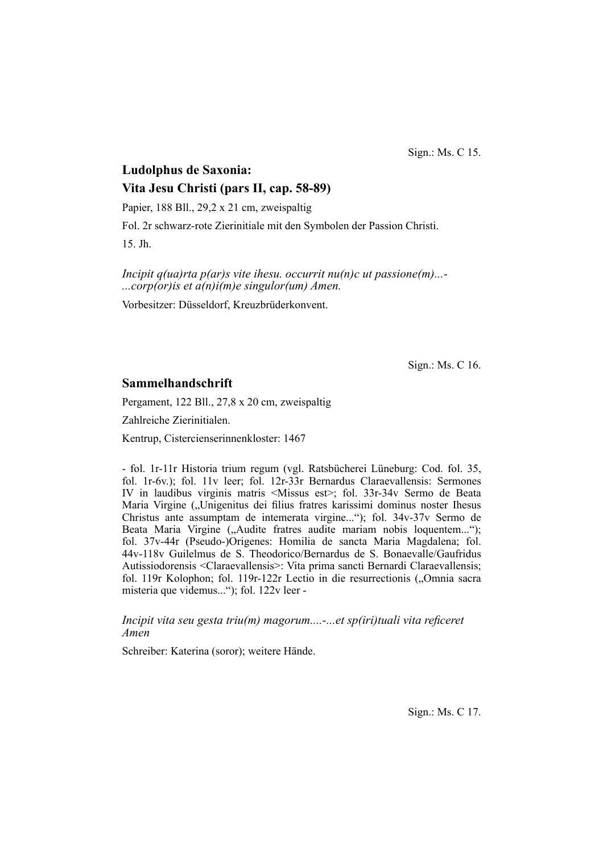Sign.: Ms. C 15.

# **Ludolphus de Saxonia: Vita Jesu Christi (pars II, cap. 58-89)** Papier, 188 Bll., 29,2 x 21 cm, zweispaltig

Fol. 2r schwarz-rote Zierinitiale mit den Symbolen der Passion Christi.

15. Jh.

*Incipit q(ua)rta p(ar)s vite ihesu. occurrit nu(n)c ut passione(m)...- ...corp(or)is et a(n)i(m)e singulor(um) Amen.*

Vorbesitzer: Düsseldorf, Kreuzbrüderkonvent.

Sign.: Ms. C 16.

# **Sammelhandschrift**

Pergament, 122 Bll., 27,8 x 20 cm, zweispaltig

Zahlreiche Zierinitialen.

Kentrup, Cistercienserinnenkloster: 1467

- fol. 1r-11r Historia trium regum (vgl. Ratsbücherei Lüneburg: Cod. fol. 35, fol. 1r-6v.); fol. 11v leer; fol. 12r-33r Bernardus Claraevallensis: Sermones IV in laudibus virginis matris <Missus est>; fol. 33r-34v Sermo de Beata Maria Virgine ("Unigenitus dei filius fratres karissimi dominus noster Ihesus Christus ante assumptam de intemerata virgine..."); fol. 34v-37v Sermo de Beata Maria Virgine ("Audite fratres audite mariam nobis loquentem..."); fol. 37v-44r (Pseudo-)Origenes: Homilia de sancta Maria Magdalena; fol. 44v-118v Guilelmus de S. Theodorico/Bernardus de S. Bonaevalle/Gaufridus Autissio dorensis <Claraevallensis>: Vita prima sancti Bernardi Claraevallensis; fol. 119r Kolophon; fol. 119r-122r Lectio in die resurrectionis ("Omnia sacra misteria que videmus..."); fol. 122v leer -

*Incipit vita seu gesta triu(m) magorum....-...et sp(iri)tuali vita reficeret Amen*

Schreiber: Katerina (soror); weitere Hände.

Sign.: Ms. C 17.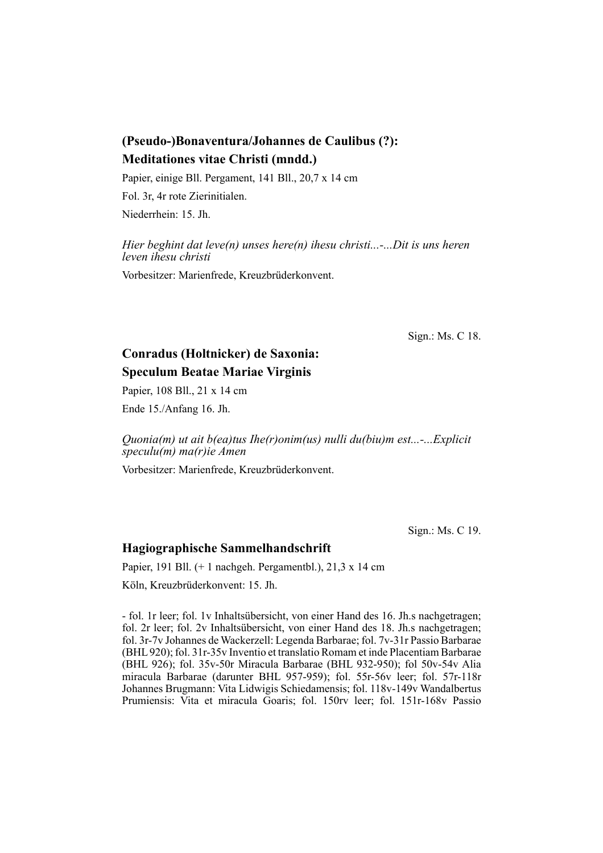# **(Pseudo-)Bonaventura/Johannes de Caulibus (?): Meditationes vitae Christi (mndd.)**

Papier, einige Bll. Pergament, 141 Bll., 20,7 x 14 cm Fol. 3r, 4r rote Zierinitialen. Niederrhein: 15. Jh.

*Hier beghint dat leve(n) unses here(n) ihesu christi...-...Dit is uns heren leven ihesu christi*

Vorbesitzer: Marienfrede, Kreuzbrüderkonvent.

Sign.: Ms. C 18.

# **Conradus (Holtnicker) de Saxonia: Speculum Beatae Mariae Virginis**

Papier, 108 Bll., 21 x 14 cm

Ende 15./Anfang 16. Jh.

*Quonia(m) ut ait b(ea)tus Ihe(r)onim(us) nulli du(biu)m est...-...Explicit speculu(m) ma(r)ie Amen*

Vorbesitzer: Marienfrede, Kreuzbrüderkonvent.

Sign.: Ms. C 19.

# **Hagiographische Sammelhandschrift**

Papier, 191 Bll. (+ 1 nachgeh. Pergamentbl.), 21,3 x 14 cm

Köln, Kreuzbrüderkonvent: 15. Jh.

- fol. 1r leer; fol. 1v Inhaltsübersicht, von einer Hand des 16. Jh.s nachgetragen; fol. 2r leer; fol. 2v Inhaltsübersicht, von einer Hand des 18. Jh.s nachgetragen; fol. 3r-7v Johannes de Wackerzell: Legenda Barbarae; fol. 7v-31r Passio Barbarae (BHL 920); fol. 31r-35v Inventio et translatio Romam et inde Placentiam Barbarae (BHL 926); fol. 35v-50r Miracula Barbarae (BHL 932-950); fol 50v-54v Alia miracula Barbarae (darunter BHL 957-959); fol. 55r-56v leer; fol. 57r-118r Johannes Brugmann: Vita Lidwigis Schiedamensis; fol. 118v-149v Wandalbertus Prumiensis: Vita et miracula Goaris; fol. 150rv leer; fol. 151r-168v Passio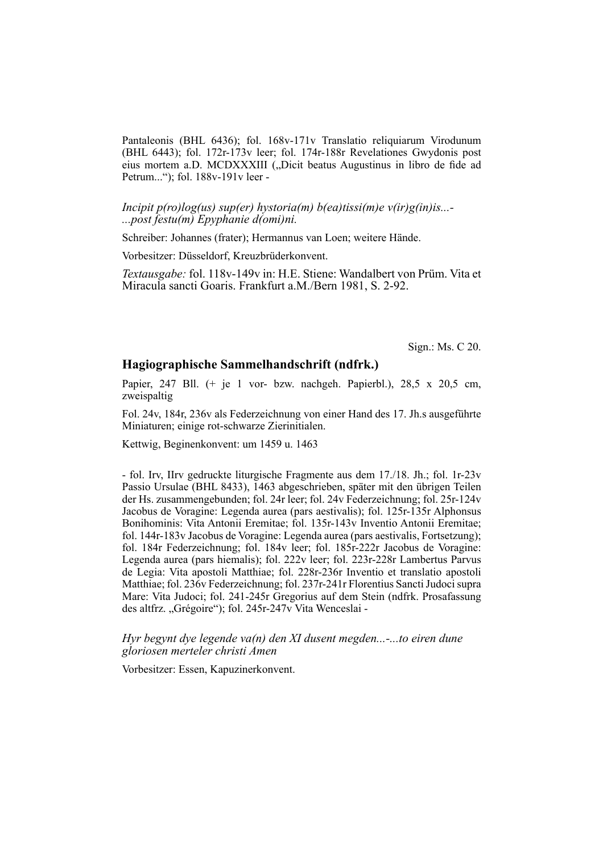Pantaleonis (BHL 6436); fol. 168v-171v Translatio reliquiarum Virodunum (BHL 6443); fol. 172r-173v leer; fol. 174r-188r Re velationes Gwydonis post eius mortem a.D. MCDXXXIII ("Dicit beatus Augustinus in libro de fide ad Petrum..."); fol. 188v-191v leer -

*Incipit p(ro)log(us) sup(er) hystoria(m) b(ea)tissi(m)e v(ir)g(in)is...- ...post festu(m) Epyphanie d(omi)ni.*

Schreiber: Johannes (frater); Hermannus van Loen; weitere Hände.

Vorbesitzer: Düsseldorf, Kreuzbrüderkonvent.

*Textausgabe:* fol. 118v-149v in: H.E. Stiene: Wandalbert von Prüm. Vita et Miracula sancti Goaris. Frankfurt a.M./Bern 1981, S. 2-92.

Sign.: Ms. C 20.

#### **Hagiographische Sammelhandschrift (ndfrk.)**

Papier, 247 Bll. (+ je 1 vor- bzw. nachgeh. Papierbl.), 28,5 x 20,5 cm, zweispaltig

Fol. 24v, 184r, 236v als Federzeichnung von einer Hand des 17. Jh.s ausgeführte Miniaturen; einige rot-schwarze Zierinitialen.

Kettwig, Beginenkonvent: um 1459 u. 1463

- fol. Irv, IIrv gedruckte liturgische Fragmente aus dem 17./18. Jh.; fol. 1r-23v Passio Ursulae (BHL 8433), 1463 abgeschrieben, später mit den übrigen Teilen der Hs. zusammengebunden; fol. 24r leer; fol. 24v Federzeichnung; fol. 25r-124v Jacobus de Voragine: Legenda aurea (pars aestivalis); fol. 125r-135r Alphonsus Bonihominis: Vita Antonii Eremitae; fol. 135r-143v Inventio Antonii Eremitae; fol. 144r-183v Jacobus de Voragine: Legenda aurea (pars aestivalis, Fortsetzung); fol. 184r Federzeichnung; fol. 184v leer; fol. 185r-222r Jacobus de Voragine: Legenda aurea (pars hiemalis); fol. 222v leer; fol. 223r-228r Lambertus Parvus de Legia: Vita apostoli Matthiae; fol. 228r-236r Inventio et translatio apostoli Matthiae; fol. 236v Federzeichnung; fol. 237r-241r Florentius Sancti Judoci supra Mare: Vita Judoci; fol. 241-245r Gregorius auf dem Stein (ndfrk. Prosafassung des altfrz. "Grégoire"); fol. 245r-247v Vita Wenceslai -

*Hyr begynt dye legende va(n) den XI dusent megden...-...to eiren dune gloriosen merteler christi Amen*

Vorbesitzer: Essen, Kapuzinerkonvent.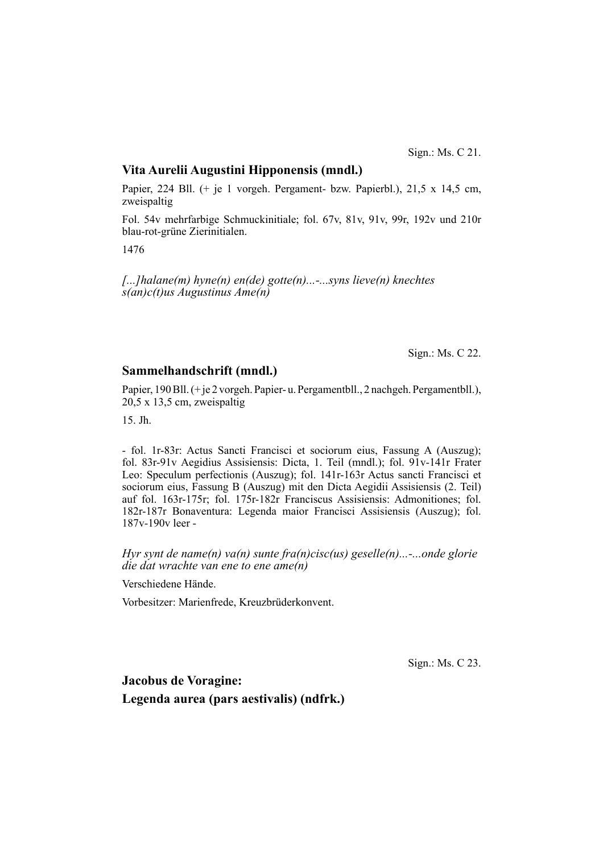Sign.: Ms. C 21.

# **Vita Aurelii Augustini Hipponensis (mndl.)**

Papier, 224 Bll. (+ je 1 vorgeh. Pergament- bzw. Papierbl.), 21,5 x 14,5 cm, zweispaltig

Fol. 54v mehrfarbige Schmuckinitiale; fol. 67v, 81v, 91v, 99r, 192v und 210r blau-rot-grüne Zierinitialen.

1476

*[...]halane(m) hyne(n) en(de) gotte(n)...-...syns lieve(n) knechtes s(an)c(t)us Augustinus Ame(n)*

Sign.: Ms. C 22.

# **Sammelhandschrift (mndl.)**

Papier, 190 Bll. (+ je 2 vorgeh. Papier- u. Pergamentbll., 2 nachgeh. Pergamentbll.), 20,5 x 13,5 cm, zweispaltig

15. Jh.

- fol. 1r-83r: Actus Sancti Francisci et sociorum eius, Fassung A (Auszug); fol. 83r-91v Aegidius Assisiensis: Dicta, 1. Teil (mndl.); fol. 91v-141r Frater Leo: Speculum perfectionis (Auszug); fol. 141r-163r Actus sancti Francisci et sociorum eius, Fassung B (Auszug) mit den Dicta Aegidii Assisiensis (2. Teil) auf fol. 163r-175r; fol. 175r-182r Franciscus Assisiensis: Admonitiones; fol. 182r-187r Bonaventura: Legenda maior Francisci Assisiensis (Auszug); fol. 187v-190v leer -

*Hyr synt de name(n) va(n) sunte fra(n)cisc(us) geselle(n)...-...onde glorie die dat wrachte van ene to ene ame(n)*

Verschiedene Hände.

Vorbesitzer: Marienfrede, Kreuzbrüderkonvent.

Sign.: Ms. C 23.

**Jacobus de Voragine: Legenda aurea (pars aestivalis) (ndfrk.)**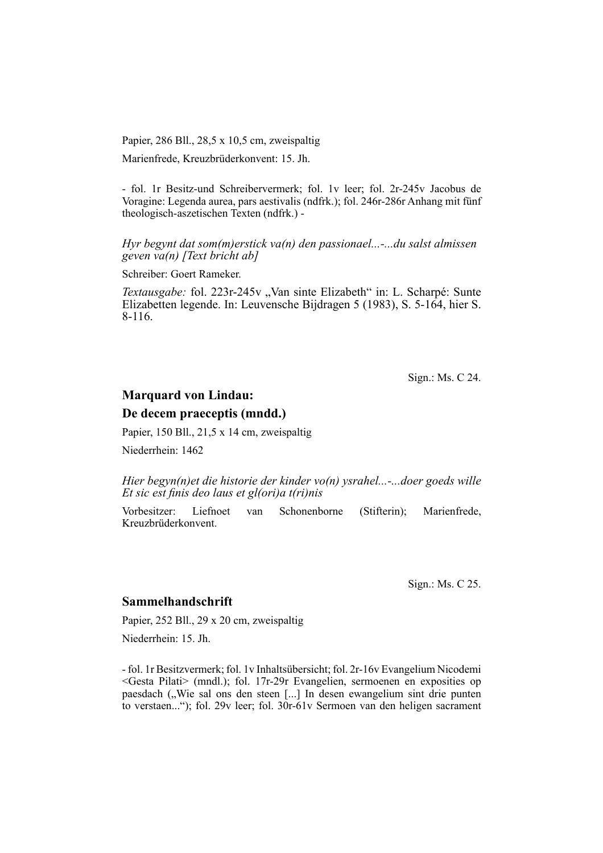Papier, 286 Bll., 28,5 x 10,5 cm, zweispaltig

Marienfrede, Kreuzbrüderkonvent: 15. Jh.

- fol. 1r Besitz-und Schreibervermerk; fol. 1v leer; fol. 2r-245v Jacobus de Voragine: Legenda aurea, pars aestivalis (ndfrk.); fol. 246r-286r Anhang mit fünf theologisch-aszetischen Texten (ndfrk.) -

*Hyr begynt dat som(m)erstick va(n) den passionael...-...du salst almissen geven va(n) [Text bricht ab]*

Schreiber: Goert Rameker.

*Textausgabe:* fol. 223r-245v "Van sinte Elizabeth" in: L. Scharpé: Sunte Elizabetten legende. In: Leuvensche Bijdragen 5 (1983), S. 5-164, hier S. 8-116.

Sign.: Ms. C 24.

# **Marquard von Lindau:**

#### **De decem praeceptis (mndd.)**

Papier, 150 Bll., 21,5 x 14 cm, zweispaltig

Niederrhein: 1462

*Hier begyn(n)et die historie der kinder vo(n) ysrahel...-...doer goeds wille Et sic est finis deo laus et gl(ori)a t(ri)nis* 

Vorbesitzer: Liefnoet van Schonenborne (Stifterin); Marienfrede, Kreuzbrüderkonvent.

Sign.: Ms. C 25.

# **Sammelhandschrift**

Papier, 252 Bll., 29 x 20 cm, zweispaltig

Niederrhein: 15. Jh.

- fol. 1r Besitzvermerk; fol. 1v Inhaltsübersicht; fol. 2r-16v Evangelium Nicodemi <Gesta Pilati> (mndl.); fol. 17r-29r Evangelien, sermoenen en exposities op paesdach ("Wie sal ons den steen [...] In desen ewangelium sint drie punten to verstaen..."); fol. 29v leer; fol. 30r-61v Sermoen van den heligen sacrament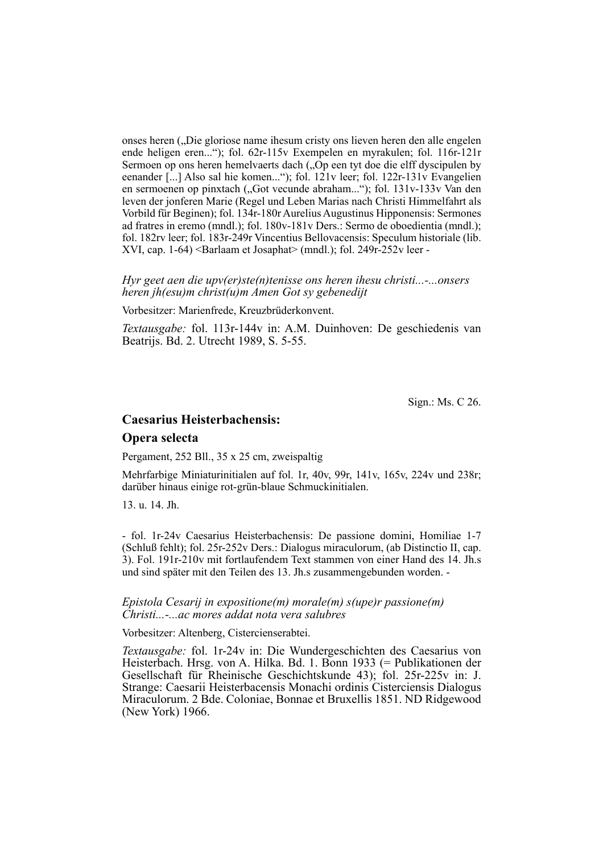onses heren ("Die gloriose name ihesum cristy ons lieven heren den alle engelen ende heligen eren..."); fol. 62r-115v Exempelen en myrakulen; fol. 116r-121r Sermoen op ons heren hemelvaerts dach ("Op een tyt doe die elff dyscipulen by eenander [...] Also sal hie komen..."); fol. 121v leer; fol. 122r-131v Evangelien en sermoenen op pinxtach ("Got vecunde abraham..."); fol. 131v-133v Van den leven der jonferen Marie (Regel und Leben Marias nach Christi Himmelfahrt als Vorbild für Beginen); fol. 134r-180r Aurelius Augustinus Hipponensis: Sermones ad fratres in eremo (mndl.); fol. 180v-181v Ders.: Sermo de oboedientia (mndl.); fol. 182rv leer; fol. 183r-249r Vincentius Bellovacensis: Speculum historiale (lib. XVI, cap. 1-64) <Barlaam et Josaphat> (mndl.); fol. 249r-252v leer -

*Hyr geet aen die upv(er)ste(n)tenisse ons heren ihesu christi...-...onsers heren jh(esu)m christ(u)m Amen Got sy gebenedijt*

Vorbesitzer: Marienfrede, Kreuzbrüderkonvent.

*Textausgabe:* fol. 113r-144v in: A.M. Duinhoven: De geschiedenis van Beatrijs. Bd. 2. Utrecht 1989, S. 5-55.

Sign.: Ms. C 26.

# **Caesarius Heisterbachensis:**

#### **Opera selecta**

Pergament, 252 Bll., 35 x 25 cm, zweispaltig

Mehrfarbige Miniaturinitialen auf fol. 1r, 40v, 99r, 141v, 165v, 224v und 238r; darüber hinaus einige rot-grün-blaue Schmuckinitialen.

13. u. 14. Jh.

- fol. 1r-24v Caesarius Heisterbachensis: De passione domini, Homiliae 1-7 (Schluß fehlt); fol. 25r-252v Ders.: Dialogus miraculorum, (ab Distinctio II, cap. 3). Fol. 191r-210v mit fortlaufendem Text stammen von einer Hand des 14. Jh.s und sind später mit den Teilen des 13. Jh.s zusammengebunden worden. -

*Epistola Cesarij in expositione(m) morale(m) s(upe)r passione(m) Christi...-...ac mores addat nota vera salubres*

Vorbesitzer: Altenberg, Cistercienserabtei.

*Textausgabe:* fol. 1r-24v in: Die Wundergeschichten des Caesarius von Heisterbach. Hrsg. von A. Hilka. Bd. 1. Bonn 1933 (= Publikationen der Gesellschaft für Rheinische Geschichtskunde 43); fol. 25r-225v in: J. Strange: Caesarii Heisterbacensis Monachi ordinis Cisterciensis Dialogus Miraculorum. 2 Bde. Coloniae, Bonnae et Bruxellis 1851. ND Ridgewood (New York) 1966.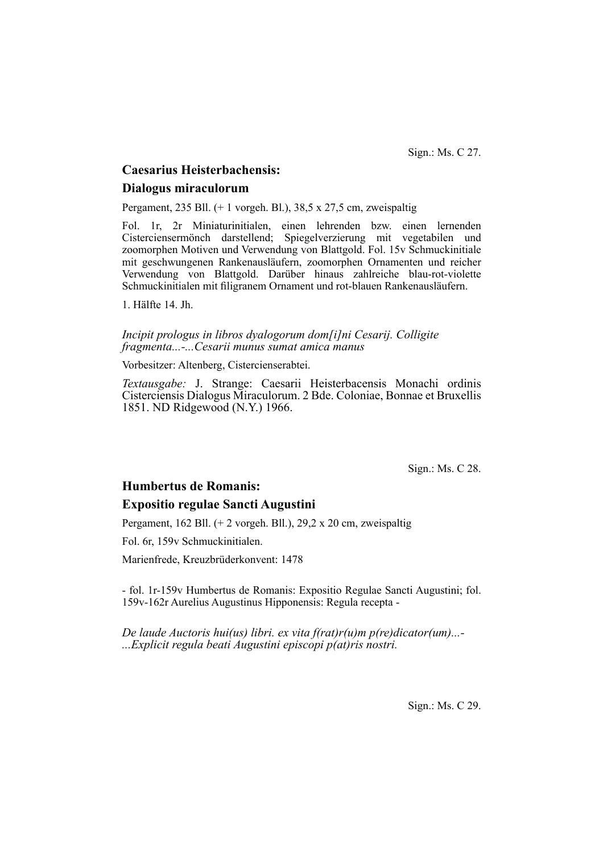Sign.: Ms. C 27.

# **Caesarius Heisterbachensis:**

# **Dialogus miraculorum**

Pergament, 235 Bll. (+ 1 vorgeh. Bl.), 38,5 x 27,5 cm, zweispaltig

Fol. 1r, 2r Miniaturinitialen, einen lehrenden bzw. einen lernenden Cisterciensermönch darstellend; Spiegelverzierung mit vegetabilen und zoomorphen Motiven und Verwendung von Blattgold. Fol. 15v Schmuckinitiale mit geschwungenen Rankenausläufern, zoomorphen Ornamenten und reicher Ver wen dung von Blattgold. Darüber hinaus zahlreiche blau-rot-violette Schmuck initialen mit filigranem Ornament und rot-blauen Rankenausläufern.

1. Hälfte 14. Jh.

*Incipit prologus in libros dyalogorum dom[i]ni Cesarij. Colligite fragmenta...-...Cesarii munus sumat amica manus*

Vorbesitzer: Altenberg, Cistercienserabtei.

*Textausgabe:* J. Strange: Caesarii Heisterbacensis Monachi ordinis Cisterciensis Dialogus Miraculorum. 2 Bde. Coloniae, Bonnae et Bruxellis 1851. ND Ridgewood (N.Y.) 1966.

Sign.: Ms. C 28.

# **Humbertus de Romanis:**

# **Expositio regulae Sancti Augustini**

Pergament, 162 Bll. (+ 2 vorgeh. Bll.), 29,2 x 20 cm, zweispaltig

Fol. 6r, 159v Schmuckinitialen.

Marienfrede, Kreuzbrüderkonvent: 1478

- fol. 1r-159v Humbertus de Romanis: Expositio Regulae Sancti Augustini; fol. 159v-162r Aurelius Augustinus Hipponensis: Regula recepta -

*De laude Auctoris hui(us) libri. ex vita f(rat)r(u)m p(re)dicator(um)...- ...Explicit regula beati Augustini episcopi p(at)ris nostri.*

Sign.: Ms. C 29.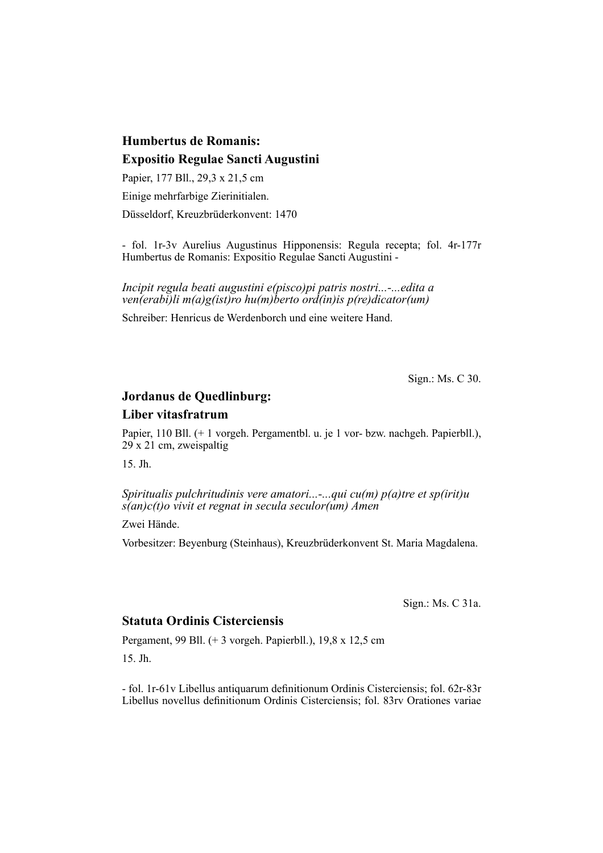# **Humbertus de Romanis: Expositio Regulae Sancti Augustini**

Papier, 177 Bll., 29,3 x 21,5 cm Einige mehrfarbige Zierinitialen. Düsseldorf, Kreuzbrüderkonvent: 1470

- fol. 1r-3v Aurelius Augustinus Hipponensis: Regula recepta; fol. 4r-177r Hum bertus de Romanis: Expositio Regulae Sancti Augustini -

*Incipit regula beati augustini e(pisco)pi patris nostri...-...edita a ven(erabi)li m(a)g(ist)ro hu(m)berto ord(in)is p(re)dicator(um)*

Schreiber: Henricus de Werdenborch und eine weitere Hand.

Sign.: Ms. C 30.

# **Jordanus de Quedlinburg:**

# **Liber vitasfratrum**

Papier, 110 Bll. (+ 1 vorgeh. Pergamentbl. u. je 1 vor- bzw. nachgeh. Papierbll.),  $29x 21$  cm, zweispaltig

15. Jh.

*Spiritualis pulchritudinis vere amatori...-...qui cu(m) p(a)tre et sp(irit)u s(an)c(t)o vivit et regnat in secula seculor(um) Amen*

Zwei Hände.

Vorbesitzer: Beyenburg (Steinhaus), Kreuzbrüderkonvent St. Maria Magdalena.

Sign.: Ms. C 31a.

# **Statuta Ordinis Cisterciensis**

Pergament, 99 Bll. (+ 3 vorgeh. Papierbll.), 19,8 x 12,5 cm

15. Jh.

- fol. 1r-61v Libellus antiquarum definitionum Ordinis Cisterciensis; fol. 62r-83r Libellus novellus definitionum Ordinis Cisterciensis; fol. 83rv Orationes variae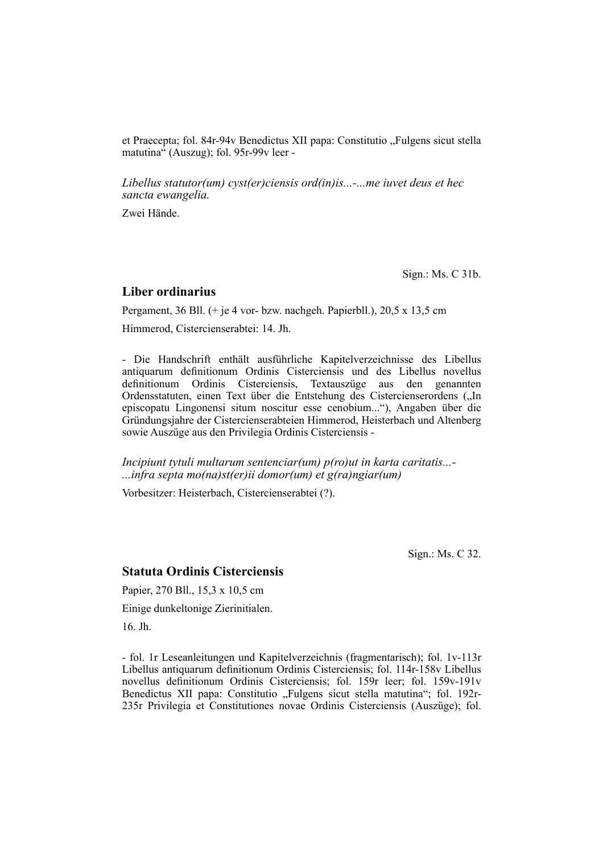et Praecepta; fol. 84r-94v Benedictus XII papa: Constitutio "Fulgens sicut stella matutina" (Auszug); fol. 95r-99v leer -

*Libellus statutor(um) cyst(er)ciensis ord(in)is...-...me iuvet deus et hec sancta ewangelia.*

Zwei Hände.

Sign.: Ms. C 31b.

#### **Liber ordinarius**

Pergament, 36 Bll. (+ je 4 vor- bzw. nachgeh. Papierbll.), 20,5 x 13,5 cm

Himmerod, Cistercienserabtei: 14. Jh.

- Die Handschrift enthält ausführliche Kapitelverzeichnisse des Libellus antiquarum definitionum Ordinis Cisterciensis und des Libellus novellus definitionum Ordinis Cisterciensis, Textauszüge aus den genannten Ordensstatuten, einen Text über die Entstehung des Cistercienserordens ("In episcopatu Lingonensi situm noscitur esse cenobium..."), Angaben über die Gründungsjahre der Cistercienserabteien Himmerod, Heisterbach und Altenberg sowie Auszüge aus den Privilegia Ordinis Cisterciensis -

*Incipiunt tytuli multarum sentenciar(um) p(ro)ut in karta caritatis...- ...infra septa mo(na)st(er)ii domor(um) et g(ra)ngiar(um)*

Vorbesitzer: Heisterbach, Cistercienserabtei (?).

Sign.: Ms. C 32.

#### **Statuta Ordinis Cisterciensis**

Papier, 270 Bll., 15,3 x 10,5 cm

Einige dunkeltonige Zierinitialen.

16. Jh.

- fol. 1r Leseanleitungen und Kapitelverzeichnis (fragmentarisch); fol. 1v-113r Libellus antiquarum definitionum Ordinis Cisterciensis; fol. 114r-158v Libellus novellus definitionum Ordinis Cisterciensis; fol. 159r leer; fol. 159v-191v Benedictus XII papa: Constitutio "Fulgens sicut stella matutina"; fol. 192r-235r Privilegia et Constitutiones novae Ordinis Cisterciensis (Auszüge); fol.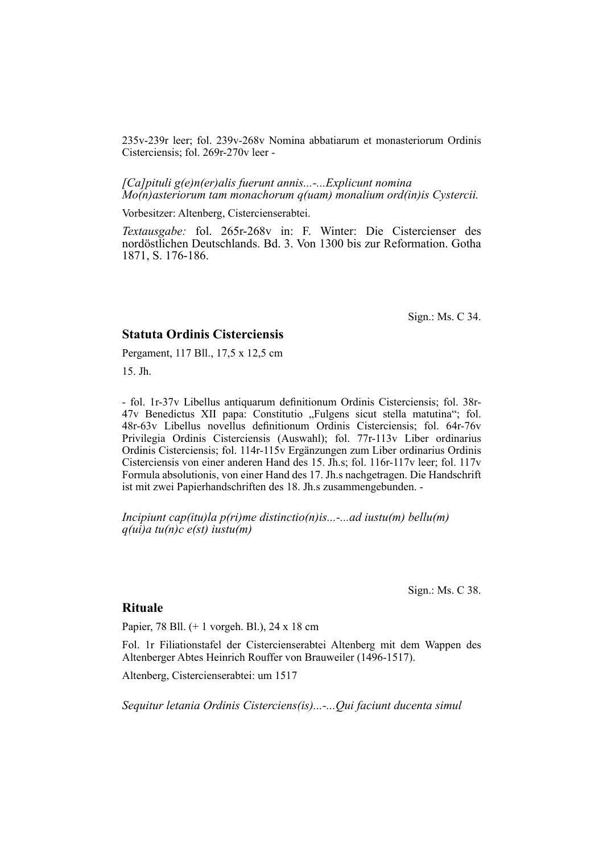235v-239r leer; fol. 239v-268v Nomina abbatiarum et monasteriorum Ordinis Cisterciensis; fol. 269r-270v leer -

*[Ca]pituli g(e)n(er)alis fuerunt annis...-...Explicunt nomina Mo(n)asteriorum tam monachorum q(uam) monalium ord(in)is Cystercii.*

Vorbesitzer: Altenberg, Cistercienserabtei.

*Textausgabe:* fol. 265r-268v in: F. Winter: Die Cistercienser des nordöstlichen Deutschlands. Bd. 3. Von 1300 bis zur Reformation. Gotha 1871, S. 176-186.

Sign.: Ms. C 34.

#### **Statuta Ordinis Cisterciensis**

Pergament, 117 Bll., 17,5 x 12,5 cm

15. Jh.

- fol. 1r-37v Libellus antiquarum definitionum Ordinis Cisterciensis; fol. 38r-47v Benedictus XII papa: Constitutio "Fulgens sicut stella matutina"; fol. 48r-63v Libellus novellus definitionum Ordinis Cisterciensis; fol. 64r-76v Privilegia Ordinis Cisterciensis (Auswahl); fol. 77r-113v Liber ordinarius Ordinis Cisterciensis; fol. 114r-115v Ergänzungen zum Liber ordinarius Ordinis Cisterciensis von einer anderen Hand des 15. Jh.s; fol. 116r-117v leer; fol. 117v Formula absolutionis, von einer Hand des 17. Jh. s nachgetragen. Die Handschrift ist mit zwei Papierhandschriften des 18. Jh.s zusammengebunden. -

*Incipiunt cap(itu)la p(ri)me distinctio(n)is...-...ad iustu(m) bellu(m) q(ui)a tu(n)c e(st) iustu(m)*

Sign.: Ms. C 38.

#### **Rituale**

Papier, 78 Bll. (+ 1 vorgeh. Bl.), 24 x 18 cm

Fol. 1r Filiationstafel der Cistercienserabtei Altenberg mit dem Wappen des Altenberger Abtes Heinrich Rouffer von Brauweiler (1496-1517).

Altenberg, Cistercienserabtei: um 1517

*Sequitur letania Ordinis Cisterciens(is)...-...Qui faciunt ducenta simul*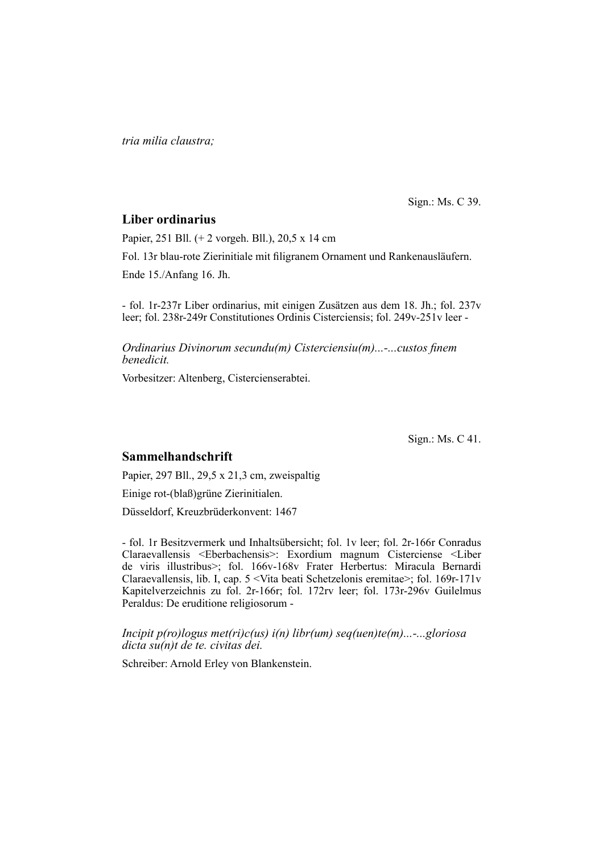*tria milia claustra;*

Sign.: Ms. C 39.

# **Liber ordinarius**

Papier, 251 Bll. (+ 2 vorgeh. Bll.), 20,5 x 14 cm

Fol. 13r blau-rote Zierinitiale mit filigranem Ornament und Rankenausläufern.

Ende 15./Anfang 16. Jh.

- fol. 1r-237r Liber ordinarius, mit einigen Zusätzen aus dem 18. Jh.; fol. 237v leer; fol. 238r-249r Constitutiones Ordinis Cisterciensis; fol. 249v-251v leer -

*Ordinarius Divinorum secundu(m) Cisterciensiu(m)...-...custos finem benedicit.*

Vorbesitzer: Altenberg, Cistercienserabtei.

Sign.: Ms. C 41.

# **Sammelhandschrift**

Papier, 297 Bll., 29,5 x 21,3 cm, zweispaltig

Einige rot-(blaß)grüne Zierinitialen.

Düsseldorf, Kreuzbrüderkonvent: 1467

- fol. 1r Besitzvermerk und Inhaltsübersicht; fol. 1 v leer; fol. 2r-166r Conradus Claraevallensis <Eberbachensis>: Exordium magnum Cisterciense <Liber de viris illustribus>; fol. 166v-168v Frater Herbertus: Miracula Bernardi Claraevallensis, lib. I, cap. 5 <Vita beati Schetzelonis eremitae>; fol. 169r-171v Kapitelverzeichnis zu fol. 2r-166r; fol. 172rv leer; fol. 173r-296v Guilelmus Peraldus: De eruditione religiosorum -

#### *Incipit p(ro)logus met(ri)c(us) i(n) libr(um) seq(uen)te(m)...-...gloriosa dicta su(n)t de te. civitas dei.*

Schreiber: Arnold Erley von Blankenstein.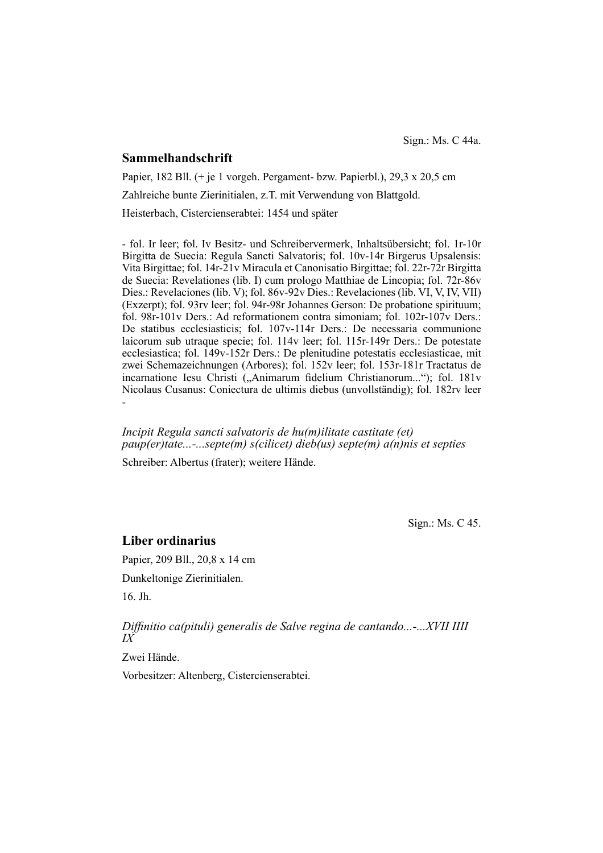#### **Sammelhandschrift**

Papier, 182 Bll. (+ je 1 vorgeh. Pergament- bzw. Papierbl.), 29,3 x 20,5 cm Zahlreiche bunte Zierinitialen, z.T. mit Verwendung von Blattgold.

Heisterbach, Cistercienserabtei: 1454 und später

- fol. Ir leer; fol. Iv Besitz- und Schreibervermerk, Inhaltsübersicht; fol. 1r-10r Birgitta de Suecia: Regula Sancti Salvatoris; fol. 10v-14r Birgerus Upsalensis: Vita Birgittae; fol. 14r-21v Miracula et Canonisatio Birgittae; fol. 22r-72r Birgitta de Suecia: Revelationes (lib. I) cum prologo Matthiae de Lincopia; fol. 72r-86v Dies.: Revelaciones (lib. V); fol. 86v-92v Dies.: Revelaciones (lib. VI, V, IV, VII) (Exzerpt); fol. 93rv leer; fol. 94r-98r Johannes Gerson: De probatione spirituum; fol. 98r-101v Ders.: Ad reformationem contra simoniam; fol. 102r-107v Ders.: De statibus ecclesiasticis; fol. 107v-114r Ders.: De necessaria communione laicorum sub utraque specie; fol. 114v leer; fol. 115r-149r Ders.: De potestate ecclesiastica; fol. 149v-152r Ders.: De plenitudine potestatis ecclesiasticae, mit zwei Schemazeichnungen (Arbores); fol. 152v leer; fol. 153r-181r Tractatus de incarnatione Iesu Christi ("Animarum fidelium Christianorum..."); fol. 181v Nicolaus Cusanus: Coniectura de ultimis diebus (unvollständig); fol. 182rv leer -

*Incipit Regula sancti salvatoris de hu(m)ilitate castitate (et) paup(er)tate...-...septe(m) s(cilicet) dieb(us) septe(m) a(n)nis et septies*

Schreiber: Albertus (frater); weitere Hände.

Sign.: Ms. C 45.

### **Liber ordinarius**

Papier, 209 Bll., 20,8 x 14 cm Dunkeltonige Zierinitialen. 16. Jh.

*Diffinitio ca(pituli) generalis de Salve regina de cantando...-...XVII IIII IX*

Zwei Hände.

Vorbesitzer: Altenberg, Cistercienserabtei.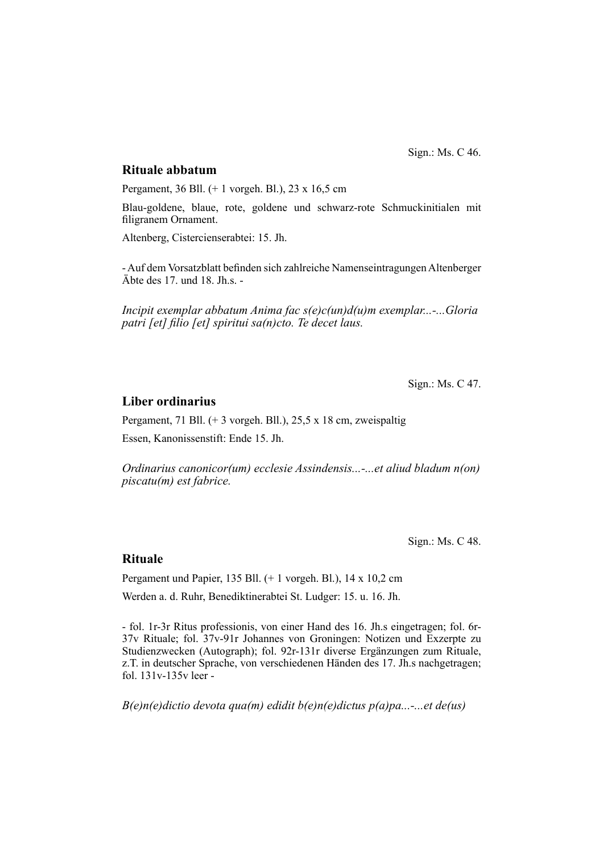Sign.: Ms. C 46.

# **Rituale abbatum**

Pergament, 36 Bll. (+ 1 vorgeh. Bl.), 23 x 16,5 cm

Blau-goldene, blaue, rote, goldene und schwarz-rote Schmuckinitialen mit filigranem Ornament.

Altenberg, Cistercienserabtei: 15. Jh.

- Auf dem Vorsatzblatt befinden sich zahlreiche Namenseintragungen Altenberger Äbte des 17. und 18. Jh.s. -

*Incipit exemplar abbatum Anima fac s(e)c(un)d(u)m exemplar...-...Gloria patri [et] filio [et] spiritui sa(n)cto. Te decet laus.* 

Sign.: Ms. C 47.

#### **Liber ordinarius**

Pergament, 71 Bll. (+ 3 vorgeh. Bll.), 25,5 x 18 cm, zweispaltig Essen, Kanonissenstift: Ende 15. Jh.

*Ordinarius canonicor(um) ecclesie Assindensis...-...et aliud bladum n(on) piscatu(m) est fabrice.*

Sign.: Ms. C 48.

# **Rituale**

Pergament und Papier, 135 Bll. (+ 1 vorgeh. Bl.), 14 x 10,2 cm Werden a. d. Ruhr, Benediktinerabtei St. Ludger: 15. u. 16. Jh.

- fol. 1r-3r Ritus professionis, von einer Hand des 16. Jh.s eingetragen; fol. 6r-37v Rituale; fol. 37v-91r Johannes von Groningen: Notizen und Exzerpte zu Studienzwecken (Autograph); fol. 92r-131r diverse Ergänzungen zum Rituale, z.T. in deutscher Sprache, von verschiedenen Händen des 17. Jh.s nachgetragen; fol. 131v-135v leer -

*B(e)n(e)dictio devota qua(m) edidit b(e)n(e)dictus p(a)pa...-...et de(us)*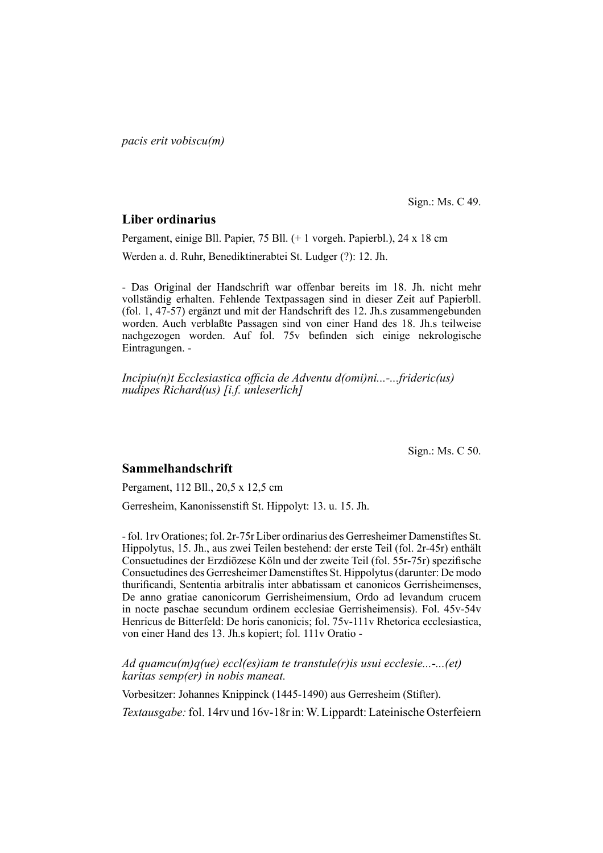*pacis erit vobiscu(m)*

Sign.: Ms. C 49.

# **Liber ordinarius**

Pergament, einige Bll. Papier, 75 Bll. (+ 1 vorgeh. Papierbl.), 24 x 18 cm Werden a. d. Ruhr, Benediktinerabtei St. Ludger (?): 12. Jh.

- Das Original der Handschrift war offenbar bereits im 18. Jh. nicht mehr vollständig erhalten. Fehlende Textpassagen sind in dieser Zeit auf Papierbll. (fol. 1, 47-57) ergänzt und mit der Handschrift des 12. Jh.s zusammengebunden worden. Auch verblaßte Passagen sind von einer Hand des 18. Jh.s teil weise nachgezogen worden. Auf fol. 75v befinden sich einige nekrologische Eintragungen. -

*Incipiu(n)t Ecclesiastica officia de Adventu d(omi)ni...-...frideric(us) nudipes Richard(us) [i.f. unleserlich]*

Sign.: Ms. C 50.

#### **Sammelhandschrift**

Pergament, 112 Bll., 20,5 x 12,5 cm

Gerresheim, Kanonissenstift St. Hippolyt: 13. u. 15. Jh.

- fol. 1rv Orationes; fol. 2r-75r Liber ordinarius des Gerresheimer Damenstiftes St. Hippolytus, 15. Jh., aus zwei Teilen bestehend: der erste Teil (fol. 2r-45r) enthält Consuetudines der Erzdiözese Köln und der zweite Teil (fol. 55r-75r) spezifische Consuetudines des Gerresheimer Damenstiftes St. Hippolytus (darunter: De modo thurifi candi, Sententia arbitralis inter abbatissam et canonicos Gerrisheimenses, De anno gratiae canonicorum Gerrisheimensium, Ordo ad levandum crucem in nocte paschae secundum ordinem ecclesiae Gerrisheimensis). Fol. 45v-54v Henricus de Bitterfeld: De horis canonicis; fol. 75v-111v Rhetorica ecclesiastica, von einer Hand des 13. Jh.s kopiert; fol. 111v Oratio -

*Ad quamcu(m)q(ue) eccl(es)iam te transtule(r)is usui ecclesie...-...(et) karitas semp(er) in nobis maneat.*

Vorbesitzer: Johannes Knippinck (1445-1490) aus Gerresheim (Stifter).

*Textausgabe:* fol. 14rv und 16v-18r in: W. Lippardt: Lateinische Osterfeiern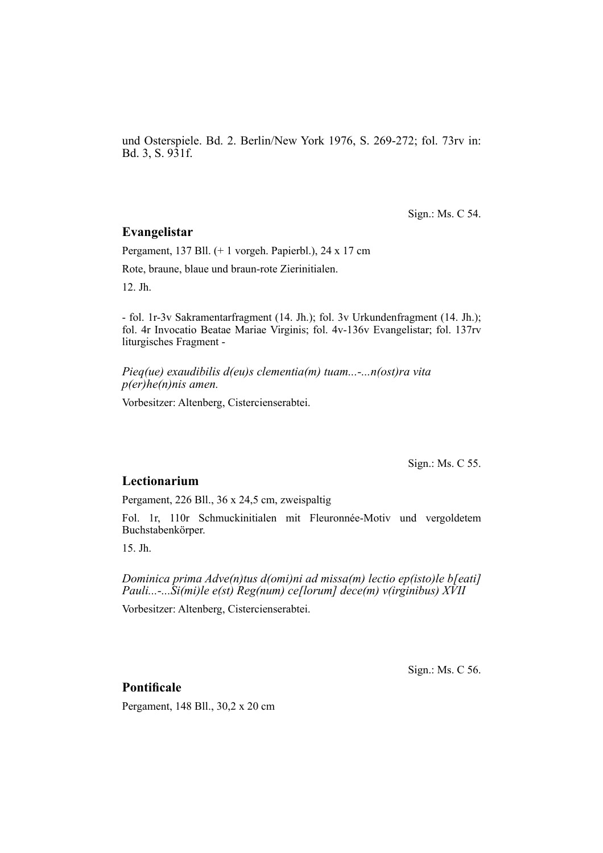und Osterspiele. Bd. 2. Berlin/New York 1976, S. 269-272; fol. 73rv in: Bd. 3, S. 931f.

Sign.: Ms. C 54.

# **Evangelistar**

Pergament, 137 Bll. (+ 1 vorgeh. Papierbl.), 24 x 17 cm

Rote, braune, blaue und braun-rote Zierinitialen.

12. Jh.

- fol. 1r-3v Sakramentarfragment (14. Jh.); fol. 3v Urkundenfragment (14. Jh.); fol. 4r Invocatio Beatae Mariae Virginis; fol. 4v-136v Evangelistar; fol. 137rv liturgisches Fragment -

*Pieq(ue) exaudibilis d(eu)s clementia(m) tuam...-...n(ost)ra vita p(er)he(n)nis amen.*

Vorbesitzer: Altenberg, Cistercienserabtei.

Sign.: Ms. C 55.

#### **Lectionarium**

Pergament, 226 Bll., 36 x 24,5 cm, zweispaltig

Fol. 1r, 110r Schmuckinitialen mit Fleuronnée-Motiv und vergoldetem Buchstabenkörper.

15. Jh.

*Dominica prima Adve(n)tus d(omi)ni ad missa(m) lectio ep(isto)le b[eati] Pauli...-...Si(mi)le e(st) Reg(num) ce[lorum] dece(m) v(irginibus) XVII*

Vorbesitzer: Altenberg, Cistercienserabtei.

Sign.: Ms. C 56.

# **Pontificale**

Pergament, 148 Bll., 30,2 x 20 cm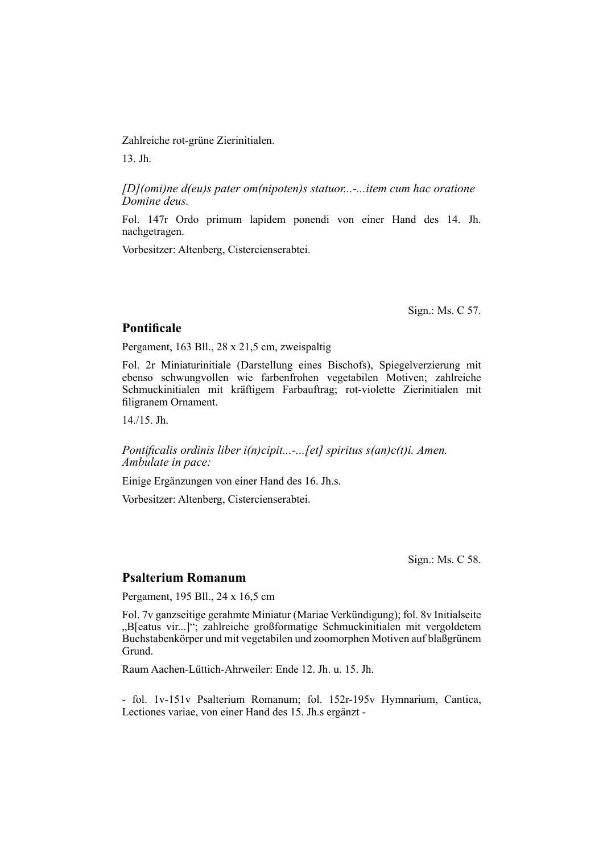Zahlreiche rot-grüne Zierinitialen.

13. Jh.

*[D](omi)ne d(eu)s pater om(nipoten)s statuor...-...item cum hac oratione Domine deus.*

Fol. 147r Ordo primum lapidem ponendi von einer Hand des 14. Jh. nachgetragen.

Vorbesitzer: Altenberg, Cistercienserabtei.

Sign.: Ms. C 57.

# **Pontificale**

Pergament, 163 Bll., 28 x 21,5 cm, zweispaltig

Fol. 2r Miniaturinitiale (Darstellung eines Bischofs), Spiegelverzierung mit ebenso schwungvollen wie farbenfrohen vegetabilen Motiven; zahlreiche Schmuck initialen mit kräftigem Farbauftrag; rot-violette Zierinitialen mit filigranem Ornament.

14./15. Jh.

*Pontificalis ordinis liber i(n)cipit...-...[et] spiritus s(an)c(t)i. Amen. Ambulate in pace:*

Einige Ergänzungen von einer Hand des 16. Jh.s.

Vorbesitzer: Altenberg, Cistercienserabtei.

Sign.: Ms. C 58.

#### **Psalterium Romanum**

Pergament, 195 Bll., 24 x 16,5 cm

Fol. 7v ganzseitige gerahmte Miniatur (Mariae Verkündigung); fol. 8v Initial seite "B[eatus vir...]"; zahlreiche großformatige Schmuckinitialen mit vergoldetem Buchstabenkörper und mit vegetabilen und zoomorphen Motiven auf blaß grünem Grund.

Raum Aachen-Lüttich-Ahrweiler: Ende 12. Jh. u. 15. Jh.

- fol. 1v-151v Psalterium Romanum; fol. 152r-195v Hymnarium, Cantica, Lectiones variae, von einer Hand des 15. Jh.s ergänzt -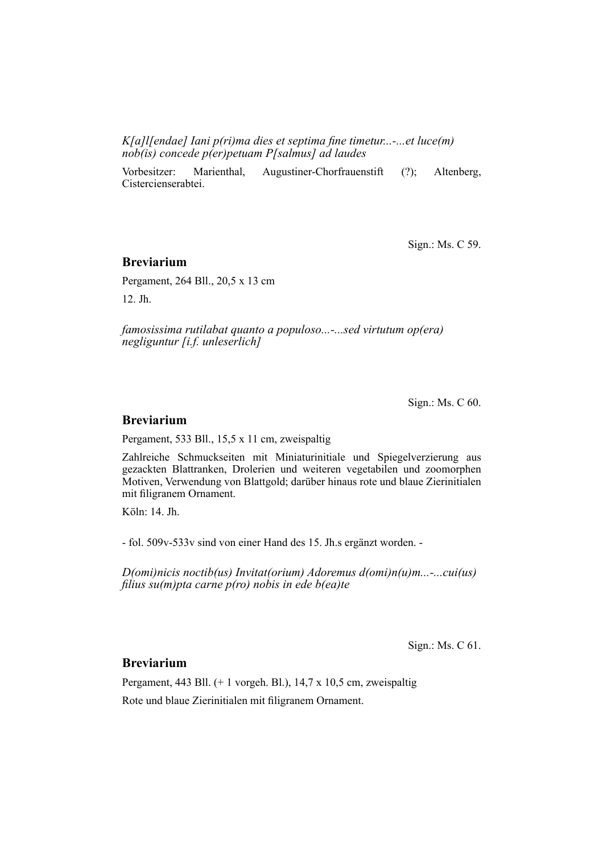*K[a]l[endae] Iani p(ri)ma dies et septima fine timetur...-...et luce(m) nob(is) concede p(er)petuam P[salmus] ad laudes*

Vorbesitzer: Marienthal, Augustiner-Chorfrauenstift (?); Altenberg, Cistercienserabtei.

Sign.: Ms. C 59.

#### **Breviarium**

Pergament, 264 Bll., 20,5 x 13 cm 12. Jh.

*famosissima rutilabat quanto a populoso...-...sed virtutum op(era) negliguntur [i.f. unleserlich]*

Sign.: Ms. C 60.

# **Breviarium**

Pergament, 533 Bll., 15,5 x 11 cm, zweispaltig

Zahlreiche Schmuckseiten mit Miniaturinitiale und Spiegelverzierung aus ge zackten Blattranken, Drolerien und weiteren vegetabilen und zoomorphen Motiven, Verwendung von Blattgold; darüber hinaus rote und blaue Zierinitialen mit filigranem Ornament.

Köln: 14. Jh.

- fol. 509v-533v sind von einer Hand des 15. Jh.s ergänzt worden. -

*D(omi)nicis noctib(us) Invitat(orium) Adoremus d(omi)n(u)m...-...cui(us) fi lius su(m)pta carne p(ro) nobis in ede b(ea)te*

Sign.: Ms. C 61.

# **Breviarium**

Pergament, 443 Bll. (+ 1 vorgeh. Bl.), 14,7 x 10,5 cm, zweispaltig Rote und blaue Zierinitialen mit filigranem Ornament.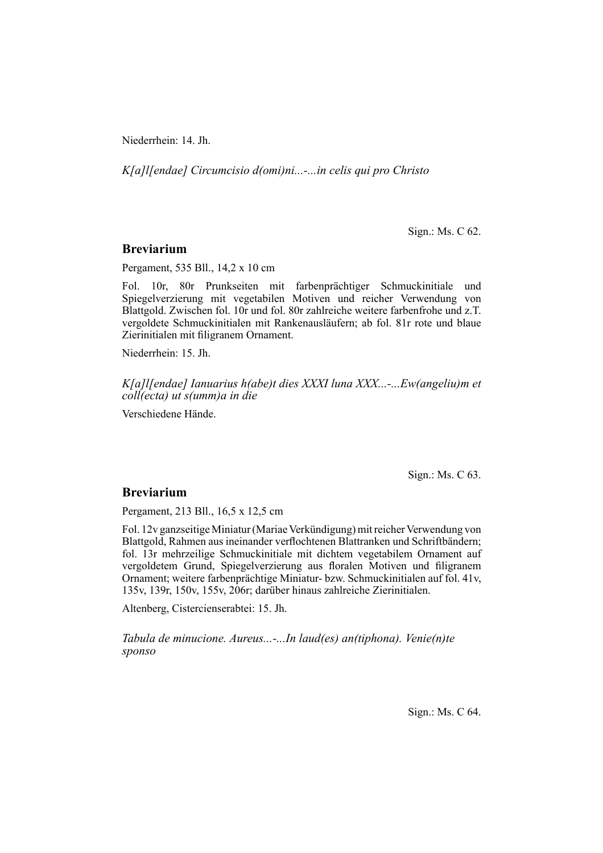Niederrhein: 14. Jh.

*K[a]l[endae] Circumcisio d(omi)ni...-...in celis qui pro Christo*

Sign.: Ms. C 62.

#### **Breviarium**

Pergament, 535 Bll., 14,2 x 10 cm

Fol. 10r, 80r Prunkseiten mit farbenprächtiger Schmuckinitiale und Spiegel ver zierung mit vegetabilen Motiven und reicher Verwendung von Blattgold. Zwi schen fol. 10r und fol. 80r zahlreiche weitere farbenfrohe und z.T. ver gol dete Schmuckinitialen mit Rankenausläufern; ab fol. 81r rote und blaue Zier initialen mit filigranem Ornament.

Niederrhein: 15. Jh.

*K[a]l[endae] Ianuarius h(abe)t dies XXXI luna XXX...-...Ew(angeliu)m et coll(ecta) ut s(umm)a in die*

Verschiedene Hände.

Sign.: Ms. C 63.

### **Breviarium**

Pergament, 213 Bll., 16,5 x 12,5 cm

Fol. 12v ganzseitige Miniatur (Mariae Verkündigung) mit reicher Verwen dung von Blattgold, Rahmen aus ineinander verflochtenen Blattranken und Schriftbändern; fol. 13r mehrzeilige Schmuckinitiale mit dichtem vegetabilem Ornament auf vergoldetem Grund, Spiegelverzierung aus floralen Motiven und filigranem Ornament; weitere farbenprächtige Miniatur- bzw. Schmuck initialen auf fol. 41v, 135v, 139r, 150v, 155v, 206r; darüber hinaus zahlreiche Zierinitialen.

Altenberg, Cistercienserabtei: 15. Jh.

*Tabula de minucione. Aureus...-...In laud(es) an(tiphona). Venie(n)te sponso*

Sign.: Ms. C 64.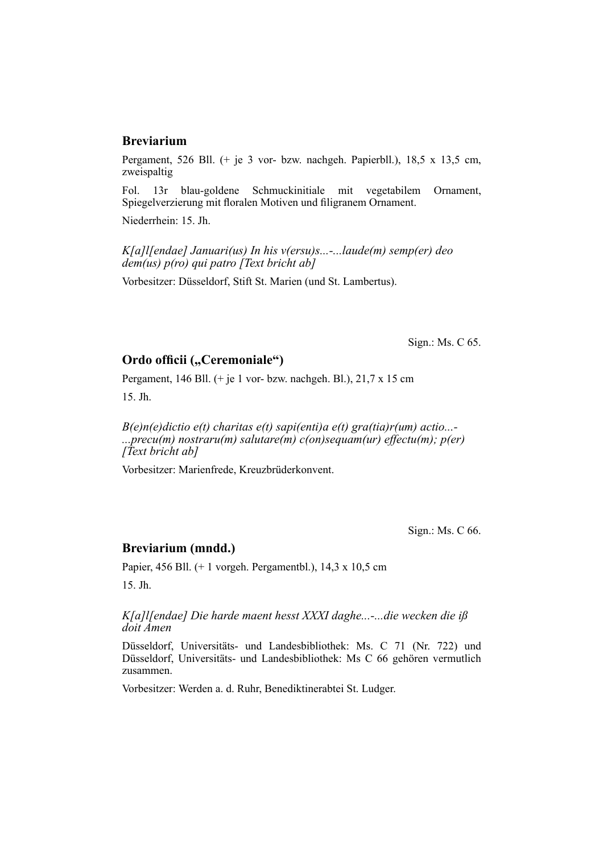# **Breviarium**

Pergament, 526 Bll. (+ je 3 vor- bzw. nachgeh. Papierbll.), 18,5 x 13,5 cm, zweispaltig

Fol. 13r blau-goldene Schmuckinitiale mit vegetabilem Ornament, Spiegelverzierung mit floralen Motiven und filigranem Ornament.

Niederrhein: 15. Jh.

*K[a]l[endae] Januari(us) In his v(ersu)s...-...laude(m) semp(er) deo dem(us) p(ro) qui patro [Text bricht ab]*

Vorbesitzer: Düsseldorf, Stift St. Marien (und St. Lambertus).

Sign.: Ms. C 65.

# **Ordo officii ("Ceremoniale")**

Pergament, 146 Bll. (+ je 1 vor- bzw. nachgeh. Bl.), 21,7 x 15 cm

15. Jh.

*B(e)n(e)dictio e(t) charitas e(t) sapi(enti)a e(t) gra(tia)r(um) actio...- ...precu(m) nostraru(m) salutare(m) c(on)sequam(ur) effectu(m); p(er) [Text bricht ab]*

Vorbesitzer: Marienfrede, Kreuzbrüderkonvent.

Sign.: Ms. C 66.

# **Breviarium (mndd.)**

Papier, 456 Bll. (+ 1 vorgeh. Pergamentbl.), 14,3 x 10,5 cm 15. Jh.

*K[a]l[endae] Die harde maent hesst XXXI daghe...-...die wecken die iß doit Amen*

Düsseldorf, Universitäts- und Landesbibliothek: Ms. C 71 (Nr. 722) und Düsseldorf, Universitäts- und Landesbibliothek: Ms C 66 gehören vermutlich zusammen.

Vorbesitzer: Werden a. d. Ruhr, Benediktinerabtei St. Ludger.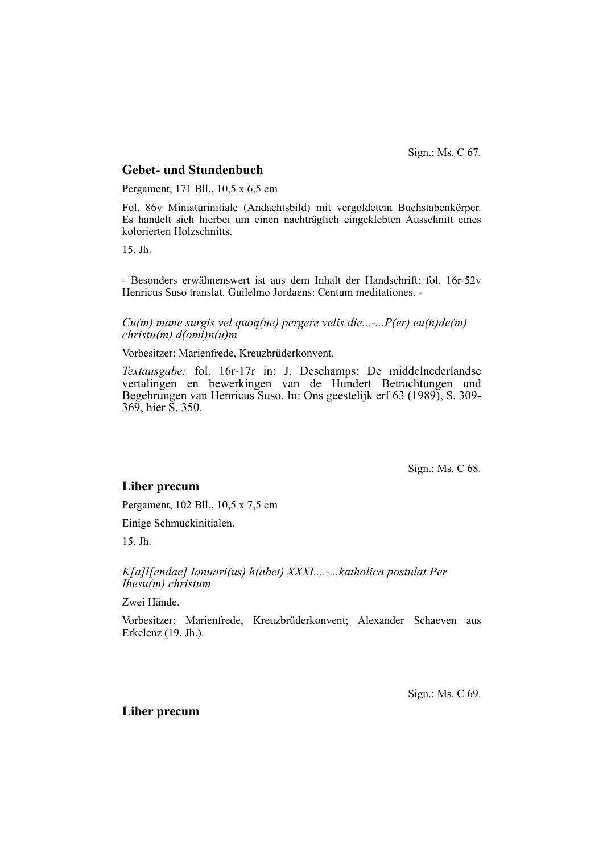Sign.: Ms. C 67.

# **Gebet- und Stundenbuch**

Pergament, 171 Bll., 10,5 x 6,5 cm

Fol. 86v Miniaturinitiale (Andachtsbild) mit vergoldetem Buchstabenkörper. Es handelt sich hierbei um einen nachträglich eingeklebten Ausschnitt eines kolorierten Holzschnitts.

15. Jh.

- Besonders erwähnenswert ist aus dem Inhalt der Handschrift: fol. 16r-52v Henricus Suso translat. Guilelmo Jordaens: Centum meditationes. -

#### *Cu(m) mane surgis vel quoq(ue) pergere velis die...-...P(er) eu(n)de(m) christu(m) d(omi)n(u)m*

Vorbesitzer: Marienfrede, Kreuzbrüderkonvent.

*Textausgabe:* fol. 16r-17r in: J. Deschamps: De middelnederlandse vertalingen en bewerkingen van de Hundert Betrachtungen und Begehrungen van Henricus Suso. In: Ons geestelijk erf 63 (1989), S. 309- 369, hier S. 350.

Sign.: Ms. C 68.

#### **Liber precum**

Pergament, 102 Bll., 10,5 x 7,5 cm

Einige Schmuckinitialen.

15. Jh.

*K[a]l[endae] Ianuari(us) h(abet) XXXI....-...katholica postulat Per Ihesu(m) christum*

Zwei Hände.

Vorbesitzer: Marienfrede, Kreuzbrüderkonvent; Alexander Schaeven aus Er kelenz (19. Jh.).

Sign.: Ms. C 69.

**Liber precum**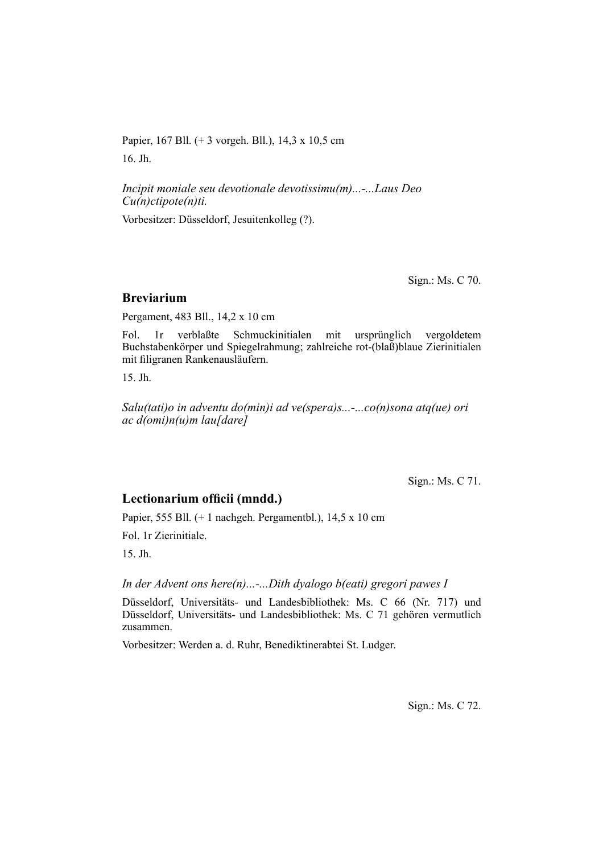Papier, 167 Bll. (+ 3 vorgeh. Bll.), 14,3 x 10,5 cm 16. Jh.

*Incipit moniale seu devotionale devotissimu(m)...-...Laus Deo Cu(n)ctipote(n)ti.*

Vorbesitzer: Düsseldorf, Jesuitenkolleg (?).

Sign.: Ms. C 70.

### **Breviarium**

Pergament, 483 Bll., 14,2 x 10 cm

Fol. 1r verblaßte Schmuckinitialen mit ursprünglich vergoldetem Buchstaben körper und Spiegelrahmung; zahlreiche rot-(blaß)blaue Zierinitialen mit filigranen Rankenausläufern.

15. Jh.

*Salu(tati)o in adventu do(min)i ad ve(spera)s...-...co(n)sona atq(ue) ori ac d(omi)n(u)m lau[dare]*

Sign.: Ms. C 71.

# Lectionarium officii (mndd.)

Papier, 555 Bll. (+ 1 nachgeh. Pergamentbl.), 14,5 x 10 cm

Fol. 1r Zierinitiale.

15. Jh.

*In der Advent ons here(n)...-...Dith dyalogo b(eati) gregori pawes I*

Düsseldorf, Universitäts- und Landesbibliothek: Ms. C 66 (Nr. 717) und Düsseldorf, Universitäts- und Landesbibliothek: Ms. C 71 gehören vermutlich zusammen.

Vorbesitzer: Werden a. d. Ruhr, Benediktinerabtei St. Ludger.

Sign.: Ms. C 72.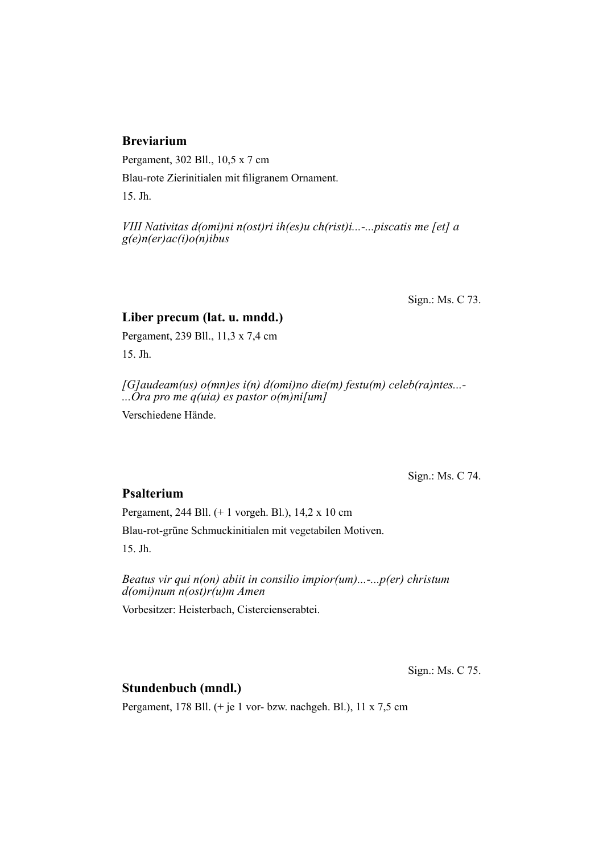# **Breviarium**

Pergament, 302 Bll., 10,5 x 7 cm

Blau-rote Zierinitialen mit filigranem Ornament.

15. Jh.

*VIII Nativitas d(omi)ni n(ost)ri ih(es)u ch(rist)i...-...piscatis me [et] a g(e)n(er)ac(i)o(n)ibus*

Sign.: Ms. C 73.

# **Liber precum (lat. u. mndd.)**

Pergament, 239 Bll., 11,3 x 7,4 cm 15. Jh.

*[G]audeam(us) o(mn)es i(n) d(omi)no die(m) festu(m) celeb(ra)ntes...- ...Ora pro me q(uia) es pastor o(m)ni[um]*

Verschiedene Hände.

Sign.: Ms. C 74.

# **Psalterium**

Pergament, 244 Bll. (+ 1 vorgeh. Bl.), 14,2 x 10 cm

Blau-rot-grüne Schmuckinitialen mit vegetabilen Motiven.

15. Jh.

*Beatus vir qui n(on) abiit in consilio impior(um)...-...p(er) christum d(omi)num n(ost)r(u)m Amen*

Vorbesitzer: Heisterbach, Cistercienserabtei.

Sign.: Ms. C 75.

# **Stundenbuch (mndl.)**

Pergament, 178 Bll. (+ je 1 vor- bzw. nachgeh. Bl.), 11 x 7,5 cm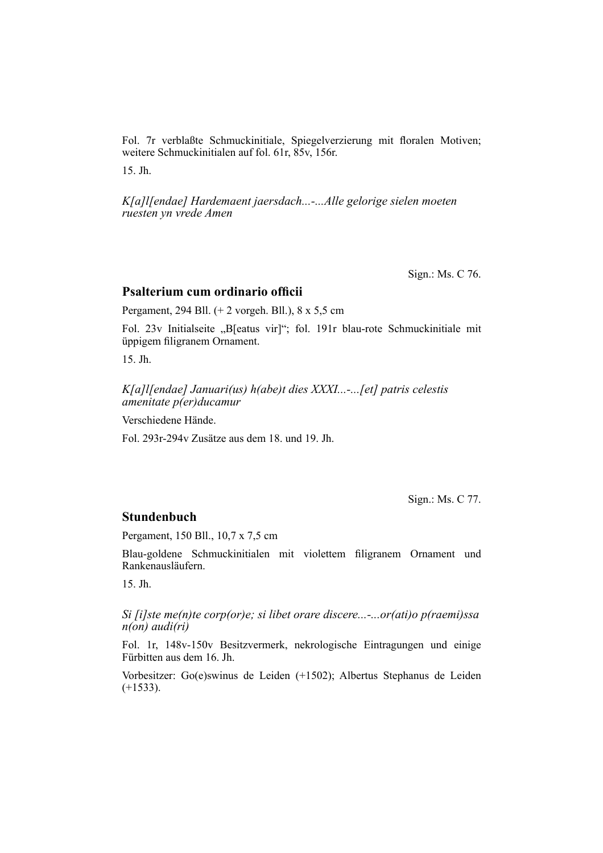Fol. 7r verblaßte Schmuckinitiale, Spiegelverzierung mit floralen Motiven; weitere Schmuckinitialen auf fol. 61r, 85v, 156r.

15. Jh.

*K[a]l[endae] Hardemaent jaersdach...-...Alle gelorige sielen moeten ruesten yn vrede Amen*

Sign.: Ms. C 76.

#### **Psalterium cum ordinario officii**

Pergament, 294 Bll. (+ 2 vorgeh. Bll.), 8 x 5,5 cm

Fol. 23v Initialseite "B[eatus vir]"; fol. 191r blau-rote Schmuckinitiale mit üppigem filigranem Ornament.

15. Jh.

*K[a]l[endae] Januari(us) h(abe)t dies XXXI...-...[et] patris celestis amenitate p(er)ducamur*

Verschiedene Hände.

Fol. 293r-294v Zusätze aus dem 18. und 19. Jh.

Sign.: Ms. C 77.

#### **Stundenbuch**

Pergament, 150 Bll., 10,7 x 7,5 cm

Blau-goldene Schmuckinitialen mit violettem filigranem Ornament und Rankenausläufern.

15. Jh.

*Si [i]ste me(n)te corp(or)e; si libet orare discere...-...or(ati)o p(raemi)ssa n(on) audi(ri)*

Fol. 1r, 148v-150v Besitzvermerk, nekrologische Eintragungen und einige Fürbitten aus dem 16. Jh.

Vorbesitzer: Go(e)swinus de Leiden (+1502); Albertus Stephanus de Leiden  $(+1533)$ .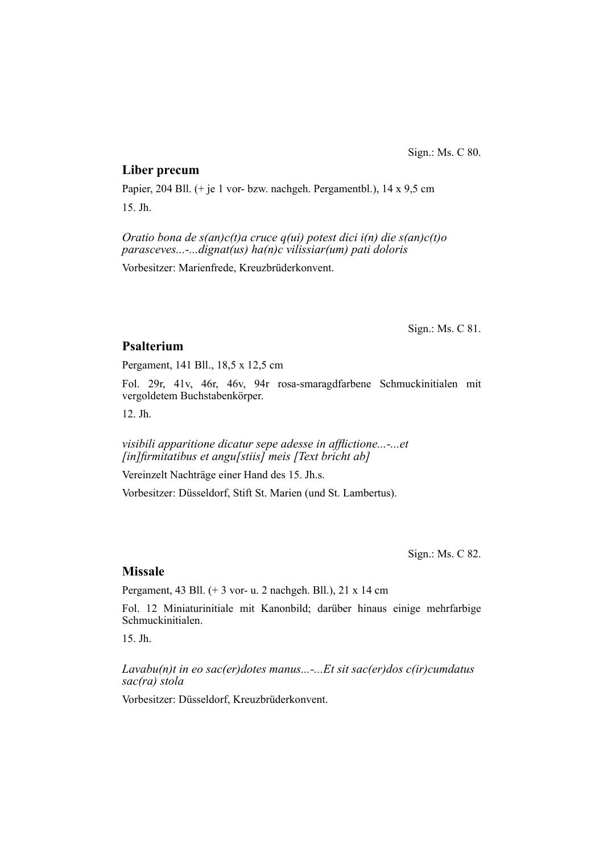# **Liber precum**

Papier, 204 Bll. (+ je 1 vor- bzw. nachgeh. Pergamentbl.), 14 x 9,5 cm 15. Jh.

*Oratio bona de s(an)c(t)a cruce q(ui) potest dici i(n) die s(an)c(t)o parasceves...-...dignat(us) ha(n)c vilissiar(um) pati doloris*

Vorbesitzer: Marienfrede, Kreuzbrüderkonvent.

Sign.: Ms. C 81.

# **Psalterium**

Pergament, 141 Bll., 18,5 x 12,5 cm

Fol. 29r, 41v, 46r, 46v, 94r rosa-smaragdfarbene Schmuckinitialen mit vergoldetem Buchstabenkörper.

12. Jh.

*visibili apparitione dicatur sepe adesse in afflictione...-...et [in]fi rmitatibus et angu[stiis] meis [Text bricht ab]*

Vereinzelt Nachträge einer Hand des 15. Jh.s.

Vorbesitzer: Düsseldorf, Stift St. Marien (und St. Lambertus).

Sign.: Ms. C 82.

# **Missale**

Pergament, 43 Bll. (+ 3 vor- u. 2 nachgeh. Bll.), 21 x 14 cm

Fol. 12 Miniaturinitiale mit Kanonbild; darüber hinaus einige mehrfarbige Schmuckinitialen.

15. Jh.

*Lavabu(n)t in eo sac(er)dotes manus...-...Et sit sac(er)dos c(ir)cumdatus sac(ra) stola*

Vorbesitzer: Düsseldorf, Kreuzbrüderkonvent.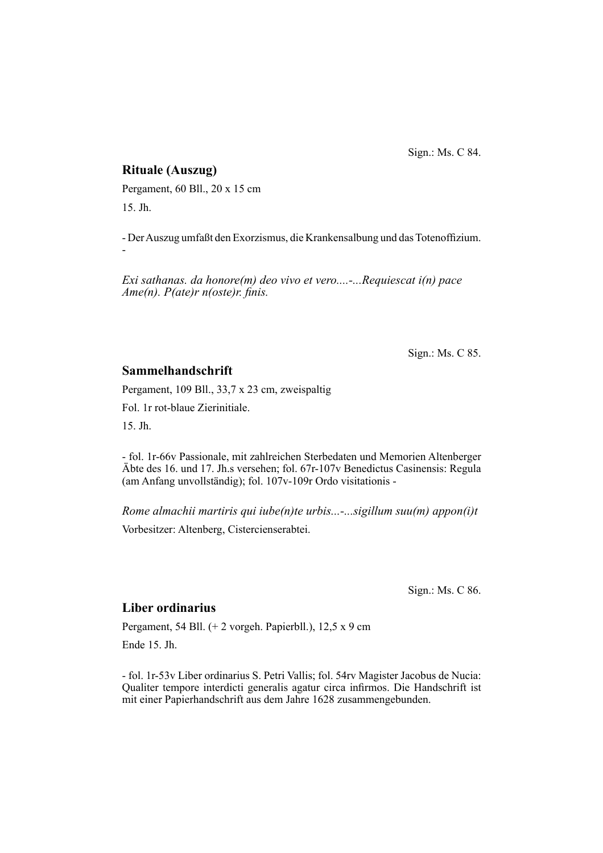Sign.: Ms. C 84.

# **Rituale (Auszug)**

Pergament, 60 Bll., 20 x 15 cm 15. Jh.

- Der Auszug umfaßt den Exorzismus, die Krankensalbung und das Totenoffizium. -

*Exi sathanas. da honore(m) deo vivo et vero....-...Requiescat i(n) pace Ame(n). P(ate)r n(oste)r. finis.* 

Sign.: Ms. C 85.

# **Sammelhandschrift**

Pergament, 109 Bll., 33,7 x 23 cm, zweispaltig

Fol. 1r rot-blaue Zierinitiale.

15. Jh.

- fol. 1r-66v Passionale, mit zahlreichen Sterbedaten und Memorien Altenberger Äbte des 16. und 17. Jh.s versehen; fol. 67r-107v Benedictus Casinensis: Regula (am Anfang unvollständig); fol. 107v-109r Ordo visitationis -

*Rome almachii martiris qui iube(n)te urbis...-...sigillum suu(m) appon(i)t* Vorbesitzer: Altenberg, Cistercienserabtei.

Sign.: Ms. C 86.

# **Liber ordinarius**

Pergament, 54 Bll. (+ 2 vorgeh. Papierbll.), 12,5 x 9 cm

Ende 15. Jh.

- fol. 1r-53v Liber ordinarius S. Petri Vallis; fol. 54rv Magister Jacobus de Nucia: Qualiter tempore interdicti generalis agatur circa infirmos. Die Handschrift ist mit einer Papierhandschrift aus dem Jahre 1628 zusammengebunden.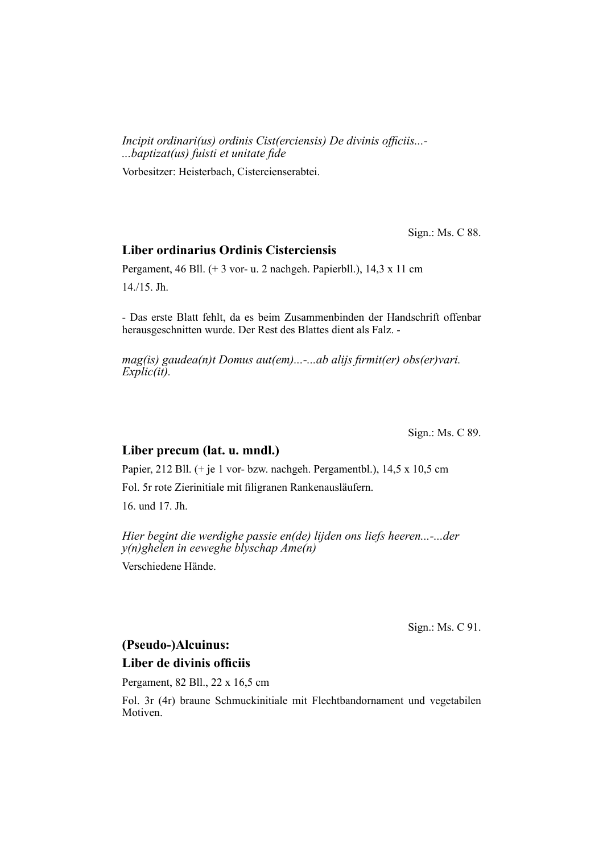*Incipit ordinari(us) ordinis Cist(erciensis) De divinis officiis...-...baptizat(us) fuisti et unitate fi de*

Vorbesitzer: Heisterbach, Cistercienserabtei.

Sign.: Ms. C 88.

# **Liber ordinarius Ordinis Cisterciensis**

Pergament, 46 Bll. (+ 3 vor- u. 2 nachgeh. Papierbll.), 14,3 x 11 cm 14./15. Jh.

- Das erste Blatt fehlt, da es beim Zusammenbinden der Handschrift offenbar heraus geschnitten wurde. Der Rest des Blattes dient als Falz. -

*mag(is) gaudea(n)t Domus aut(em)...-...ab alijs firmit(er) obs(er)vari. Explic(it).*

Sign.: Ms. C 89.

# **Liber precum (lat. u. mndl.)**

Papier, 212 Bll. (+ je 1 vor- bzw. nachgeh. Pergamentbl.), 14,5 x 10,5 cm

Fol. 5r rote Zierinitiale mit filigranen Rankenausläufern.

16. und 17. Jh.

*Hier begint die werdighe passie en(de) lijden ons liefs heeren...-...der y(n)ghelen in eeweghe blyschap Ame(n)*

Verschiedene Hände.

Sign.: Ms. C 91.

#### **(Pseudo-)Alcuinus:**

#### **Liber de divinis officiis**

Pergament, 82 Bll., 22 x 16,5 cm

Fol. 3r (4r) braune Schmuckinitiale mit Flechtbandornament und vegetabilen Motiven.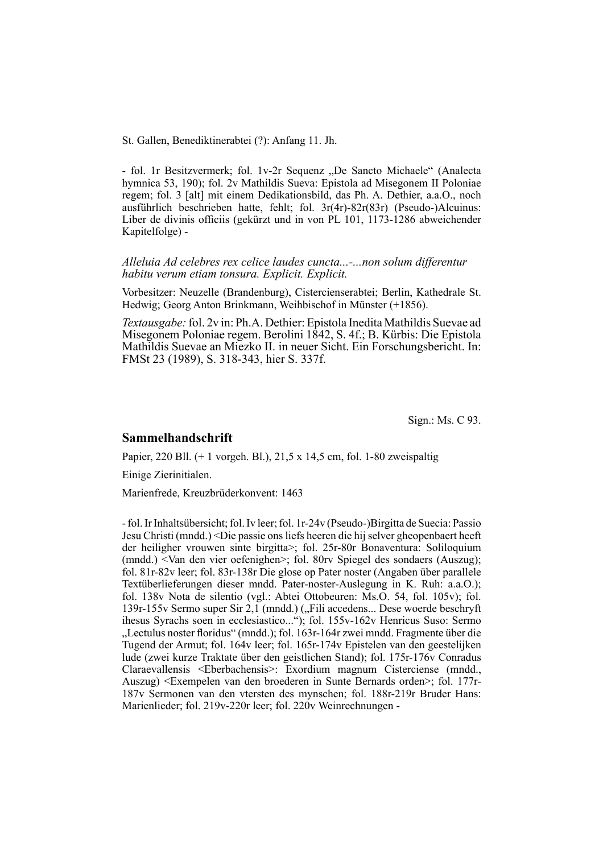St. Gallen, Benediktinerabtei (?): Anfang 11. Jh.

- fol. 1r Besitzvermerk; fol. 1v-2r Sequenz "De Sancto Michaele" (Analecta hymnica 53, 190); fol. 2v Mathildis Sueva: Epistola ad Misegonem II Poloniae regem; fol. 3 [alt] mit einem Dedikationsbild, das Ph. A. Dethier, a.a.O., noch ausführlich beschrieben hatte, fehlt; fol.  $3r(4r) - 82r(83r)$  (Pseudo-)Alcuinus: Liber de divinis officiis (gekürzt und in von PL 101, 1173-1286 abweichender Kapitelfolge) -

*Alleluia Ad celebres rex celice laudes cuncta...-...non solum differentur habitu verum etiam tonsura. Explicit. Explicit.*

Vorbesitzer: Neuzelle (Brandenburg), Cistercienserabtei; Berlin, Kathedrale St. Hedwig; Georg Anton Brinkmann, Weihbischof in Münster (+1856).

*Textausgabe:* fol. 2v in: Ph.A. Dethier: Epistola Inedita Mathildis Suevae ad Misegonem Poloniae regem. Berolini 1842, S. 4f.; B. Kürbis: Die Epistola Mathildis Suevae an Miezko II. in neuer Sicht. Ein Forschungsbericht. In: FMSt 23 (1989), S. 318-343, hier S. 337f.

Sign.: Ms. C 93.

#### **Sammelhandschrift**

Papier, 220 Bll. (+ 1 vorgeh. Bl.), 21,5 x 14,5 cm, fol. 1-80 zweispaltig

Einige Zierinitialen.

Marienfrede, Kreuzbrüderkonvent: 1463

- fol. Ir Inhaltsübersicht; fol. Iv leer; fol. 1r-24v (Pseudo-)Birgitta de Suecia: Passio Jesu Christi (mndd.) <Die passie ons liefs heeren die hij selver gheo penbaert heeft der heiligher vrouwen sinte birgitta>; fol. 25r-80r Bonaventura: Soliloquium (mndd.) <Van den vier oefenighen>; fol. 80rv Spiegel des sondaers (Auszug); fol. 81r-82v leer; fol. 83r-138r Die glose op Pater noster (Angaben über parallele Textüberlieferungen dieser mndd. Pater-noster-Auslegung in K. Ruh: a.a.O.); fol. 138v Nota de silentio (vgl.: Abtei Ottobeuren: Ms.O. 54, fol. 105v); fol. 139r-155v Sermo super Sir 2,1 (mndd.) ("Fili accedens... Dese woerde beschryft ihesus Syrachs soen in ecclesiastico..."); fol. 155v-162v Henricus Suso: Sermo "Lectulus noster floridus" (mndd.); fol. 163r-164r zwei mndd. Fragmente über die Tugend der Armut; fol. 164v leer; fol. 165r-174v Epistelen van den geestelijken lude (zwei kurze Traktate über den geistlichen Stand); fol. 175r-176v Conradus Clarae vallensis <Eberbachensis>: Exordium magnum Cisterciense (mndd., Auszug) <Exempelen van den broederen in Sunte Bernards orden>; fol. 177r-187v Sermonen van den vtersten des mynschen; fol. 188r-219r Bruder Hans: Marienlieder; fol. 219v-220r leer; fol. 220v Weinrechnungen -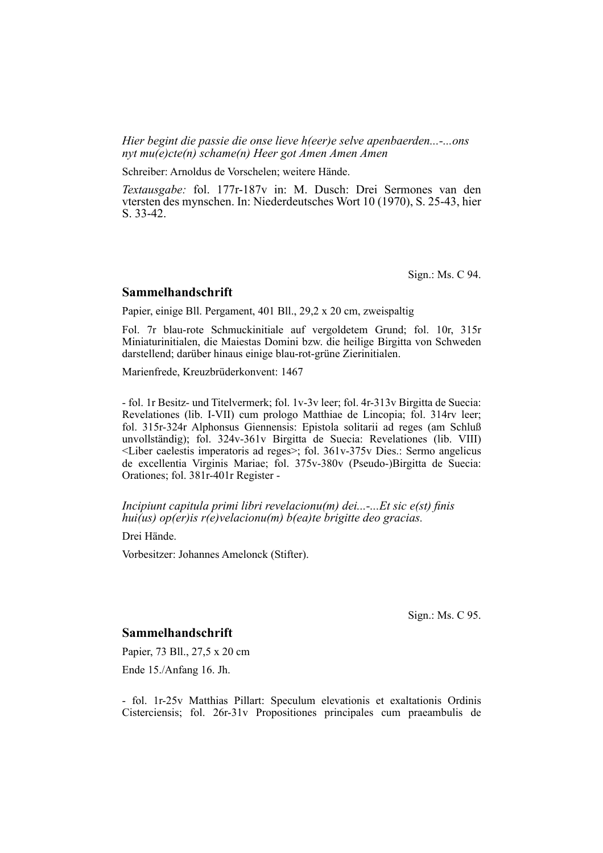*Hier begint die passie die onse lieve h(eer)e selve apenbaerden...-...ons nyt mu(e)cte(n) schame(n) Heer got Amen Amen Amen*

Schreiber: Arnoldus de Vorschelen; weitere Hände.

*Textausgabe:* fol. 177r-187v in: M. Dusch: Drei Sermones van den vtersten des mynschen. In: Niederdeutsches Wort 10 (1970), S. 25-43, hier S. 33-42.

Sign.: Ms. C 94.

#### **Sammelhandschrift**

Papier, einige Bll. Pergament, 401 Bll., 29,2 x 20 cm, zweispaltig

Fol. 7r blau-rote Schmuckinitiale auf vergoldetem Grund; fol. 10r, 315r Miniaturinitialen, die Maiestas Domini bzw. die heilige Birgitta von Schweden dar stellend; darüber hinaus einige blau-rot-grüne Zierinitialen.

Marienfrede, Kreuzbrüderkonvent: 1467

- fol. 1r Besitz- und Titelvermerk; fol. 1v-3v leer; fol. 4r-313v Birgitta de Suecia: Revelationes (lib. I-VII) cum prologo Matthiae de Lincopia; fol. 314rv leer; fol. 315r-324r Alphonsus Giennensis: Epistola solitarii ad reges (am Schluß unvollständig); fol. 324v-361v Birgitta de Suecia: Revelationes (lib. VIII)  $\leq$ Liber caelestis imperatoris ad reges>; fol. 361v-375v Dies.: Sermo angelicus de excellentia Virginis Mariae; fol. 375v-380v (Pseudo-)Birgitta de Suecia: Orationes; fol. 381r-401r Register -

*Incipiunt capitula primi libri revelacionu(m) dei...-...Et sic e(st) finis hui(us) op(er)is r(e)velacionu(m) b(ea)te brigitte deo gracias.*

Drei Hände.

Vorbesitzer: Johannes Amelonck (Stifter).

Sign.: Ms. C 95.

#### **Sammelhandschrift**

Papier, 73 Bll., 27,5 x 20 cm

Ende 15./Anfang 16. Jh.

- fol. 1r-25v Matthias Pillart: Speculum elevationis et exaltationis Ordinis Cisterciensis; fol. 26r-31v Propositiones principales cum praeambulis de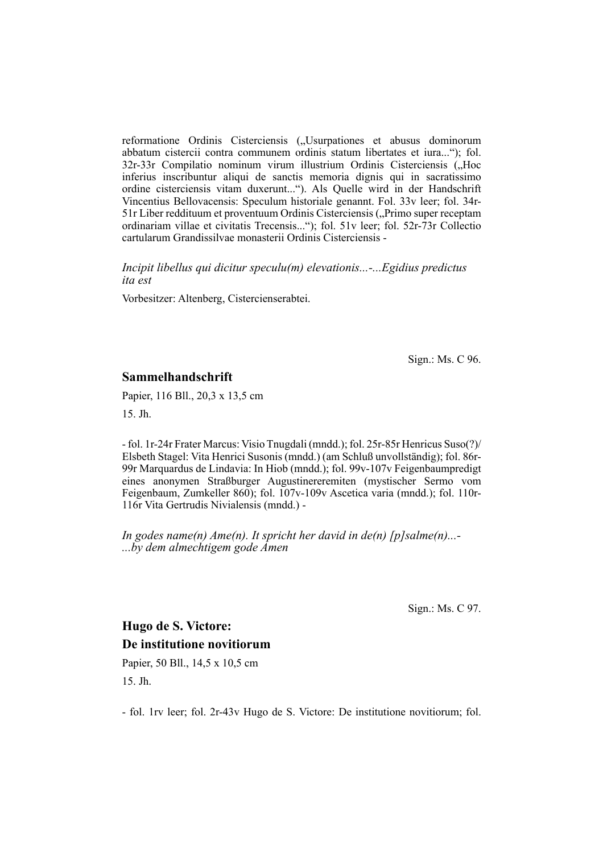reformatione Ordinis Cisterciensis ("Usurpationes et abusus dominorum abbatum cister cii contra communem ordinis statum libertates et iura..."); fol. 32r-33r Compilatio nominum virum illustrium Ordinis Cisterciensis ("Hoc inferius inscribuntur aliqui de sanctis memoria dignis qui in sacratissimo ordine cisterciensis vitam duxerunt..."). Als Quelle wird in der Handschrift Vincentius Bellovacensis: Speculum historiale genannt. Fol. 33y leer; fol. 34r-51r Liber reddituum et proventuum Ordinis Cisterciensis ("Primo super receptam ordinariam villae et civitatis Trecensis..."); fol. 51v leer; fol. 52r-73r Collectio cartu larum Grandissilvae monasterii Ordinis Cisterciensis -

*Incipit libellus qui dicitur speculu(m) elevationis...-...Egidius predictus ita est*

Vorbesitzer: Altenberg, Cistercienserabtei.

Sign.: Ms. C 96.

#### **Sammelhandschrift**

Papier, 116 Bll., 20,3 x 13,5 cm

15. Jh.

- fol. 1r-24r Frater Marcus: Visio Tnugdali (mndd.); fol. 25r-85r Henricus Suso(?)/ Elsbeth Stagel: Vita Henrici Susonis (mndd.) (am Schluß unvollständig); fol. 86r-99r Marquardus de Lindavia: In Hiob (mndd.); fol. 99v-107v Feigenbaumpredigt eines anonymen Straßburger Augustinereremiten (mystischer Sermo vom Feigenbaum, Zumkeller 860); fol. 107v-109v Ascetica varia (mndd.); fol. 110r-116r Vita Gertrudis Nivialensis (mndd.) -

*In godes name(n) Ame(n). It spricht her david in de(n) [p]salme(n)...- ...by dem almechtigem gode Amen*

Sign.: Ms. C 97.

# **Hugo de S. Victore: De institutione novitiorum**

Papier, 50 Bll., 14,5 x 10,5 cm 15. Jh.

- fol. 1rv leer; fol. 2r-43v Hugo de S. Victore: De institutione novitiorum; fol.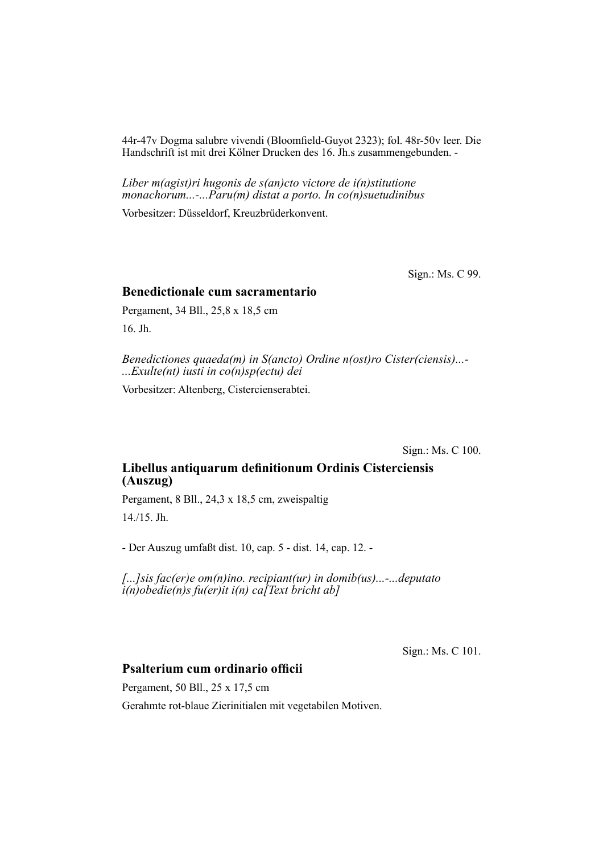44r-47v Dogma salubre vivendi (Bloomfield-Guyot 2323); fol. 48r-50v leer. Die Handschrift ist mit drei Kölner Drucken des 16. Jh.s zusammengebunden. -

*Liber m(agist)ri hugonis de s(an)cto victore de i(n)stitutione monachorum...-...Paru(m) distat a porto. In co(n)suetudinibus*

Vorbesitzer: Düsseldorf, Kreuzbrüderkonvent.

Sign.: Ms. C 99.

#### **Benedictionale cum sacramentario**

Pergament, 34 Bll., 25,8 x 18,5 cm 16. Jh.

*Benedictiones quaeda(m) in S(ancto) Ordine n(ost)ro Cister(ciensis)...- ...Exulte(nt) iusti in co(n)sp(ectu) dei*

Vorbesitzer: Altenberg, Cistercienserabtei.

Sign.: Ms. C 100.

# Libellus antiquarum definitionum Ordinis Cisterciensis **(Auszug)**

Pergament, 8 Bll., 24,3 x 18,5 cm, zweispaltig 14./15. Jh.

- Der Auszug umfaßt dist. 10, cap. 5 - dist. 14, cap. 12. -

*[...]sis fac(er)e om(n)ino. recipiant(ur) in domib(us)...-...deputato i(n)obedie(n)s fu(er)it i(n) ca[Text bricht ab]*

Sign.: Ms. C 101.

# **Psalterium cum ordinario officii**

Pergament, 50 Bll., 25 x 17,5 cm

Gerahmte rot-blaue Zierinitialen mit vegetabilen Motiven.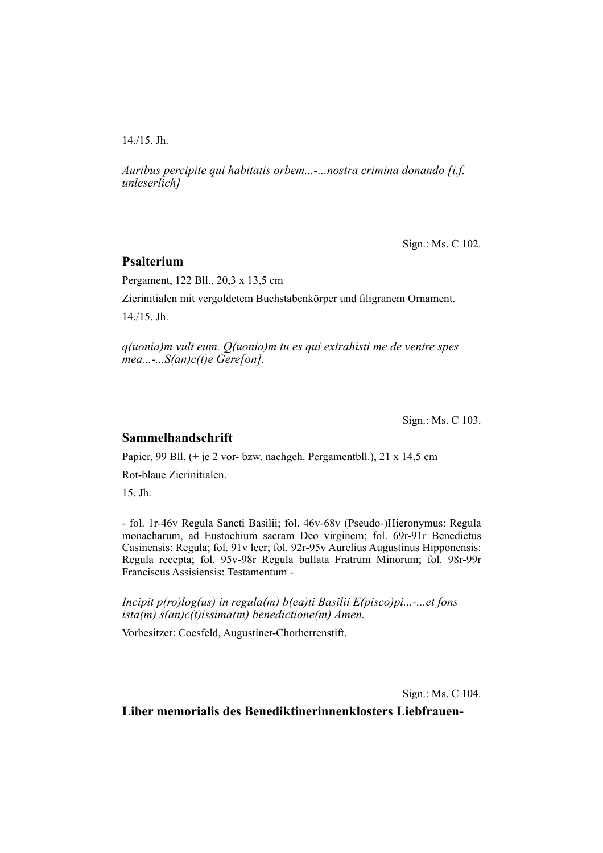14./15. Jh.

*Auribus percipite qui habitatis orbem...-...nostra crimina donando [i.f. unleserlich]*

Sign.: Ms. C 102.

### **Psalterium**

Pergament, 122 Bll., 20,3 x 13,5 cm

Zierinitialen mit vergoldetem Buchstabenkörper und filigranem Ornament.

14./15. Jh.

*q(uonia)m vult eum. Q(uonia)m tu es qui extrahisti me de ventre spes mea...-...S(an)c(t)e Gere[on].*

Sign.: Ms. C 103.

## **Sammelhandschrift**

Papier, 99 Bll. (+ je 2 vor- bzw. nachgeh. Pergamentbll.), 21 x 14,5 cm

Rot-blaue Zierinitialen.

15. Jh.

- fol. 1r-46v Regula Sancti Basilii; fol. 46v-68v (Pseudo-)Hieronymus: Regula monacharum, ad Eustochium sacram Deo virginem; fol. 69r-91r Benedictus Casinensis: Regula; fol. 91v leer; fol. 92r-95v Aurelius Augustinus Hipponensis: Regula recepta; fol. 95v-98r Regula bullata Fratrum Minorum; fol. 98r-99r Franciscus Assisiensis: Testamentum -

*Incipit p(ro)log(us) in regula(m) b(ea)ti Basilii E(pisco)pi...-...et fons ista(m) s(an)c(t)issima(m) benedictione(m) Amen.*

Vorbesitzer: Coesfeld, Augustiner-Chorherrenstift.

Sign.: Ms. C 104.

**Liber memorialis des Benediktinerinnenklosters Liebfrauen-**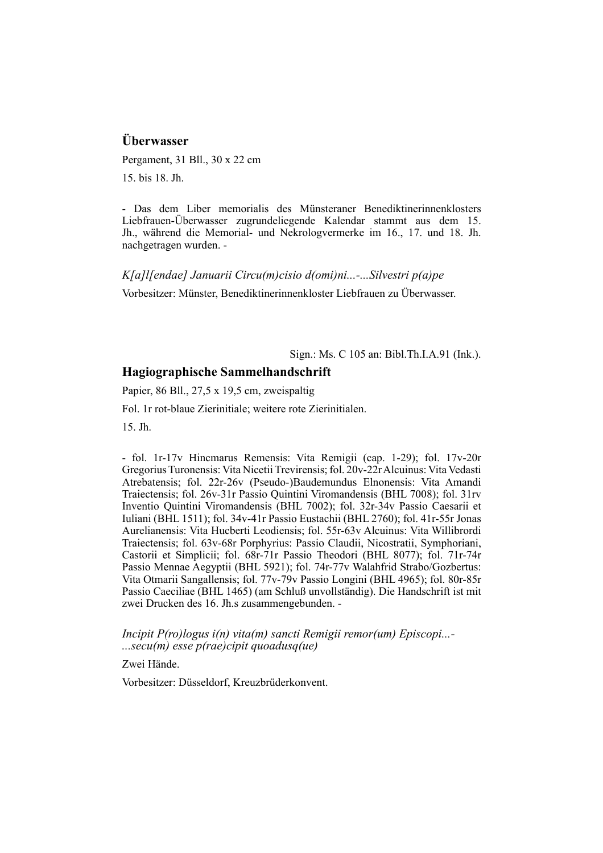# **Überwasser**

Pergament, 31 Bll., 30 x 22 cm

15. bis 18. Jh.

- Das dem Liber memorialis des Münsteraner Benediktinerinnenklosters Lieb frauen-Überwasser zugrundeliegende Kalendar stammt aus dem 15. Jh., während die Memorial- und Nekrologvermerke im 16., 17. und 18. Jh. nachgetragen wurden. -

*K[a]l[endae] Januarii Circu(m)cisio d(omi)ni...-...Silvestri p(a)pe*

Vorbesitzer: Münster, Benediktinerinnenkloster Liebfrauen zu Überwasser.

Sign.: Ms. C 105 an: Bibl.Th.I.A.91 (Ink.).

# **Hagiographische Sammelhandschrift**

Papier, 86 Bll., 27,5 x 19,5 cm, zweispaltig

Fol. 1r rot-blaue Zierinitiale; weitere rote Zierinitialen.

15. Jh.

- fol. 1r-17v Hincmarus Remensis: Vita Remigii (cap. 1-29); fol. 17v-20r Gregorius Turonensis: Vita Nicetii Trevirensis; fol. 20v-22r Alcuinus: Vita Vedasti Atrebatensis; fol. 22r-26v (Pseudo-)Baudemundus Elnonensis: Vita Amandi Traiectensis; fol. 26v-31r Passio Quintini Viromandensis (BHL 7008); fol. 31rv Inventio Quintini Viromandensis (BHL 7002); fol. 32r-34v Passio Caesarii et Iuliani (BHL 1511); fol. 34v-41r Passio Eustachii (BHL 2760); fol. 41r-55r Jonas Aurelianensis: Vita Hucberti Leodiensis; fol. 55r-63v Alcuinus: Vita Willibrordi Traiectensis; fol. 63v-68r Porphyrius: Passio Claudii, Nicostratii, Symphoriani, Castorii et Simplicii; fol. 68r-71r Passio Theodori (BHL 8077); fol. 71r-74r Passio Mennae Aegyptii (BHL 5921); fol. 74r-77v Walahfrid Strabo/Gozbertus: Vita Otmarii Sangallensis; fol. 77v-79v Passio Longini (BHL 4965); fol. 80r-85r Passio Caeciliae (BHL 1465) (am Schluß unvollständig). Die Handschrift ist mit zwei Drucken des 16. Jh.s zusammengebunden. -

*Incipit P(ro)logus i(n) vita(m) sancti Remigii remor(um) Episcopi...- ...secu(m) esse p(rae)cipit quoadusq(ue)*

Zwei Hände.

Vorbesitzer: Düsseldorf, Kreuzbrüderkonvent.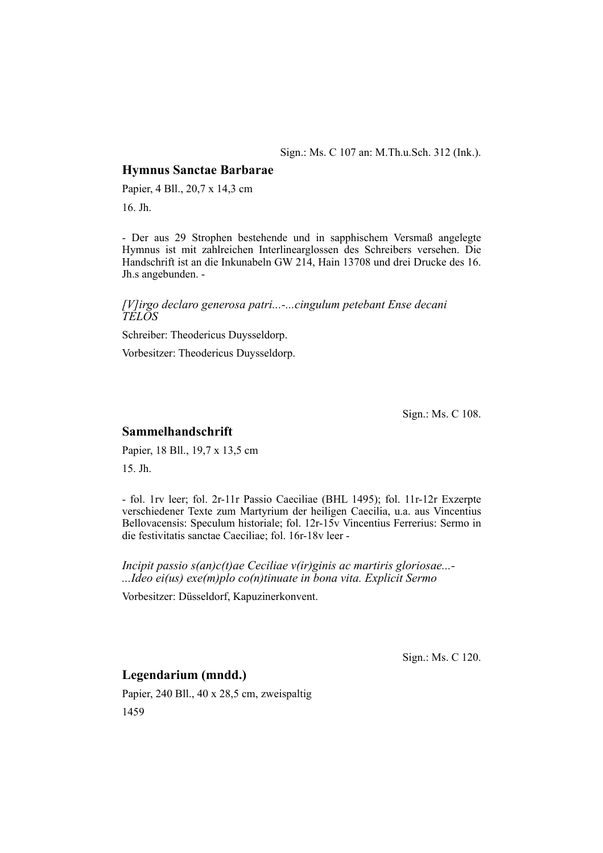#### Sign.: Ms. C 107 an: M.Th.u.Sch. 312 (Ink.).

#### **Hymnus Sanctae Barbarae**

Papier, 4 Bll., 20,7 x 14,3 cm

16. Jh.

- Der aus 29 Strophen bestehende und in sapphischem Versmaß angelegte Hymnus ist mit zahlreichen Interlinearglossen des Schreibers versehen. Die Handschrift ist an die Inkunabeln GW 214, Hain 13708 und drei Drucke des 16. Jh.s angebunden. -

#### *[V]irgo declaro generosa patri...-...cingulum petebant Ense decani TELOS*

Schreiber: Theodericus Duysseldorp.

Vorbesitzer: Theodericus Duysseldorp.

Sign.: Ms. C 108.

## **Sammelhandschrift**

Papier, 18 Bll., 19,7 x 13,5 cm 15. Jh.

- fol. 1rv leer; fol. 2r-11r Passio Caeciliae (BHL 1495); fol. 11r-12r Exzerpte verschiedener Texte zum Martyrium der heiligen Caecilia, u.a. aus Vincentius Bellovacensis: Speculum historiale; fol. 12r-15v Vincentius Ferrerius: Sermo in die festivitatis sanctae Caeciliae; fol. 16r-18v leer -

*Incipit passio s(an)c(t)ae Ceciliae v(ir)ginis ac martiris gloriosae...- ...Ideo ei(us) exe(m)plo co(n)tinuate in bona vita. Explicit Sermo*

Vorbesitzer: Düsseldorf, Kapuzinerkonvent.

Sign.: Ms. C 120.

# **Legendarium (mndd.)**

Papier, 240 Bll., 40 x 28,5 cm, zweispaltig 1459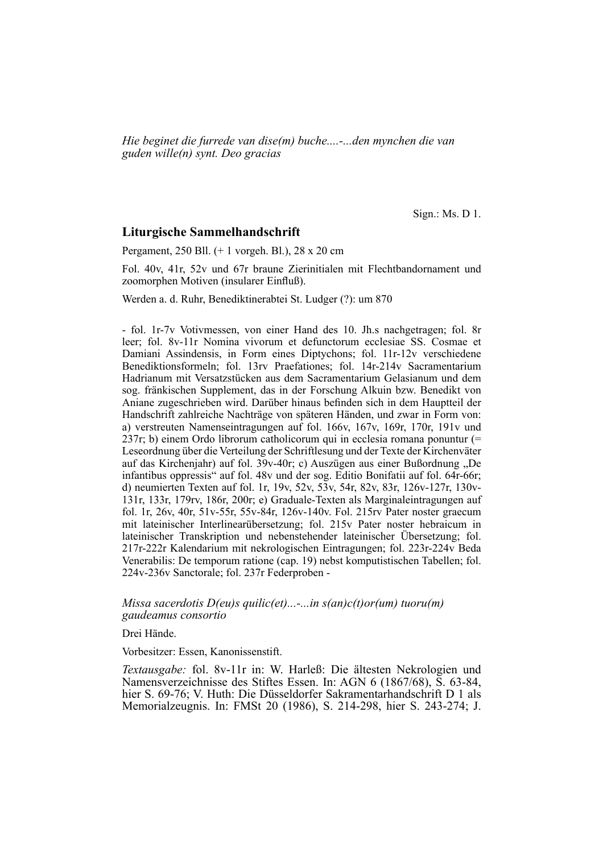*Hie beginet die furrede van dise(m) buche....-...den mynchen die van guden wille(n) synt. Deo gracias*

Sign.: Ms. D 1.

#### **Liturgische Sammelhandschrift**

Pergament, 250 Bll. (+ 1 vorgeh. Bl.), 28 x 20 cm

Fol. 40v, 41r, 52v und 67r braune Zierinitialen mit Flechtbandornament und zoomorphen Motiven (insularer Einfluß).

Werden a. d. Ruhr, Benediktinerabtei St. Ludger (?): um 870

- fol. 1r-7v Votivmessen, von einer Hand des 10. Jh.s nachgetragen; fol. 8r leer; fol. 8v-11r Nomina vivorum et defunctorum ecclesiae SS. Cosmae et Damiani Assindensis, in Form eines Diptychons; fol. 11r-12v verschiedene Benediktionsformeln; fol. 13rv Praefationes; fol. 14r-214v Sacramentarium Hadrianum mit Versatzstücken aus dem Sacramentarium Gelasianum und dem sog. fränkischen Supplement, das in der Forschung Alkuin bzw. Benedikt von Aniane zugeschrieben wird. Darüber hinaus befinden sich in dem Hauptteil der Handschrift zahlreiche Nachträge von späteren Händen, und zwar in Form von: a) verstreuten Namenseintragungen auf fol. 166v, 167v, 169r, 170r, 191v und 237r; b) einem Ordo librorum catholicorum qui in ecclesia romana ponuntur (= Leseordnung über die Verteilung der Schriftlesung und der Texte der Kirchenväter auf das Kirchenjahr) auf fol. 39v-40r; c) Auszü gen aus einer Bußordnung "De infantibus oppressis" auf fol. 48v und der sog. Editio Bonifatii auf fol. 64r-66r; d) neumierten Texten auf fol. 1r, 19v, 52v, 53v, 54r, 82v, 83r, 126v-127r, 130v-131r, 133r, 179rv, 186r, 200r; e) Graduale-Texten als Marginaleintragungen auf fol. 1r, 26v, 40r, 51v-55r, 55v-84r, 126v-140v. Fol. 215rv Pater noster graecum mit lateinischer Interlinearübersetzung; fol. 215v Pater noster hebraicum in lateinischer Transkription und nebenstehender lateinischer Übersetzung; fol. 217r-222r Kalendarium mit nekrologischen Eintragungen; fol. 223r-224v Beda Venerabilis: De temporum ratione (cap. 19) nebst komputistischen Tabellen; fol. 224v-236v Sanctorale; fol. 237r Federproben -

*Missa sacerdotis D(eu)s quilic(et)...-...in s(an)c(t)or(um) tuoru(m) gaudeamus consortio*

Drei Hände.

Vorbesitzer: Essen, Kanonissenstift.

*Textausgabe:* fol. 8v-11r in: W. Harleß: Die ältesten Nekrologien und Namensverzeichnisse des Stiftes Essen. In: AGN 6 (1867/68), S. 63-84, hier S. 69-76; V. Huth: Die Düsseldorfer Sakramentarhandschrift D 1 als Memorialzeugnis. In: FMSt 20 (1986), S. 214-298, hier S. 243-274; J.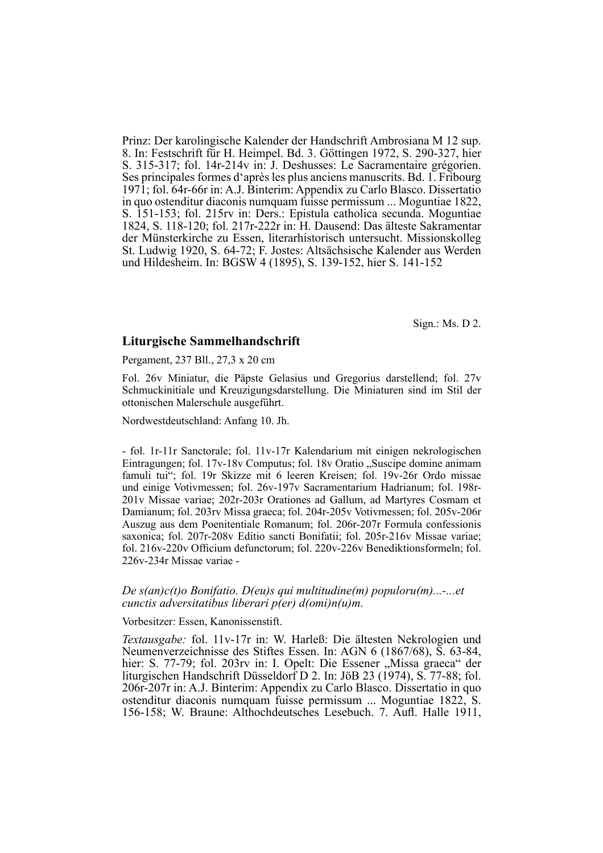Prinz: Der karolingische Kalender der Handschrift Ambrosiana M 12 sup. 8. In: Festschrift für H. Heimpel. Bd. 3. Göttingen 1972, S. 290-327, hier S. 315-317; fol. 14r-214v in: J. Deshusses: Le Sacramentaire grégorien. Ses principales formes d'après les plus anciens manuscrits. Bd. 1. Fribourg 1971; fol. 64r-66r in: A.J. Binterim: Appendix zu Carlo Blasco. Dissertatio in quo ostenditur diaconis numquam fuisse permissum ... Moguntiae 1822, S. 151-153; fol. 215rv in: Ders.: Epistula catholica secunda. Moguntiae 1824, S. 118-120; fol. 217r-222r in: H. Dausend: Das älteste Sakramentar der Münsterkirche zu Essen, literarhistorisch untersucht. Missionskolleg St. Ludwig 1920, S. 64-72; F. Jostes: Altsächsische Kalender aus Werden und Hildesheim. In: BGSW 4 (1895), S. 139-152, hier S. 141-152

Sign.: Ms. D 2.

#### **Liturgische Sammelhandschrift**

Pergament, 237 Bll., 27,3 x 20 cm

Fol. 26v Miniatur, die Päpste Gelasius und Gregorius darstellend; fol. 27v Schmuckinitiale und Kreuzigungsdarstellung. Die Miniaturen sind im Stil der otto nischen Malerschule ausgeführt.

Nordwestdeutschland: Anfang 10. Jh.

- fol. 1r-11r Sanctorale; fol. 11v-17r Kalendarium mit einigen nekrologischen Eintragungen; fol. 17y-18y Computus; fol. 18y Oratio "Suscipe domine animam famuli tui"; fol. 19r Skizze mit 6 leeren Kreisen; fol. 19v-26r Ordo missae und einige Votivmessen; fol. 26v-197v Sacramentarium Hadrianum; fol. 198r-201v Missae variae; 202r-203r Orationes ad Gallum, ad Martyres Cosmam et Damianum; fol. 203rv Missa graeca; fol. 204r-205v Votivmessen; fol. 205v-206r Auszug aus dem Poenitentiale Romanum; fol. 206r-207r Formula confessionis saxonica; fol. 207r-208v Editio sancti Bonifatii; fol. 205r-216v Missae variae; fol. 216v-220v Officium defunctorum; fol. 220v-226v Benediktionsformeln; fol. 226v-234r Missae variae -

#### *De s(an)c(t)o Bonifatio. D(eu)s qui multitudine(m) populoru(m)...-...et cunctis adversitatibus liberari p(er) d(omi)n(u)m.*

Vorbesitzer: Essen, Kanonissenstift.

*Textausgabe:* fol. 11v-17r in: W. Harleß: Die ältesten Nekrologien und Neumenverzeichnisse des Stiftes Essen. In: AGN 6 (1867/68), S. 63-84, hier: S. 77-79; fol. 203rv in: I. Opelt: Die Essener "Missa graeca" der liturgischen Handschrift Düsseldorf D 2. In: JöB 23 (1974), S. 77-88; fol. 206r-207r in: A.J. Binterim: Appendix zu Carlo Blasco. Dissertatio in quo ostenditur diaconis numquam fuisse permissum ... Moguntiae 1822, S. 156-158; W. Braune: Althochdeutsches Lesebuch. 7. Aufl. Halle 1911,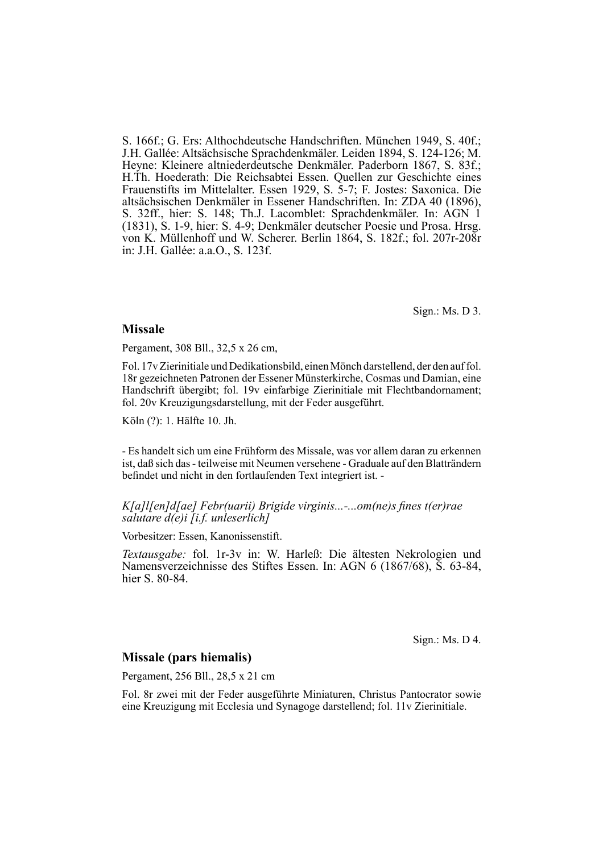S. 166f.; G. Ers: Althochdeutsche Handschriften. München 1949, S. 40f.; J.H. Gallée: Altsächsische Sprachdenkmäler. Leiden 1894, S. 124-126; M. Heyne: Kleinere altniederdeutsche Denkmäler. Paderborn 1867, S. 83f.; H.Th. Hoederath: Die Reichsabtei Essen. Quellen zur Geschichte eines Frauenstifts im Mittelalter. Essen 1929, S. 5-7; F. Jostes: Saxonica. Die altsächsischen Denkmäler in Essener Handschriften. In: ZDA 40 (1896), S. 32ff., hier: S. 148; Th.J. Lacomblet: Sprachdenkmäler. In: AGN 1 (1831), S. 1-9, hier: S. 4-9; Denkmäler deutscher Poesie und Prosa. Hrsg. von K. Müllenhoff und W. Scherer. Berlin 1864, S. 182f.; fol. 207r-208r in: J.H. Gallée: a.a.O., S. 123f.

Sign.: Ms. D 3.

#### **Missale**

Pergament, 308 Bll., 32,5 x 26 cm,

Fol. 17v Zierinitiale und Dedikationsbild, einen Mönch darstellend, der den auf fol. 18r gezeichneten Patronen der Essener Münsterkirche, Cosmas und Damian, eine Handschrift übergibt; fol. 19v einfarbige Zierinitiale mit Flechtbandornament; fol. 20v Kreuzigungsdarstellung, mit der Feder ausgeführt.

Köln (?): 1. Hälfte 10. Jh.

- Es handelt sich um eine Frühform des Missale, was vor allem daran zu erkennen ist, daß sich das - teilweise mit Neumen versehene - Graduale auf den Blatträndern befindet und nicht in den fortlaufenden Text integriert ist. -

#### *K*[a]*l*[en]d[ae] Febr(uarii) Brigide virginis...-...om(ne)s fines t(er)rae *salutare d(e)i [i.f. unleserlich]*

Vorbesitzer: Essen, Kanonissenstift.

*Textausgabe:* fol. 1r-3v in: W. Harleß: Die ältesten Nekrologien und Namensverzeichnisse des Stiftes Essen. In: AGN 6 (1867/68), S. 63-84, hier S. 80-84.

Sign.: Ms. D 4.

#### **Missale (pars hiemalis)**

Pergament, 256 Bll., 28,5 x 21 cm

Fol. 8r zwei mit der Feder ausgeführte Miniaturen, Christus Pantocrator sowie eine Kreuzigung mit Ecclesia und Synagoge darstellend; fol. 11v Zierinitiale.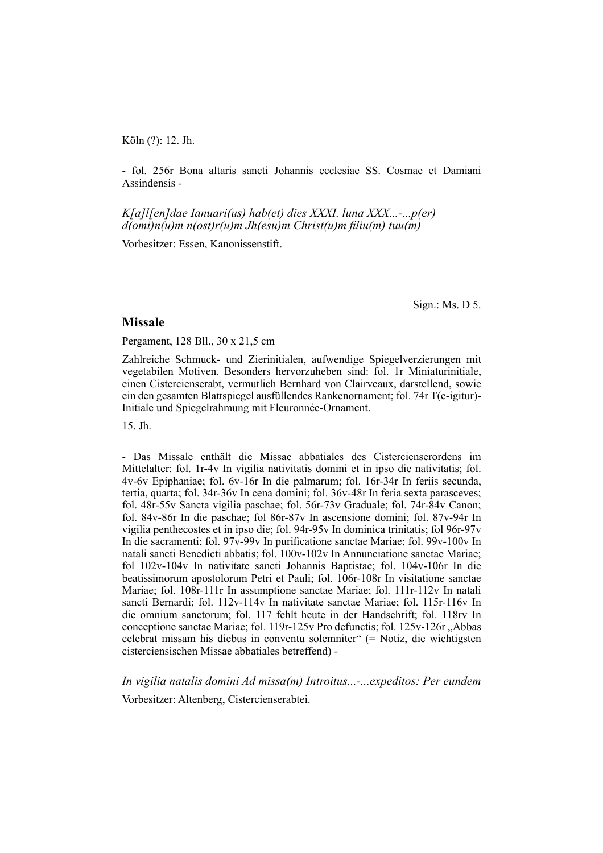Köln (?): 12. Jh.

- fol. 256r Bona altaris sancti Johannis ecclesiae SS. Cosmae et Damiani Assindensis -

*K[a]l[en]dae Ianuari(us) hab(et) dies XXXI. luna XXX...-...p(er) d(omi)n(u)m n(ost)r(u)m Jh(esu)m Christ(u)m fi liu(m) tuu(m)*

Vorbesitzer: Essen, Kanonissenstift.

Sign.: Ms. D 5.

#### **Missale**

Pergament, 128 Bll., 30 x 21,5 cm

Zahlreiche Schmuck- und Zierinitialen, aufwendige Spiegelverzierungen mit vegetabilen Motiven. Besonders hervorzuheben sind: fol. 1r Miniaturinitiale, einen Cistercienserabt, vermutlich Bernhard von Clairveaux, darstellend, sowie ein den gesamten Blattspiegel ausfüllendes Rankenornament; fol. 74r T(e-igitur)- Initiale und Spiegelrahmung mit Fleuronnée-Ornament.

15. Jh.

- Das Missale enthält die Missae abbatiales des Cistercienserordens im Mittelalter: fol. 1r-4v In vigilia nativitatis domini et in ipso die nativitatis; fol. 4v-6v Epiphaniae; fol. 6v-16r In die palmarum; fol. 16r-34r In feriis secunda, tertia, quarta; fol. 34r-36v In cena domini; fol. 36v-48r In feria sexta parasceves; fol. 48r-55v Sancta vigilia paschae; fol. 56r-73v Graduale; fol. 74r-84v Canon; fol. 84v-86r In die paschae; fol 86r-87v In ascensione domini; fol. 87v-94r In vigilia penthecostes et in ipso die; fol. 94r-95v In dominica trinitatis; fol 96r-97v In die sacramenti; fol. 97v-99v In purificatione sanctae Mariae; fol. 99v-100v In natali sancti Benedicti abbatis; fol. 100v-102v In Annunciatione sanctae Mariae; fol  $102v-104v$  In nativitate sancti Johannis Baptistae; fol.  $104v-106r$  In die beatissimorum apostolorum Petri et Pauli; fol. 106r-108r In visitatione sanctae Mariae; fol. 108r-111r In assumptione sanctae Mariae; fol. 111r-112v In natali sancti Bernardi; fol. 112v-114v In nativitate sanctae Mariae; fol. 115r-116v In die omnium sanctorum; fol. 117 fehlt heute in der Handschrift; fol. 118rv In conceptione sanctae Mariae; fol. 119r-125v Pro defunctis; fol. 125v-126r . Abbas celebrat missam his diebus in conventu solemniter" (= Notiz, die wichtigsten cisterciensischen Missae abbatiales betreffend) -

*In vigilia natalis domini Ad missa(m) Introitus...-...expeditos: Per eundem*

Vorbesitzer: Altenberg, Cistercienserabtei.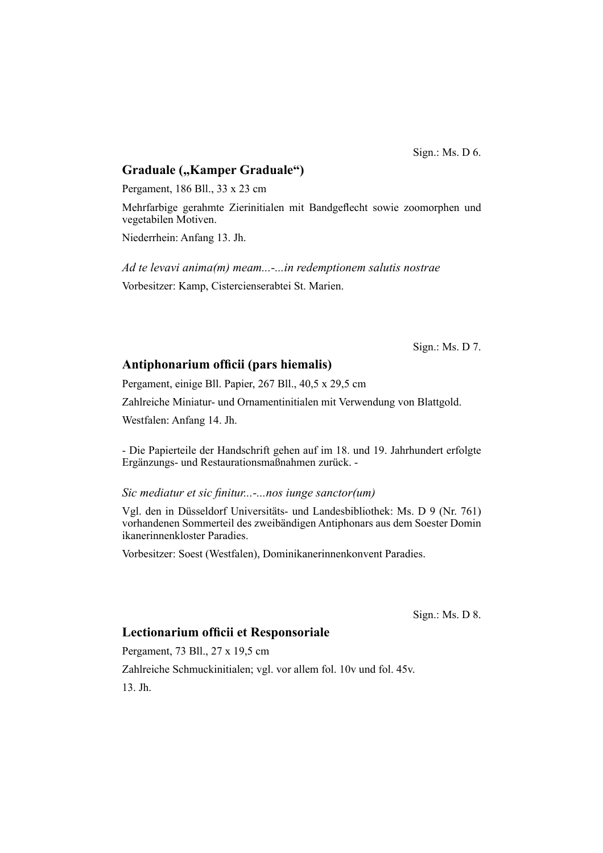Sign.: Ms. D 6.

# **Graduale ("Kamper Graduale")**

Pergament, 186 Bll., 33 x 23 cm

Mehrfarbige gerahmte Zierinitialen mit Bandgeflecht sowie zoomorphen und vegetabilen Motiven.

Niederrhein: Anfang 13. Jh.

*Ad te levavi anima(m) meam...-...in redemptionem salutis nostrae* Vorbesitzer: Kamp, Cistercienserabtei St. Marien.

Sign.: Ms. D 7.

#### Antiphonarium officii (pars hiemalis)

Pergament, einige Bll. Papier, 267 Bll., 40,5 x 29,5 cm

Zahlreiche Miniatur- und Ornamentinitialen mit Verwendung von Blattgold.

Westfalen: Anfang 14. Jh.

- Die Papierteile der Handschrift gehen auf im 18. und 19. Jahrhundert erfolgte Ergänzungs- und Restaurationsmaßnahmen zurück. -

#### *Sic mediatur et sic finitur...-...nos iunge sanctor(um)*

Vgl. den in Düsseldorf Universitäts- und Landesbibliothek: Ms. D 9 (Nr. 761) vorhandenen Sommerteil des zweibändigen Antiphonars aus dem Soester Domin ikanerinnenkloster Paradies.

Vorbesitzer: Soest (Westfalen), Dominikanerinnenkonvent Paradies.

Sign.: Ms. D 8.

# **Lectionarium officii et Responsoriale**

Pergament, 73 Bll., 27 x 19,5 cm Zahlreiche Schmuckinitialen; vgl. vor allem fol. 10v und fol. 45v. 13. Jh.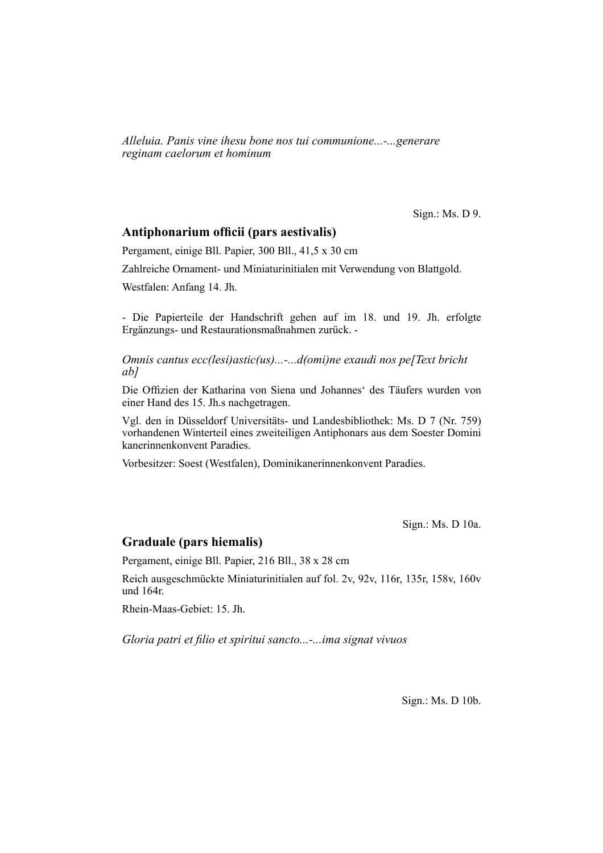*Alleluia. Panis vine ihesu bone nos tui communione...-...generare reginam caelorum et hominum*

Sign.: Ms. D 9.

#### Antiphonarium officii (pars aestivalis)

Pergament, einige Bll. Papier, 300 Bll., 41,5 x 30 cm

Zahlreiche Ornament- und Miniaturinitialen mit Verwendung von Blattgold.

Westfalen: Anfang 14. Jh.

- Die Papierteile der Handschrift gehen auf im 18. und 19. Jh. erfolgte Ergänzungs- und Restaurationsmaßnahmen zurück. -

*Omnis cantus ecc(lesi)astic(us)...-...d(omi)ne exaudi nos pe[Text bricht ab]*

Die Offizien der Katharina von Siena und Johannes' des Täufers wurden von einer Hand des 15. Jh.s nachgetragen.

Vgl. den in Düsseldorf Universitäts- und Landesbibliothek: Ms. D 7 (Nr. 759) vorhandenen Winterteil eines zweiteiligen Antiphonars aus dem Soester Domini kanerinnenkonvent Paradies.

Vorbesitzer: Soest (Westfalen), Dominikanerinnenkonvent Paradies.

Sign.: Ms. D 10a.

# **Graduale (pars hiemalis)**

Pergament, einige Bll. Papier, 216 Bll., 38 x 28 cm

Reich ausgeschmückte Miniaturinitialen auf fol. 2v, 92v, 116r, 135r, 158v, 160v und 164r.

Rhein-Maas-Gebiet: 15. Jh.

Gloria patri et filio et spiritui sancto...-...ima signat vivuos

Sign.: Ms. D 10b.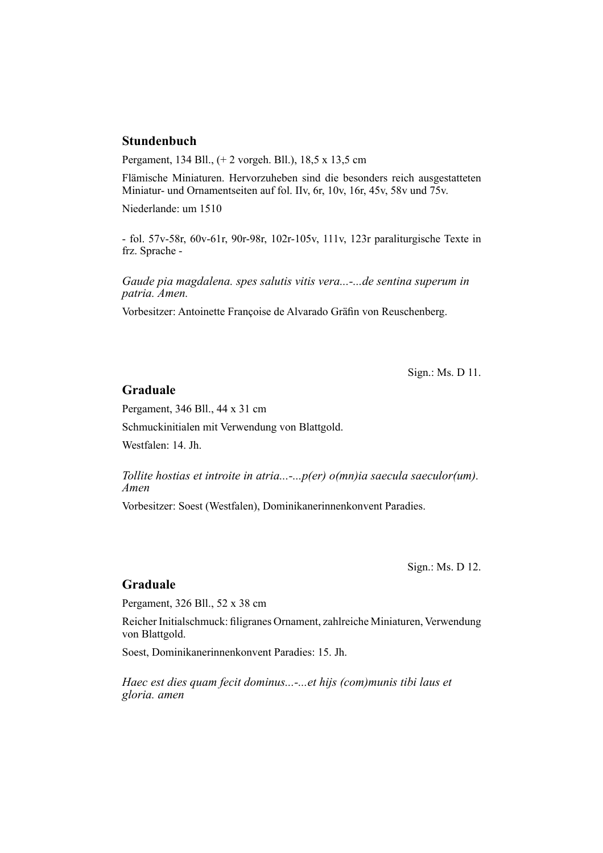# **Stundenbuch**

Pergament, 134 Bll., (+ 2 vorgeh. Bll.), 18,5 x 13,5 cm

Flämische Miniaturen. Hervorzuheben sind die besonders reich ausgestatteten Miniatur- und Ornamentseiten auf fol. IIv, 6r, 10v, 16r, 45v, 58v und 75v.

Niederlande: um 1510

- fol. 57v-58r, 60v-61r, 90r-98r, 102r-105v, 111v, 123r paraliturgische Texte in frz. Sprache -

*Gaude pia magdalena. spes salutis vitis vera...-...de sentina superum in patria. Amen.*

Vorbesitzer: Antoinette Françoise de Alvarado Gräfin von Reuschenberg.

Sign.: Ms. D 11.

#### **Graduale**

Pergament, 346 Bll., 44 x 31 cm

Schmuckinitialen mit Verwendung von Blattgold.

Westfalen: 14. Jh.

*Tollite hostias et introite in atria...-...p(er) o(mn)ia saecula saeculor(um). Amen*

Vorbesitzer: Soest (Westfalen), Dominikanerinnenkonvent Paradies.

Sign.: Ms. D 12.

# **Graduale**

Pergament, 326 Bll., 52 x 38 cm

Reicher Initialschmuck: filigranes Ornament, zahlreiche Miniaturen, Verwendung von Blattgold.

Soest, Dominikanerinnenkonvent Paradies: 15. Jh.

*Haec est dies quam fecit dominus...-...et hijs (com)munis tibi laus et gloria. amen*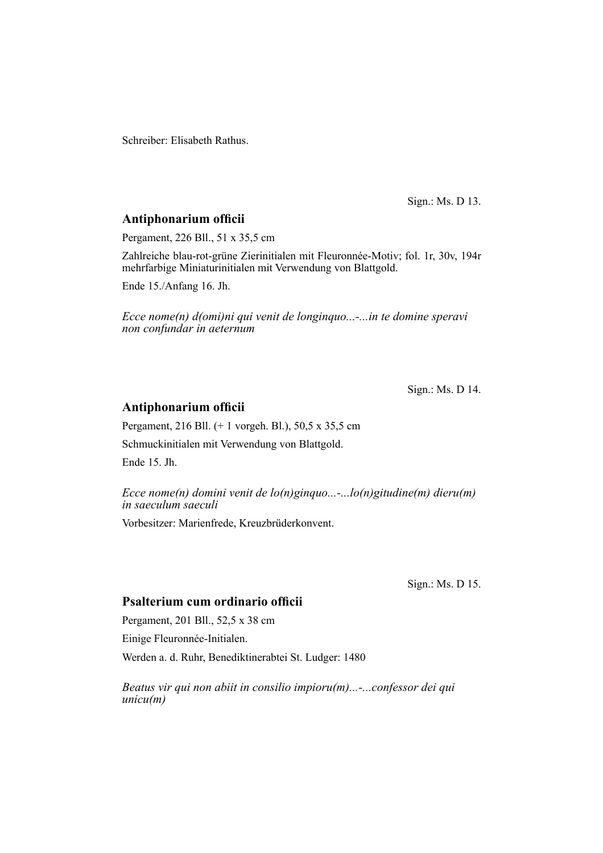Schreiber: Elisabeth Rathus.

Sign.: Ms. D 13.

# **Antiphonarium officii**

Pergament, 226 Bll., 51 x 35,5 cm

Zahlreiche blau-rot-grüne Zierinitialen mit Fleuronnée-Motiv; fol. 1r, 30v, 194r mehrfarbige Miniaturinitialen mit Verwendung von Blattgold.

Ende 15./Anfang 16. Jh.

*Ecce nome(n) d(omi)ni qui venit de longinquo...-...in te domine speravi non confundar in aeternum*

Sign.: Ms. D 14.

# **Antiphonarium officii**

Pergament, 216 Bll. (+ 1 vorgeh. Bl.), 50,5 x 35,5 cm

Schmuckinitialen mit Verwendung von Blattgold.

Ende 15. Jh.

*Ecce nome(n) domini venit de lo(n)ginquo...-...lo(n)gitudine(m) dieru(m) in saeculum saeculi*

Vorbesitzer: Marienfrede, Kreuzbrüderkonvent.

Sign.: Ms. D 15.

## **Psalterium cum ordinario officii**

Pergament, 201 Bll., 52,5 x 38 cm

Einige Fleuronnée-Initialen.

Werden a. d. Ruhr, Benediktinerabtei St. Ludger: 1480

*Beatus vir qui non abiit in consilio impioru(m)...-...confessor dei qui unicu(m)*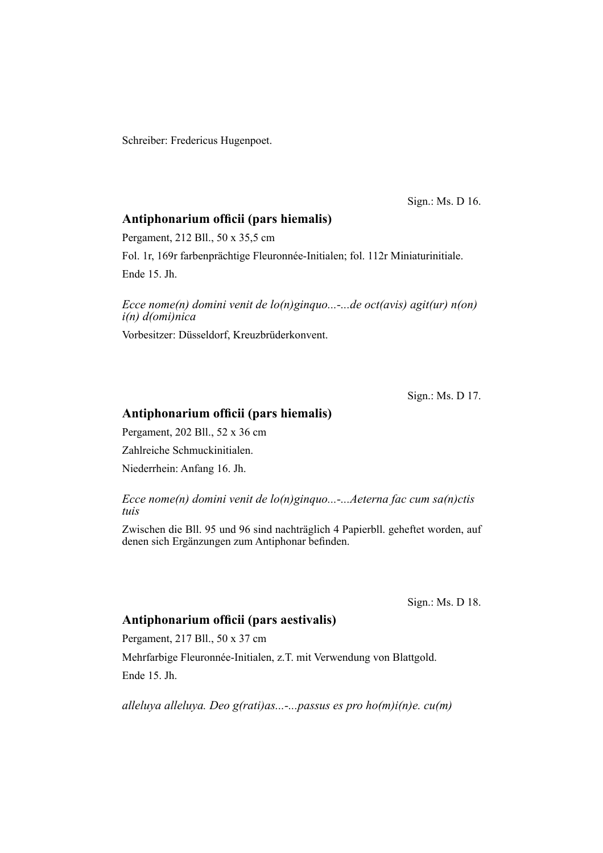Schreiber: Fredericus Hugenpoet.

Sign.: Ms. D 16.

# Antiphonarium officii (pars hiemalis)

Pergament, 212 Bll., 50 x 35,5 cm

Fol. 1r, 169r farbenprächtige Fleuronnée-Initialen; fol. 112r Miniaturinitiale. Ende 15. Jh.

*Ecce nome(n) domini venit de lo(n)ginquo...-...de oct(avis) agit(ur) n(on) i(n) d(omi)nica*

Vorbesitzer: Düsseldorf, Kreuzbrüderkonvent.

Sign.: Ms. D 17.

#### Antiphonarium officii (pars hiemalis)

Pergament, 202 Bll., 52 x 36 cm Zahlreiche Schmuckinitialen.

Niederrhein: Anfang 16. Jh.

*Ecce nome(n) domini venit de lo(n)ginquo...-...Aeterna fac cum sa(n)ctis tuis*

Zwischen die Bll. 95 und 96 sind nachträglich 4 Papierbll. geheftet worden, auf denen sich Ergänzungen zum Antiphonar befinden.

Sign.: Ms. D 18.

#### Antiphonarium officii (pars aestivalis)

Pergament, 217 Bll., 50 x 37 cm Mehrfarbige Fleuronnée-Initialen, z.T. mit Verwendung von Blattgold. Ende 15. Jh.

*alleluya alleluya. Deo g(rati)as...-...passus es pro ho(m)i(n)e. cu(m)*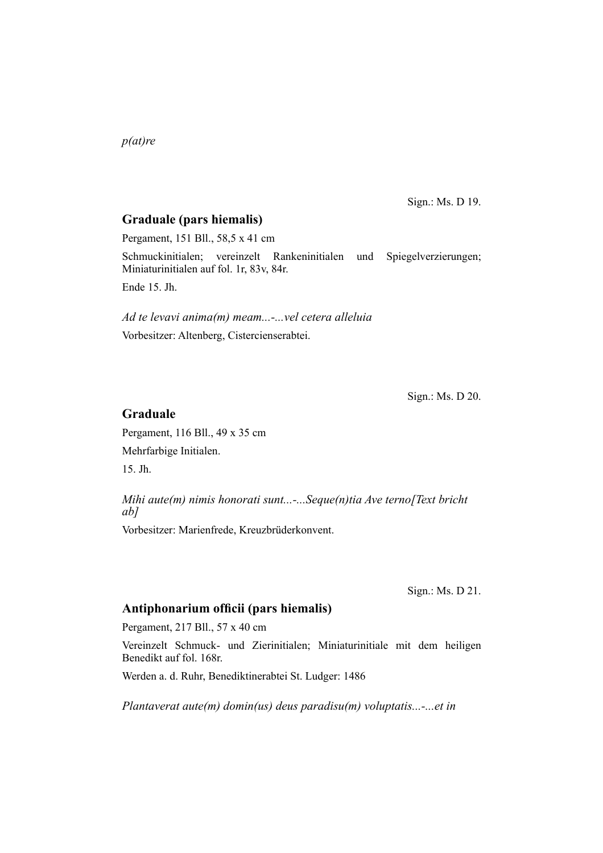*p(at)re*

Sign.: Ms. D 19.

# **Graduale (pars hiemalis)**

Pergament, 151 Bll., 58,5 x 41 cm

Schmuckinitialen; vereinzelt Rankeninitialen und Spiegelverzierungen; Miniaturinitialen auf fol. 1r, 83v, 84r.

Ende 15. Jh.

*Ad te levavi anima(m) meam...-...vel cetera alleluia* Vorbesitzer: Altenberg, Cistercienserabtei.

Sign.: Ms. D 20.

## **Graduale**

Pergament, 116 Bll., 49 x 35 cm Mehrfarbige Initialen. 15. Jh.

*Mihi aute(m) nimis honorati sunt...-...Seque(n)tia Ave terno[Text bricht ab]*

Vorbesitzer: Marienfrede, Kreuzbrüderkonvent.

Sign.: Ms. D 21.

# Antiphonarium officii (pars hiemalis)

Pergament, 217 Bll., 57 x 40 cm

Vereinzelt Schmuck- und Zierinitialen; Miniaturinitiale mit dem heiligen Benedikt auf fol. 168r.

Werden a. d. Ruhr, Benediktinerabtei St. Ludger: 1486

*Plantaverat aute(m) domin(us) deus paradisu(m) voluptatis...-...et in*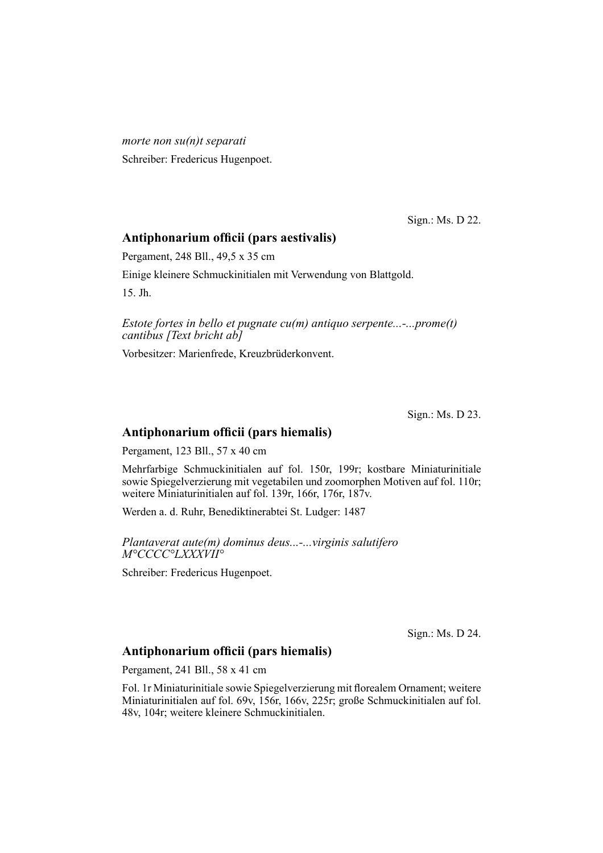*morte non su(n)t separati* Schreiber: Fredericus Hugenpoet.

Sign.: Ms. D 22.

# Antiphonarium officii (pars aestivalis)

Pergament, 248 Bll., 49,5 x 35 cm

Einige kleinere Schmuckinitialen mit Verwendung von Blattgold.

15. Jh.

*Estote fortes in bello et pugnate cu(m) antiquo serpente...-...prome(t) cantibus [Text bricht ab]*

Vorbesitzer: Marienfrede, Kreuzbrüderkonvent.

Sign.: Ms. D 23.

# Antiphonarium officii (pars hiemalis)

Pergament, 123 Bll., 57 x 40 cm

Mehrfarbige Schmuckinitialen auf fol. 150r, 199r; kostbare Miniaturinitiale sowie Spiegelverzierung mit vegetabilen und zoomorphen Motiven auf fol. 110r; weitere Miniaturinitialen auf fol. 139r, 166r, 176r, 187v.

Werden a. d. Ruhr, Benediktinerabtei St. Ludger: 1487

*Plantaverat aute(m) dominus deus...-...virginis salutifero M°CCCC°LXXXVII°*

Schreiber: Fredericus Hugenpoet.

Sign.: Ms. D 24.

## Antiphonarium officii (pars hiemalis)

Pergament, 241 Bll., 58 x 41 cm

Fol. 1r Miniaturinitiale sowie Spiegelverzierung mit florealem Ornament; weitere Miniaturinitialen auf fol. 69v, 156r, 166v, 225r; große Schmuckinitialen auf fol. 48v, 104r; weitere kleinere Schmuckinitialen.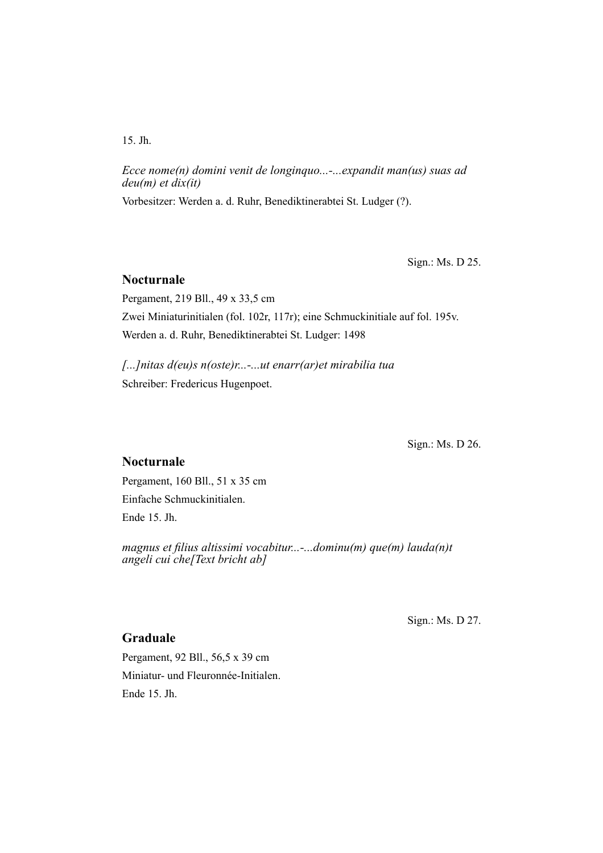15. Jh.

*Ecce nome(n) domini venit de longinquo...-...expandit man(us) suas ad deu(m) et dix(it)*

Vorbesitzer: Werden a. d. Ruhr, Benediktinerabtei St. Ludger (?).

Sign.: Ms. D 25.

# **Nocturnale**

Pergament, 219 Bll., 49 x 33,5 cm Zwei Miniaturinitialen (fol. 102r, 117r); eine Schmuckinitiale auf fol. 195v. Werden a. d. Ruhr, Benediktinerabtei St. Ludger: 1498

*[...]nitas d(eu)s n(oste)r...-...ut enarr(ar)et mirabilia tua* Schreiber: Fredericus Hugenpoet.

Sign.: Ms. D 26.

# **Nocturnale**

Pergament, 160 Bll., 51 x 35 cm Einfache Schmuckinitialen. Ende 15. Jh.

*magnus et filius altissimi vocabitur...-...dominu(m) que(m) lauda(n)t angeli cui che[Text bricht ab]*

Sign.: Ms. D 27.

# **Graduale**

Pergament, 92 Bll., 56,5 x 39 cm Miniatur- und Fleuronnée-Initialen. Ende 15. Jh.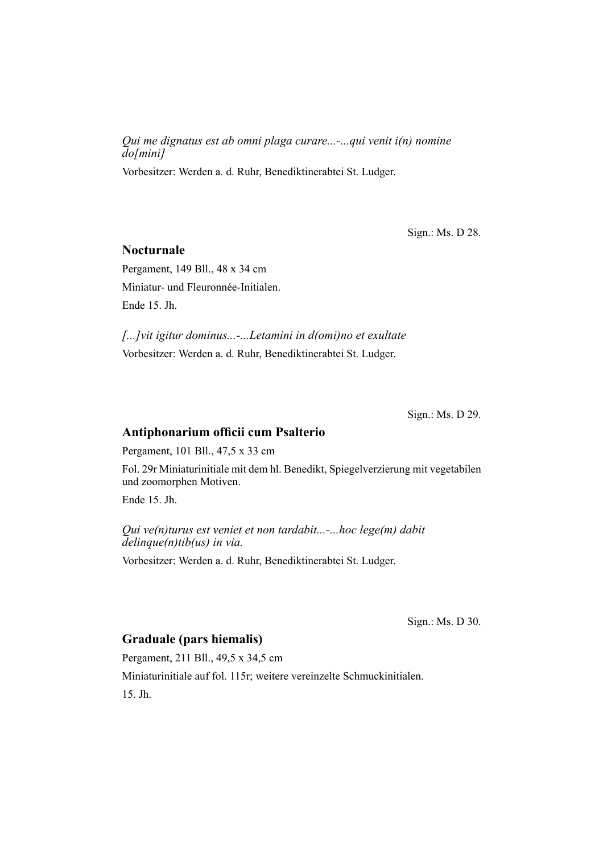*Qui me dignatus est ab omni plaga curare...-...qui venit i(n) nomine do[mini]*

Vorbesitzer: Werden a. d. Ruhr, Benediktinerabtei St. Ludger.

Sign.: Ms. D 28.

#### **Nocturnale**

Pergament, 149 Bll., 48 x 34 cm Miniatur- und Fleuronnée-Initialen. Ende 15. Jh.

*[...]vit igitur dominus...-...Letamini in d(omi)no et exultate* Vorbesitzer: Werden a. d. Ruhr, Benediktinerabtei St. Ludger.

Sign.: Ms. D 29.

# **Antiphonarium officii cum Psalterio**

Pergament, 101 Bll., 47,5 x 33 cm

Fol. 29r Miniaturinitiale mit dem hl. Benedikt, Spiegelverzierung mit vegetabilen und zoomorphen Motiven.

Ende 15. Jh.

*Qui ve(n)turus est veniet et non tardabit...-...hoc lege(m) dabit delinque(n)tib(us) in via.*

Vorbesitzer: Werden a. d. Ruhr, Benediktinerabtei St. Ludger.

Sign.: Ms. D 30.

# **Graduale (pars hiemalis)**

Pergament, 211 Bll., 49,5 x 34,5 cm Miniaturinitiale auf fol. 115r; weitere vereinzelte Schmuckinitialen. 15. Jh.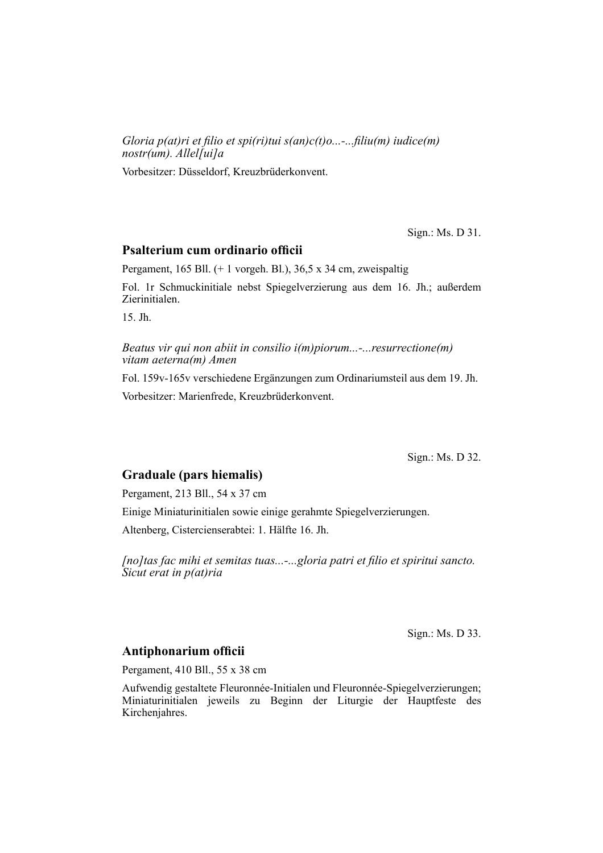*Gloria p(at)ri et filio et spi(ri)tui s(an)c(t)o...-...filiu(m) iudice(m) nostr(um). Allel[ui]a*

Vorbesitzer: Düsseldorf, Kreuzbrüderkonvent.

Sign.: Ms. D 31.

## **Psalterium cum ordinario officii**

Pergament, 165 Bll. (+ 1 vorgeh. Bl.), 36,5 x 34 cm, zweispaltig

Fol. 1r Schmuckinitiale nebst Spiegelverzierung aus dem 16. Jh.; außerdem Zierinitialen.

15. Jh.

*Beatus vir qui non abiit in consilio i(m)piorum...-...resurrectione(m) vitam aeterna(m) Amen*

Fol. 159v-165v verschiedene Ergänzungen zum Ordinariumsteil aus dem 19. Jh. Vorbesitzer: Marienfrede, Kreuzbrüderkonvent.

Sign.: Ms. D 32.

#### **Graduale (pars hiemalis)**

Pergament, 213 Bll., 54 x 37 cm

Einige Miniaturinitialen sowie einige gerahmte Spiegelverzierungen.

Altenberg, Cistercienserabtei: 1. Hälfte 16. Jh.

*[no]tas fac mihi et semitas tuas...-...gloria patri et filio et spiritui sancto. Sicut erat in p(at)ria*

Sign.: Ms. D 33.

#### **Antiphonarium officii**

Pergament, 410 Bll., 55 x 38 cm

Aufwendig gestaltete Fleuronnée-Initialen und Fleuronnée-Spiegelverzierungen; Miniaturinitialen jeweils zu Beginn der Liturgie der Hauptfeste des Kirchenjahres.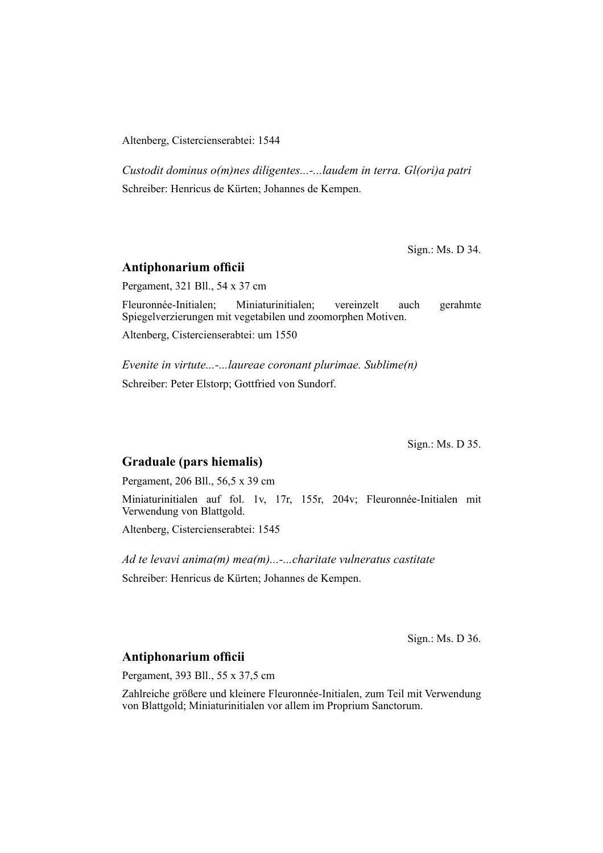Altenberg, Cistercienserabtei: 1544

*Custodit dominus o(m)nes diligentes...-...laudem in terra. Gl(ori)a patri* Schreiber: Henricus de Kürten; Johannes de Kempen.

Sign.: Ms. D 34.

#### **Antiphonarium officii**

Pergament, 321 Bll., 54 x 37 cm

Fleuronnée-Initialen; Miniaturinitialen; vereinzelt auch gerahmte Spiegelverzierungen mit vegetabilen und zoomorphen Motiven. Altenberg, Cistercienserabtei: um 1550

*Evenite in virtute...-...laureae coronant plurimae. Sublime(n)* Schreiber: Peter Elstorp; Gottfried von Sundorf.

Sign.: Ms. D 35.

# **Graduale (pars hiemalis)**

Pergament, 206 Bll., 56,5 x 39 cm

Miniaturinitialen auf fol. 1v, 17r, 155r, 204v; Fleuronnée-Initialen mit Verwendung von Blattgold.

Altenberg, Cistercienserabtei: 1545

*Ad te levavi anima(m) mea(m)...-...charitate vulneratus castitate* Schreiber: Henricus de Kürten; Johannes de Kempen.

Sign.: Ms. D 36.

#### **Antiphonarium officii**

Pergament, 393 Bll., 55 x 37,5 cm

Zahlreiche größere und kleinere Fleuronnée-Initialen, zum Teil mit Verwendung von Blattgold; Miniaturinitialen vor allem im Proprium Sanctorum.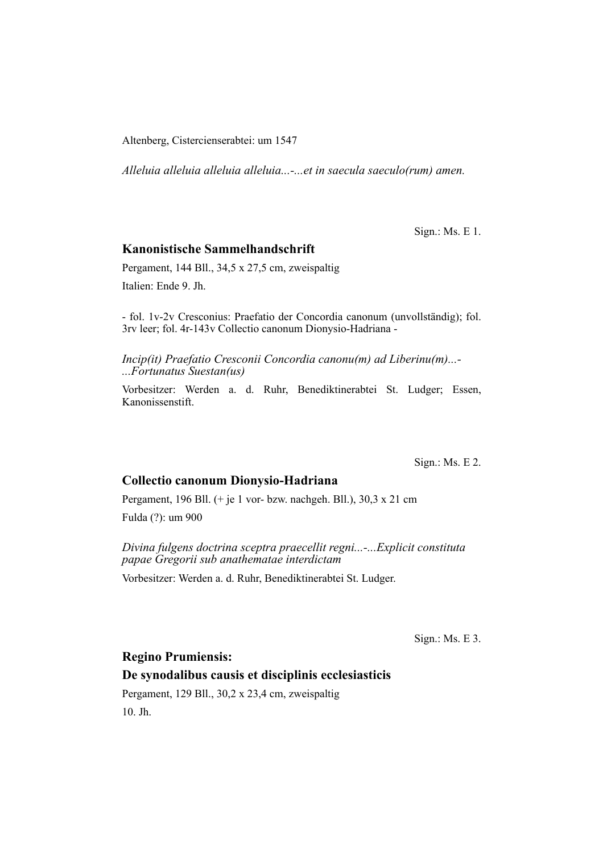Altenberg, Cistercienserabtei: um 1547

*Alleluia alleluia alleluia alleluia...-...et in saecula saeculo(rum) amen.*

Sign.: Ms. E 1.

## **Kanonistische Sammelhandschrift**

Pergament, 144 Bll., 34,5 x 27,5 cm, zweispaltig Italien: Ende 9. Jh.

- fol. 1v-2v Cresconius: Praefatio der Concordia canonum (unvollständig); fol. 3rv leer; fol. 4r-143v Collectio canonum Dionysio-Hadriana -

*Incip(it) Praefatio Cresconii Concordia canonu(m) ad Liberinu(m)...- ...Fortunatus Suestan(us)*

Vorbesitzer: Werden a. d. Ruhr, Benediktinerabtei St. Ludger; Essen, Kanonissenstift.

Sign.: Ms. E 2.

#### **Collectio canonum Dionysio-Hadriana**

Pergament, 196 Bll. (+ je 1 vor- bzw. nachgeh. Bll.), 30,3 x 21 cm Fulda (?): um 900

*Divina fulgens doctrina sceptra praecellit regni...-...Explicit constituta papae Gregorii sub anathematae interdictam*

Vorbesitzer: Werden a. d. Ruhr, Benediktinerabtei St. Ludger.

Sign.: Ms. E 3.

**Regino Prumiensis:**

# **De synodalibus causis et disciplinis ecclesiasticis**

Pergament, 129 Bll., 30,2 x 23,4 cm, zweispaltig 10. Jh.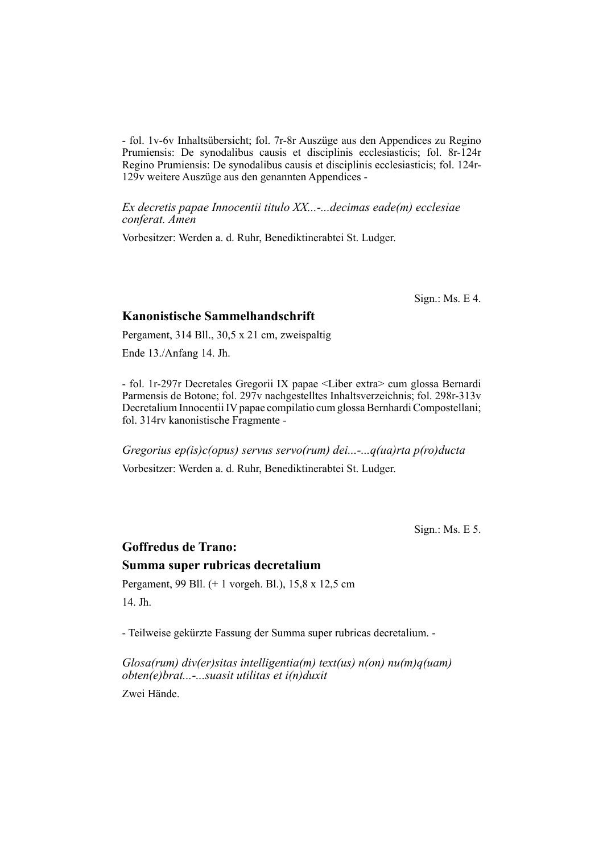- fol. 1v-6v Inhaltsübersicht; fol. 7r-8r Auszüge aus den Appendices zu Regino Prumiensis: De synodalibus causis et disciplinis ecclesiasticis; fol. 8r-124r Regino Prumiensis: De synodalibus causis et disciplinis ecclesiasticis; fol. 124r-129v weitere Auszüge aus den genannten Appendices -

*Ex decretis papae Innocentii titulo XX...-...decimas eade(m) ecclesiae conferat. Amen*

Vorbesitzer: Werden a. d. Ruhr, Benediktinerabtei St. Ludger.

Sign.: Ms. E 4.

# **Kanonistische Sammelhandschrift**

Pergament, 314 Bll., 30,5 x 21 cm, zweispaltig

Ende 13./Anfang 14. Jh.

- fol. 1r-297r Decretales Gregorii IX papae <Liber extra> cum glossa Bernardi Parmensis de Botone; fol. 297v nachgestelltes Inhaltsverzeichnis; fol. 298r-313v Decretalium Innocentii IV papae compilatio cum glossa Bernhardi Compostellani; fol. 314rv kanonistische Fragmente -

*Gregorius ep(is)c(opus) servus servo(rum) dei...-...q(ua)rta p(ro)ducta* Vorbesitzer: Werden a. d. Ruhr, Benediktinerabtei St. Ludger.

Sign.: Ms. E 5.

# **Goffredus de Trano: Summa super rubricas decretalium**

Pergament, 99 Bll. (+ 1 vorgeh. Bl.), 15,8 x 12,5 cm 14. Jh.

- Teilweise gekürzte Fassung der Summa super rubricas decretalium. -

*Glosa(rum) div(er)sitas intelligentia(m) text(us) n(on) nu(m)q(uam) obten(e)brat...-...suasit utilitas et i(n)duxit*

Zwei Hände.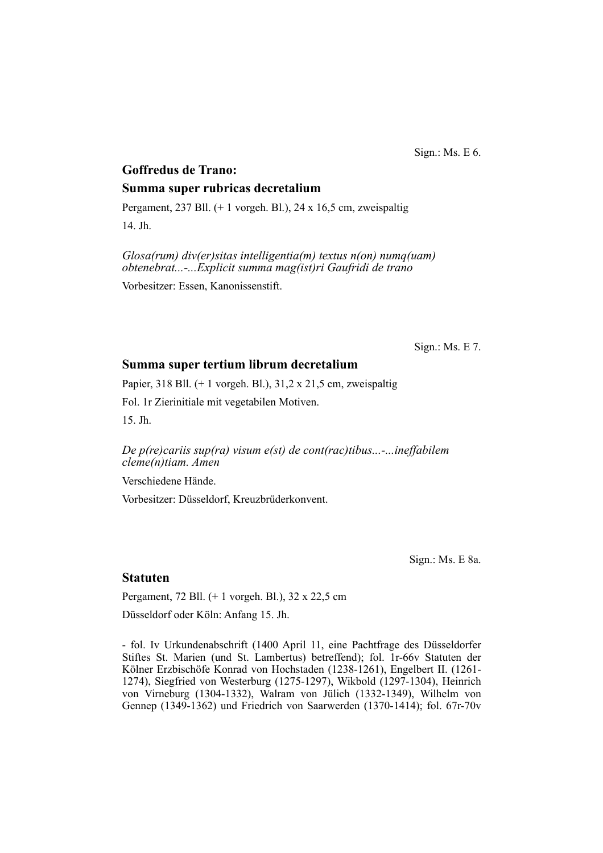Sign.: Ms. E 6.

# **Goffredus de Trano: Summa super rubricas decretalium**

Pergament, 237 Bll. (+ 1 vorgeh. Bl.), 24 x 16,5 cm, zweispaltig 14. Jh.

*Glosa(rum) div(er)sitas intelligentia(m) textus n(on) numq(uam) obtenebrat...-...Explicit summa mag(ist)ri Gaufridi de trano* Vorbesitzer: Essen, Kanonissenstift.

Sign.: Ms. E 7.

#### **Summa super tertium librum decretalium**

Papier, 318 Bll. (+ 1 vorgeh. Bl.), 31,2 x 21,5 cm, zweispaltig Fol. 1r Zierinitiale mit vegetabilen Motiven. 15. Jh.

*De p(re)cariis sup(ra) visum e(st) de cont(rac)tibus...-...ineffabilem cleme(n)tiam. Amen*

Verschiedene Hände.

Vorbesitzer: Düsseldorf, Kreuzbrüderkonvent.

Sign.: Ms. E 8a.

#### **Statuten**

Pergament, 72 Bll. (+ 1 vorgeh. Bl.), 32 x 22,5 cm

Düsseldorf oder Köln: Anfang 15. Jh.

- fol. Iv Urkundenabschrift (1400 April 11, eine Pachtfrage des Düsseldorfer Stiftes St. Marien (und St. Lambertus) betreffend); fol. 1r-66v Statuten der Kölner Erzbischöfe Konrad von Hochstaden (1238-1261), Engelbert II. (1261-1274), Siegfried von Westerburg (1275-1297), Wikbold (1297-1304), Heinrich von Virneburg (1304-1332), Walram von Jülich (1332-1349), Wilhelm von Gennep (1349-1362) und Friedrich von Saarwerden (1370-1414); fol. 67r-70v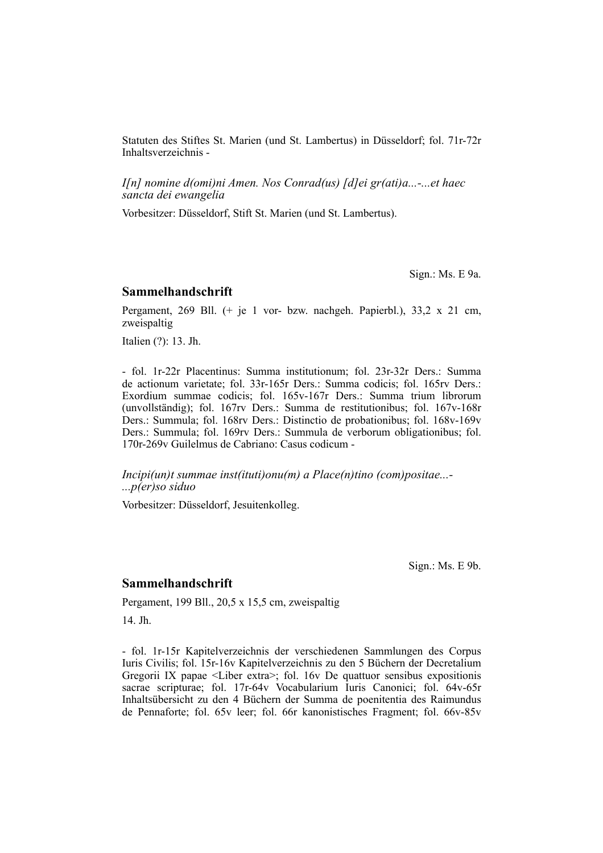Statuten des Stiftes St. Marien (und St. Lambertus) in Düsseldorf; fol. 71r-72r In halts verzeichnis -

*I[n] nomine d(omi)ni Amen. Nos Conrad(us) [d]ei gr(ati)a...-...et haec sancta dei ewangelia*

Vorbesitzer: Düsseldorf, Stift St. Marien (und St. Lambertus).

Sign.: Ms. E 9a.

#### **Sammelhandschrift**

Pergament, 269 Bll. (+ je 1 vor- bzw. nachgeh. Papierbl.), 33,2 x 21 cm, zweispaltig

Italien (?): 13. Jh.

- fol. 1r-22r Placentinus: Summa institutionum; fol. 23r-32r Ders.: Summa de actionum varietate; fol. 33r-165r Ders.: Summa codicis; fol. 165rv Ders.: Exordium summae codicis; fol. 165v-167r Ders.: Summa trium librorum (un voll ständig); fol. 167rv Ders.: Summa de restitutionibus; fol. 167v-168r Ders.: Summula; fol. 168rv Ders.: Distinctio de probationibus; fol. 168v-169v Ders.: Summula; fol. 169rv Ders.: Summula de verborum obligationibus; fol. 170r-269v Guilelmus de Cabriano: Casus codicum -

*Incipi(un)t summae inst(ituti)onu(m) a Place(n)tino (com)positae...- ...p(er)so siduo*

Vorbesitzer: Düsseldorf, Jesuitenkolleg.

Sign.: Ms. E 9b.

#### **Sammelhandschrift**

Pergament, 199 Bll., 20,5 x 15,5 cm, zweispaltig

14. Jh.

- fol. 1r-15r Kapitelverzeichnis der verschiedenen Sammlungen des Corpus Iuris Civilis; fol. 15r-16v Kapitelverzeichnis zu den 5 Büchern der Decretalium Gregorii IX papae  $\leq$ Liber extra $\geq$ ; fol. 16v De quattuor sensibus expositionis sacrae scripturae; fol. 17r-64v Vocabularium Iuris Canonici; fol. 64v-65r Inhaltsübersicht zu den 4 Büchern der Summa de poenitentia des Raimundus de Pennaforte; fol. 65v leer; fol. 66r kanonistisches Fragment; fol. 66v-85v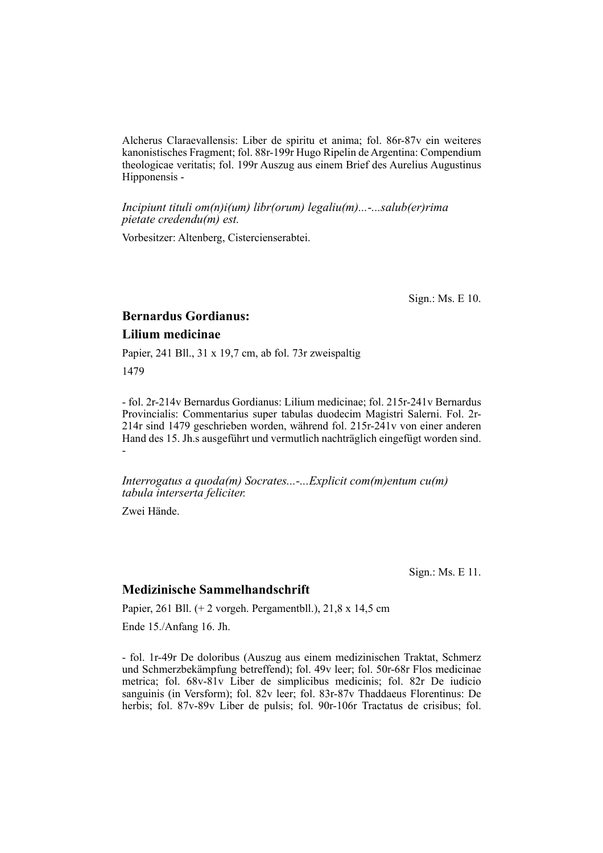Alcherus Claraevallensis: Liber de spiritu et anima; fol. 86r-87v ein weiteres kanonistisches Fragment; fol. 88r-199r Hugo Ripelin de Argentina: Compendium theologicae veritatis; fol. 199r Auszug aus einem Brief des Aurelius Augustinus Hipponensis -

*Incipiunt tituli om(n)i(um) libr(orum) legaliu(m)...-...salub(er)rima pietate credendu(m) est.*

Vorbesitzer: Altenberg, Cistercienserabtei.

Sign.: Ms. E 10.

# **Bernardus Gordianus:**

# **Lilium medicinae**

Papier, 241 Bll., 31 x 19,7 cm, ab fol. 73r zweispaltig

1479

- fol. 2r-214v Bernardus Gordianus: Lilium medicinae; fol. 215r-241v Bernardus Provincialis: Commentarius super tabulas duodecim Magistri Salerni. Fol. 2r-214r sind 1479 geschrieben worden, während fol. 215r-241v von einer anderen Hand des 15. Jh.s ausgeführt und vermutlich nachträglich eingefügt worden sind. -

*Interrogatus a quoda(m) Socrates...-...Explicit com(m)entum cu(m) tabula interserta feliciter.*

Zwei Hände.

Sign.: Ms. E 11.

## **Medizinische Sammelhandschrift**

Papier, 261 Bll. (+ 2 vorgeh. Pergamentbll.), 21,8 x 14,5 cm

Ende 15./Anfang 16. Jh.

- fol. 1r-49r De doloribus (Auszug aus einem medizinischen Traktat, Schmerz und Schmerzbekämpfung betreffend); fol. 49v leer; fol. 50r-68r Flos medicinae metrica; fol. 68v-81v Liber de simplicibus medicinis; fol. 82r De iudicio sanguinis (in Versform); fol. 82v leer; fol. 83r-87v Thaddaeus Florentinus: De herbis; fol. 87v-89v Liber de pulsis; fol. 90r-106r Tractatus de crisibus; fol.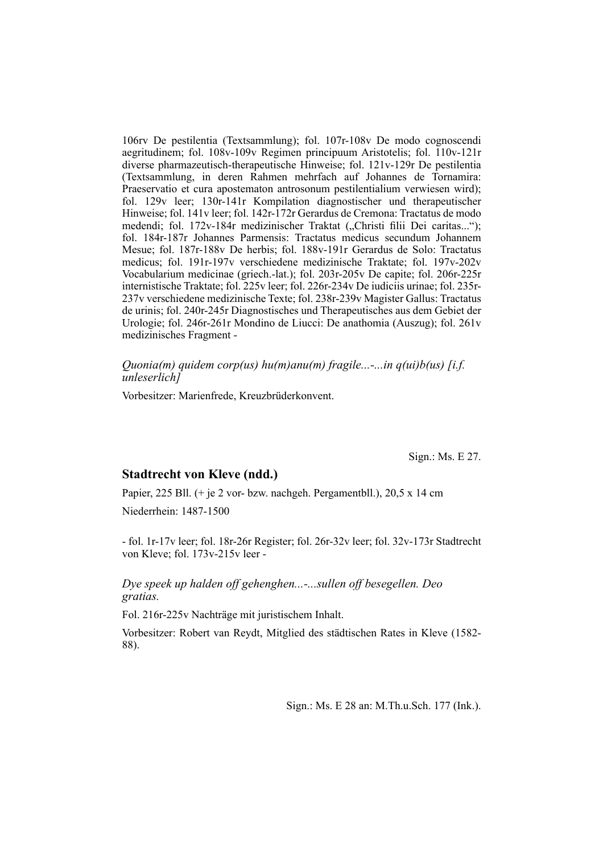106rv De pestilentia (Textsammlung); fol. 107r-108v De modo cognoscendi aegritudinem; fol. 108v-109v Regimen principuum Aristotelis; fol. 110v-121r diverse pharmazeutisch-therapeutische Hinweise; fol. 121v-129r De pestilentia (Textsammlung, in deren Rahmen mehrfach auf Johannes de Tornamira: Praeservatio et cura apostematon antrosonum pestilentialium verwiesen wird); fol. 129y leer; 130r-141r Kompilation diagnostischer und the rapeutischer Hinweise; fol. 141v leer; fol. 142r-172r Gerardus de Cremona: Tractatus de modo medendi; fol. 172v-184r medizinischer Traktat ("Christi filii Dei caritas..."); fol. 184r-187r Johannes Parmensis: Tractatus medicus secundum Johannem Mesue; fol. 187r-188v De herbis; fol. 188v-191r Gerardus de Solo: Tractatus medicus; fol. 191r-197v verschiedene medizinische Traktate; fol. 197v-202v Vocabularium medicinae (griech.-lat.); fol. 203r-205v De capite; fol. 206r-225r internistische Traktate; fol. 225v leer; fol. 226r-234v De iudiciis urinae; fol. 235r-237v verschiedene medizini sche Texte; fol. 238r-239v Magister Gallus: Tractatus de urinis; fol. 240r-245r Diagnostisches und Therapeutisches aus dem Gebiet der Urologie; fol. 246r-261r Mondino de Liucci: De anathomia (Auszug); fol. 261v medizinisches Fragment -

*Quonia(m) quidem corp(us) hu(m)anu(m) fragile...-...in q(ui)b(us) [i.f. unleserlich]*

Vorbesitzer: Marienfrede, Kreuzbrüderkonvent.

Sign.: Ms. E 27.

#### **Stadtrecht von Kleve (ndd.)**

Papier, 225 Bll. (+ je 2 vor- bzw. nachgeh. Pergamentbll.), 20,5 x 14 cm

Niederrhein: 1487-1500

- fol. 1r-17v leer; fol. 18r-26r Register; fol. 26r-32v leer; fol. 32v-173r Stadtrecht von Kleve; fol. 173v-215v leer -

*Dye speek up halden off gehenghen...-...sullen off besegellen. Deo gratias.*

Fol. 216r-225v Nachträge mit juristischem Inhalt.

Vorbesitzer: Robert van Reydt, Mitglied des städtischen Rates in Kleve (1582- 88).

Sign.: Ms. E 28 an: M.Th.u.Sch. 177 (Ink.).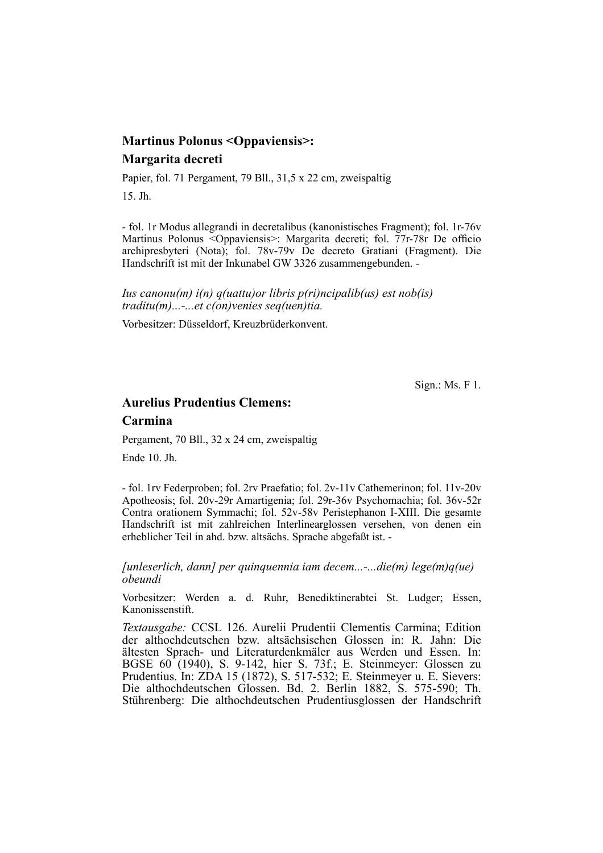# **Martinus Polonus <Oppaviensis>: Margarita decreti**

Papier, fol. 71 Pergament, 79 Bll., 31,5 x 22 cm, zweispaltig

15. Jh.

- fol. 1r Modus allegrandi in decretalibus (kanonistisches Fragment); fol. 1r-76v Martinus Polonus < $Onaviensis$ : Margarita decreti; fol. 77r-78r De officio archipresbyteri (Nota); fol. 78v-79v De decreto Gratiani (Fragment). Die Handschrift ist mit der Inkunabel GW 3326 zusammengebunden. -

*Ius canonu(m) i(n) q(uattu)or libris p(ri)ncipalib(us) est nob(is) traditu(m)...-...et c(on)venies seq(uen)tia.*

Vorbesitzer: Düsseldorf, Kreuzbrüderkonvent.

Sign.: Ms. F 1.

# **Aurelius Prudentius Clemens:**

**Carmina**

Pergament, 70 Bll., 32 x 24 cm, zweispaltig

Ende 10. Jh.

- fol. 1rv Federproben; fol. 2rv Praefatio; fol. 2v-11v Cathemerinon; fol. 11v-20v Apotheosis; fol. 20v-29r Amartigenia; fol. 29r-36v Psychomachia; fol. 36v-52r Contra orationem Symmachi; fol. 52v-58v Peristephanon I-XIII. Die gesamte Handschrift ist mit zahlreichen Interlinearglossen versehen, von denen ein erheblicher Teil in ahd. bzw. altsächs. Sprache abgefaßt ist. -

*[unleserlich, dann] per quinquennia iam decem...-...die(m) lege(m)q(ue) obeundi*

Vorbesitzer: Werden a. d. Ruhr, Benediktinerabtei St. Ludger; Essen, Kanonissenstift.

*Textausgabe:* CCSL 126. Aurelii Prudentii Clementis Carmina; Edition der althochdeutschen bzw. altsächsischen Glossen in: R. Jahn: Die ältesten Sprach- und Literaturdenkmäler aus Werden und Essen. In: BGSE 60 (1940), S. 9-142, hier S. 73f.; E. Steinmeyer: Glossen zu Prudentius. In: ZDA 15 (1872), S. 517-532; E. Steinmeyer u. E. Sievers: Die althochdeutschen Glossen. Bd. 2. Berlin 1882, S. 575-590; Th. Stührenberg: Die althochdeutschen Prudentiusglossen der Handschrift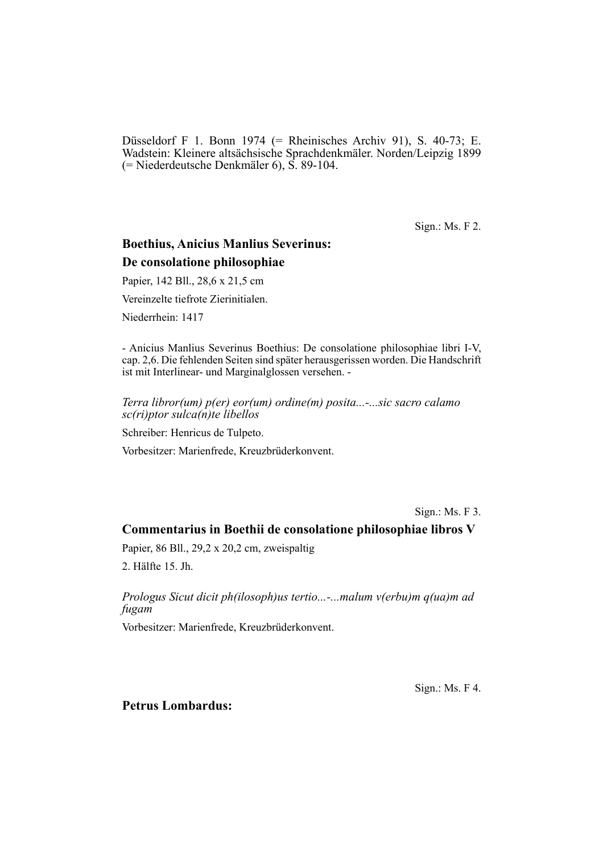Düsseldorf F 1. Bonn 1974 (= Rheinisches Archiv 91), S. 40-73; E. Wadstein: Kleinere altsächsische Sprachdenkmäler. Norden/Leipzig 1899 (= Niederdeutsche Denkmäler 6), S. 89-104.

Sign.: Ms. F 2.

# **Boethius, Anicius Manlius Severinus: De consolatione philosophiae**

Papier, 142 Bll., 28,6 x 21,5 cm

Vereinzelte tiefrote Zierinitialen.

Niederrhein: 1417

- Anicius Manlius Severinus Boethius: De consolatione philosophiae libri I-V, cap. 2,6. Die fehlenden Seiten sind später herausgerissen worden. Die Hand schrift ist mit Interlinear- und Marginalglossen versehen. -

*Terra libror(um) p(er) eor(um) ordine(m) posita...-...sic sacro calamo sc(ri)ptor sulca(n)te libellos*

Schreiber: Henricus de Tulpeto.

Vorbesitzer: Marienfrede, Kreuzbrüderkonvent.

Sign.: Ms. F 3.

#### **Commentarius in Boethii de consolatione philosophiae libros V**

Papier, 86 Bll., 29,2 x 20,2 cm, zweispaltig

2. Hälfte 15. Jh.

*Prologus Sicut dicit ph(ilosoph)us tertio...-...malum v(erbu)m q(ua)m ad fugam*

Vorbesitzer: Marienfrede, Kreuzbrüderkonvent.

Sign.: Ms. F 4.

## **Petrus Lombardus:**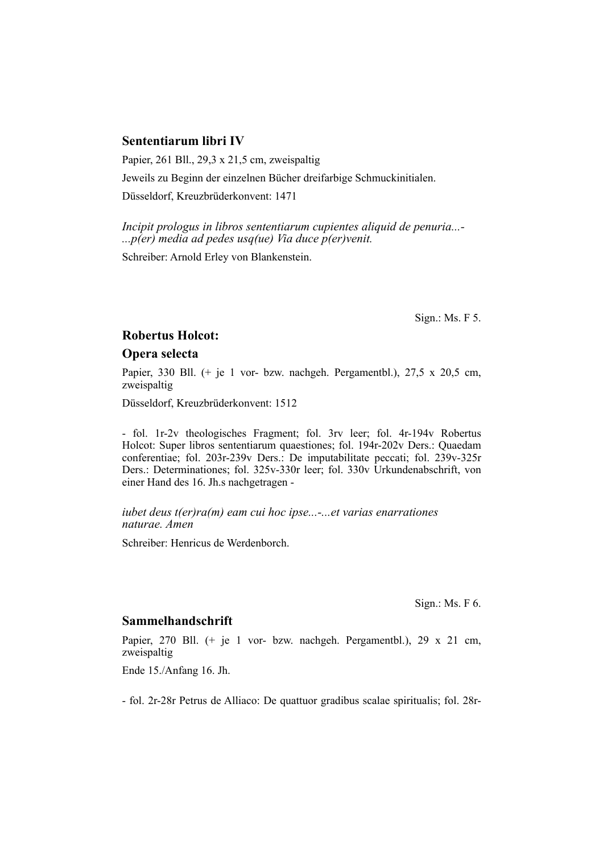# **Sententiarum libri IV**

Papier, 261 Bll., 29,3 x 21,5 cm, zweispaltig

Jeweils zu Beginn der einzelnen Bücher dreifarbige Schmuckinitialen.

Düsseldorf, Kreuzbrüderkonvent: 1471

*Incipit prologus in libros sententiarum cupientes aliquid de penuria...- ...p(er) media ad pedes usq(ue) Via duce p(er)venit.*

Schreiber: Arnold Erley von Blankenstein.

Sign.: Ms. F 5.

#### **Robertus Holcot:**

## **Opera selecta**

Papier, 330 Bll. (+ je 1 vor- bzw. nachgeh. Pergamentbl.), 27.5 x 20.5 cm, zweispaltig

Düsseldorf, Kreuzbrüderkonvent: 1512

- fol. 1r-2v theologisches Fragment; fol. 3rv leer; fol. 4r-194v Robertus Holcot: Super libros sententiarum quaestiones; fol. 194r-202v Ders.: Quaedam conferentiae; fol. 203r-239v Ders.: De imputabilitate peccati; fol. 239v-325r Ders.: Determinationes; fol. 325v-330r leer; fol. 330v Urkundenabschrift, von einer Hand des 16. Jh.s nachgetragen -

*iubet deus t(er)ra(m) eam cui hoc ipse...-...et varias enarrationes naturae. Amen*

Schreiber: Henricus de Werdenborch.

Sign.: Ms. F 6.

#### **Sammelhandschrift**

Papier, 270 Bll. (+ je 1 vor- bzw. nachgeh. Pergamentbl.), 29 x 21 cm, zweispaltig

Ende 15./Anfang 16. Jh.

- fol. 2r-28r Petrus de Alliaco: De quattuor gradibus scalae spiritualis; fol. 28r-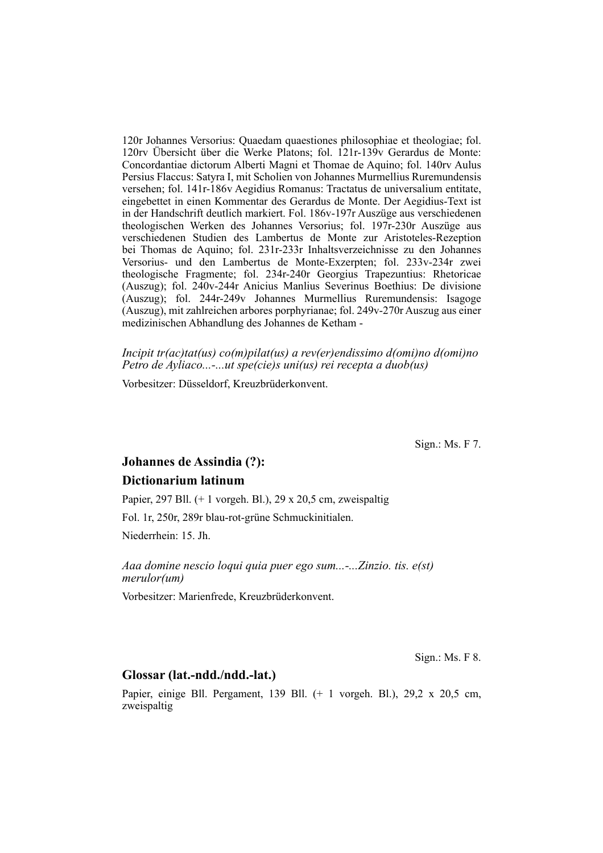120r Johannes Versorius: Quaedam quaestiones philosophiae et theologiae; fol. 120rv Übersicht über die Werke Platons; fol. 121r-139v Gerardus de Monte: Concordantiae dictorum Alberti Magni et Thomae de Aquino; fol. 140rv Aulus Persius Flaccus: Satyra I, mit Scholien von Johannes Murmellius Ruremundensis versehen; fol. 141r-186v Aegidius Romanus: Tractatus de universalium entitate, eingebettet in einen Kommentar des Gerardus de Monte. Der Aegidius-Text ist in der Handschrift deutlich markiert. Fol. 186v-197r Auszüge aus verschiedenen theologischen Werken des Johannes Versorius; fol. 197r-230r Auszüge aus verschiedenen Studien des Lambertus de Monte zur Aristoteles-Rezeption bei Thomas de Aquino; fol. 231r-233r Inhalts verzeichnisse zu den Johannes Versorius- und den Lambertus de Monte-Exzerpten; fol. 233v-234r zwei theologische Fragmente; fol. 234r-240r Georgius Trapezuntius: Rhetoricae (Auszug); fol. 240v-244r Anicius Manlius Severinus Boethius: De divisione (Auszug); fol. 244r-249v Johannes Murmellius Ruremundensis: Isagoge (Auszug), mit zahlreichen arbores porphyrianae; fol. 249v-270r Auszug aus einer medizinischen Abhandlung des Johannes de Ketham -

*Incipit tr(ac)tat(us) co(m)pilat(us) a rev(er)endissimo d(omi)no d(omi)no Petro de Ayliaco...-...ut spe(cie)s uni(us) rei recepta a duob(us)*

Vorbesitzer: Düsseldorf, Kreuzbrüderkonvent.

Sign.: Ms. F 7.

# **Johannes de Assindia (?): Dictionarium latinum**

Papier, 297 Bll. (+ 1 vorgeh. Bl.), 29 x 20,5 cm, zweispaltig Fol. 1r, 250r, 289r blau-rot-grüne Schmuckinitialen. Niederrhein: 15. Jh.

*Aaa domine nescio loqui quia puer ego sum...-...Zinzio. tis. e(st) merulor(um)*

Vorbesitzer: Marienfrede, Kreuzbrüderkonvent.

Sign.: Ms. F 8.

# **Glossar (lat.-ndd./ndd.-lat.)**

Papier, einige Bll. Pergament, 139 Bll. (+ 1 vorgeh. Bl.), 29,2 x 20,5 cm, zweispaltig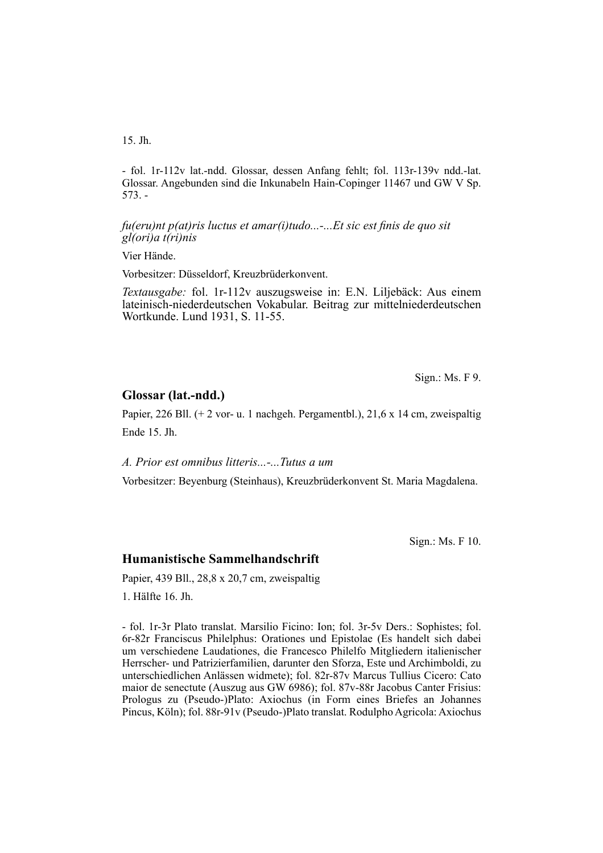15. Jh.

- fol. 1r-112v lat.-ndd. Glossar, dessen Anfang fehlt; fol. 113r-139v ndd.-lat. Glossar. Angebunden sind die Inkunabeln Hain-Copinger 11467 und GW V Sp. 573. -

*fu(eru)nt p(at)ris luctus et amar(i)tudo...-...Et sic est finis de quo sit gl(ori)a t(ri)nis*

Vier Hände.

Vorbesitzer: Düsseldorf, Kreuzbrüderkonvent.

*Textausgabe:* fol. 1r-112v auszugsweise in: E.N. Liljebäck: Aus einem lateinisch-niederdeutschen Vokabular. Beitrag zur mittelniederdeutschen Wortkunde. Lund 1931, S. 11-55.

Sign.: Ms. F 9.

#### **Glossar (lat.-ndd.)**

Papier, 226 Bll.  $(+ 2 \text{ vor- } u. 1 \text{ nachgeh. Pergamenthl.), } 21.6 \text{ x } 14 \text{ cm, zweispaltig}$ Ende 15. Jh.

*A. Prior est omnibus litteris...-...Tutus a um*

Vorbesitzer: Beyenburg (Steinhaus), Kreuzbrüderkonvent St. Maria Magdalena.

Sign.: Ms. F 10.

## **Humanistische Sammelhandschrift**

Papier, 439 Bll., 28,8 x 20,7 cm, zweispaltig

1. Hälfte 16. Jh.

- fol. 1r-3r Plato translat. Marsilio Ficino: Ion; fol. 3r-5v Ders.: Sophistes; fol. 6r-82r Franciscus Philelphus: Orationes und Epistolae (Es handelt sich dabei um verschiedene Laudationes, die Francesco Philelfo Mitgliedern italienischer Herrscher- und Patrizierfamilien, darunter den Sforza, Este und Archimboldi, zu unterschiedlichen Anlässen widmete); fol. 82r-87v Marcus Tullius Cicero: Cato maior de senectute (Auszug aus GW 6986); fol. 87v-88r Jacobus Canter Frisius: Prologus zu (Pseudo-)Plato: Axiochus (in Form eines Briefes an Johannes Pincus, Köln); fol. 88r-91v (Pseudo-)Plato translat. Rodulpho Agricola: Axiochus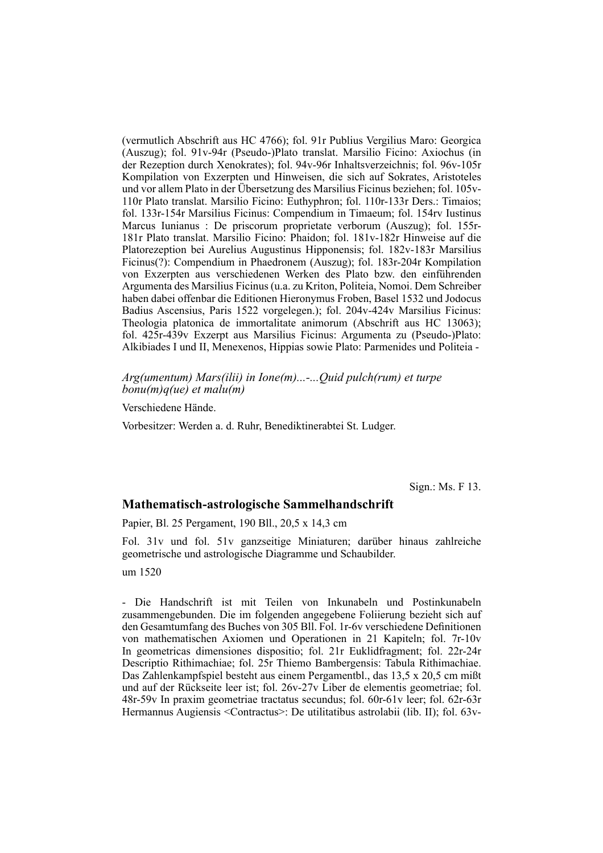(vermutlich Abschrift aus HC 4766); fol. 91r Publius Vergilius Maro: Georgica (Auszug); fol. 91v-94r (Pseudo-)Plato trans lat. Marsilio Ficino: Axiochus (in der Rezeption durch Xenokrates); fol. 94v-96r Inhaltsverzeichnis; fol. 96v-105r Kompilation von Exzerpten und Hinweisen, die sich auf Sokrates, Aristoteles und vor allem Plato in der Übersetzung des Marsilius Ficinus beziehen; fol. 105v-110r Plato translat. Marsilio Ficino: Euthyphron; fol. 110r-133r Ders.: Timaios; fol. 133r-154r Marsilius Ficinus: Compendium in Timaeum; fol. 154rv Iustinus Marcus Iunianus : De priscorum proprietate verborum (Auszug); fol. 155r-181r Plato translat. Marsilio Ficino: Phaidon; fol. 181v-182r Hinweise auf die Platorezeption bei Aurelius Augustinus Hipponensis; fol. 182v-183r Marsilius Ficinus(?): Compendium in Phaedronem (Auszug); fol. 183r-204r Kompilation von Exzerpten aus verschiedenen Werken des Plato bzw. den einführenden Argumenta des Marsilius Ficinus (u.a. zu Kriton, Politeia, Nomoi. Dem Schreiber haben dabei of fenbar die Editionen Hieronymus Froben, Basel 1532 und Jodocus Badius Ascensius, Paris 1522 vorgelegen.); fol. 204v-424v Marsilius Ficinus: Theologia platonica de immortalitate animorum (Abschrift aus HC 13063); fol. 425r-439v Exzerpt aus Marsilius Ficinus: Argumenta zu (Pseudo-)Plato: Al kibiades I und II, Menexenos, Hippias sowie Plato: Parmenides und Politeia -

*Arg(umentum) Mars(ilii) in Ione(m)...-...Quid pulch(rum) et turpe bonu(m)q(ue) et malu(m)*

Verschiedene Hände.

Vorbesitzer: Werden a. d. Ruhr, Benediktinerabtei St. Ludger.

Sign.: Ms. F 13.

#### **Mathematisch-astrologische Sammelhandschrift**

Papier, Bl. 25 Pergament, 190 Bll., 20,5 x 14,3 cm

Fol. 31v und fol. 51v ganzseitige Miniaturen; darüber hinaus zahlreiche geometrische und astrologische Diagramme und Schaubilder.

um 1520

- Die Handschrift ist mit Teilen von Inkunabeln und Postinkunabeln zusam mengebunden. Die im folgenden angegebene Foliierung bezieht sich auf den Gesamtumfang des Buches von 305 Bll. Fol. 1r-6v verschiedene Definitionen von mathematischen Axiomen und Operationen in 21 Kapiteln; fol. 7r-10v In geometricas dimensiones dispositio; fol. 21r Euklidfragment; fol. 22r-24r De scriptio Rithimachiae; fol. 25r Thiemo Bambergensis: Tabula Rithimachiae. Das Zahlenkampfspiel besteht aus einem Pergamentbl., das 13,5 x 20,5 cm mißt und auf der Rückseite leer ist; fol. 26v-27v Liber de elementis geometriae; fol. 48r-59v In praxim geometriae tractatus secundus; fol. 60r-61v leer; fol. 62r-63r Hermannus Augiensis <Contractus>: De utilitatibus astrolabii (lib. II); fol. 63v-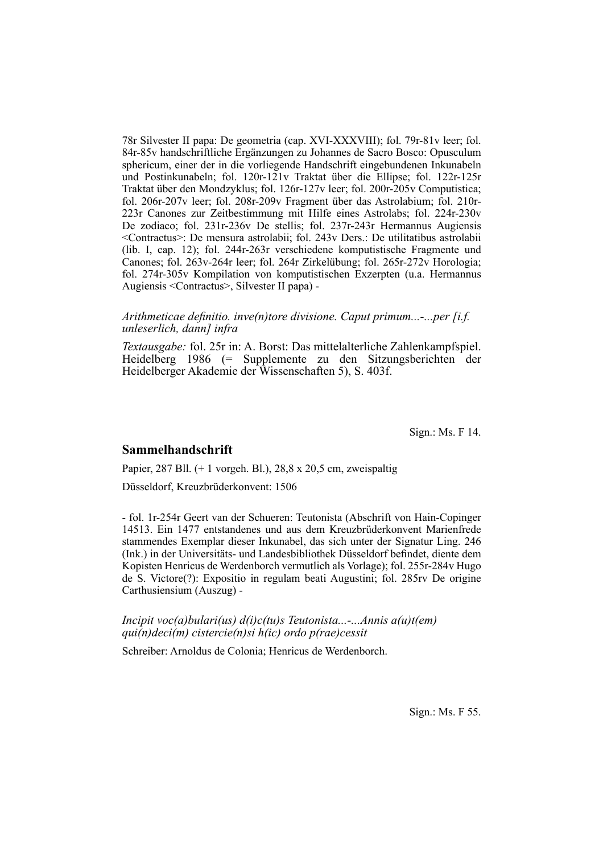78r Silvester II papa: De geometria (cap. XVI-XXXVIII); fol. 79r-81v leer; fol. 84r-85v handschriftliche Ergänzungen zu Johannes de Sacro Bosco: Opusculum sphericum, einer der in die vorliegende Handschrift eingebundenen Inkunabeln und Postinkunabeln; fol. 120r-121v Traktat über die Ellipse; fol. 122r-125r Traktat über den Mondzyklus; fol. 126r-127v leer; fol. 200r-205v Computistica; fol. 206r-207v leer; fol. 208r-209v Fragment über das Astrolabium; fol. 210r-223r Canones zur Zeitbestimmung mit Hilfe eines Astrolabs; fol. 224r-230v De zodiaco; fol. 231r-236v De stellis; fol. 237r-243r Hermannus Augiensis <Contractus>: De mensura astrolabii; fol. 243v Ders.: De utilitatibus astrolabii (lib. I, cap. 12); fol. 244r-263r ver schiedene komputistische Fragmente und Canones; fol. 263v-264r leer; fol. 264r Zirkelübung; fol. 265r-272v Horologia; fol. 274r-305v Kompilation von komputistischen Exzerpten (u.a. Hermannus Augiensis <Contractus>, Sil vester II papa) -

*Arithmeticae definitio. inve(n)tore divisione. Caput primum...-...per [i.f. unleserlich, dann] infra*

*Textausgabe:* fol. 25r in: A. Borst: Das mittelalterliche Zahlenkampfspiel. Heidelberg 1986 (= Supplemente zu den Sitzungsberichten der Heidelberger Akademie der Wissenschaften 5), S. 403f.

Sign.: Ms. F 14.

#### **Sammelhandschrift**

Papier, 287 Bll. (+ 1 vorgeh. Bl.), 28,8 x 20,5 cm, zweispaltig

Düsseldorf, Kreuzbrüderkonvent: 1506

- fol. 1r-254r Geert van der Schueren: Teutonista (Abschrift von Hain-Copinger 14513. Ein 1477 entstandenes und aus dem Kreuzbrüderkonvent Marienfrede stam mendes Exemplar dieser Inkunabel, das sich unter der Signatur Ling. 246 (Ink.) in der Universitäts- und Landesbibliothek Düsseldorf befindet, diente dem Kopisten Henricus de Werdenborch vermutlich als Vorlage); fol. 255r-284v Hugo de S. Victore(?): Expositio in regulam beati Augustini; fol. 285rv De origine Carthusiensium (Auszug) -

*Incipit voc(a)bulari(us) d(i)c(tu)s Teutonista...-...Annis a(u)t(em) qui(n)deci(m) cistercie(n)si h(ic) ordo p(rae)cessit*

Schreiber: Arnoldus de Colonia; Henricus de Werdenborch.

Sign.: Ms. F 55.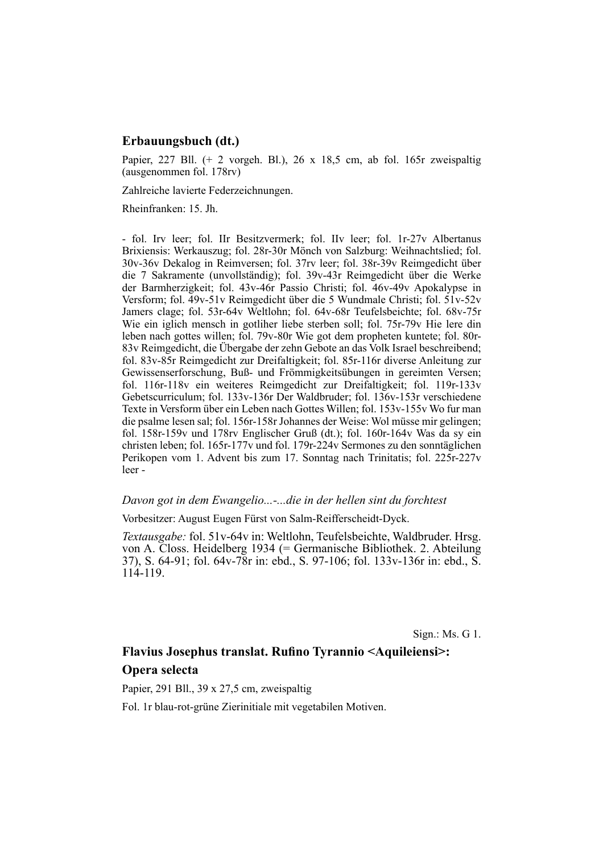## **Erbauungsbuch (dt.)**

Papier,  $227$  Bll. (+ 2 vorgeh. Bl.),  $26 \times 18.5$  cm, ab fol. 165r zweispaltig (ausgenommen fol. 178rv)

Zahlreiche lavierte Federzeichnungen.

Rheinfranken: 15. Jh.

- fol. Irv leer; fol. IIr Besitzvermerk; fol. IIv leer; fol. 1r-27v Albertanus Brixiensis: Werkauszug; fol. 28r-30r Mönch von Salzburg: Weihnachtslied; fol. 30v-36v Dekalog in Reimversen; fol. 37rv leer; fol. 38r-39v Reimgedicht über die 7 Sakramente (unvollständig); fol. 39v-43r Reimgedicht über die Werke der Barmherzigkeit; fol. 43y-46r Passio Christi; fol. 46y-49y Apokalypse in Versform; fol. 49v-51v Reimgedicht über die 5 Wundmale Christi; fol. 51v-52v Jamers clage; fol. 53r-64v Weltlohn; fol. 64v-68r Teufels beichte; fol. 68v-75r Wie ein iglich mensch in gotliher liebe sterben soll; fol. 75r-79v Hie lere din leben nach gottes willen; fol. 79v-80r Wie got dem propheten kuntete; fol. 80r-83v Reimgedicht, die Übergabe der zehn Gebote an das Volk Israel beschreibend; fol. 83v-85r Reimgedicht zur Dreifaltigkeit; fol. 85r-116r diverse Anleitung zur Gewissenserforschung, Buß- und Frömmigkeitsübungen in gereimten Versen; fol. 116r-118v ein weiteres Reimgedicht zur Dreifaltigkeit; fol. 119r-133v Gebetscurriculum; fol. 133v-136r Der Waldbruder; fol. 136v-153r verschiedene Texte in Versform über ein Leben nach Gottes Willen: fol. 153v-155v Wo fur man die psalme lesen sal; fol. 156r-158r Johannes der Weise: Wol müsse mir gelingen; fol. 158r-159v und 178rv Englischer Gruß (dt.); fol. 160r-164v Was da sy ein christen leben; fol. 165r-177v und fol. 179r-224v Sermones zu den sonntäglichen Perikopen vom 1. Advent bis zum 17. Sonntag nach Trinitatis; fol. 225r-227v leer -

#### *Davon got in dem Ewangelio...-...die in der hellen sint du forchtest*

Vorbesitzer: August Eugen Fürst von Salm-Reifferscheidt-Dyck.

*Textausgabe:* fol. 51v-64v in: Weltlohn, Teufelsbeichte, Waldbruder. Hrsg. von A. Closs. Heidelberg 1934 (= Germanische Bibliothek. 2. Abteilung 37), S. 64-91; fol. 64v-78r in: ebd., S. 97-106; fol. 133v-136r in: ebd., S.  $114 - 119$ .

Sign.: Ms. G 1.

# **Flavius Josephus translat. Rufino Tyrannio <Aquileiensi>: Opera selecta**

Papier, 291 Bll., 39 x 27,5 cm, zweispaltig

Fol. 1r blau-rot-grüne Zierinitiale mit vegetabilen Motiven.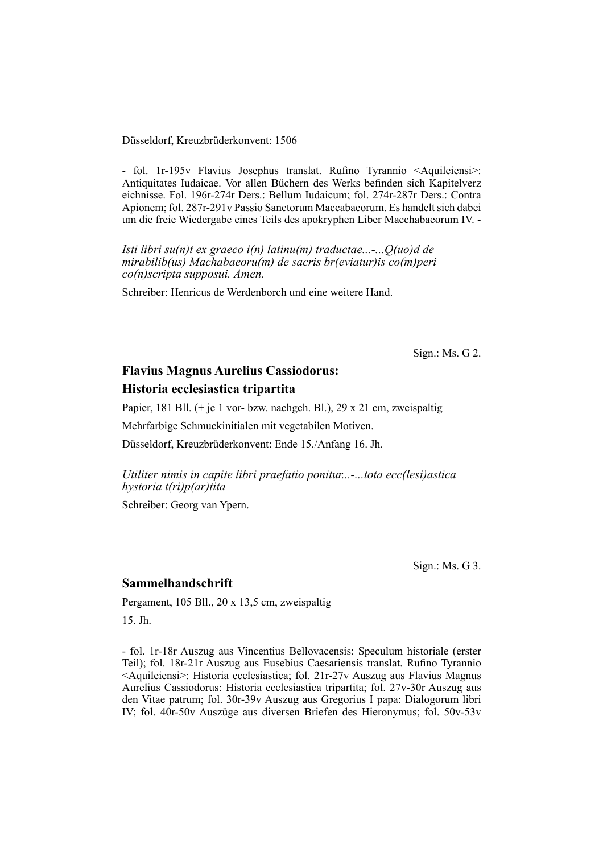Düsseldorf, Kreuzbrüderkonvent: 1506

- fol. 1r-195v Flavius Josephus translat. Rufino Tyrannio <Aquileiensi>: Antiquitates Iudaicae. Vor allen Büchern des Werks befinden sich Kapitelverz eichnisse. Fol. 196r-274r Ders.: Bellum Iudaicum; fol. 274r-287r Ders.: Contra Apionem; fol. 287r-291v Passio Sanctorum Maccabaeorum. Es handelt sich dabei um die freie Wiedergabe eines Teils des apokryphen Liber Macchabaeorum IV. -

*Isti libri su(n)t ex graeco i(n) latinu(m) traductae...-...Q(uo)d de mirabilib(us) Machabaeoru(m) de sacris br(eviatur)is co(m)peri co(n)scripta supposui. Amen.*

Schreiber: Henricus de Werdenborch und eine weitere Hand.

Sign.: Ms. G 2.

# **Flavius Magnus Aurelius Cassiodorus: Historia ecclesiastica tripartita**

Papier, 181 Bll. (+ je 1 vor- bzw. nachgeh. Bl.), 29 x 21 cm, zweispaltig

Mehrfarbige Schmuckinitialen mit vegetabilen Motiven.

Düsseldorf, Kreuzbrüderkonvent: Ende 15./Anfang 16. Jh.

*Utiliter nimis in capite libri praefatio ponitur...-...tota ecc(lesi)astica hystoria t(ri)p(ar)tita*

Schreiber: Georg van Ypern.

Sign.: Ms. G 3.

# **Sammelhandschrift**

Pergament, 105 Bll., 20 x 13,5 cm, zweispaltig

15. Jh.

- fol. 1r-18r Auszug aus Vincentius Bellovacensis: Speculum historiale (erster Teil); fol. 18r-21r Auszug aus Eusebius Caesariensis translat. Rufino Tyrannio <Aquileiensi>: Historia ecclesiastica; fol. 21r-27v Auszug aus Flavius Magnus Aurelius Cassiodorus: Historia ecclesiastica tripartita; fol. 27v-30r Auszug aus den Vitae patrum; fol. 30r-39v Auszug aus Gregorius I papa: Dialogorum libri IV; fol. 40r-50v Auszüge aus diversen Briefen des Hieronymus; fol. 50v-53v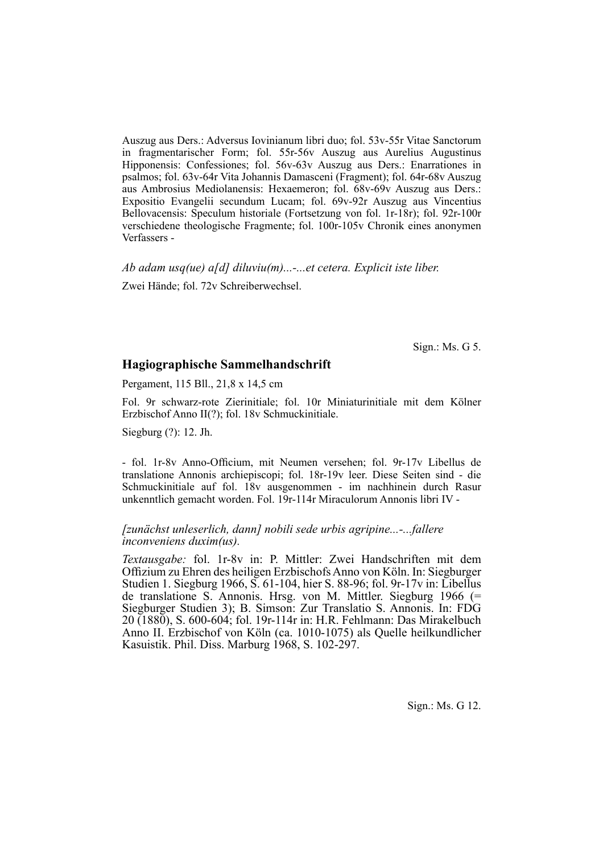Auszug aus Ders.: Adversus Iovinianum libri duo; fol. 53v-55r Vitae Sanctorum in fragmentarischer Form; fol. 55r-56v Auszug aus Aurelius Augustinus Hipponensis: Confessiones; fol. 56v-63v Auszug aus Ders.: Enarrationes in psalmos; fol. 63v-64r Vita Johannis Damasceni (Fragment); fol. 64r-68v Auszug aus Ambrosius Mediolanensis: Hexaemeron; fol. 68v-69v Auszug aus Ders.: Expositio Evangelii secundum Lucam; fol. 69v-92r Auszug aus Vincentius Bellovacensis: Speculum historiale (Fortsetzung von fol. 1r-18r); fol. 92r-100r verschiedene theologische Fragmente; fol. 100r-105v Chronik eines anonymen Verfassers -

*Ab adam usq(ue) a[d] diluviu(m)...-...et cetera. Explicit iste liber.* Zwei Hände; fol. 72v Schreiberwechsel.

Sign.: Ms. G 5.

#### **Hagiographische Sammelhandschrift**

Pergament, 115 Bll., 21,8 x 14,5 cm

Fol. 9r schwarz-rote Zierinitiale; fol. 10r Miniaturinitiale mit dem Kölner Erzbischof Anno II(?); fol. 18v Schmuckinitiale.

Siegburg (?): 12. Jh.

- fol. 1r-8v Anno-Officium, mit Neumen versehen; fol. 9r-17v Libellus de trans latione Annonis archiepiscopi; fol. 18r-19v leer. Diese Seiten sind - die Schmuckinitiale auf fol. 18v ausgenommen - im nachhinein durch Rasur unkenntlich gemacht worden. Fol. 19r-114r Miraculorum Annonis libri IV -

#### *[zunächst unleserlich, dann] nobili sede urbis agripine...-...fallere inconveniens duxim(us).*

*Textausgabe:* fol. 1r-8v in: P. Mittler: Zwei Handschriften mit dem Offizium zu Ehren des heiligen Erzbischofs Anno von Köln. In: Siegburger Studien 1. Siegburg 1966, S. 61-104, hier S. 88-96; fol. 9r-17v in: Libellus de translatione S. Annonis. Hrsg. von M. Mittler. Siegburg 1966 (= Siegburger Studien 3); B. Simson: Zur Translatio S. Annonis. In: FDG 20 (1880), S. 600-604; fol. 19r-114r in: H.R. Fehlmann: Das Mirakelbuch Anno II. Erzbischof von Köln (ca. 1010-1075) als Quelle heilkundlicher Kasuistik. Phil. Diss. Marburg 1968, S. 102-297.

Sign.: Ms. G 12.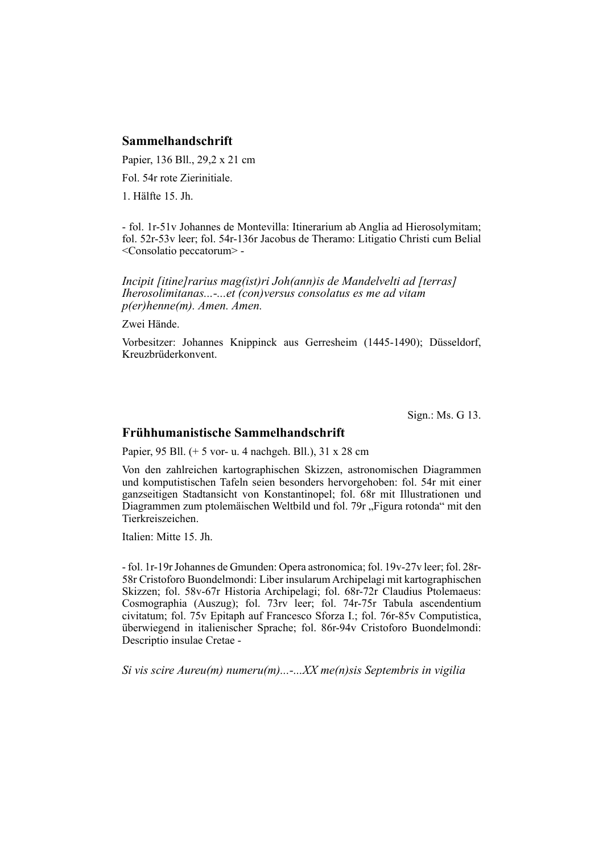# **Sammelhandschrift**

Papier, 136 Bll., 29,2 x 21 cm

Fol. 54r rote Zierinitiale.

1. Hälfte 15. Jh.

- fol. 1r-51v Johannes de Montevilla: Itinerarium ab Anglia ad Hierosolymitam; fol. 52r-53v leer; fol. 54r-136r Jacobus de Theramo: Litigatio Christi cum Belial <Consolatio peccatorum> -

*Incipit [itine]rarius mag(ist)ri Joh(ann)is de Mandelvelti ad [terras] Iherosolimitanas...-...et (con)versus consolatus es me ad vitam p(er)henne(m). Amen. Amen.*

Zwei Hände.

Vorbesitzer: Johannes Knippinck aus Gerresheim (1445-1490); Düsseldorf, Kreuzbrüderkonvent.

Sign.: Ms. G 13.

#### **Frühhumanistische Sammelhandschrift**

Papier, 95 Bll. (+ 5 vor- u. 4 nachgeh. Bll.), 31 x 28 cm

Von den zahlreichen kartographischen Skizzen, astronomischen Diagrammen und komputistischen Tafeln seien besonders hervorgehoben: fol. 54r mit einer ganzseitigen Stadtansicht von Konstantinopel; fol. 68r mit Illustrationen und Diagrammen zum ptolemäischen Weltbild und fol. 79r "Figura rotonda" mit den Tierkreiszeichen.

Italien: Mitte 15. Jh.

- fol. 1r-19r Johannes de Gmunden: Opera astronomica; fol. 19v-27v leer; fol. 28r-58r Cristoforo Buondelmondi: Liber insularum Archipelagi mit kartographischen Skizzen; fol. 58v-67r Historia Archipelagi; fol. 68r-72r Claudius Ptolemaeus: Cosmographia (Auszug); fol. 73rv leer; fol. 74r-75r Tabula ascendentium civitatum; fol. 75v Epitaph auf Francesco Sforza I.; fol. 76r-85v Computistica, überwiegend in italienischer Sprache; fol. 86r-94v Cristo foro Buondelmondi: Descriptio insulae Cretae -

*Si vis scire Aureu(m) numeru(m)...-...XX me(n)sis Septembris in vigilia*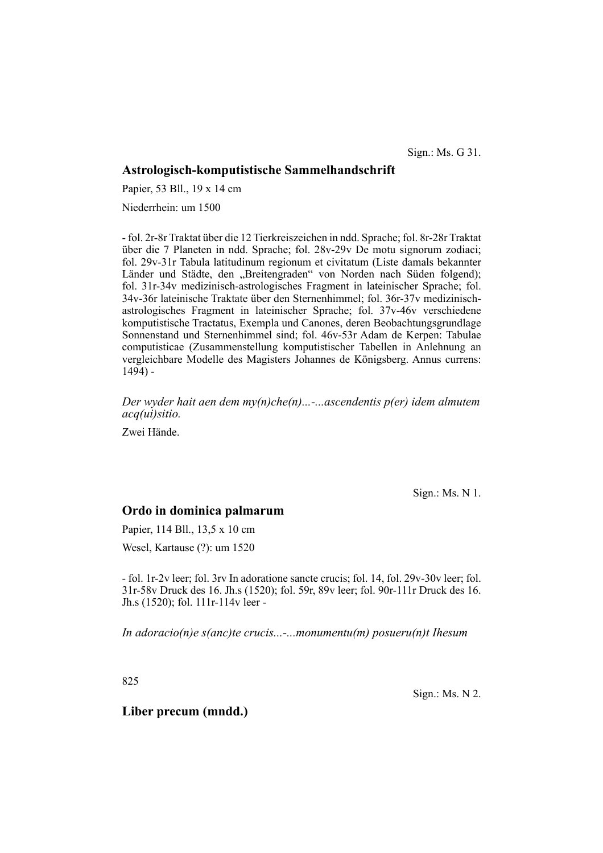Sign.: Ms. G 31.

# **Astrologisch-komputistische Sammelhandschrift**

Papier, 53 Bll., 19 x 14 cm

Niederrhein: um 1500

- fol. 2r-8r Traktat über die 12 Tierkreiszeichen in ndd. Sprache; fol. 8r-28r Traktat über die 7 Planeten in ndd. Sprache; fol. 28v-29v De motu signorum zodiaci; fol. 29v-31r Tabula latitudinum regionum et civitatum (Liste damals bekannter Länder und Städte, den "Breitengraden" von Norden nach Süden folgend); fol. 31r-34v medizinisch-astrologisches Fragment in lateinischer Sprache; fol. 34v-36r lateinische Traktate über den Sternenhimmel; fol. 36r-37v medizinischastrologisches Fragment in lateinischer Sprache; fol. 37v-46v verschiedene komputistische Tractatus, Exempla und Canones, deren Beobachtungsgrundlage Sonnenstand und Sternenhimmel sind; fol. 46v-53r Adam de Kerpen: Tabulae computisticae (Zusammenstellung komputistischer Tabellen in Anlehnung an vergleichbare Modelle des Magisters Johannes de Königsberg. Annus currens:  $1494$ ) -

*Der wyder hait aen dem my(n)che(n)...-...ascendentis p(er) idem almutem acq(ui)sitio.*

Zwei Hände.

Sign.: Ms. N 1.

# **Ordo in dominica palmarum**

Papier, 114 Bll., 13,5 x 10 cm

Wesel, Kartause (?): um 1520

- fol. 1r-2v leer; fol. 3rv In adoratione sancte crucis; fol. 14, fol. 29v-30v leer; fol. 31r-58v Druck des 16. Jh.s (1520); fol. 59r, 89v leer; fol. 90r-111r Druck des 16. Jh.s (1520); fol. 111r-114v leer -

*In adoracio(n)e s(anc)te crucis...-...monumentu(m) posueru(n)t Ihesum*

825

Sign.: Ms. N 2.

**Liber precum (mndd.)**